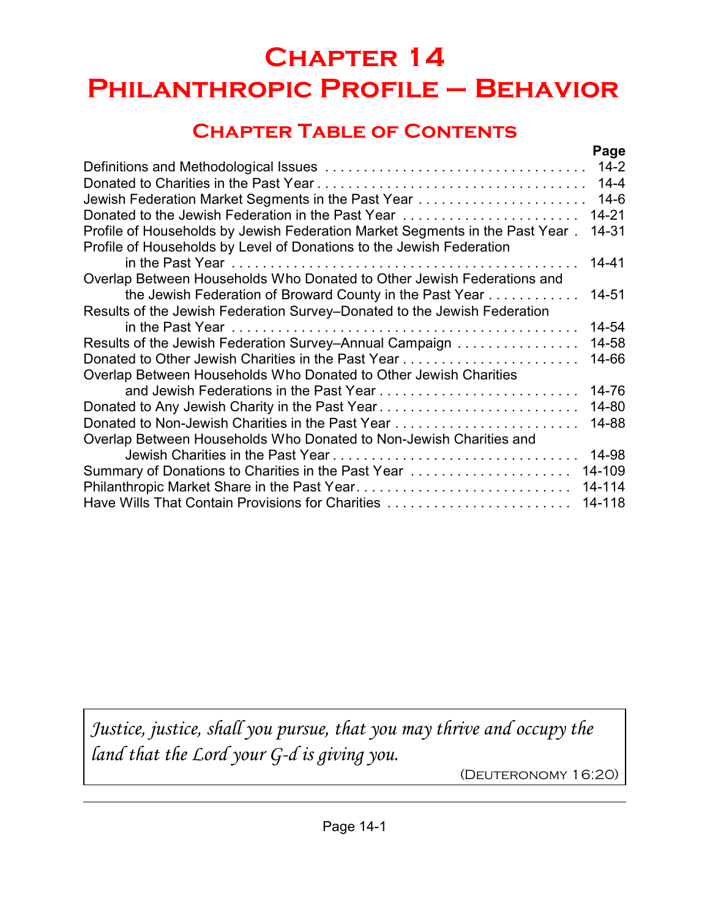# **Chapter 14 Philanthropic Profile – Behavior**

# **Chapter Table of Contents**

|                                                                                                                                                      | Page      |
|------------------------------------------------------------------------------------------------------------------------------------------------------|-----------|
|                                                                                                                                                      | $14 - 2$  |
|                                                                                                                                                      | $14 - 4$  |
|                                                                                                                                                      | $14-6$    |
| Donated to the Jewish Federation in the Past Year                                                                                                    | $14 - 21$ |
| Profile of Households by Jewish Federation Market Segments in the Past Year.<br>Profile of Households by Level of Donations to the Jewish Federation | 14-31     |
|                                                                                                                                                      | 14-41     |
| Overlap Between Households Who Donated to Other Jewish Federations and                                                                               |           |
| the Jewish Federation of Broward County in the Past Year                                                                                             | 14-51     |
| Results of the Jewish Federation Survey–Donated to the Jewish Federation                                                                             |           |
|                                                                                                                                                      | 14-54     |
| Results of the Jewish Federation Survey-Annual Campaign                                                                                              | 14-58     |
|                                                                                                                                                      | 14-66     |
| Overlap Between Households Who Donated to Other Jewish Charities                                                                                     |           |
|                                                                                                                                                      | 14-76     |
| Donated to Any Jewish Charity in the Past Year                                                                                                       | 14-80     |
|                                                                                                                                                      | 14-88     |
| Overlap Between Households Who Donated to Non-Jewish Charities and                                                                                   |           |
|                                                                                                                                                      | 14-98     |
| Summary of Donations to Charities in the Past Year                                                                                                   | 14-109    |
|                                                                                                                                                      | 14-114    |
| Have Wills That Contain Provisions for Charities                                                                                                     | 14-118    |
|                                                                                                                                                      |           |

*Justice, justice, shall you pursue, that you may thrive and occupy the land that the Lord your G-d is giving you.*

(Deuteronomy 16:20)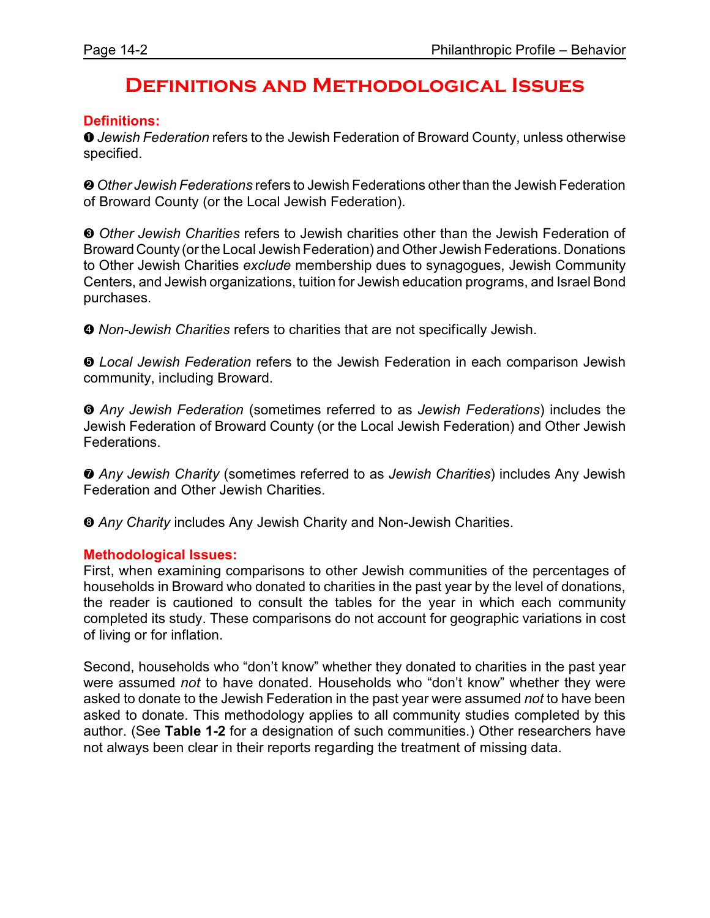### **Definitions and Methodological Issues**

#### **Definitions:**

ì *Jewish Federation* refers to the Jewish Federation of Broward County, unless otherwise specified.

**<sup>2</sup>** Other Jewish Federations refers to Jewish Federations other than the Jewish Federation of Broward County (or the Local Jewish Federation).

**<sup>3</sup>** Other Jewish Charities refers to Jewish charities other than the Jewish Federation of Broward County (or the Local Jewish Federation) and Other Jewish Federations. Donations to Other Jewish Charities *exclude* membership dues to synagogues, Jewish Community Centers, and Jewish organizations, tuition for Jewish education programs, and Israel Bond purchases.

**<sup>O</sup>** Non-Jewish Charities refers to charities that are not specifically Jewish.

ð *Local Jewish Federation* refers to the Jewish Federation in each comparison Jewish community, including Broward.

ñ *Any Jewish Federation* (sometimes referred to as *Jewish Federations*) includes the Jewish Federation of Broward County (or the Local Jewish Federation) and Other Jewish Federations.

ò *Any Jewish Charity* (sometimes referred to as *Jewish Charities*) includes Any Jewish Federation and Other Jewish Charities.

ó *Any Charity* includes Any Jewish Charity and Non-Jewish Charities.

#### **Methodological Issues:**

First, when examining comparisons to other Jewish communities of the percentages of households in Broward who donated to charities in the past year by the level of donations, the reader is cautioned to consult the tables for the year in which each community completed its study. These comparisons do not account for geographic variations in cost of living or for inflation.

Second, households who "don't know" whether they donated to charities in the past year were assumed *not* to have donated. Households who "don't know" whether they were asked to donate to the Jewish Federation in the past year were assumed *not* to have been asked to donate. This methodology applies to all community studies completed by this author. (See **Table 1-2** for a designation of such communities.) Other researchers have not always been clear in their reports regarding the treatment of missing data.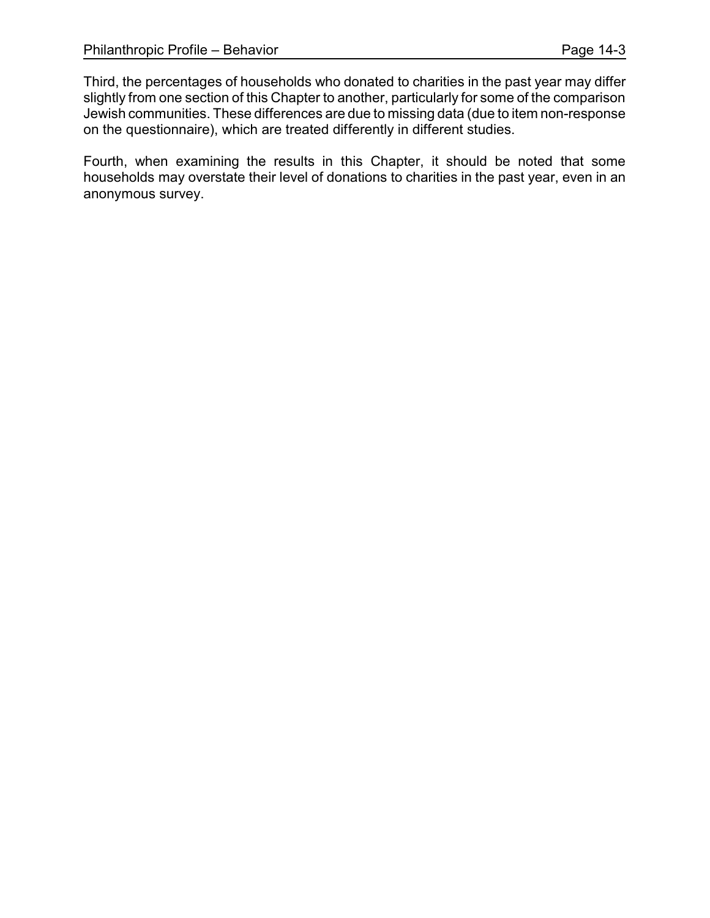Third, the percentages of households who donated to charities in the past year may differ slightly from one section of this Chapter to another, particularly for some of the comparison Jewish communities. These differences are due to missing data (due to item non-response on the questionnaire), which are treated differently in different studies.

Fourth, when examining the results in this Chapter, it should be noted that some households may overstate their level of donations to charities in the past year, even in an anonymous survey.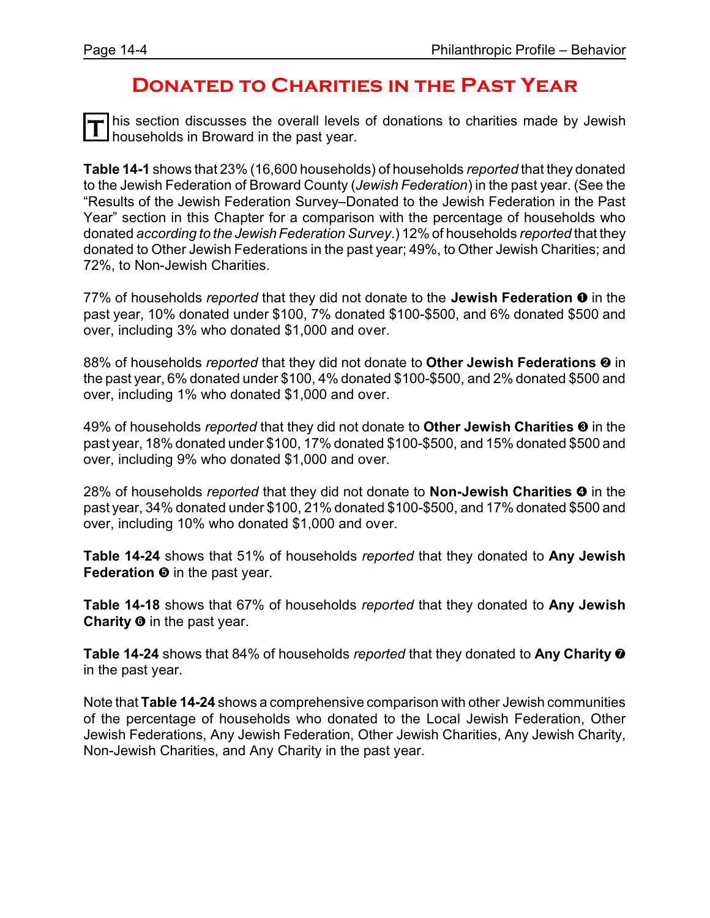### **Donated to Charities in the Past Year**

This section discusses the overall levels<br> **T** households in Broward in the past year. his section discusses the overall levels of donations to charities made by Jewish

**Table 14-1** shows that 23% (16,600 households) of households *reported* that they donated to the Jewish Federation of Broward County (*Jewish Federation*) in the past year. (See the "Results of the Jewish Federation Survey–Donated to the Jewish Federation in the Past Year" section in this Chapter for a comparison with the percentage of households who donated *according to the Jewish Federation Survey*.) 12% of households *reported* that they donated to Other Jewish Federations in the past year; 49%, to Other Jewish Charities; and 72%, to Non-Jewish Charities.

77% of households *reported* that they did not donate to the **Jewish Federation**  $\bullet$  in the past year, 10% donated under \$100, 7% donated \$100-\$500, and 6% donated \$500 and over, including 3% who donated \$1,000 and over.

88% of households *reported* that they did not donate to Other Jewish Federations <sup>o</sup> in the past year, 6% donated under \$100, 4% donated \$100-\$500, and 2% donated \$500 and over, including 1% who donated \$1,000 and over.

49% of households *reported* that they did not donate to Other Jewish Charities <sup>®</sup> in the past year, 18% donated under \$100, 17% donated \$100-\$500, and 15% donated \$500 and over, including 9% who donated \$1,000 and over.

28% of households *reported* that they did not donate to **Non-Jewish Charities ©** in the past year, 34% donated under \$100, 21% donated \$100-\$500, and 17% donated \$500 and over, including 10% who donated \$1,000 and over.

**Table 14-24** shows that 51% of households *reported* that they donated to **Any Jewish Federation** ð in the past year.

**Table 14-18** shows that 67% of households *reported* that they donated to **Any Jewish Charity**  $\Theta$  in the past year.

**Table 14-24** shows that 84% of households *reported* that they donated to **Any Charity** ò in the past year.

Note that **Table 14-24** shows a comprehensive comparison with other Jewish communities of the percentage of households who donated to the Local Jewish Federation, Other Jewish Federations, Any Jewish Federation, Other Jewish Charities, Any Jewish Charity, Non-Jewish Charities, and Any Charity in the past year.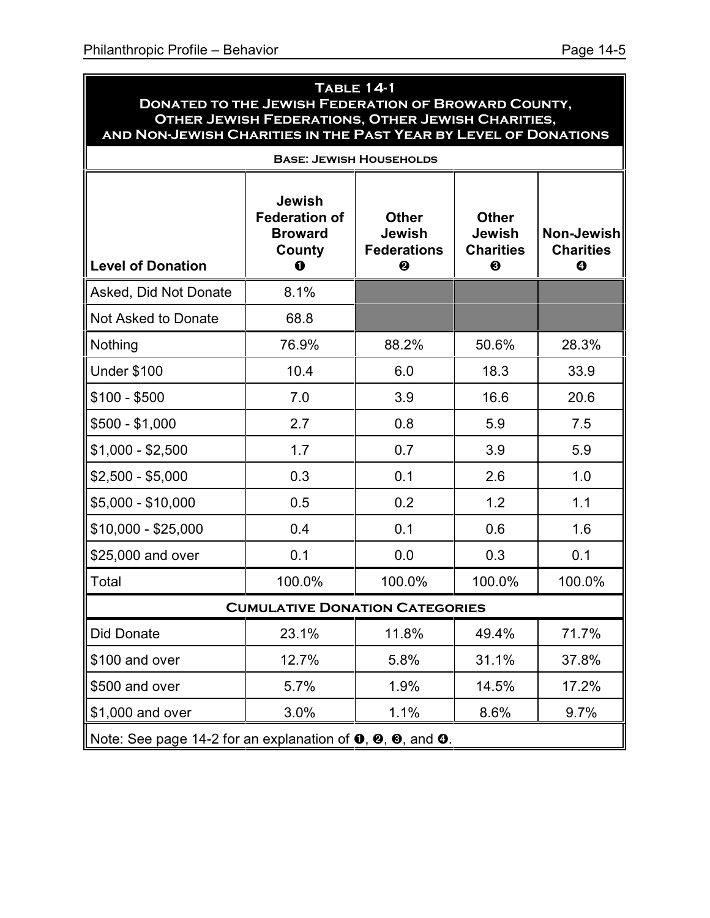#### **Table 14-1 Donated to the Jewish Federation of Broward County, Other Jewish Federations, Other Jewish Charities, and Non-Jewish Charities in the Past Year by Level of Donations**

| <b>BASE: JEWISH HOUSEHOLDS</b>                                                                               |                                                                              |                                                          |                                                                            |                                            |  |  |  |  |
|--------------------------------------------------------------------------------------------------------------|------------------------------------------------------------------------------|----------------------------------------------------------|----------------------------------------------------------------------------|--------------------------------------------|--|--|--|--|
| <b>Level of Donation</b>                                                                                     | <b>Jewish</b><br><b>Federation of</b><br><b>Broward</b><br>County<br>$\bf o$ | <b>Other</b><br><b>Jewish</b><br><b>Federations</b><br>❷ | <b>Other</b><br><b>Jewish</b><br><b>Charities</b><br>$\boldsymbol{\Theta}$ | Non-Jewish<br><b>Charities</b><br>$\bf{Q}$ |  |  |  |  |
| Asked, Did Not Donate                                                                                        | 8.1%                                                                         |                                                          |                                                                            |                                            |  |  |  |  |
| Not Asked to Donate                                                                                          | 68.8                                                                         |                                                          |                                                                            |                                            |  |  |  |  |
| Nothing                                                                                                      | 76.9%                                                                        | 88.2%                                                    | 50.6%                                                                      | 28.3%                                      |  |  |  |  |
| <b>Under \$100</b>                                                                                           | 10.4                                                                         | 6.0                                                      | 18.3                                                                       | 33.9                                       |  |  |  |  |
| $$100 - $500$                                                                                                | 7.0                                                                          | 3.9                                                      | 16.6                                                                       | 20.6                                       |  |  |  |  |
| $$500 - $1,000$                                                                                              | 2.7                                                                          | 0.8                                                      | 5.9                                                                        | 7.5                                        |  |  |  |  |
| $$1,000 - $2,500$                                                                                            | 1.7                                                                          | 0.7                                                      | 3.9                                                                        | 5.9                                        |  |  |  |  |
| $$2,500 - $5,000$                                                                                            | 0.3                                                                          | 0.1                                                      | 2.6                                                                        | 1.0                                        |  |  |  |  |
| \$5,000 - \$10,000                                                                                           | 0.5                                                                          | 0.2                                                      | 1.2                                                                        | 1.1                                        |  |  |  |  |
| $$10,000 - $25,000$                                                                                          | 0.4                                                                          | 0.1                                                      | 0.6                                                                        | 1.6                                        |  |  |  |  |
| \$25,000 and over                                                                                            | 0.1                                                                          | 0.0                                                      | 0.3                                                                        | 0.1                                        |  |  |  |  |
| Total                                                                                                        | 100.0%                                                                       | 100.0%                                                   | 100.0%                                                                     | 100.0%                                     |  |  |  |  |
|                                                                                                              | <b>CUMULATIVE DONATION CATEGORIES</b>                                        |                                                          |                                                                            |                                            |  |  |  |  |
| <b>Did Donate</b>                                                                                            | 23.1%                                                                        | 11.8%                                                    | 49.4%                                                                      | 71.7%                                      |  |  |  |  |
| \$100 and over                                                                                               | 12.7%                                                                        | 5.8%                                                     | 31.1%                                                                      | 37.8%                                      |  |  |  |  |
| \$500 and over                                                                                               | 5.7%                                                                         | 1.9%                                                     | 14.5%                                                                      | 17.2%                                      |  |  |  |  |
| \$1,000 and over                                                                                             | 3.0%                                                                         | 1.1%                                                     | 8.6%                                                                       | 9.7%                                       |  |  |  |  |
| Note: See page 14-2 for an explanation of $\mathbf{0}, \mathbf{\Theta}, \mathbf{\Theta},$ and $\mathbf{0}$ . |                                                                              |                                                          |                                                                            |                                            |  |  |  |  |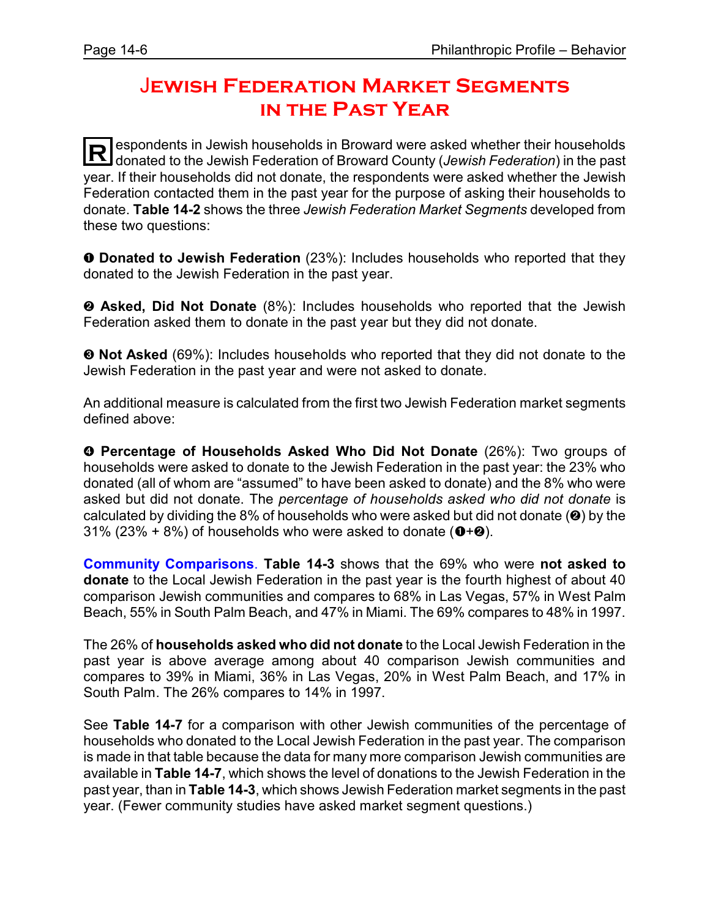# J**ewish Federation Market Segments in the Past Year**

**R** espondents in Jewish households in Broward were asked whether their households donated to the Jewish Federation of Broward County (*Jewish Federation*) in the past year. If their households did not donate, the respondents were asked whether the Jewish Federation contacted them in the past year for the purpose of asking their households to donate. **Table 14-2** shows the three *Jewish Federation Market Segments* developed from these two questions:

**O** Donated to Jewish Federation (23%): Includes households who reported that they donated to the Jewish Federation in the past year.

**<sup>2</sup>** Asked, Did Not Donate (8%): Includes households who reported that the Jewish Federation asked them to donate in the past year but they did not donate.

**<sup>6</sup> Not Asked** (69%): Includes households who reported that they did not donate to the Jewish Federation in the past year and were not asked to donate.

An additional measure is calculated from the first two Jewish Federation market segments defined above:

**<sup>O</sup>** Percentage of Households Asked Who Did Not Donate (26%): Two groups of households were asked to donate to the Jewish Federation in the past year: the 23% who donated (all of whom are "assumed" to have been asked to donate) and the 8% who were asked but did not donate. The *percentage of households asked who did not donate* is calculated by dividing the 8% of households who were asked but did not donate  $(②)$  by the 31% (23% + 8%) of households who were asked to donate ( $\mathbf{0}+\mathbf{0}$ ).

**Community Comparisons**. **Table 14-3** shows that the 69% who were **not asked to donate** to the Local Jewish Federation in the past year is the fourth highest of about 40 comparison Jewish communities and compares to 68% in Las Vegas, 57% in West Palm Beach, 55% in South Palm Beach, and 47% in Miami. The 69% compares to 48% in 1997.

The 26% of **households asked who did not donate** to the Local Jewish Federation in the past year is above average among about 40 comparison Jewish communities and compares to 39% in Miami, 36% in Las Vegas, 20% in West Palm Beach, and 17% in South Palm. The 26% compares to 14% in 1997.

See **Table 14-7** for a comparison with other Jewish communities of the percentage of households who donated to the Local Jewish Federation in the past year. The comparison is made in that table because the data for many more comparison Jewish communities are available in **Table 14-7**, which shows the level of donations to the Jewish Federation in the past year, than in **Table 14-3**, which shows Jewish Federation market segments in the past year. (Fewer community studies have asked market segment questions.)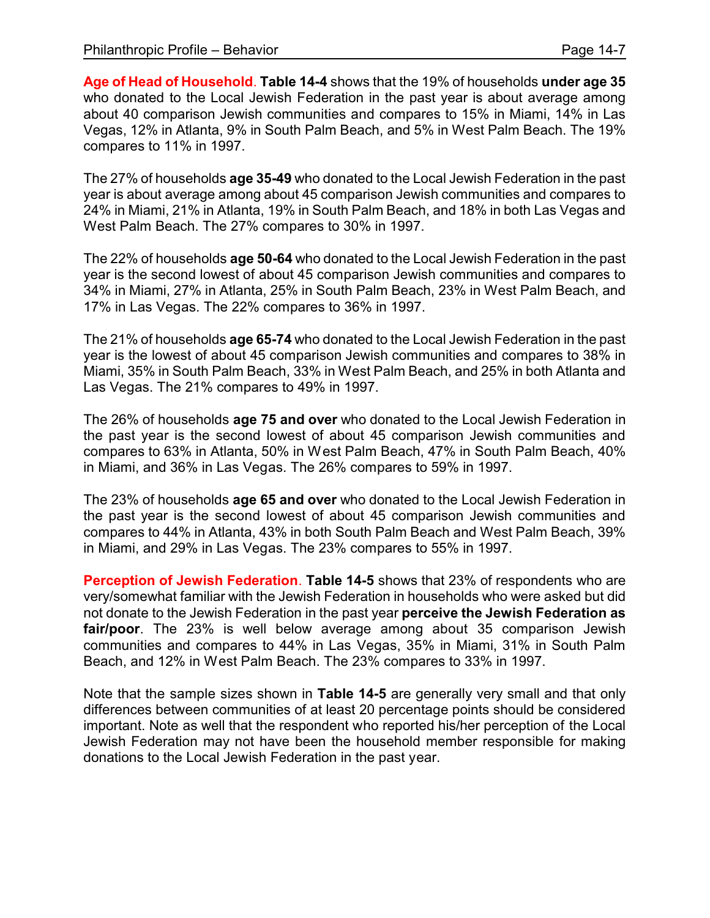**Age of Head of Household**. **Table 14-4** shows that the 19% of households **under age 35** who donated to the Local Jewish Federation in the past year is about average among about 40 comparison Jewish communities and compares to 15% in Miami, 14% in Las Vegas, 12% in Atlanta, 9% in South Palm Beach, and 5% in West Palm Beach. The 19% compares to 11% in 1997.

The 27% of households **age 35-49** who donated to the Local Jewish Federation in the past year is about average among about 45 comparison Jewish communities and compares to 24% in Miami, 21% in Atlanta, 19% in South Palm Beach, and 18% in both Las Vegas and West Palm Beach. The 27% compares to 30% in 1997.

The 22% of households **age 50-64** who donated to the Local Jewish Federation in the past year is the second lowest of about 45 comparison Jewish communities and compares to 34% in Miami, 27% in Atlanta, 25% in South Palm Beach, 23% in West Palm Beach, and 17% in Las Vegas. The 22% compares to 36% in 1997.

The 21% of households **age 65-74** who donated to the Local Jewish Federation in the past year is the lowest of about 45 comparison Jewish communities and compares to 38% in Miami, 35% in South Palm Beach, 33% in West Palm Beach, and 25% in both Atlanta and Las Vegas. The 21% compares to 49% in 1997.

The 26% of households **age 75 and over** who donated to the Local Jewish Federation in the past year is the second lowest of about 45 comparison Jewish communities and compares to 63% in Atlanta, 50% in West Palm Beach, 47% in South Palm Beach, 40% in Miami, and 36% in Las Vegas. The 26% compares to 59% in 1997.

The 23% of households **age 65 and over** who donated to the Local Jewish Federation in the past year is the second lowest of about 45 comparison Jewish communities and compares to 44% in Atlanta, 43% in both South Palm Beach and West Palm Beach, 39% in Miami, and 29% in Las Vegas. The 23% compares to 55% in 1997.

**Perception of Jewish Federation**. **Table 14-5** shows that 23% of respondents who are very/somewhat familiar with the Jewish Federation in households who were asked but did not donate to the Jewish Federation in the past year **perceive the Jewish Federation as fair/poor**. The 23% is well below average among about 35 comparison Jewish communities and compares to 44% in Las Vegas, 35% in Miami, 31% in South Palm Beach, and 12% in West Palm Beach. The 23% compares to 33% in 1997.

Note that the sample sizes shown in **Table 14-5** are generally very small and that only differences between communities of at least 20 percentage points should be considered important. Note as well that the respondent who reported his/her perception of the Local Jewish Federation may not have been the household member responsible for making donations to the Local Jewish Federation in the past year.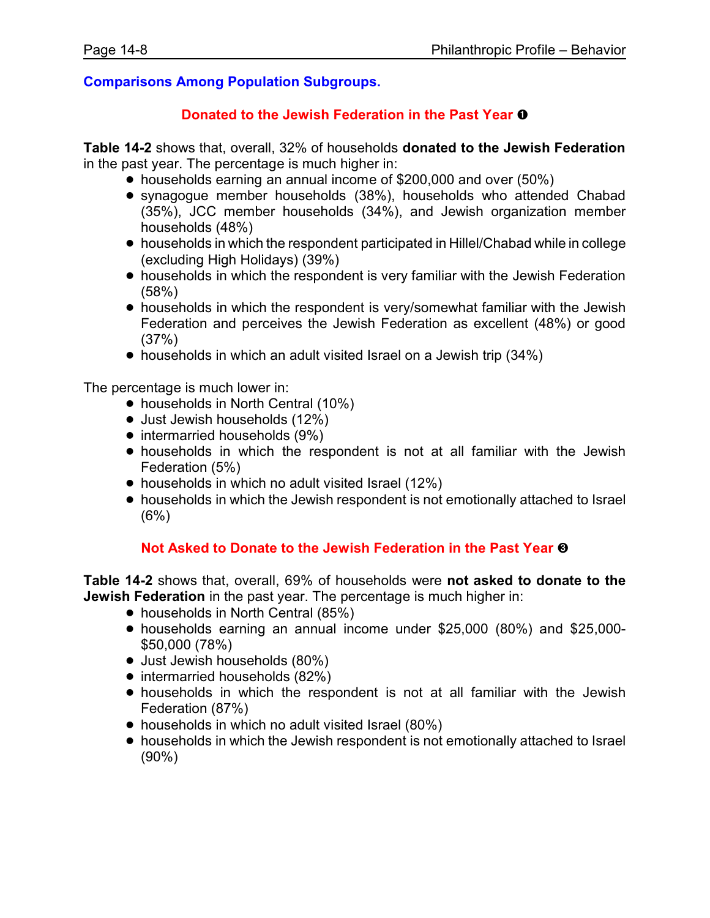#### **Comparisons Among Population Subgroups.**

#### **Donated to the Jewish Federation in the Past Year**  $\bullet$

**Table 14-2** shows that, overall, 32% of households **donated to the Jewish Federation** in the past year. The percentage is much higher in:

- households earning an annual income of \$200,000 and over (50%)
- ! synagogue member households (38%), households who attended Chabad (35%), JCC member households (34%), and Jewish organization member households (48%)
- ! households in which the respondent participated in Hillel/Chabad while in college (excluding High Holidays) (39%)
- households in which the respondent is very familiar with the Jewish Federation (58%)
- ! households in which the respondent is very/somewhat familiar with the Jewish Federation and perceives the Jewish Federation as excellent (48%) or good (37%)
- households in which an adult visited Israel on a Jewish trip (34%)

The percentage is much lower in:

- households in North Central (10%)
- Just Jewish households (12%)
- intermarried households (9%)
- ! households in which the respondent is not at all familiar with the Jewish Federation (5%)
- households in which no adult visited Israel (12%)
- households in which the Jewish respondent is not emotionally attached to Israel (6%)

#### **Not Asked to Donate to the Jewish Federation in the Past Year**  $\odot$

**Table 14-2** shows that, overall, 69% of households were **not asked to donate to the Jewish Federation** in the past year. The percentage is much higher in:

- households in North Central (85%)
- ! households earning an annual income under \$25,000 (80%) and \$25,000- \$50,000 (78%)
- Just Jewish households (80%)
- intermarried households (82%)
- ! households in which the respondent is not at all familiar with the Jewish Federation (87%)
- households in which no adult visited Israel (80%)
- households in which the Jewish respondent is not emotionally attached to Israel (90%)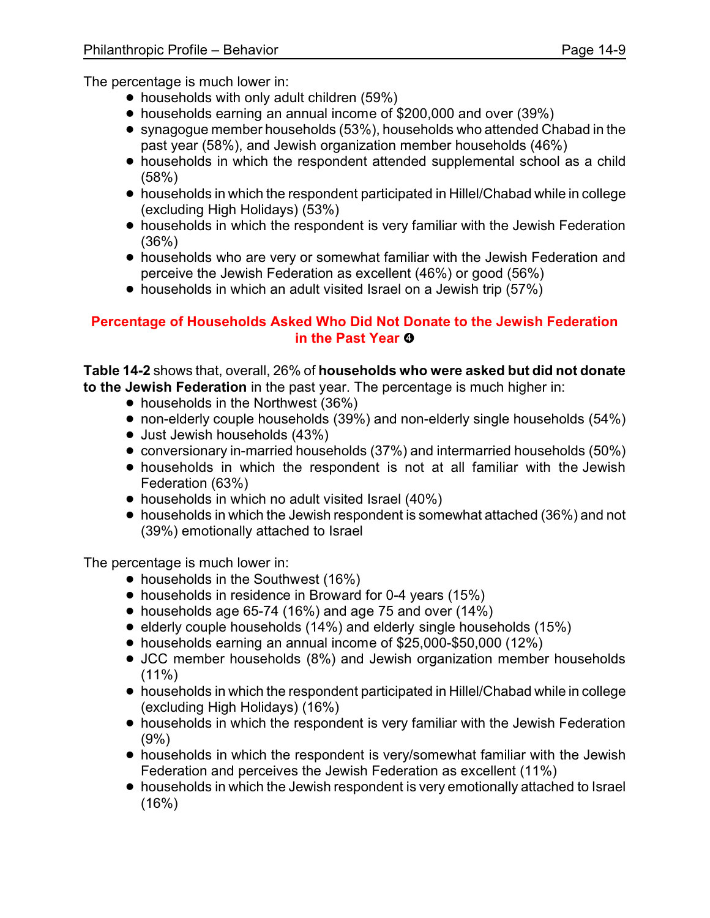The percentage is much lower in:

- households with only adult children (59%)
- ! households earning an annual income of \$200,000 and over (39%)
- synagogue member households (53%), households who attended Chabad in the past year (58%), and Jewish organization member households (46%)
- households in which the respondent attended supplemental school as a child (58%)
- ! households in which the respondent participated in Hillel/Chabad while in college (excluding High Holidays) (53%)
- households in which the respondent is very familiar with the Jewish Federation (36%)
- ! households who are very or somewhat familiar with the Jewish Federation and perceive the Jewish Federation as excellent (46%) or good (56%)
- households in which an adult visited Israel on a Jewish trip (57%)

#### **Percentage of Households Asked Who Did Not Donate to the Jewish Federation in the Past Year ©**

**Table 14-2** shows that, overall, 26% of **households who were asked but did not donate to the Jewish Federation** in the past year. The percentage is much higher in:

- households in the Northwest (36%)
- non-elderly couple households (39%) and non-elderly single households (54%)
- Just Jewish households (43%)
- ! conversionary in-married households (37%) and intermarried households (50%)
- ! households in which the respondent is not at all familiar with the Jewish Federation (63%)
- households in which no adult visited Israel (40%)
- households in which the Jewish respondent is somewhat attached (36%) and not (39%) emotionally attached to Israel

The percentage is much lower in:

- households in the Southwest (16%)
- households in residence in Broward for 0-4 years (15%)
- $\bullet$  households age 65-74 (16%) and age 75 and over (14%)
- elderly couple households (14%) and elderly single households (15%)
- ! households earning an annual income of \$25,000-\$50,000 (12%)
- JCC member households (8%) and Jewish organization member households  $(11\%)$
- ! households in which the respondent participated in Hillel/Chabad while in college (excluding High Holidays) (16%)
- households in which the respondent is very familiar with the Jewish Federation (9%)
- ! households in which the respondent is very/somewhat familiar with the Jewish Federation and perceives the Jewish Federation as excellent (11%)
- households in which the Jewish respondent is very emotionally attached to Israel  $(16%)$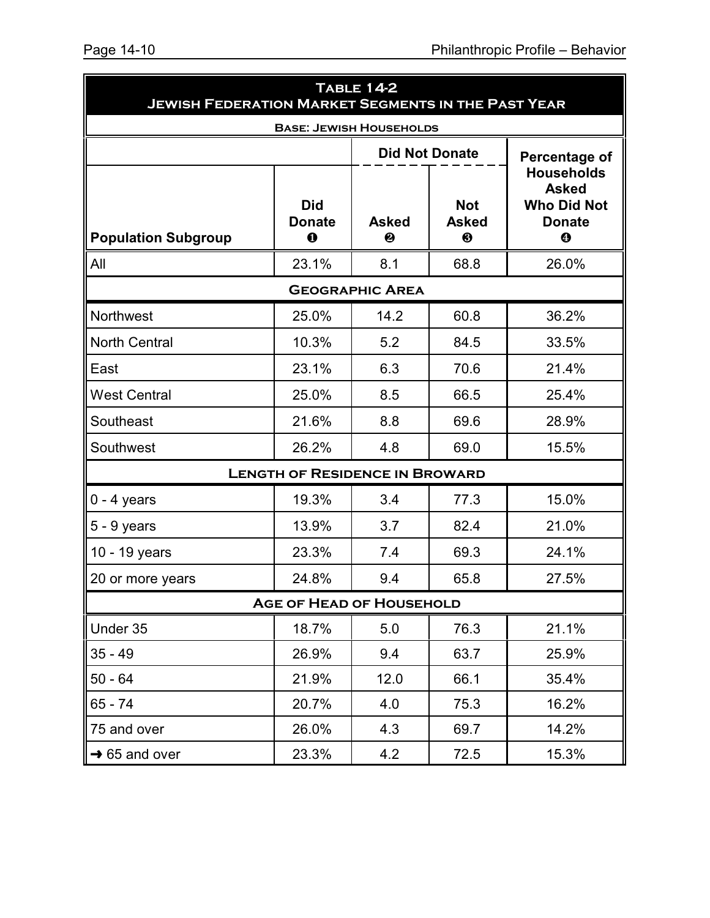| <b>TABLE 14-2</b><br><b>JEWISH FEDERATION MARKET SEGMENTS IN THE PAST YEAR</b> |                                         |                        |                                 |                                                                               |  |  |
|--------------------------------------------------------------------------------|-----------------------------------------|------------------------|---------------------------------|-------------------------------------------------------------------------------|--|--|
|                                                                                | <b>BASE: JEWISH HOUSEHOLDS</b>          |                        |                                 |                                                                               |  |  |
|                                                                                |                                         |                        | <b>Did Not Donate</b>           | Percentage of                                                                 |  |  |
| <b>Population Subgroup</b>                                                     | <b>Did</b><br><b>Donate</b><br>$\bf{0}$ | <b>Asked</b><br>❷      | <b>Not</b><br><b>Asked</b><br>❸ | <b>Households</b><br><b>Asked</b><br><b>Who Did Not</b><br><b>Donate</b><br>❹ |  |  |
| All                                                                            | 23.1%                                   | 8.1                    | 68.8                            | 26.0%                                                                         |  |  |
|                                                                                |                                         | <b>GEOGRAPHIC AREA</b> |                                 |                                                                               |  |  |
| <b>Northwest</b>                                                               | 25.0%                                   | 14.2                   | 60.8                            | 36.2%                                                                         |  |  |
| <b>North Central</b>                                                           | 10.3%                                   | 5.2                    | 84.5                            | 33.5%                                                                         |  |  |
| East                                                                           | 23.1%                                   | 6.3                    | 70.6                            | 21.4%                                                                         |  |  |
| <b>West Central</b>                                                            | 25.0%                                   | 8.5                    | 66.5                            | 25.4%                                                                         |  |  |
| Southeast                                                                      | 21.6%                                   | 8.8                    | 69.6                            | 28.9%                                                                         |  |  |
| Southwest                                                                      | 26.2%                                   | 4.8                    | 69.0                            | 15.5%                                                                         |  |  |
|                                                                                | <b>LENGTH OF RESIDENCE IN BROWARD</b>   |                        |                                 |                                                                               |  |  |
| $0 - 4$ years                                                                  | 19.3%                                   | 3.4                    | 77.3                            | 15.0%                                                                         |  |  |
| 5 - 9 years                                                                    | 13.9%                                   | 3.7                    | 82.4                            | 21.0%                                                                         |  |  |
| 10 - 19 years                                                                  | 23.3%                                   | 7.4                    | 69.3                            | 24.1%                                                                         |  |  |
| 20 or more years                                                               | 24.8%                                   | 9.4                    | 65.8                            | 27.5%                                                                         |  |  |
|                                                                                | <b>AGE OF HEAD OF HOUSEHOLD</b>         |                        |                                 |                                                                               |  |  |
| Under 35                                                                       | 18.7%                                   | 5.0                    | 76.3                            | 21.1%                                                                         |  |  |
| $35 - 49$                                                                      | 26.9%                                   | 9.4                    | 63.7                            | 25.9%                                                                         |  |  |
| $50 - 64$                                                                      | 21.9%                                   | 12.0                   | 66.1                            | 35.4%                                                                         |  |  |
| 65 - 74                                                                        | 20.7%                                   | 4.0                    | 75.3                            | 16.2%                                                                         |  |  |
| 75 and over                                                                    | 26.0%                                   | 4.3                    | 69.7                            | 14.2%                                                                         |  |  |
| $\rightarrow$ 65 and over                                                      | 23.3%                                   | 4.2                    | 72.5                            | 15.3%                                                                         |  |  |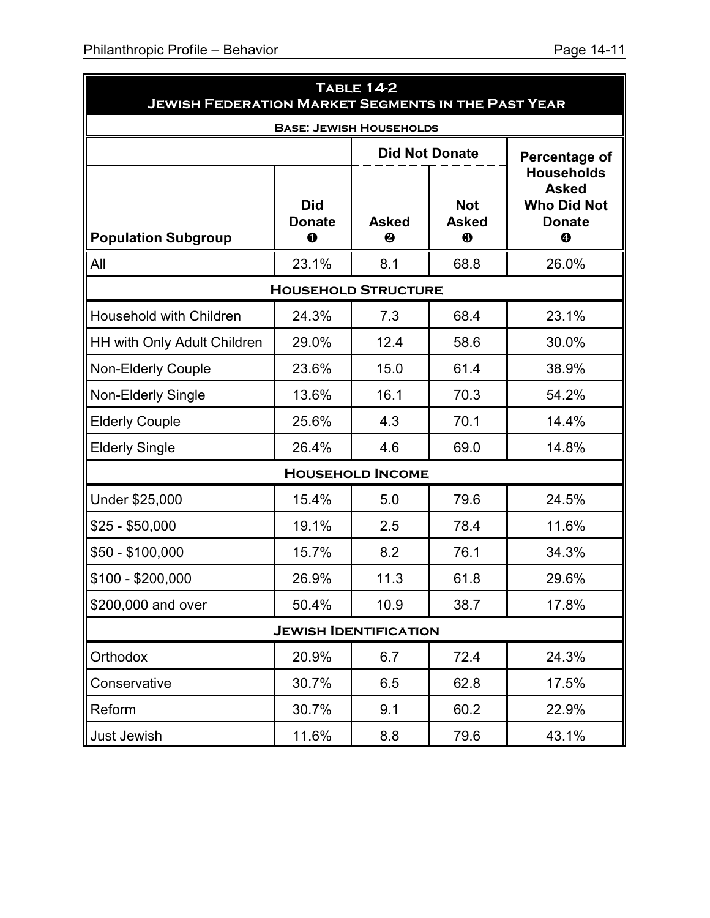| <b>TABLE 14-2</b><br><b>JEWISH FEDERATION MARKET SEGMENTS IN THE PAST YEAR</b> |                                         |                         |                                 |                                                                               |  |  |  |  |
|--------------------------------------------------------------------------------|-----------------------------------------|-------------------------|---------------------------------|-------------------------------------------------------------------------------|--|--|--|--|
|                                                                                | <b>BASE: JEWISH HOUSEHOLDS</b>          |                         |                                 |                                                                               |  |  |  |  |
| <b>Did Not Donate</b><br>Percentage of                                         |                                         |                         |                                 |                                                                               |  |  |  |  |
| <b>Population Subgroup</b>                                                     | <b>Did</b><br><b>Donate</b><br>$\bf{0}$ | <b>Asked</b><br>❷       | <b>Not</b><br><b>Asked</b><br>❸ | <b>Households</b><br><b>Asked</b><br><b>Who Did Not</b><br><b>Donate</b><br>❹ |  |  |  |  |
| All                                                                            | 23.1%                                   | 8.1                     | 68.8                            | 26.0%                                                                         |  |  |  |  |
|                                                                                | <b>HOUSEHOLD STRUCTURE</b>              |                         |                                 |                                                                               |  |  |  |  |
| <b>Household with Children</b>                                                 | 24.3%                                   | 7.3                     | 68.4                            | 23.1%                                                                         |  |  |  |  |
| <b>HH with Only Adult Children</b>                                             | 29.0%                                   | 12.4                    | 58.6                            | 30.0%                                                                         |  |  |  |  |
| <b>Non-Elderly Couple</b>                                                      | 23.6%                                   | 15.0                    | 61.4                            | 38.9%                                                                         |  |  |  |  |
| <b>Non-Elderly Single</b>                                                      | 13.6%                                   | 16.1                    | 70.3                            | 54.2%                                                                         |  |  |  |  |
| <b>Elderly Couple</b>                                                          | 25.6%                                   | 4.3                     | 70.1                            | 14.4%                                                                         |  |  |  |  |
| <b>Elderly Single</b>                                                          | 26.4%                                   | 4.6                     | 69.0                            | 14.8%                                                                         |  |  |  |  |
|                                                                                |                                         | <b>HOUSEHOLD INCOME</b> |                                 |                                                                               |  |  |  |  |
| Under \$25,000                                                                 | 15.4%                                   | 5.0                     | 79.6                            | 24.5%                                                                         |  |  |  |  |
| $$25 - $50,000$                                                                | 19.1%                                   | 2.5                     | 78.4                            | 11.6%                                                                         |  |  |  |  |
| $$50 - $100,000$                                                               | 15.7%                                   | 8.2                     | 76.1                            | 34.3%                                                                         |  |  |  |  |
| \$100 - \$200,000                                                              | 26.9%                                   | 11.3                    | 61.8                            | 29.6%                                                                         |  |  |  |  |
| \$200,000 and over                                                             | 50.4%                                   | 10.9                    | 38.7                            | 17.8%                                                                         |  |  |  |  |
|                                                                                | <b>JEWISH IDENTIFICATION</b>            |                         |                                 |                                                                               |  |  |  |  |
| Orthodox                                                                       | 20.9%                                   | 6.7                     | 72.4                            | 24.3%                                                                         |  |  |  |  |
| Conservative                                                                   | 30.7%                                   | 6.5                     | 62.8                            | 17.5%                                                                         |  |  |  |  |
|                                                                                |                                         |                         |                                 |                                                                               |  |  |  |  |

Reform | 30.7% | 9.1 | 60.2 | 22.9%

Just Jewish 11.6% 8.8 79.6 43.1%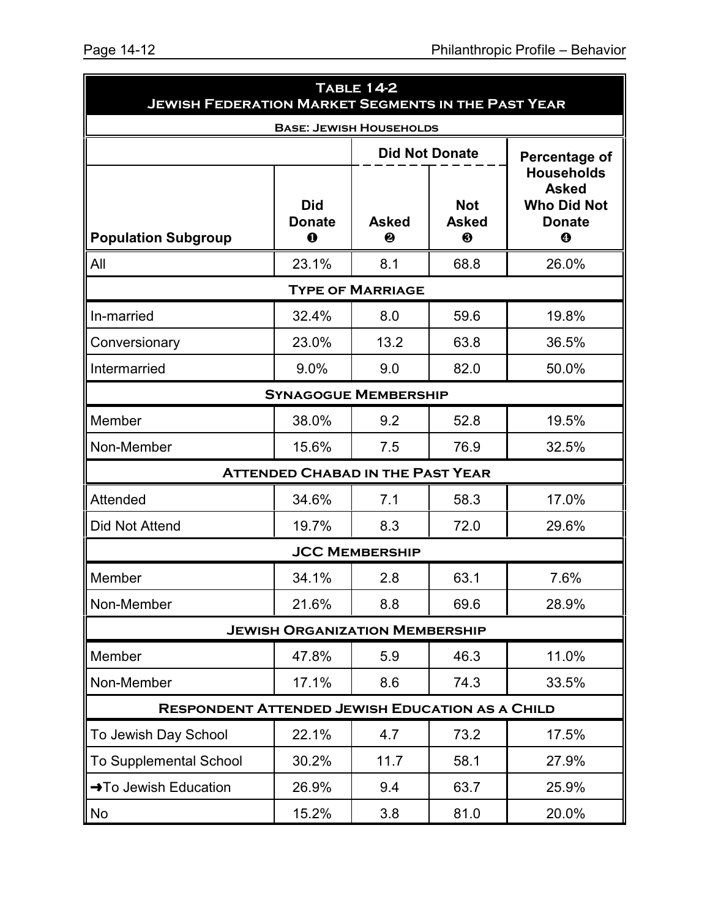| <b>JEWISH FEDERATION MARKET SEGMENTS IN THE PAST YEAR</b> |                                           | <b>TABLE 14-2</b>       |                                 |                                                                               |
|-----------------------------------------------------------|-------------------------------------------|-------------------------|---------------------------------|-------------------------------------------------------------------------------|
|                                                           | <b>BASE: JEWISH HOUSEHOLDS</b>            |                         |                                 |                                                                               |
|                                                           |                                           |                         | <b>Did Not Donate</b>           | <b>Percentage of</b>                                                          |
| <b>Population Subgroup</b>                                | <b>Did</b><br><b>Donate</b><br>$\bf\bf 0$ | <b>Asked</b><br>❷       | <b>Not</b><br><b>Asked</b><br>❸ | <b>Households</b><br><b>Asked</b><br><b>Who Did Not</b><br><b>Donate</b><br>❹ |
| All                                                       | 23.1%                                     | 8.1                     | 68.8                            | 26.0%                                                                         |
|                                                           |                                           | <b>TYPE OF MARRIAGE</b> |                                 |                                                                               |
| In-married                                                | 32.4%                                     | 8.0                     | 59.6                            | 19.8%                                                                         |
| Conversionary                                             | 23.0%                                     | 13.2                    | 63.8                            | 36.5%                                                                         |
| Intermarried                                              | 9.0%                                      | 9.0                     | 82.0                            | 50.0%                                                                         |
|                                                           | <b>SYNAGOGUE MEMBERSHIP</b>               |                         |                                 |                                                                               |
| Member                                                    | 38.0%                                     | 9.2                     | 52.8                            | 19.5%                                                                         |
| Non-Member                                                | 15.6%                                     | 7.5                     | 76.9                            | 32.5%                                                                         |
|                                                           | <b>ATTENDED CHABAD IN THE PAST YEAR</b>   |                         |                                 |                                                                               |
| Attended                                                  | 34.6%                                     | 7.1                     | 58.3                            | 17.0%                                                                         |
| Did Not Attend                                            | 19.7%                                     | 8.3                     | 72.0                            | 29.6%                                                                         |
|                                                           |                                           | <b>JCC MEMBERSHIP</b>   |                                 |                                                                               |
| Member                                                    | 34.1%                                     | 2.8                     | 63.1                            | 7.6%                                                                          |
| Non-Member                                                | 21.6%                                     | 8.8                     | 69.6                            | 28.9%                                                                         |
|                                                           | <b>JEWISH ORGANIZATION MEMBERSHIP</b>     |                         |                                 |                                                                               |
| Member                                                    | 47.8%                                     | 5.9                     | 46.3                            | 11.0%                                                                         |
| Non-Member                                                | 17.1%                                     | 8.6                     | 74.3                            | 33.5%                                                                         |
| <b>RESPONDENT ATTENDED JEWISH EDUCATION AS A CHILD</b>    |                                           |                         |                                 |                                                                               |
| To Jewish Day School                                      | 22.1%                                     | 4.7                     | 73.2                            | 17.5%                                                                         |
| <b>To Supplemental School</b>                             | 30.2%                                     | 11.7                    | 58.1                            | 27.9%                                                                         |
| → To Jewish Education                                     | 26.9%                                     | 9.4                     | 63.7                            | 25.9%                                                                         |
| No                                                        | 15.2%                                     | 3.8                     | 81.0                            | 20.0%                                                                         |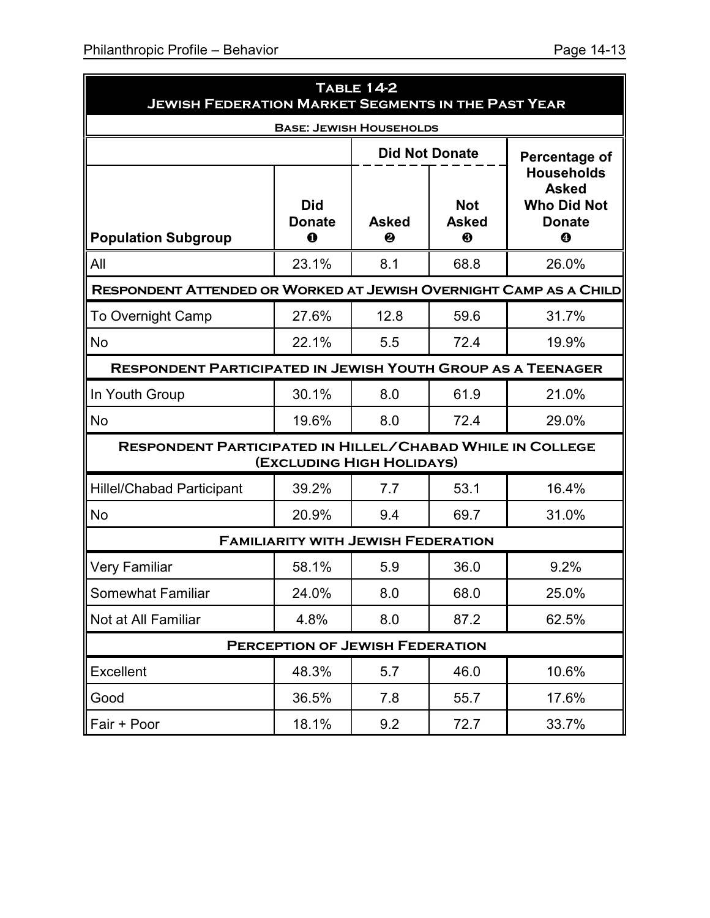| <b>TABLE 14-2</b><br><b>JEWISH FEDERATION MARKET SEGMENTS IN THE PAST YEAR</b> |                                            |                   |                                 |                                                                               |  |  |  |
|--------------------------------------------------------------------------------|--------------------------------------------|-------------------|---------------------------------|-------------------------------------------------------------------------------|--|--|--|
|                                                                                | <b>BASE: JEWISH HOUSEHOLDS</b>             |                   |                                 |                                                                               |  |  |  |
|                                                                                |                                            |                   | <b>Did Not Donate</b>           | Percentage of                                                                 |  |  |  |
| <b>Population Subgroup</b>                                                     | <b>Did</b><br><b>Donate</b><br>$\mathbf 0$ | <b>Asked</b><br>❷ | <b>Not</b><br><b>Asked</b><br>❸ | <b>Households</b><br><b>Asked</b><br><b>Who Did Not</b><br><b>Donate</b><br>❹ |  |  |  |
| All                                                                            | 23.1%                                      | 8.1               | 68.8                            | 26.0%                                                                         |  |  |  |
| RESPONDENT ATTENDED OR WORKED AT JEWISH OVERNIGHT CAMP AS A CHILD              |                                            |                   |                                 |                                                                               |  |  |  |
| <b>To Overnight Camp</b>                                                       | 27.6%                                      | 12.8              | 59.6                            | 31.7%                                                                         |  |  |  |
| <b>No</b>                                                                      | 22.1%                                      | 5.5               | 72.4                            | 19.9%                                                                         |  |  |  |
| <b>RESPONDENT PARTICIPATED IN JEWISH YOUTH GROUP AS A TEENAGER</b>             |                                            |                   |                                 |                                                                               |  |  |  |
| In Youth Group                                                                 | 30.1%                                      | 8.0               | 61.9                            | 21.0%                                                                         |  |  |  |
| No                                                                             | 19.6%                                      | 8.0               | 72.4                            | 29.0%                                                                         |  |  |  |
| RESPONDENT PARTICIPATED IN HILLEL/CHABAD WHILE IN COLLEGE                      | (EXCLUDING HIGH HOLIDAYS)                  |                   |                                 |                                                                               |  |  |  |
| <b>Hillel/Chabad Participant</b>                                               | 39.2%                                      | 7.7               | 53.1                            | 16.4%                                                                         |  |  |  |
| No                                                                             | 20.9%                                      | 9.4               | 69.7                            | 31.0%                                                                         |  |  |  |
|                                                                                | <b>FAMILIARITY WITH JEWISH FEDERATION</b>  |                   |                                 |                                                                               |  |  |  |
| <b>Very Familiar</b>                                                           | 58.1%                                      | 5.9               | 36.0                            | 9.2%                                                                          |  |  |  |
| Somewhat Familiar                                                              | 24.0%                                      | 8.0               | 68.0                            | 25.0%                                                                         |  |  |  |
| Not at All Familiar                                                            | 4.8%                                       | 8.0               | 87.2                            | 62.5%                                                                         |  |  |  |
| <b>PERCEPTION OF JEWISH FEDERATION</b>                                         |                                            |                   |                                 |                                                                               |  |  |  |
| Excellent                                                                      | 48.3%                                      | 5.7               | 46.0                            | 10.6%                                                                         |  |  |  |
| Good                                                                           | 36.5%                                      | 7.8               | 55.7                            | 17.6%                                                                         |  |  |  |
| Fair + Poor                                                                    | 18.1%                                      | 9.2               | 72.7                            | 33.7%                                                                         |  |  |  |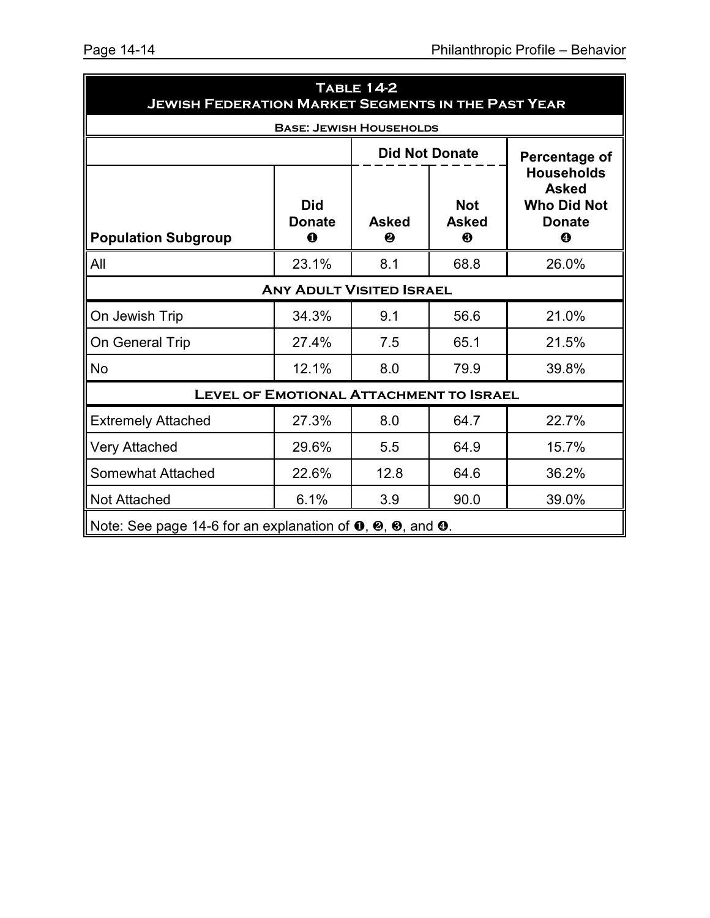| <b>TABLE 14-2</b><br><b>JEWISH FEDERATION MARKET SEGMENTS IN THE PAST YEAR</b>                                     |                                         |                   |                                 |                                                          |  |  |
|--------------------------------------------------------------------------------------------------------------------|-----------------------------------------|-------------------|---------------------------------|----------------------------------------------------------|--|--|
|                                                                                                                    | <b>BASE: JEWISH HOUSEHOLDS</b>          |                   |                                 |                                                          |  |  |
|                                                                                                                    |                                         |                   | <b>Did Not Donate</b>           | Percentage of<br><b>Households</b>                       |  |  |
| <b>Population Subgroup</b>                                                                                         | <b>Did</b><br><b>Donate</b><br>$\bf{0}$ | <b>Asked</b><br>❷ | <b>Not</b><br><b>Asked</b><br>❸ | <b>Asked</b><br><b>Who Did Not</b><br><b>Donate</b><br>❹ |  |  |
| All                                                                                                                | 23.1%                                   | 8.1               | 68.8                            | 26.0%                                                    |  |  |
|                                                                                                                    | <b>ANY ADULT VISITED ISRAEL</b>         |                   |                                 |                                                          |  |  |
| On Jewish Trip                                                                                                     | 34.3%                                   | 9.1               | 56.6                            | 21.0%                                                    |  |  |
| On General Trip                                                                                                    | 27.4%                                   | 7.5               | 65.1                            | 21.5%                                                    |  |  |
| <b>No</b>                                                                                                          | 12.1%                                   | 8.0               | 79.9                            | 39.8%                                                    |  |  |
| <b>LEVEL OF EMOTIONAL ATTACHMENT TO ISRAEL</b>                                                                     |                                         |                   |                                 |                                                          |  |  |
| <b>Extremely Attached</b>                                                                                          | 27.3%                                   | 8.0               | 64.7                            | 22.7%                                                    |  |  |
| <b>Very Attached</b>                                                                                               | 29.6%                                   | 5.5               | 64.9                            | 15.7%                                                    |  |  |
| <b>Somewhat Attached</b>                                                                                           | 22.6%                                   | 12.8              | 64.6                            | 36.2%                                                    |  |  |
| <b>Not Attached</b>                                                                                                | 6.1%                                    | 3.9               | 90.0                            | 39.0%                                                    |  |  |
| Note: See page 14-6 for an explanation of $\mathbf{0}, \mathbf{\Theta}, \mathbf{\Theta}$ , and $\mathbf{\Theta}$ . |                                         |                   |                                 |                                                          |  |  |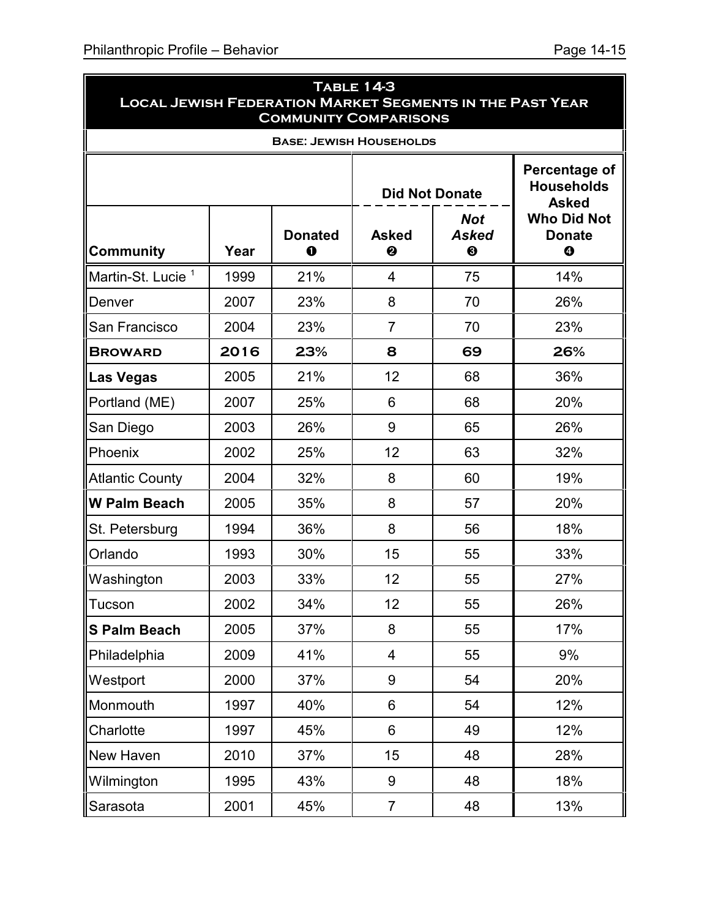| <b>TABLE 14-3</b><br><b>LOCAL JEWISH FEDERATION MARKET SEGMENTS IN THE PAST YEAR</b><br><b>COMMUNITY COMPARISONS</b> |      |                            |                                                      |                       |                                                    |  |  |  |
|----------------------------------------------------------------------------------------------------------------------|------|----------------------------|------------------------------------------------------|-----------------------|----------------------------------------------------|--|--|--|
| <b>BASE: JEWISH HOUSEHOLDS</b>                                                                                       |      |                            |                                                      |                       |                                                    |  |  |  |
|                                                                                                                      |      |                            |                                                      | <b>Did Not Donate</b> | Percentage of<br><b>Households</b><br><b>Asked</b> |  |  |  |
| <b>Community</b>                                                                                                     | Year | <b>Donated</b><br>$\bf{o}$ | <b>Not</b><br><b>Asked</b><br><b>Asked</b><br>❸<br>❷ |                       | <b>Who Did Not</b><br><b>Donate</b><br>$\bf{O}$    |  |  |  |
| Martin-St. Lucie <sup>1</sup>                                                                                        | 1999 | 21%                        | 4                                                    | 75                    | 14%                                                |  |  |  |
| Denver                                                                                                               | 2007 | 23%                        | 8                                                    | 70                    | 26%                                                |  |  |  |
| San Francisco                                                                                                        | 2004 | 23%                        | $\overline{7}$                                       | 70                    | 23%                                                |  |  |  |
| <b>BROWARD</b>                                                                                                       | 2016 | 23%                        | 8                                                    | 69                    | 26%                                                |  |  |  |
| Las Vegas                                                                                                            | 2005 | 21%                        | 12                                                   | 68                    | 36%                                                |  |  |  |
| Portland (ME)                                                                                                        | 2007 | 25%                        | 6                                                    | 68                    | 20%                                                |  |  |  |
| San Diego                                                                                                            | 2003 | 26%                        | 9                                                    | 65                    | 26%                                                |  |  |  |
| Phoenix                                                                                                              | 2002 | 25%                        | 12                                                   | 63                    | 32%                                                |  |  |  |
| <b>Atlantic County</b>                                                                                               | 2004 | 32%                        | 8                                                    | 60                    | 19%                                                |  |  |  |
| <b>W Palm Beach</b>                                                                                                  | 2005 | 35%                        | 8                                                    | 57                    | 20%                                                |  |  |  |
| St. Petersburg                                                                                                       | 1994 | 36%                        | 8                                                    | 56                    | 18%                                                |  |  |  |
| Orlando                                                                                                              | 1993 | 30%                        | 15                                                   | 55                    | 33%                                                |  |  |  |
| Washington                                                                                                           | 2003 | 33%                        | 12                                                   | 55                    | 27%                                                |  |  |  |
| <b>Tucson</b>                                                                                                        | 2002 | 34%                        | 12                                                   | 55                    | 26%                                                |  |  |  |
| <b>S Palm Beach</b>                                                                                                  | 2005 | 37%                        | 8                                                    | 55                    | 17%                                                |  |  |  |
| Philadelphia                                                                                                         | 2009 | 41%                        | 4                                                    | 55                    | 9%                                                 |  |  |  |
| Westport                                                                                                             | 2000 | 37%                        | 9                                                    | 54                    | 20%                                                |  |  |  |
| Monmouth                                                                                                             | 1997 | 40%                        | 6                                                    | 54                    | 12%                                                |  |  |  |
| Charlotte                                                                                                            | 1997 | 45%                        | 6                                                    | 49                    | 12%                                                |  |  |  |
| New Haven                                                                                                            | 2010 | 37%                        | 15                                                   | 48                    | 28%                                                |  |  |  |
| Wilmington                                                                                                           | 1995 | 43%                        | 9                                                    | 48                    | 18%                                                |  |  |  |
| Sarasota                                                                                                             | 2001 | 45%                        | $\overline{7}$                                       | 48                    | 13%                                                |  |  |  |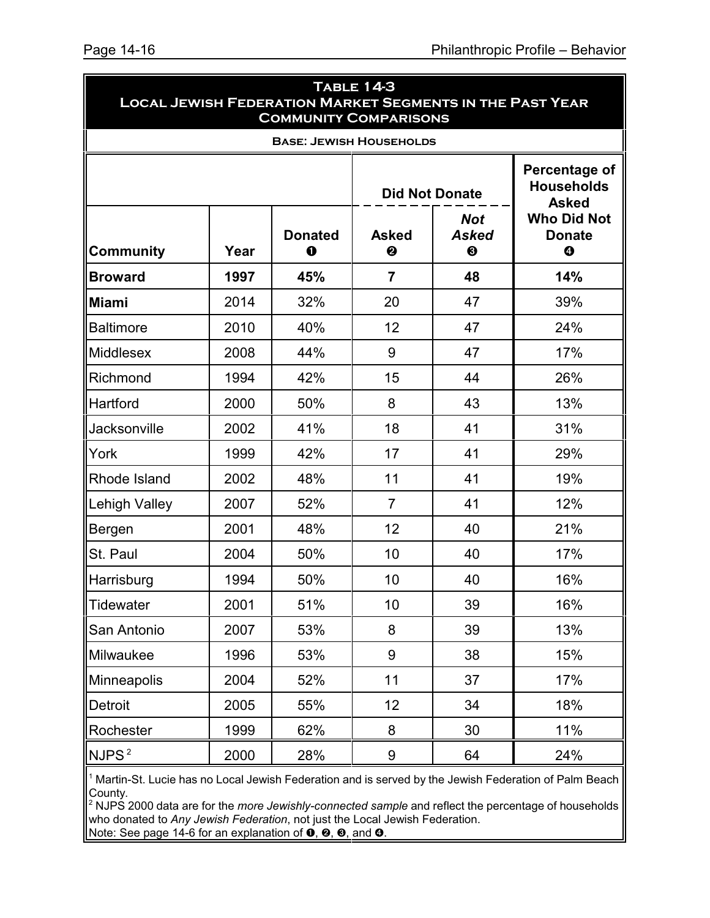| <b>TABLE 14-3</b><br><b>LOCAL JEWISH FEDERATION MARKET SEGMENTS IN THE PAST YEAR</b><br><b>COMMUNITY COMPARISONS</b> |      |                            |                   |                                 |                                                    |  |  |  |
|----------------------------------------------------------------------------------------------------------------------|------|----------------------------|-------------------|---------------------------------|----------------------------------------------------|--|--|--|
| <b>BASE: JEWISH HOUSEHOLDS</b>                                                                                       |      |                            |                   |                                 |                                                    |  |  |  |
|                                                                                                                      |      |                            |                   | <b>Did Not Donate</b>           | Percentage of<br><b>Households</b><br><b>Asked</b> |  |  |  |
| <b>Community</b>                                                                                                     | Year | <b>Donated</b><br>$\bf{0}$ | <b>Asked</b><br>❷ | <b>Not</b><br><b>Asked</b><br>❸ | <b>Who Did Not</b><br><b>Donate</b><br>$\bf{O}$    |  |  |  |
| <b>Broward</b>                                                                                                       | 1997 | 45%                        | $\overline{7}$    | 48                              | 14%                                                |  |  |  |
| <b>Miami</b>                                                                                                         | 2014 | 32%                        | 20                | 47                              | 39%                                                |  |  |  |
| <b>Baltimore</b>                                                                                                     | 2010 | 40%                        | 12                | 47                              | 24%                                                |  |  |  |
| <b>Middlesex</b>                                                                                                     | 2008 | 44%                        | 9                 | 47                              | 17%                                                |  |  |  |
| Richmond                                                                                                             | 1994 | 42%                        | 15                | 44                              | 26%                                                |  |  |  |
| Hartford                                                                                                             | 2000 | 50%                        | 8                 | 43                              | 13%                                                |  |  |  |
| Jacksonville                                                                                                         | 2002 | 41%                        | 18                | 41                              | 31%                                                |  |  |  |
| York                                                                                                                 | 1999 | 42%                        | 17                | 41                              | 29%                                                |  |  |  |
| Rhode Island                                                                                                         | 2002 | 48%                        | 11                | 41                              | 19%                                                |  |  |  |
| Lehigh Valley                                                                                                        | 2007 | 52%                        | $\overline{7}$    | 41                              | 12%                                                |  |  |  |
| Bergen                                                                                                               | 2001 | 48%                        | 12                | 40                              | 21%                                                |  |  |  |
| St. Paul                                                                                                             | 2004 | 50%                        | 10                | 40                              | 17%                                                |  |  |  |
| Harrisburg                                                                                                           | 1994 | 50%                        | 10                | 40                              | 16%                                                |  |  |  |
| Tidewater                                                                                                            | 2001 | 51%                        | 10                | 39                              | 16%                                                |  |  |  |
| San Antonio                                                                                                          | 2007 | 53%                        | 8                 | 39                              | 13%                                                |  |  |  |
| Milwaukee                                                                                                            | 1996 | 53%                        | 9                 | 38                              | 15%                                                |  |  |  |
| Minneapolis                                                                                                          | 2004 | 52%                        | 11                | 37                              | 17%                                                |  |  |  |
| Detroit                                                                                                              | 2005 | 55%                        | 12                | 34                              | 18%                                                |  |  |  |
| Rochester                                                                                                            | 1999 | 62%                        | 8                 | 30                              | 11%                                                |  |  |  |
| NJPS <sup>2</sup>                                                                                                    | 2000 | 28%                        | 9                 | 64                              | 24%                                                |  |  |  |

<sup>1</sup> Martin-St. Lucie has no Local Jewish Federation and is served by the Jewish Federation of Palm Beach County.

<sup>2</sup> NJPS 2000 data are for the *more Jewishly-connected sample* and reflect the percentage of households who donated to *Any Jewish Federation*, not just the Local Jewish Federation. Note: See page 14-6 for an explanation of  $\mathbf{0}, \mathbf{\Theta}, \mathbf{\Theta},$  and  $\mathbf{0}.$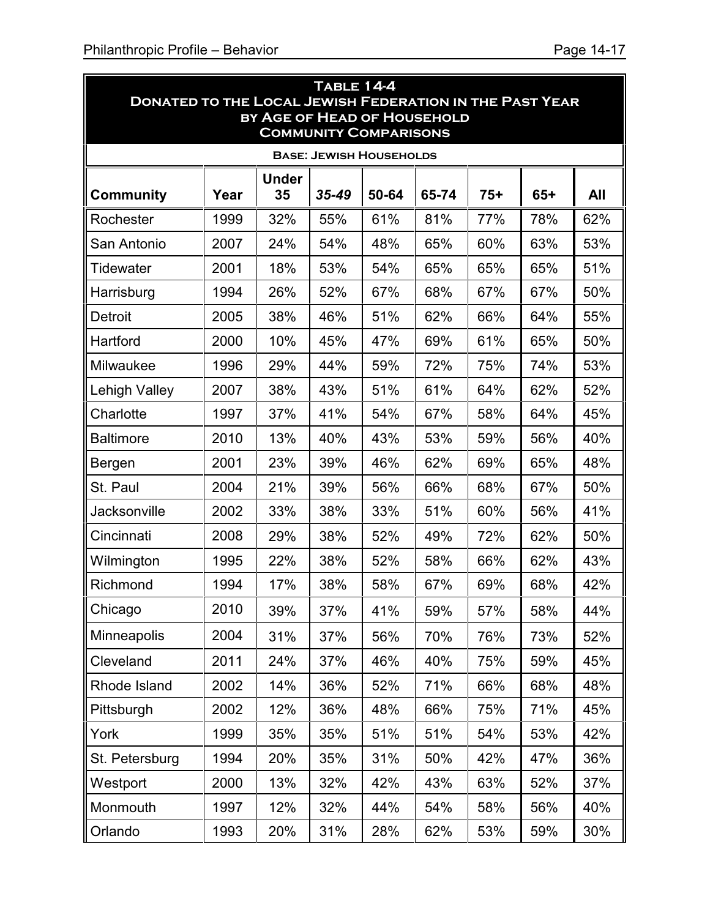j.

|                      |                                                                                                                                      |                    | <b>TABLE 14-4</b>              |       |       |       |       |     |  |
|----------------------|--------------------------------------------------------------------------------------------------------------------------------------|--------------------|--------------------------------|-------|-------|-------|-------|-----|--|
|                      | <b>DONATED TO THE LOCAL JEWISH FEDERATION IN THE PAST YEAR</b><br><b>BY AGE OF HEAD OF HOUSEHOLD</b><br><b>COMMUNITY COMPARISONS</b> |                    |                                |       |       |       |       |     |  |
|                      |                                                                                                                                      |                    | <b>BASE: JEWISH HOUSEHOLDS</b> |       |       |       |       |     |  |
| <b>Community</b>     | Year                                                                                                                                 | <b>Under</b><br>35 | 35-49                          | 50-64 | 65-74 | $75+$ | $65+$ | All |  |
| Rochester            | 1999                                                                                                                                 | 32%                | 55%                            | 61%   | 81%   | 77%   | 78%   | 62% |  |
| San Antonio          | 2007                                                                                                                                 | 24%                | 54%                            | 48%   | 65%   | 60%   | 63%   | 53% |  |
| Tidewater            | 2001                                                                                                                                 | 18%                | 53%                            | 54%   | 65%   | 65%   | 65%   | 51% |  |
| Harrisburg           | 1994                                                                                                                                 | 26%                | 52%                            | 67%   | 68%   | 67%   | 67%   | 50% |  |
| <b>Detroit</b>       | 2005                                                                                                                                 | 38%                | 46%                            | 51%   | 62%   | 66%   | 64%   | 55% |  |
| Hartford             | 2000                                                                                                                                 | 10%                | 45%                            | 47%   | 69%   | 61%   | 65%   | 50% |  |
| Milwaukee            | 1996                                                                                                                                 | 29%                | 44%                            | 59%   | 72%   | 75%   | 74%   | 53% |  |
| <b>Lehigh Valley</b> | 2007                                                                                                                                 | 38%                | 43%                            | 51%   | 61%   | 64%   | 62%   | 52% |  |
| Charlotte            | 1997                                                                                                                                 | 37%                | 41%                            | 54%   | 67%   | 58%   | 64%   | 45% |  |
| <b>Baltimore</b>     | 2010                                                                                                                                 | 13%                | 40%                            | 43%   | 53%   | 59%   | 56%   | 40% |  |
| Bergen               | 2001                                                                                                                                 | 23%                | 39%                            | 46%   | 62%   | 69%   | 65%   | 48% |  |
| St. Paul             | 2004                                                                                                                                 | 21%                | 39%                            | 56%   | 66%   | 68%   | 67%   | 50% |  |
| Jacksonville         | 2002                                                                                                                                 | 33%                | 38%                            | 33%   | 51%   | 60%   | 56%   | 41% |  |
| Cincinnati           | 2008                                                                                                                                 | 29%                | 38%                            | 52%   | 49%   | 72%   | 62%   | 50% |  |
| Wilmington           | 1995                                                                                                                                 | 22%                | 38%                            | 52%   | 58%   | 66%   | 62%   | 43% |  |
| Richmond             | 1994                                                                                                                                 | 17%                | 38%                            | 58%   | 67%   | 69%   | 68%   | 42% |  |
| Chicago              | 2010                                                                                                                                 | 39%                | 37%                            | 41%   | 59%   | 57%   | 58%   | 44% |  |
| Minneapolis          | 2004                                                                                                                                 | 31%                | 37%                            | 56%   | 70%   | 76%   | 73%   | 52% |  |
| Cleveland            | 2011                                                                                                                                 | 24%                | 37%                            | 46%   | 40%   | 75%   | 59%   | 45% |  |
| Rhode Island         | 2002                                                                                                                                 | 14%                | 36%                            | 52%   | 71%   | 66%   | 68%   | 48% |  |
| Pittsburgh           | 2002                                                                                                                                 | 12%                | 36%                            | 48%   | 66%   | 75%   | 71%   | 45% |  |
| York                 | 1999                                                                                                                                 | 35%                | 35%                            | 51%   | 51%   | 54%   | 53%   | 42% |  |
| St. Petersburg       | 1994                                                                                                                                 | 20%                | 35%                            | 31%   | 50%   | 42%   | 47%   | 36% |  |
| Westport             | 2000                                                                                                                                 | 13%                | 32%                            | 42%   | 43%   | 63%   | 52%   | 37% |  |
| Monmouth             | 1997                                                                                                                                 | 12%                | 32%                            | 44%   | 54%   | 58%   | 56%   | 40% |  |
| Orlando              | 1993                                                                                                                                 | 20%                | 31%                            | 28%   | 62%   | 53%   | 59%   | 30% |  |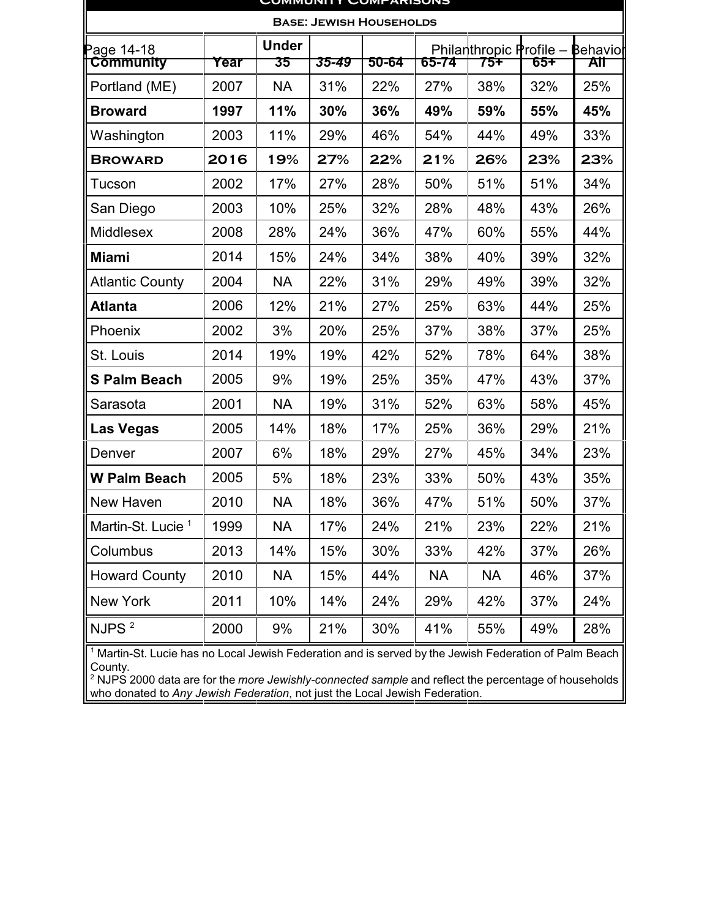| CUMMUNIII LUMPARISUNS          |      |                    |       |                                |           |                                |     |                        |
|--------------------------------|------|--------------------|-------|--------------------------------|-----------|--------------------------------|-----|------------------------|
|                                |      |                    |       | <b>BASE: JEWISH HOUSEHOLDS</b> |           |                                |     |                        |
| Page 14-18<br><b>Community</b> | Year | <b>Under</b><br>35 | 35-49 | 50-64                          | 65-74     | Philanthropic Profile -<br>75Ŧ | 65Ŧ | <b>Behavior</b><br>All |
| Portland (ME)                  | 2007 | <b>NA</b>          | 31%   | 22%                            | 27%       | 38%                            | 32% | 25%                    |
| <b>Broward</b>                 | 1997 | 11%                | 30%   | 36%                            | 49%       | 59%                            | 55% | 45%                    |
| Washington                     | 2003 | 11%                | 29%   | 46%                            | 54%       | 44%                            | 49% | 33%                    |
| <b>BROWARD</b>                 | 2016 | 19%                | 27%   | 22%                            | 21%       | 26%                            | 23% | 23%                    |
| Tucson                         | 2002 | 17%                | 27%   | 28%                            | 50%       | 51%                            | 51% | 34%                    |
| San Diego                      | 2003 | 10%                | 25%   | 32%                            | 28%       | 48%                            | 43% | 26%                    |
| <b>Middlesex</b>               | 2008 | 28%                | 24%   | 36%                            | 47%       | 60%                            | 55% | 44%                    |
| <b>Miami</b>                   | 2014 | 15%                | 24%   | 34%                            | 38%       | 40%                            | 39% | 32%                    |
| <b>Atlantic County</b>         | 2004 | <b>NA</b>          | 22%   | 31%                            | 29%       | 49%                            | 39% | 32%                    |
| <b>Atlanta</b>                 | 2006 | 12%                | 21%   | 27%                            | 25%       | 63%                            | 44% | 25%                    |
| Phoenix                        | 2002 | 3%                 | 20%   | 25%                            | 37%       | 38%                            | 37% | 25%                    |
| St. Louis                      | 2014 | 19%                | 19%   | 42%                            | 52%       | 78%                            | 64% | 38%                    |
| <b>S Palm Beach</b>            | 2005 | 9%                 | 19%   | 25%                            | 35%       | 47%                            | 43% | 37%                    |
| Sarasota                       | 2001 | <b>NA</b>          | 19%   | 31%                            | 52%       | 63%                            | 58% | 45%                    |
| <b>Las Vegas</b>               | 2005 | 14%                | 18%   | 17%                            | 25%       | 36%                            | 29% | 21%                    |
| Denver                         | 2007 | 6%                 | 18%   | 29%                            | 27%       | 45%                            | 34% | 23%                    |
| <b>W Palm Beach</b>            | 2005 | 5%                 | 18%   | 23%                            | 33%       | 50%                            | 43% | 35%                    |
| New Haven                      | 2010 | <b>NA</b>          | 18%   | 36%                            | 47%       | 51%                            | 50% | 37%                    |
| Martin-St. Lucie <sup>1</sup>  | 1999 | <b>NA</b>          | 17%   | 24%                            | 21%       | 23%                            | 22% | 21%                    |
| Columbus                       | 2013 | 14%                | 15%   | 30%                            | 33%       | 42%                            | 37% | 26%                    |
| <b>Howard County</b>           | 2010 | <b>NA</b>          | 15%   | 44%                            | <b>NA</b> | <b>NA</b>                      | 46% | 37%                    |
| New York                       | 2011 | 10%                | 14%   | 24%                            | 29%       | 42%                            | 37% | 24%                    |
| NJPS <sup>2</sup>              | 2000 | 9%                 | 21%   | 30%                            | 41%       | 55%                            | 49% | 28%                    |

<sup>1</sup> Martin-St. Lucie has no Local Jewish Federation and is served by the Jewish Federation of Palm Beach County.

<sup>2</sup> NJPS 2000 data are for the *more Jewishly-connected sample* and reflect the percentage of households who donated to *Any Jewish Federation*, not just the Local Jewish Federation.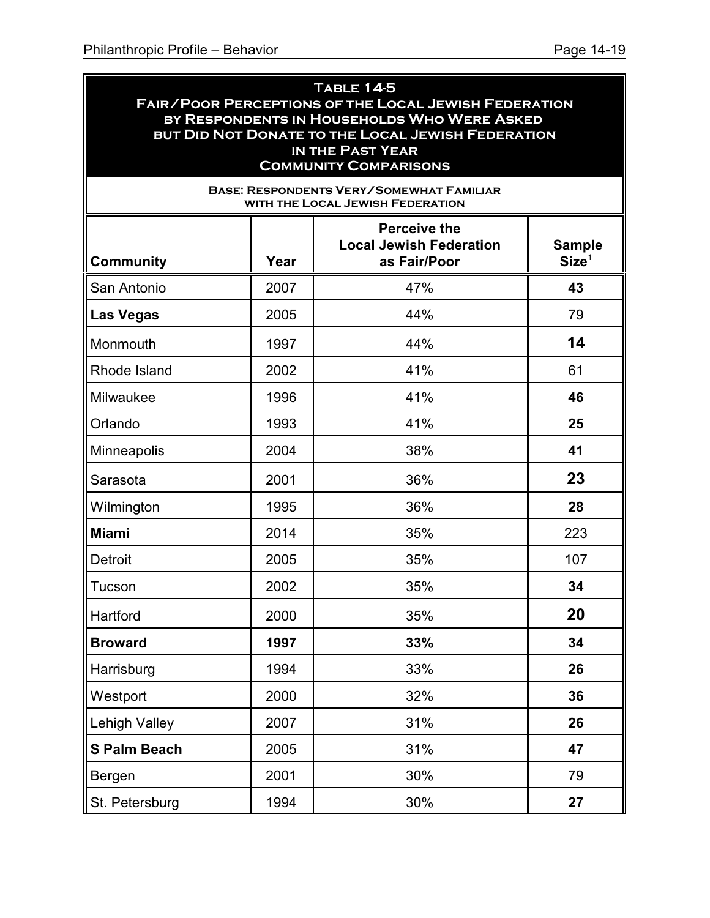#### **Table 14-5 Fair/Poor Perceptions of the Local Jewish Federation by Respondents in Households Who Were Asked but Did Not Donate to the Local Jewish Federation in the Past Year Community Comparisons**

| <b>BASE: RESPONDENTS VERY/SOMEWHAT FAMILIAR</b><br>WITH THE LOCAL JEWISH FEDERATION |      |                                                                       |                                    |  |  |  |
|-------------------------------------------------------------------------------------|------|-----------------------------------------------------------------------|------------------------------------|--|--|--|
| <b>Community</b>                                                                    | Year | <b>Perceive the</b><br><b>Local Jewish Federation</b><br>as Fair/Poor | <b>Sample</b><br>Size <sup>1</sup> |  |  |  |
| San Antonio                                                                         | 2007 | 47%                                                                   | 43                                 |  |  |  |
| <b>Las Vegas</b>                                                                    | 2005 | 44%                                                                   | 79                                 |  |  |  |
| Monmouth                                                                            | 1997 | 44%                                                                   | 14                                 |  |  |  |
| Rhode Island                                                                        | 2002 | 41%                                                                   | 61                                 |  |  |  |
| Milwaukee                                                                           | 1996 | 41%                                                                   | 46                                 |  |  |  |
| Orlando                                                                             | 1993 | 41%                                                                   | 25                                 |  |  |  |
| Minneapolis                                                                         | 2004 | 38%                                                                   | 41                                 |  |  |  |
| Sarasota                                                                            | 2001 | 36%                                                                   | 23                                 |  |  |  |
| Wilmington                                                                          | 1995 | 36%                                                                   | 28                                 |  |  |  |
| <b>Miami</b>                                                                        | 2014 | 35%                                                                   | 223                                |  |  |  |
| <b>Detroit</b>                                                                      | 2005 | 35%                                                                   | 107                                |  |  |  |
| Tucson                                                                              | 2002 | 35%                                                                   | 34                                 |  |  |  |
| Hartford                                                                            | 2000 | 35%                                                                   | 20                                 |  |  |  |
| <b>Broward</b>                                                                      | 1997 | 33%                                                                   | 34                                 |  |  |  |
| Harrisburg                                                                          | 1994 | 33%                                                                   | 26                                 |  |  |  |
| Westport                                                                            | 2000 | 32%                                                                   | 36                                 |  |  |  |
| <b>Lehigh Valley</b>                                                                | 2007 | 31%                                                                   | 26                                 |  |  |  |
| <b>S Palm Beach</b>                                                                 | 2005 | 31%                                                                   | 47                                 |  |  |  |
| Bergen                                                                              | 2001 | 30%                                                                   | 79                                 |  |  |  |
| St. Petersburg                                                                      | 1994 | 30%                                                                   | 27                                 |  |  |  |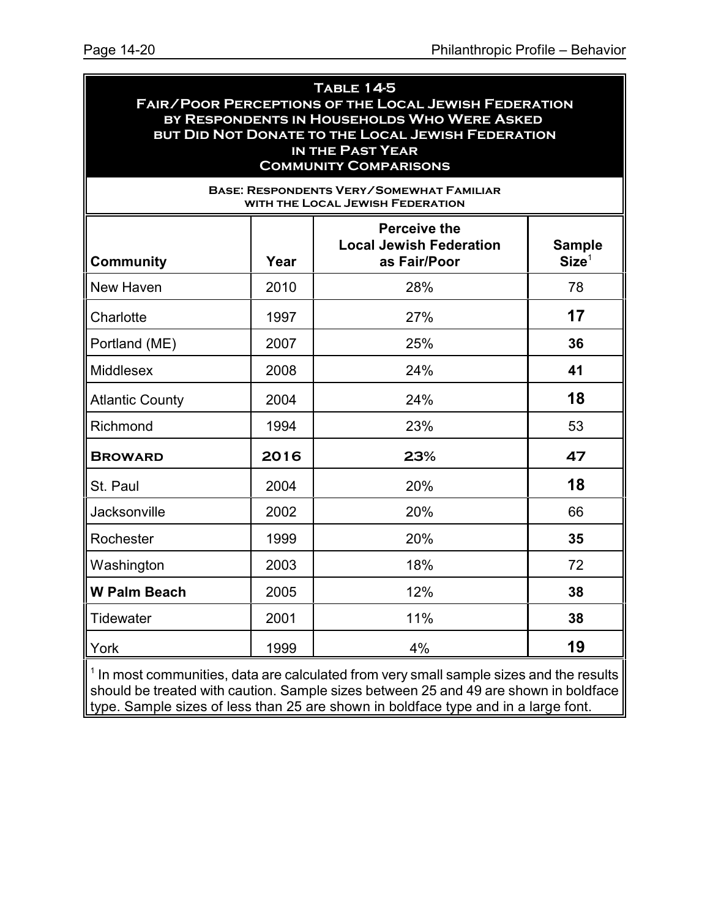#### **Table 14-5 Fair/Poor Perceptions of the Local Jewish Federation by Respondents in Households Who Were Asked but Did Not Donate to the Local Jewish Federation in the Past Year Community Comparisons**

| <b>BASE: RESPONDENTS VERY/SOMEWHAT FAMILIAR</b><br>WITH THE LOCAL JEWISH FEDERATION |      |                                                                       |                                    |  |  |  |
|-------------------------------------------------------------------------------------|------|-----------------------------------------------------------------------|------------------------------------|--|--|--|
| <b>Community</b>                                                                    | Year | <b>Perceive the</b><br><b>Local Jewish Federation</b><br>as Fair/Poor | <b>Sample</b><br>Size <sup>1</sup> |  |  |  |
| New Haven                                                                           | 2010 | 28%                                                                   | 78                                 |  |  |  |
| Charlotte                                                                           | 1997 | 27%                                                                   | 17                                 |  |  |  |
| Portland (ME)                                                                       | 2007 | 25%                                                                   | 36                                 |  |  |  |
| <b>Middlesex</b>                                                                    | 2008 | 24%                                                                   | 41                                 |  |  |  |
| <b>Atlantic County</b>                                                              | 2004 | 24%                                                                   | 18                                 |  |  |  |
| Richmond                                                                            | 1994 | 23%                                                                   | 53                                 |  |  |  |
| <b>BROWARD</b>                                                                      | 2016 | 23%                                                                   | 47                                 |  |  |  |
| St. Paul                                                                            | 2004 | 20%                                                                   | 18                                 |  |  |  |
| Jacksonville                                                                        | 2002 | 20%                                                                   | 66                                 |  |  |  |
| Rochester                                                                           | 1999 | 20%                                                                   | 35                                 |  |  |  |
| Washington                                                                          | 2003 | 18%                                                                   | 72                                 |  |  |  |
| <b>W Palm Beach</b>                                                                 | 2005 | 12%                                                                   | 38                                 |  |  |  |
| Tidewater                                                                           | 2001 | 11%                                                                   | 38                                 |  |  |  |
| York                                                                                | 1999 | 4%                                                                    | 19                                 |  |  |  |

 $<sup>1</sup>$  In most communities, data are calculated from very small sample sizes and the results</sup> should be treated with caution. Sample sizes between 25 and 49 are shown in boldface type. Sample sizes of less than 25 are shown in boldface type and in a large font.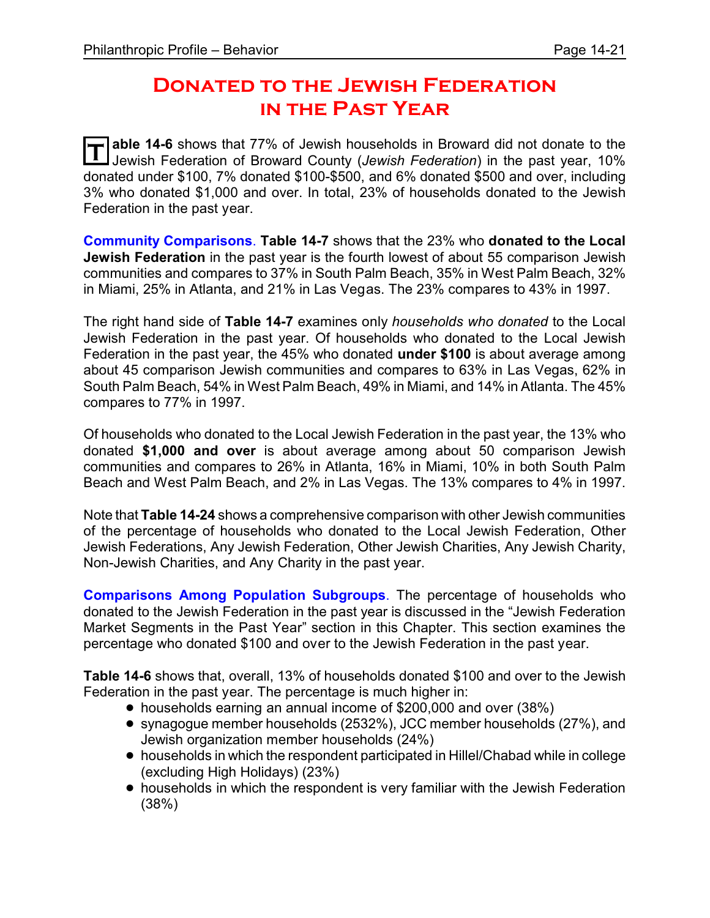### **Donated to the Jewish Federation in the Past Year**

**T able 14-6** shows that 77% of Jewish households in Broward did not donate to the Jewish Federation of Broward County (*Jewish Federation*) in the past year, 10% donated under \$100, 7% donated \$100-\$500, and 6% donated \$500 and over, including 3% who donated \$1,000 and over. In total, 23% of households donated to the Jewish Federation in the past year.

**Community Comparisons**. **Table 14-7** shows that the 23% who **donated to the Local Jewish Federation** in the past year is the fourth lowest of about 55 comparison Jewish communities and compares to 37% in South Palm Beach, 35% in West Palm Beach, 32% in Miami, 25% in Atlanta, and 21% in Las Vegas. The 23% compares to 43% in 1997.

The right hand side of **Table 14-7** examines only *households who donated* to the Local Jewish Federation in the past year. Of households who donated to the Local Jewish Federation in the past year, the 45% who donated **under \$100** is about average among about 45 comparison Jewish communities and compares to 63% in Las Vegas, 62% in South Palm Beach, 54% in West Palm Beach, 49% in Miami, and 14% in Atlanta. The 45% compares to 77% in 1997.

Of households who donated to the Local Jewish Federation in the past year, the 13% who donated **\$1,000 and over** is about average among about 50 comparison Jewish communities and compares to 26% in Atlanta, 16% in Miami, 10% in both South Palm Beach and West Palm Beach, and 2% in Las Vegas. The 13% compares to 4% in 1997.

Note that **Table 14-24** shows a comprehensive comparison with other Jewish communities of the percentage of households who donated to the Local Jewish Federation, Other Jewish Federations, Any Jewish Federation, Other Jewish Charities, Any Jewish Charity, Non-Jewish Charities, and Any Charity in the past year.

**Comparisons Among Population Subgroups**. The percentage of households who donated to the Jewish Federation in the past year is discussed in the "Jewish Federation Market Segments in the Past Year" section in this Chapter. This section examines the percentage who donated \$100 and over to the Jewish Federation in the past year.

**Table 14-6** shows that, overall, 13% of households donated \$100 and over to the Jewish Federation in the past year. The percentage is much higher in:

- ! households earning an annual income of \$200,000 and over (38%)
- ! synagogue member households (2532%), JCC member households (27%), and Jewish organization member households (24%)
- ! households in which the respondent participated in Hillel/Chabad while in college (excluding High Holidays) (23%)
- households in which the respondent is very familiar with the Jewish Federation (38%)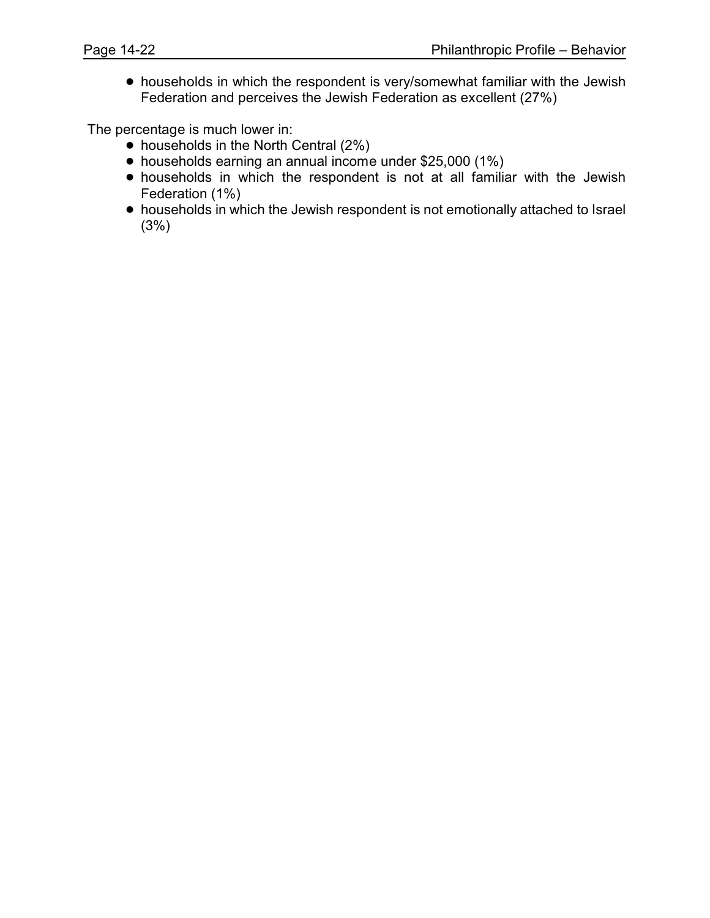! households in which the respondent is very/somewhat familiar with the Jewish Federation and perceives the Jewish Federation as excellent (27%)

The percentage is much lower in:

- households in the North Central (2%)
- households earning an annual income under \$25,000 (1%)
- ! households in which the respondent is not at all familiar with the Jewish Federation (1%)
- ! households in which the Jewish respondent is not emotionally attached to Israel (3%)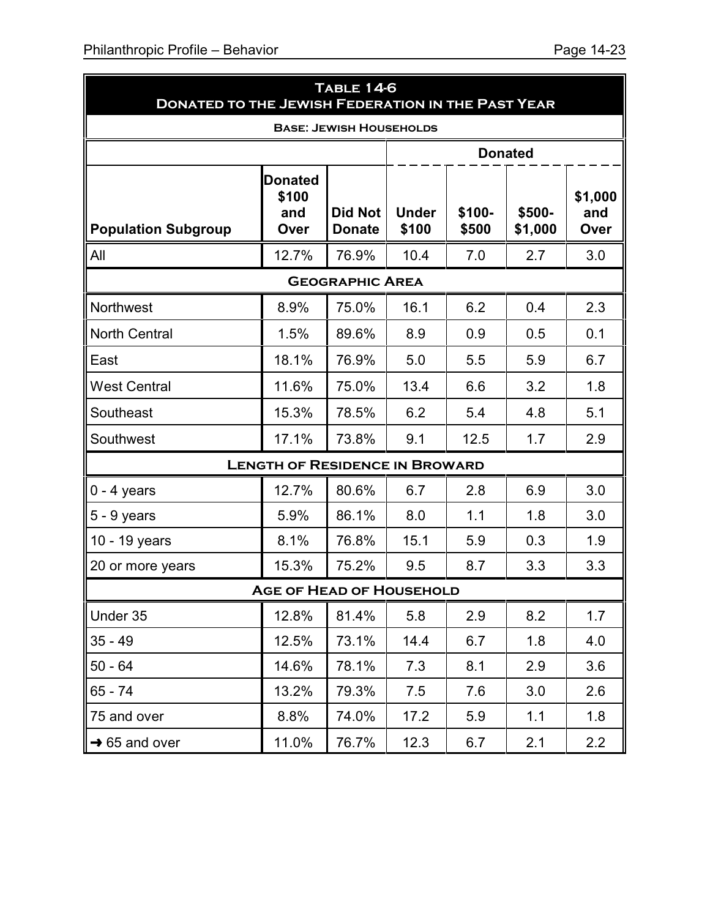| <b>DONATED TO THE JEWISH FEDERATION IN THE PAST YEAR</b> |                                        | <b>TABLE 14-6</b>               |                       |                 |                   |                        |
|----------------------------------------------------------|----------------------------------------|---------------------------------|-----------------------|-----------------|-------------------|------------------------|
|                                                          |                                        | <b>BASE: JEWISH HOUSEHOLDS</b>  |                       |                 |                   |                        |
|                                                          |                                        |                                 |                       |                 | <b>Donated</b>    |                        |
| <b>Population Subgroup</b>                               | <b>Donated</b><br>\$100<br>and<br>Over | <b>Did Not</b><br><b>Donate</b> | <b>Under</b><br>\$100 | \$100-<br>\$500 | \$500-<br>\$1,000 | \$1,000<br>and<br>Over |
| All                                                      | 12.7%                                  | 76.9%                           | 10.4                  | 7.0             | 2.7               | 3.0                    |
|                                                          |                                        | <b>GEOGRAPHIC AREA</b>          |                       |                 |                   |                        |
| Northwest                                                | 8.9%                                   | 75.0%                           | 16.1                  | 6.2             | 0.4               | 2.3                    |
| <b>North Central</b>                                     | 1.5%                                   | 89.6%                           | 8.9                   | 0.9             | 0.5               | 0.1                    |
| East                                                     | 18.1%                                  | 76.9%                           | 5.0                   | 5.5             | 5.9               | 6.7                    |
| <b>West Central</b>                                      | 11.6%                                  | 75.0%                           | 13.4                  | 6.6             | 3.2               | 1.8                    |
| Southeast                                                | 15.3%                                  | 78.5%                           | 6.2                   | 5.4             | 4.8               | 5.1                    |
| Southwest                                                | 17.1%                                  | 73.8%                           | 9.1                   | 12.5            | 1.7               | 2.9                    |
|                                                          | <b>LENGTH OF RESIDENCE IN BROWARD</b>  |                                 |                       |                 |                   |                        |
| $0 - 4$ years                                            | 12.7%                                  | 80.6%                           | 6.7                   | 2.8             | 6.9               | 3.0                    |
| $5 - 9$ years                                            | 5.9%                                   | 86.1%                           | 8.0                   | 1.1             | 1.8               | 3.0                    |
| 10 - 19 years                                            | 8.1%                                   | 76.8%                           | 15.1                  | 5.9             | 0.3               | 1.9                    |
| 20 or more years                                         | 15.3%                                  | 75.2%                           | 9.5                   | 8.7             | 3.3               | 3.3                    |
|                                                          | <b>AGE OF HEAD OF HOUSEHOLD</b>        |                                 |                       |                 |                   |                        |
| Under 35                                                 | 12.8%                                  | 81.4%                           | 5.8                   | 2.9             | 8.2               | 1.7                    |
| $35 - 49$                                                | 12.5%                                  | 73.1%                           | 14.4                  | 6.7             | 1.8               | 4.0                    |
| $50 - 64$                                                | 14.6%                                  | 78.1%                           | 7.3                   | 8.1             | 2.9               | 3.6                    |
| 65 - 74                                                  | 13.2%                                  | 79.3%                           | 7.5                   | 7.6             | 3.0               | 2.6                    |
| 75 and over                                              | 8.8%                                   | 74.0%                           | 17.2                  | 5.9             | 1.1               | 1.8                    |
| $\rightarrow$ 65 and over                                | 11.0%                                  | 76.7%                           | 12.3                  | 6.7             | 2.1               | 2.2                    |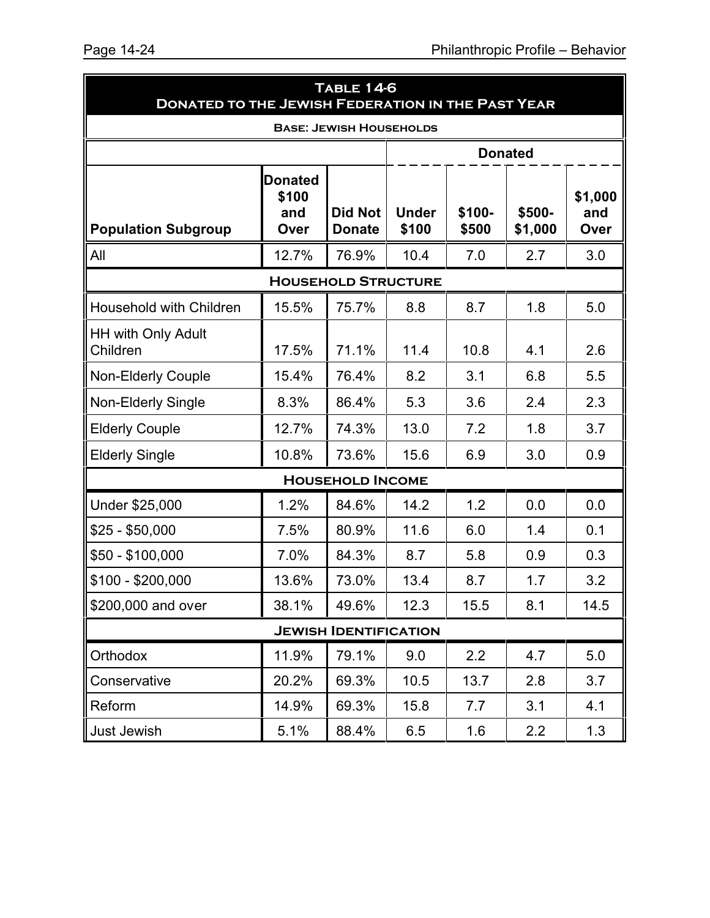| <b>TABLE 14-6</b><br><b>DONATED TO THE JEWISH FEDERATION IN THE PAST YEAR</b> |                                        |                                 |                       |                 |                   |                        |  |
|-------------------------------------------------------------------------------|----------------------------------------|---------------------------------|-----------------------|-----------------|-------------------|------------------------|--|
|                                                                               |                                        | <b>BASE: JEWISH HOUSEHOLDS</b>  |                       |                 |                   |                        |  |
|                                                                               |                                        |                                 |                       |                 | <b>Donated</b>    |                        |  |
| <b>Population Subgroup</b>                                                    | <b>Donated</b><br>\$100<br>and<br>Over | <b>Did Not</b><br><b>Donate</b> | <b>Under</b><br>\$100 | \$100-<br>\$500 | \$500-<br>\$1,000 | \$1,000<br>and<br>Over |  |
| All                                                                           | 12.7%                                  | 76.9%                           | 10.4                  | 7.0             | 2.7               | 3.0                    |  |
|                                                                               |                                        | <b>HOUSEHOLD STRUCTURE</b>      |                       |                 |                   |                        |  |
| <b>Household with Children</b>                                                | 15.5%                                  | 75.7%                           | 8.8                   | 8.7             | 1.8               | 5.0                    |  |
| <b>HH with Only Adult</b><br>Children                                         | 17.5%                                  | 71.1%                           | 11.4                  | 10.8            | 4.1               | 2.6                    |  |
| <b>Non-Elderly Couple</b>                                                     | 15.4%                                  | 76.4%                           | 8.2                   | 3.1             | 6.8               | 5.5                    |  |
| <b>Non-Elderly Single</b>                                                     | 8.3%                                   | 86.4%                           | 5.3                   | 3.6             | 2.4               | 2.3                    |  |
| <b>Elderly Couple</b>                                                         | 12.7%                                  | 74.3%                           | 13.0                  | 7.2             | 1.8               | 3.7                    |  |
| <b>Elderly Single</b>                                                         | 10.8%                                  | 73.6%                           | 15.6                  | 6.9             | 3.0               | 0.9                    |  |
|                                                                               |                                        | <b>HOUSEHOLD INCOME</b>         |                       |                 |                   |                        |  |
| Under \$25,000                                                                | 1.2%                                   | 84.6%                           | 14.2                  | 1.2             | 0.0               | 0.0                    |  |
| $$25 - $50,000$                                                               | 7.5%                                   | 80.9%                           | 11.6                  | 6.0             | 1.4               | 0.1                    |  |
| \$50 - \$100,000                                                              | 7.0%                                   | 84.3%                           | 8.7                   | 5.8             | 0.9               | 0.3                    |  |
| \$100 - \$200,000                                                             | 13.6%                                  | 73.0%                           | 13.4                  | 8.7             | 1.7               | 3.2                    |  |
| \$200,000 and over                                                            | 38.1%                                  | 49.6%                           | 12.3                  | 15.5            | 8.1               | 14.5                   |  |
|                                                                               |                                        | <b>JEWISH IDENTIFICATION</b>    |                       |                 |                   |                        |  |
| Orthodox                                                                      | 11.9%                                  | 79.1%                           | 9.0                   | 2.2             | 4.7               | 5.0                    |  |
| Conservative                                                                  | 20.2%                                  | 69.3%                           | 10.5                  | 13.7            | 2.8               | 3.7                    |  |
| Reform                                                                        | 14.9%                                  | 69.3%                           | 15.8                  | 7.7             | 3.1               | 4.1                    |  |
| Just Jewish                                                                   | 5.1%                                   | 88.4%                           | 6.5                   | 1.6             | 2.2               | 1.3                    |  |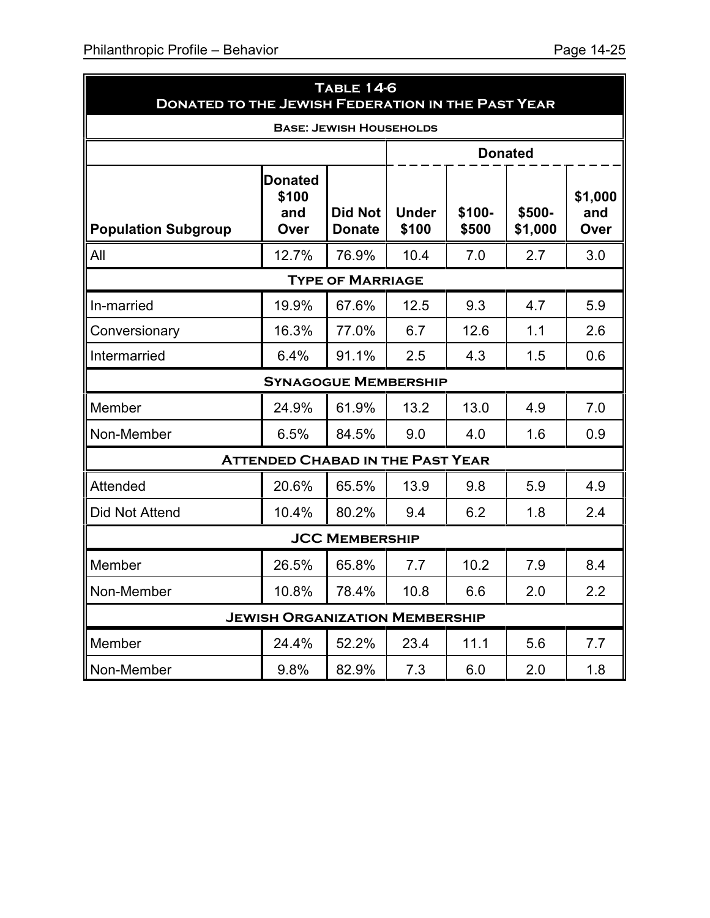| <b>TABLE 14-6</b><br><b>DONATED TO THE JEWISH FEDERATION IN THE PAST YEAR</b> |                                         |                                 |                       |                 |                   |                        |  |  |  |
|-------------------------------------------------------------------------------|-----------------------------------------|---------------------------------|-----------------------|-----------------|-------------------|------------------------|--|--|--|
| <b>BASE: JEWISH HOUSEHOLDS</b>                                                |                                         |                                 |                       |                 |                   |                        |  |  |  |
|                                                                               |                                         |                                 |                       |                 | <b>Donated</b>    |                        |  |  |  |
| <b>Population Subgroup</b>                                                    | <b>Donated</b><br>\$100<br>and<br>Over  | <b>Did Not</b><br><b>Donate</b> | <b>Under</b><br>\$100 | \$100-<br>\$500 | \$500-<br>\$1,000 | \$1,000<br>and<br>Over |  |  |  |
| All                                                                           | 12.7%                                   | 76.9%                           | 10.4                  | 7.0             | 2.7               | 3.0                    |  |  |  |
| <b>TYPE OF MARRIAGE</b>                                                       |                                         |                                 |                       |                 |                   |                        |  |  |  |
| In-married                                                                    | 19.9%                                   | 67.6%                           | 12.5                  | 9.3             | 4.7               | 5.9                    |  |  |  |
| Conversionary                                                                 | 16.3%                                   | 77.0%                           | 6.7                   | 12.6            | 1.1               | 2.6                    |  |  |  |
| Intermarried                                                                  | 6.4%                                    | 91.1%                           | 2.5                   | 4.3             | 1.5               | 0.6                    |  |  |  |
|                                                                               | <b>SYNAGOGUE MEMBERSHIP</b>             |                                 |                       |                 |                   |                        |  |  |  |
| Member                                                                        | 24.9%                                   | 61.9%                           | 13.2                  | 13.0            | 4.9               | 7.0                    |  |  |  |
| Non-Member                                                                    | 6.5%                                    | 84.5%                           | 9.0                   | 4.0             | 1.6               | 0.9                    |  |  |  |
|                                                                               | <b>ATTENDED CHABAD IN THE PAST YEAR</b> |                                 |                       |                 |                   |                        |  |  |  |
| Attended                                                                      | 20.6%                                   | 65.5%                           | 13.9                  | 9.8             | 5.9               | 4.9                    |  |  |  |
| <b>Did Not Attend</b>                                                         | 10.4%                                   | 80.2%                           | 9.4                   | 6.2             | 1.8               | 2.4                    |  |  |  |
|                                                                               |                                         | <b>JCC MEMBERSHIP</b>           |                       |                 |                   |                        |  |  |  |
| Member                                                                        | 26.5%                                   | 65.8%                           | 7.7                   | 10.2            | 7.9               | 8.4                    |  |  |  |
| Non-Member                                                                    | 10.8%                                   | 78.4%                           | 10.8                  | 6.6             | 2.0               | 2.2                    |  |  |  |
|                                                                               | <b>JEWISH ORGANIZATION MEMBERSHIP</b>   |                                 |                       |                 |                   |                        |  |  |  |
| Member                                                                        | 24.4%                                   | 52.2%                           | 23.4                  | 11.1            | 5.6               | 7.7                    |  |  |  |
| Non-Member                                                                    | 9.8%                                    | 82.9%                           | 7.3                   | 6.0             | 2.0               | 1.8                    |  |  |  |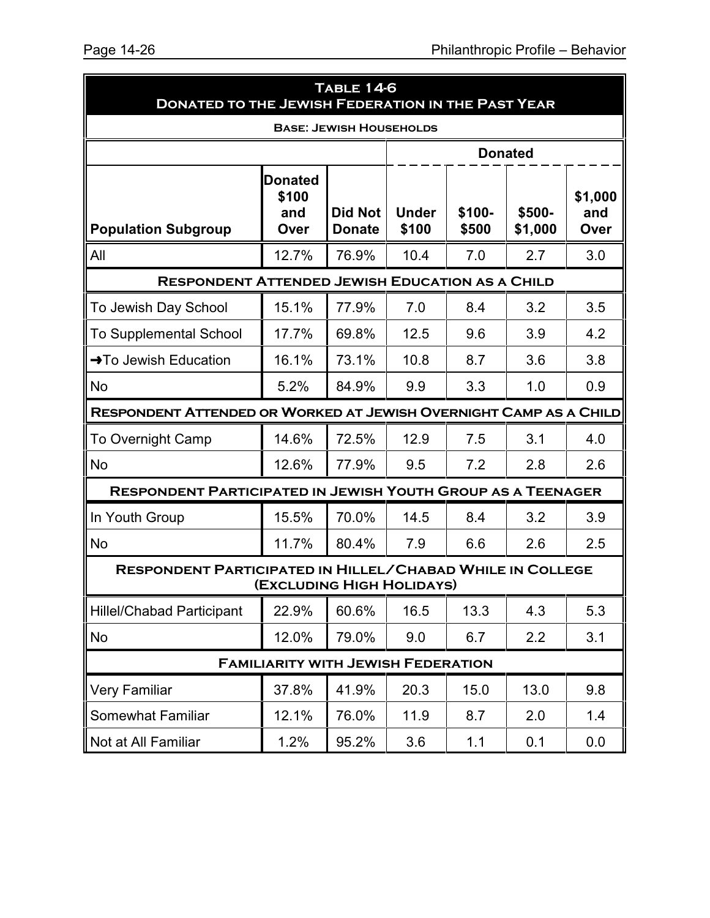| <b>TABLE 14-6</b><br><b>DONATED TO THE JEWISH FEDERATION IN THE PAST YEAR</b> |                                           |                                 |                       |                 |                   |                        |  |  |  |
|-------------------------------------------------------------------------------|-------------------------------------------|---------------------------------|-----------------------|-----------------|-------------------|------------------------|--|--|--|
|                                                                               | <b>BASE: JEWISH HOUSEHOLDS</b>            |                                 |                       |                 |                   |                        |  |  |  |
|                                                                               |                                           |                                 |                       |                 | <b>Donated</b>    |                        |  |  |  |
| <b>Population Subgroup</b>                                                    | <b>Donated</b><br>\$100<br>and<br>Over    | <b>Did Not</b><br><b>Donate</b> | <b>Under</b><br>\$100 | \$100-<br>\$500 | \$500-<br>\$1,000 | \$1,000<br>and<br>Over |  |  |  |
| All                                                                           | 12.7%                                     | 76.9%                           | 10.4                  | 7.0             | 2.7               | 3.0                    |  |  |  |
| <b>RESPONDENT ATTENDED JEWISH EDUCATION AS A CHILD</b>                        |                                           |                                 |                       |                 |                   |                        |  |  |  |
| To Jewish Day School                                                          | 15.1%                                     | 77.9%                           | 7.0                   | 8.4             | 3.2               | 3.5                    |  |  |  |
| <b>To Supplemental School</b>                                                 | 17.7%                                     | 69.8%                           | 12.5                  | 9.6             | 3.9               | 4.2                    |  |  |  |
| →To Jewish Education                                                          | 16.1%                                     | 73.1%                           | 10.8                  | 8.7             | 3.6               | 3.8                    |  |  |  |
| <b>No</b>                                                                     | 5.2%                                      | 84.9%                           | 9.9                   | 3.3             | 1.0               | 0.9                    |  |  |  |
| RESPONDENT ATTENDED OR WORKED AT JEWISH OVERNIGHT CAMP AS A CHILD             |                                           |                                 |                       |                 |                   |                        |  |  |  |
| <b>To Overnight Camp</b>                                                      | 14.6%                                     | 72.5%                           | 12.9                  | 7.5             | 3.1               | 4.0                    |  |  |  |
| <b>No</b>                                                                     | 12.6%                                     | 77.9%                           | 9.5                   | 7.2             | 2.8               | 2.6                    |  |  |  |
| <b>RESPONDENT PARTICIPATED IN JEWISH YOUTH GROUP AS A TEENAGER</b>            |                                           |                                 |                       |                 |                   |                        |  |  |  |
| In Youth Group                                                                | 15.5%                                     | 70.0%                           | 14.5                  | 8.4             | 3.2               | 3.9                    |  |  |  |
| <b>No</b>                                                                     | 11.7%                                     | 80.4%                           | 7.9                   | 6.6             | 2.6               | 2.5                    |  |  |  |
| <b>RESPONDENT PARTICIPATED IN HILLEL/CHABAD WHILE IN COLLEGE</b>              | (EXCLUDING HIGH HOLIDAYS)                 |                                 |                       |                 |                   |                        |  |  |  |
| <b>Hillel/Chabad Participant</b>                                              | 22.9%                                     | 60.6%                           | 16.5                  | 13.3            | 4.3               | 5.3                    |  |  |  |
| No                                                                            | 12.0%                                     | 79.0%                           | 9.0                   | 6.7             | 2.2               | 3.1                    |  |  |  |
|                                                                               | <b>FAMILIARITY WITH JEWISH FEDERATION</b> |                                 |                       |                 |                   |                        |  |  |  |
| <b>Very Familiar</b>                                                          | 37.8%                                     | 41.9%                           | 20.3                  | 15.0            | 13.0              | 9.8                    |  |  |  |
| <b>Somewhat Familiar</b>                                                      | 12.1%                                     | 76.0%                           | 11.9                  | 8.7             | 2.0               | 1.4                    |  |  |  |
| Not at All Familiar                                                           | 1.2%                                      | 95.2%                           | 3.6                   | 1.1             | 0.1               | 0.0                    |  |  |  |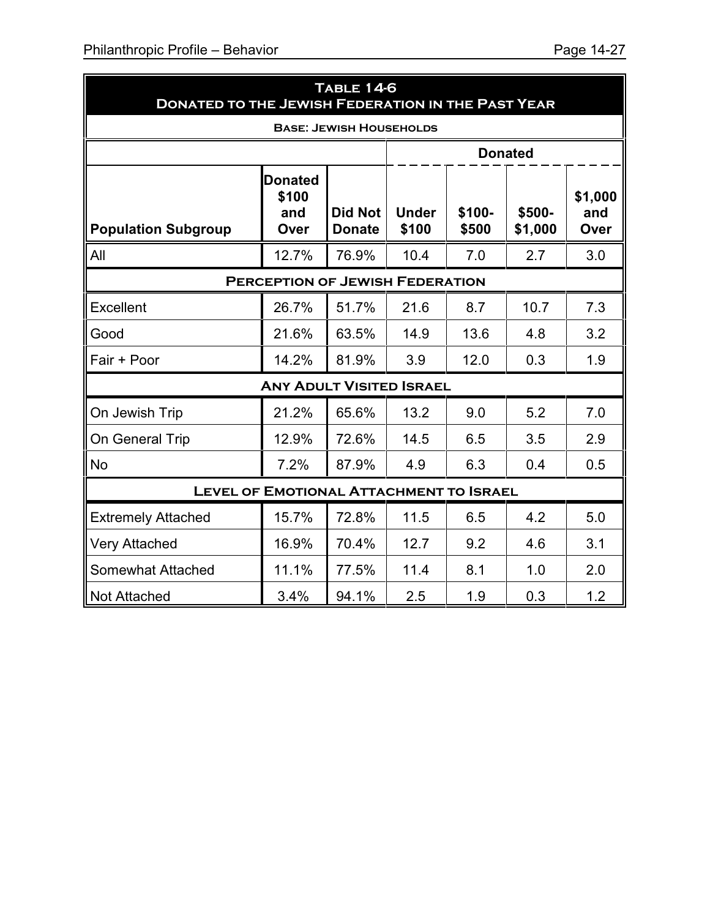| <b>TABLE 14-6</b><br><b>DONATED TO THE JEWISH FEDERATION IN THE PAST YEAR</b> |                                        |                                 |                       |                 |                   |                        |  |  |  |
|-------------------------------------------------------------------------------|----------------------------------------|---------------------------------|-----------------------|-----------------|-------------------|------------------------|--|--|--|
| <b>BASE: JEWISH HOUSEHOLDS</b>                                                |                                        |                                 |                       |                 |                   |                        |  |  |  |
|                                                                               |                                        |                                 |                       |                 | <b>Donated</b>    |                        |  |  |  |
| <b>Population Subgroup</b>                                                    | <b>Donated</b><br>\$100<br>and<br>Over | <b>Did Not</b><br><b>Donate</b> | <b>Under</b><br>\$100 | \$100-<br>\$500 | \$500-<br>\$1,000 | \$1,000<br>and<br>Over |  |  |  |
| All                                                                           | 12.7%                                  | 76.9%                           | 10.4                  | 7.0             | 2.7               | 3.0                    |  |  |  |
| <b>PERCEPTION OF JEWISH FEDERATION</b>                                        |                                        |                                 |                       |                 |                   |                        |  |  |  |
| Excellent                                                                     | 26.7%                                  | 51.7%                           | 21.6                  | 8.7             | 10.7              | 7.3                    |  |  |  |
| Good                                                                          | 21.6%                                  | 63.5%                           | 14.9                  | 13.6            | 4.8               | 3.2                    |  |  |  |
| Fair + Poor                                                                   | 14.2%                                  | 81.9%                           | 3.9                   | 12.0            | 0.3               | 1.9                    |  |  |  |
|                                                                               | <b>ANY ADULT VISITED ISRAEL</b>        |                                 |                       |                 |                   |                        |  |  |  |
| On Jewish Trip                                                                | 21.2%                                  | 65.6%                           | 13.2                  | 9.0             | 5.2               | 7.0                    |  |  |  |
| On General Trip                                                               | 12.9%                                  | 72.6%                           | 14.5                  | 6.5             | 3.5               | 2.9                    |  |  |  |
| No                                                                            | 7.2%                                   | 87.9%                           | 4.9                   | 6.3             | 0.4               | 0.5                    |  |  |  |
| <b>LEVEL OF EMOTIONAL ATTACHMENT TO ISRAEL</b>                                |                                        |                                 |                       |                 |                   |                        |  |  |  |
| <b>Extremely Attached</b>                                                     | 15.7%                                  | 72.8%                           | 11.5                  | 6.5             | 4.2               | 5.0                    |  |  |  |
| <b>Very Attached</b>                                                          | 16.9%                                  | 70.4%                           | 12.7                  | 9.2             | 4.6               | 3.1                    |  |  |  |
| Somewhat Attached                                                             | 11.1%                                  | 77.5%                           | 11.4                  | 8.1             | 1.0               | 2.0                    |  |  |  |
| <b>Not Attached</b>                                                           | 3.4%                                   | 94.1%                           | 2.5                   | 1.9             | 0.3               | 1.2                    |  |  |  |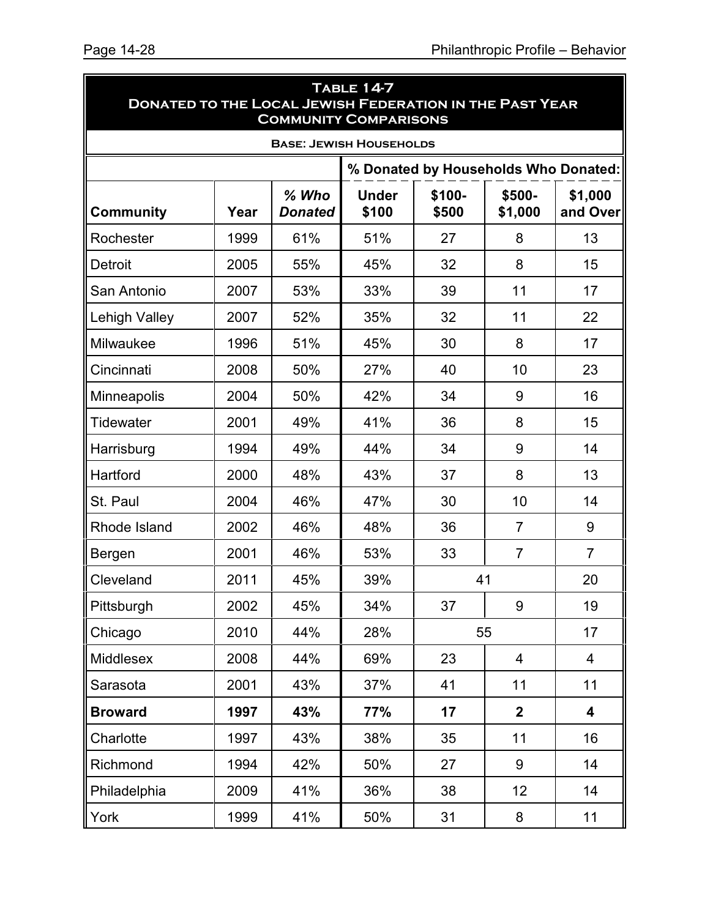| TABLE 14-7<br><b>DONATED TO THE LOCAL JEWISH FEDERATION IN THE PAST YEAR</b><br><b>COMMUNITY COMPARISONS</b> |      |                           |                                |                 |                   |                     |  |
|--------------------------------------------------------------------------------------------------------------|------|---------------------------|--------------------------------|-----------------|-------------------|---------------------|--|
|                                                                                                              |      |                           | <b>BASE: JEWISH HOUSEHOLDS</b> |                 |                   |                     |  |
| % Donated by Households Who Donated:                                                                         |      |                           |                                |                 |                   |                     |  |
| <b>Community</b>                                                                                             | Year | $%$ Who<br><b>Donated</b> | <b>Under</b><br>\$100          | \$100-<br>\$500 | \$500-<br>\$1,000 | \$1,000<br>and Over |  |
| Rochester                                                                                                    | 1999 | 61%                       | 51%                            | 27              | 8                 | 13                  |  |
| <b>Detroit</b>                                                                                               | 2005 | 55%                       | 45%                            | 32              | 8                 | 15                  |  |
| San Antonio                                                                                                  | 2007 | 53%                       | 33%                            | 39              | 11                | 17                  |  |
| Lehigh Valley                                                                                                | 2007 | 52%                       | 35%                            | 32              | 11                | 22                  |  |
| Milwaukee                                                                                                    | 1996 | 51%                       | 45%                            | 30              | 8                 | 17                  |  |
| Cincinnati                                                                                                   | 2008 | 50%                       | 27%                            | 40              | 10                | 23                  |  |
| Minneapolis                                                                                                  | 2004 | 50%                       | 42%                            | 34              | 9                 | 16                  |  |
| Tidewater                                                                                                    | 2001 | 49%                       | 41%                            | 36              | 8                 | 15                  |  |
| Harrisburg                                                                                                   | 1994 | 49%                       | 44%                            | 34              | 9                 | 14                  |  |
| Hartford                                                                                                     | 2000 | 48%                       | 43%                            | 37              | 8                 | 13                  |  |
| St. Paul                                                                                                     | 2004 | 46%                       | 47%                            | 30              | 10                | 14                  |  |
| Rhode Island                                                                                                 | 2002 | 46%                       | 48%                            | 36              | $\overline{7}$    | 9                   |  |
| Bergen                                                                                                       | 2001 | 46%                       | 53%                            | 33              | $\overline{7}$    | $\overline{7}$      |  |
| Cleveland                                                                                                    | 2011 | 45%                       | 39%                            | 41              |                   | 20                  |  |
| Pittsburgh                                                                                                   | 2002 | 45%                       | 34%                            | 37              | 9                 | 19                  |  |
| Chicago                                                                                                      | 2010 | 44%                       | 28%                            |                 | 55                | 17                  |  |
| Middlesex                                                                                                    | 2008 | 44%                       | 69%                            | 23              | $\overline{4}$    | $\overline{4}$      |  |
| Sarasota                                                                                                     | 2001 | 43%                       | 37%                            | 41              | 11                | 11                  |  |
| <b>Broward</b>                                                                                               | 1997 | 43%                       | 77%                            | 17              | $\overline{2}$    | 4                   |  |
| Charlotte                                                                                                    | 1997 | 43%                       | 38%                            | 35              | 11                | 16                  |  |
| Richmond                                                                                                     | 1994 | 42%                       | 50%                            | 27              | 9                 | 14                  |  |
| Philadelphia                                                                                                 | 2009 | 41%                       | 36%                            | 38              | 12 <sub>2</sub>   | 14                  |  |
| York                                                                                                         | 1999 | 41%                       | 50%                            | 31              | 8                 | 11                  |  |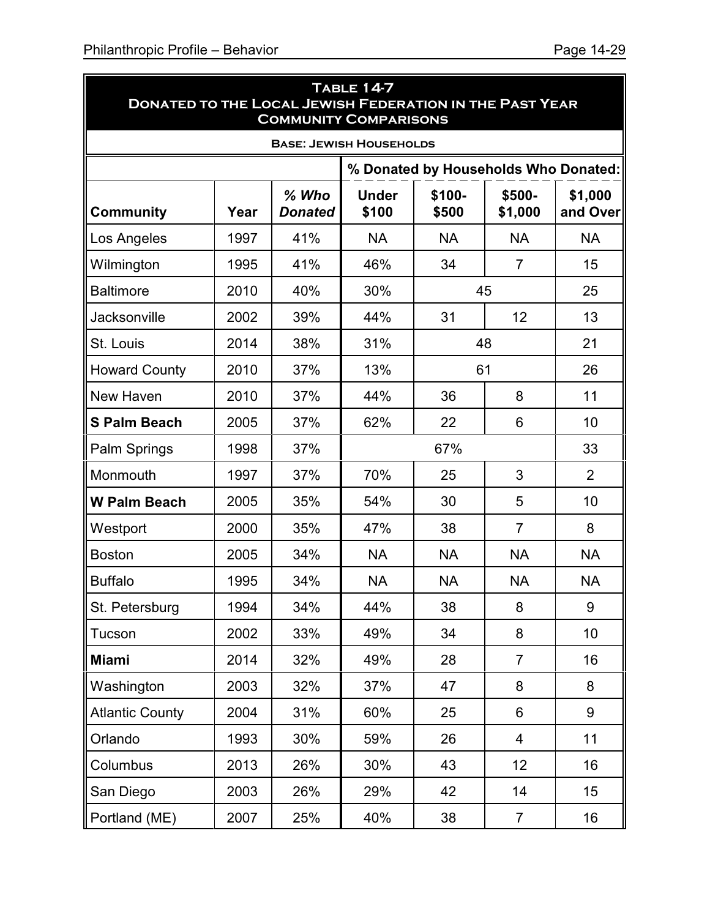| <b>TABLE 14-7</b><br><b>DONATED TO THE LOCAL JEWISH FEDERATION IN THE PAST YEAR</b><br><b>COMMUNITY COMPARISONS</b> |                                      |                           |                       |                 |                   |                     |  |  |
|---------------------------------------------------------------------------------------------------------------------|--------------------------------------|---------------------------|-----------------------|-----------------|-------------------|---------------------|--|--|
| <b>BASE: JEWISH HOUSEHOLDS</b>                                                                                      |                                      |                           |                       |                 |                   |                     |  |  |
|                                                                                                                     | % Donated by Households Who Donated: |                           |                       |                 |                   |                     |  |  |
| <b>Community</b>                                                                                                    | Year                                 | $%$ Who<br><b>Donated</b> | <b>Under</b><br>\$100 | \$100-<br>\$500 | \$500-<br>\$1,000 | \$1,000<br>and Over |  |  |
| Los Angeles                                                                                                         | 1997                                 | 41%                       | <b>NA</b>             | <b>NA</b>       | <b>NA</b>         | <b>NA</b>           |  |  |
| Wilmington                                                                                                          | 1995                                 | 41%                       | 46%                   | 34              | $\overline{7}$    | 15                  |  |  |
| <b>Baltimore</b>                                                                                                    | 2010                                 | 40%                       | 30%                   |                 | 45                | 25                  |  |  |
| Jacksonville                                                                                                        | 2002                                 | 39%                       | 44%                   | 31              | 12                | 13                  |  |  |
| St. Louis                                                                                                           | 2014                                 | 38%                       | 31%                   |                 | 48                | 21                  |  |  |
| <b>Howard County</b>                                                                                                | 2010                                 | 37%                       | 13%                   | 61              |                   | 26                  |  |  |
| New Haven                                                                                                           | 2010                                 | 37%                       | 44%                   | 36              | 8                 | 11                  |  |  |
| <b>S Palm Beach</b>                                                                                                 | 2005                                 | 37%                       | 62%                   | 22              | 6                 | 10                  |  |  |
| Palm Springs                                                                                                        | 1998                                 | 37%                       |                       | 33              |                   |                     |  |  |
| Monmouth                                                                                                            | 1997                                 | 37%                       | 70%                   | 25<br>3         |                   | $\overline{2}$      |  |  |
| <b>W Palm Beach</b>                                                                                                 | 2005                                 | 35%                       | 54%                   | 30              | 5                 | 10                  |  |  |
| Westport                                                                                                            | 2000                                 | 35%                       | 47%                   | 38              | $\overline{7}$    | 8                   |  |  |
| <b>Boston</b>                                                                                                       | 2005                                 | 34%                       | <b>NA</b>             | <b>NA</b>       | <b>NA</b>         | <b>NA</b>           |  |  |
| <b>Buffalo</b>                                                                                                      | 1995                                 | 34%                       | <b>NA</b>             | <b>NA</b>       | <b>NA</b>         | <b>NA</b>           |  |  |
| St. Petersburg                                                                                                      | 1994                                 | 34%                       | 44%                   | 38              | 8                 | 9                   |  |  |
| Tucson                                                                                                              | 2002                                 | 33%                       | 49%                   | 34              | 8                 | 10                  |  |  |
| <b>Miami</b>                                                                                                        | 2014                                 | 32%                       | 49%                   | 28              | $\overline{7}$    | 16                  |  |  |
| Washington                                                                                                          | 2003                                 | 32%                       | 37%                   | 47              | 8                 | 8                   |  |  |
| <b>Atlantic County</b>                                                                                              | 2004                                 | 31%                       | 60%                   | 25              | 6                 | 9                   |  |  |
| Orlando                                                                                                             | 1993                                 | 30%                       | 59%                   | 26              | 4                 | 11                  |  |  |
| Columbus                                                                                                            | 2013                                 | 26%                       | 30%                   | 43              | 12                | 16                  |  |  |
| San Diego                                                                                                           | 2003                                 | 26%                       | 29%                   | 42              | 14                | 15                  |  |  |
| Portland (ME)                                                                                                       | 2007                                 | 25%                       | 40%                   | 38              | $\overline{7}$    | 16                  |  |  |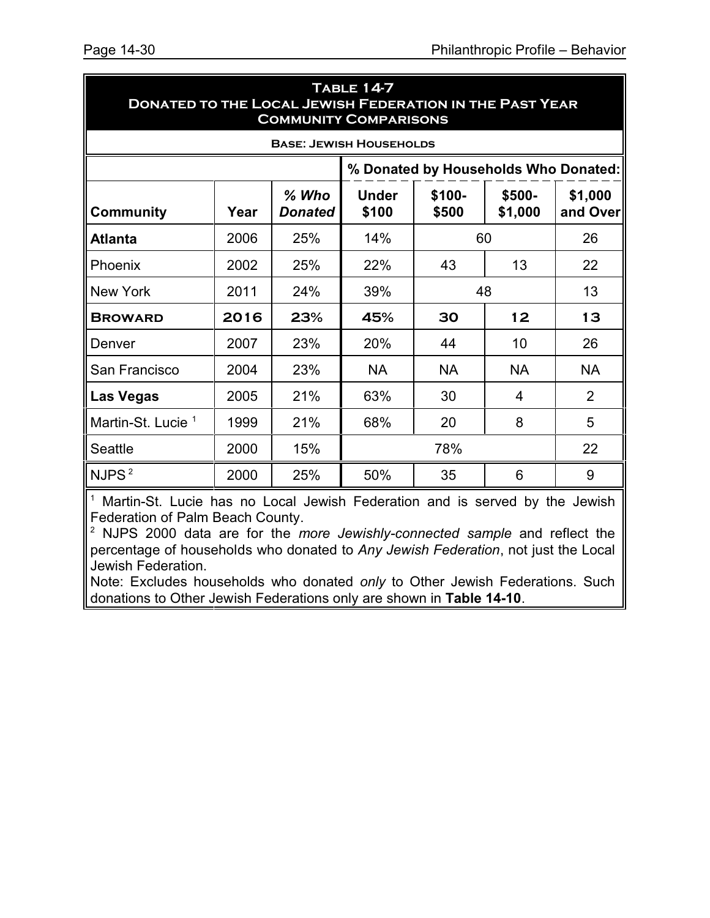| <b>DONATED TO THE LOCAL JEWISH FEDERATION IN THE PAST YEAR</b><br><b>COMMUNITY COMPARISONS</b> |      |                           |                       |                 |                   |                     |  |    |
|------------------------------------------------------------------------------------------------|------|---------------------------|-----------------------|-----------------|-------------------|---------------------|--|----|
| <b>BASE: JEWISH HOUSEHOLDS</b>                                                                 |      |                           |                       |                 |                   |                     |  |    |
| % Donated by Households Who Donated:                                                           |      |                           |                       |                 |                   |                     |  |    |
| <b>Community</b>                                                                               | Year | $%$ Who<br><b>Donated</b> | <b>Under</b><br>\$100 | \$100-<br>\$500 | \$500-<br>\$1,000 | \$1,000<br>and Over |  |    |
| <b>Atlanta</b>                                                                                 | 2006 | 25%                       | 14%                   | 60              |                   |                     |  | 26 |
| Phoenix                                                                                        | 2002 | 25%                       | 22%                   | 43              | 13                | 22                  |  |    |
| New York                                                                                       | 2011 | 24%                       | 39%                   | 48              |                   | 13                  |  |    |
| <b>BROWARD</b>                                                                                 | 2016 | 23%                       | 45%                   | 30              | 12                | 13                  |  |    |
| Denver                                                                                         | 2007 | 23%                       | 20%                   | 44              | 10                | 26                  |  |    |
| San Francisco                                                                                  | 2004 | 23%                       | <b>NA</b>             | <b>NA</b>       | <b>NA</b>         | <b>NA</b>           |  |    |
| <b>Las Vegas</b>                                                                               | 2005 | 21%                       | 63%                   | 30              | 4                 | 2                   |  |    |
| Martin-St. Lucie <sup>1</sup>                                                                  | 1999 | 21%                       | 68%                   | 20              | 8                 | 5                   |  |    |
| <b>Seattle</b>                                                                                 | 2000 | 15%                       | 78%<br>22             |                 |                   |                     |  |    |
| NJPS <sup>2</sup>                                                                              | 2000 | 25%                       | 50%                   | 35              | 6                 | 9                   |  |    |

<sup>1</sup> Martin-St. Lucie has no Local Jewish Federation and is served by the Jewish Federation of Palm Beach County.

<sup>2</sup> NJPS 2000 data are for the *more Jewishly-connected sample* and reflect the percentage of households who donated to *Any Jewish Federation*, not just the Local Jewish Federation.

Note: Excludes households who donated *only* to Other Jewish Federations. Such donations to Other Jewish Federations only are shown in **Table 14-10**.

| <b>TABLE 14-7</b>                                              |
|----------------------------------------------------------------|
| <b>DONATED TO THE LOCAL JEWISH FEDERATION IN THE PAST YEAR</b> |
| <b>COMMUNITY COMPARISONS</b>                                   |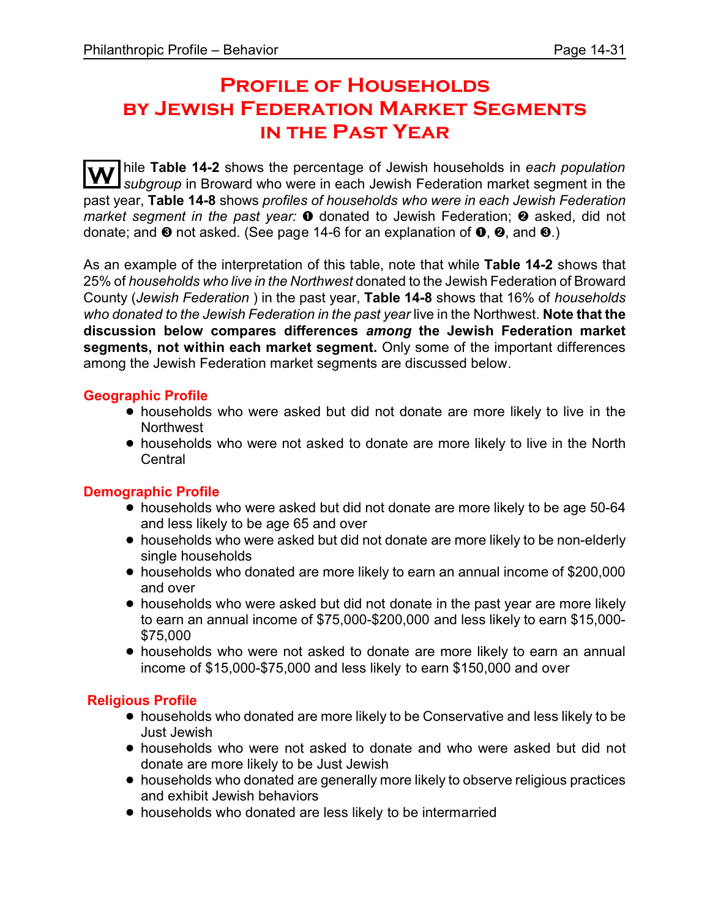# **Profile of Households by Jewish Federation Market Segments in the Past Year**

**W** hile **Table 14-2** shows the percentage of Jewish households in *each population subgroup* in Broward who were in each Jewish Federation market segment in the past year, **Table 14-8** shows *profiles of households who were in each Jewish Federation market segment in the past year:*  $\bullet$  donated to Jewish Federation;  $\bullet$  asked, did not donate; and  $\odot$  not asked. (See page 14-6 for an explanation of  $\odot$ ,  $\odot$ , and  $\odot$ .)

As an example of the interpretation of this table, note that while **Table 14-2** shows that 25% of *households who live in the Northwest* donated to the Jewish Federation of Broward County (*Jewish Federation* ) in the past year, **Table 14-8** shows that 16% of *households who donated to the Jewish Federation in the past year* live in the Northwest. **Note that the discussion below compares differences** *among* **the Jewish Federation market segments, not within each market segment.** Only some of the important differences among the Jewish Federation market segments are discussed below.

#### **Geographic Profile**

- households who were asked but did not donate are more likely to live in the **Northwest**
- ! households who were not asked to donate are more likely to live in the North **Central**

#### **Demographic Profile**

- households who were asked but did not donate are more likely to be age 50-64 and less likely to be age 65 and over
- ! households who were asked but did not donate are more likely to be non-elderly single households
- ! households who donated are more likely to earn an annual income of \$200,000 and over
- households who were asked but did not donate in the past year are more likely to earn an annual income of \$75,000-\$200,000 and less likely to earn \$15,000- \$75,000
- ! households who were not asked to donate are more likely to earn an annual income of \$15,000-\$75,000 and less likely to earn \$150,000 and over

#### **Religious Profile**

- ! households who donated are more likely to be Conservative and less likely to be Just Jewish
- households who were not asked to donate and who were asked but did not donate are more likely to be Just Jewish
- ! households who donated are generally more likely to observe religious practices and exhibit Jewish behaviors
- households who donated are less likely to be intermarried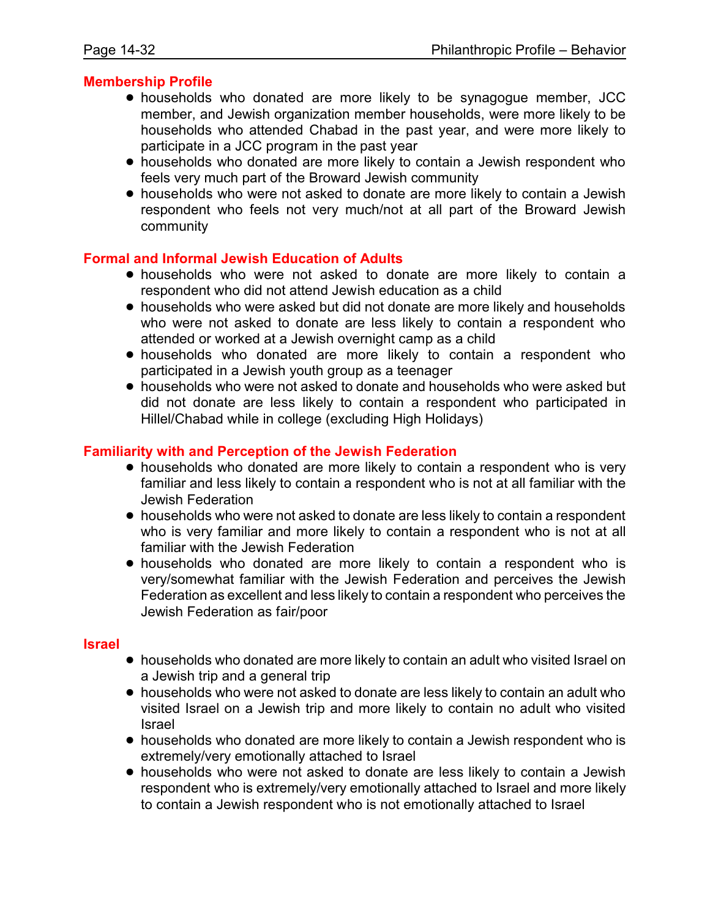#### **Membership Profile**

- ! households who donated are more likely to be synagogue member, JCC member, and Jewish organization member households, were more likely to be households who attended Chabad in the past year, and were more likely to participate in a JCC program in the past year
- households who donated are more likely to contain a Jewish respondent who feels very much part of the Broward Jewish community
- ! households who were not asked to donate are more likely to contain a Jewish respondent who feels not very much/not at all part of the Broward Jewish community

#### **Formal and Informal Jewish Education of Adults**

- ! households who were not asked to donate are more likely to contain a respondent who did not attend Jewish education as a child
- households who were asked but did not donate are more likely and households who were not asked to donate are less likely to contain a respondent who attended or worked at a Jewish overnight camp as a child
- ! households who donated are more likely to contain a respondent who participated in a Jewish youth group as a teenager
- ! households who were not asked to donate and households who were asked but did not donate are less likely to contain a respondent who participated in Hillel/Chabad while in college (excluding High Holidays)

#### **Familiarity with and Perception of the Jewish Federation**

- households who donated are more likely to contain a respondent who is very familiar and less likely to contain a respondent who is not at all familiar with the Jewish Federation
- households who were not asked to donate are less likely to contain a respondent who is very familiar and more likely to contain a respondent who is not at all familiar with the Jewish Federation
- ! households who donated are more likely to contain a respondent who is very/somewhat familiar with the Jewish Federation and perceives the Jewish Federation as excellent and less likely to contain a respondent who perceives the Jewish Federation as fair/poor

#### **Israel**

- ! households who donated are more likely to contain an adult who visited Israel on a Jewish trip and a general trip
- ! households who were not asked to donate are less likely to contain an adult who visited Israel on a Jewish trip and more likely to contain no adult who visited Israel
- ! households who donated are more likely to contain a Jewish respondent who is extremely/very emotionally attached to Israel
- ! households who were not asked to donate are less likely to contain a Jewish respondent who is extremely/very emotionally attached to Israel and more likely to contain a Jewish respondent who is not emotionally attached to Israel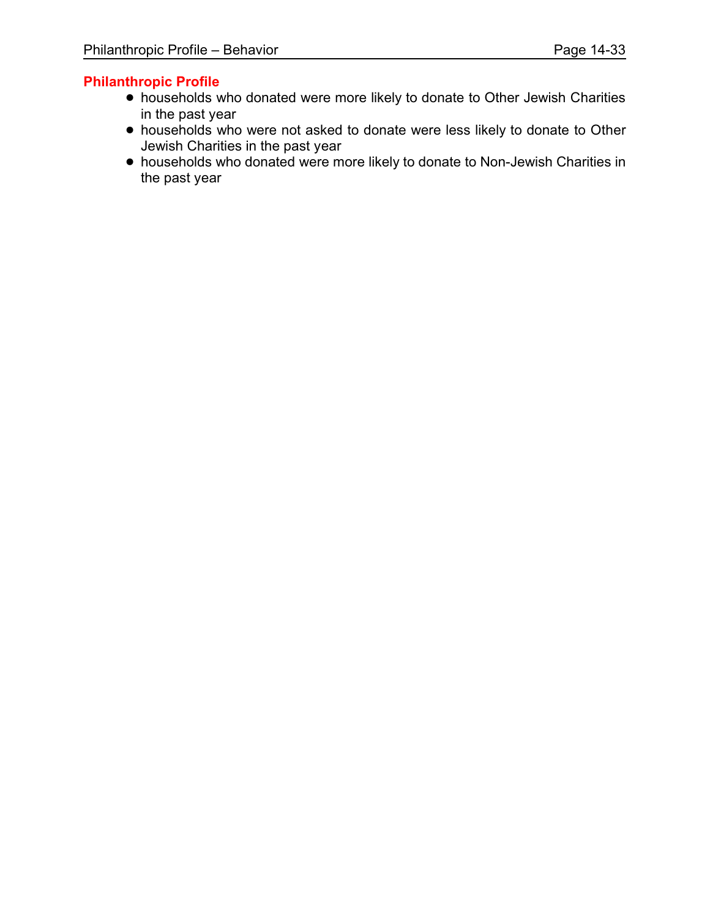#### **Philanthropic Profile**

- ! households who donated were more likely to donate to Other Jewish Charities in the past year
- ! households who were not asked to donate were less likely to donate to Other Jewish Charities in the past year
- ! households who donated were more likely to donate to Non-Jewish Charities in the past year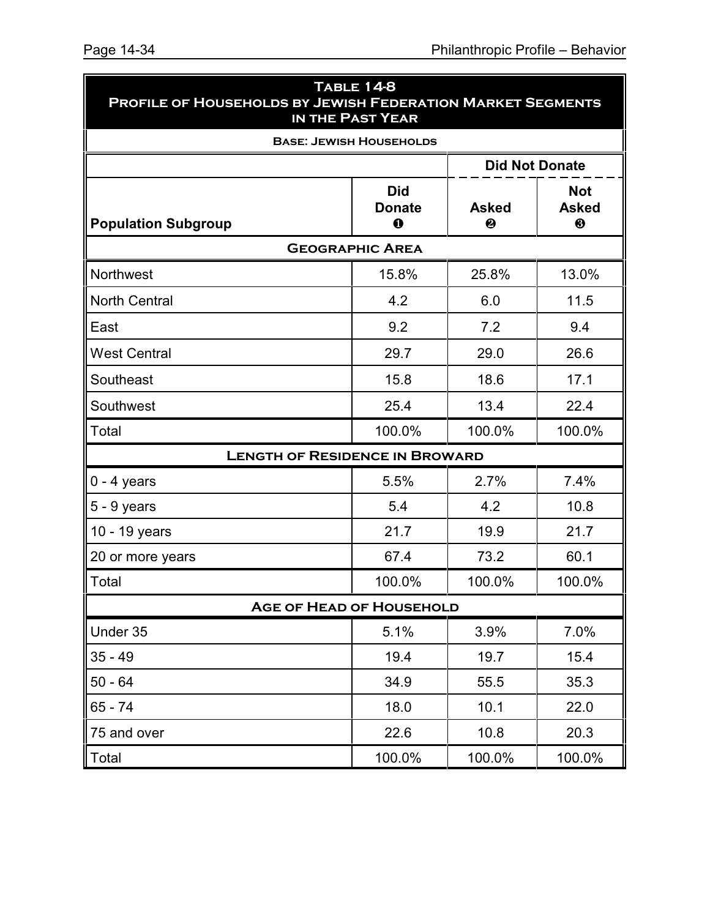| <b>TABLE 14-8</b><br>PROFILE OF HOUSEHOLDS BY JEWISH FEDERATION MARKET SEGMENTS<br>IN THE PAST YEAR |                                            |                   |                                 |  |  |  |  |  |  |  |
|-----------------------------------------------------------------------------------------------------|--------------------------------------------|-------------------|---------------------------------|--|--|--|--|--|--|--|
|                                                                                                     | <b>BASE: JEWISH HOUSEHOLDS</b>             |                   |                                 |  |  |  |  |  |  |  |
| <b>Did Not Donate</b>                                                                               |                                            |                   |                                 |  |  |  |  |  |  |  |
| <b>Population Subgroup</b>                                                                          | <b>Did</b><br><b>Donate</b><br>$\mathbf 0$ | <b>Asked</b><br>❷ | <b>Not</b><br><b>Asked</b><br>❸ |  |  |  |  |  |  |  |
|                                                                                                     | <b>GEOGRAPHIC AREA</b>                     |                   |                                 |  |  |  |  |  |  |  |
| Northwest                                                                                           | 15.8%                                      | 25.8%             | 13.0%                           |  |  |  |  |  |  |  |
| <b>North Central</b>                                                                                | 4.2                                        | 6.0               | 11.5                            |  |  |  |  |  |  |  |
| East                                                                                                | 9.2                                        | 7.2               | 9.4                             |  |  |  |  |  |  |  |
| <b>West Central</b>                                                                                 | 29.7                                       | 29.0              | 26.6                            |  |  |  |  |  |  |  |
| Southeast                                                                                           | 15.8                                       | 18.6              | 17.1                            |  |  |  |  |  |  |  |
| Southwest                                                                                           | 25.4                                       | 13.4              | 22.4                            |  |  |  |  |  |  |  |
| Total                                                                                               | 100.0%                                     | 100.0%            | 100.0%                          |  |  |  |  |  |  |  |
| <b>LENGTH OF RESIDENCE IN BROWARD</b>                                                               |                                            |                   |                                 |  |  |  |  |  |  |  |
| $0 - 4$ years                                                                                       | 5.5%                                       | 2.7%              | 7.4%                            |  |  |  |  |  |  |  |
| $5 - 9$ years                                                                                       | 5.4                                        | 4.2               | 10.8                            |  |  |  |  |  |  |  |
| 10 - 19 years                                                                                       | 21.7                                       | 19.9              | 21.7                            |  |  |  |  |  |  |  |
| 20 or more years                                                                                    | 67.4                                       | 73.2              | 60.1                            |  |  |  |  |  |  |  |
| Total                                                                                               | 100.0%                                     | 100.0%            | 100.0%                          |  |  |  |  |  |  |  |
| <b>AGE OF HEAD OF HOUSEHOLD</b>                                                                     |                                            |                   |                                 |  |  |  |  |  |  |  |
| Under 35                                                                                            | 5.1%                                       | 3.9%              | 7.0%                            |  |  |  |  |  |  |  |
| $35 - 49$                                                                                           | 19.4                                       | 19.7              | 15.4                            |  |  |  |  |  |  |  |
| $50 - 64$                                                                                           | 34.9                                       | 55.5              | 35.3                            |  |  |  |  |  |  |  |
| 65 - 74                                                                                             | 18.0                                       | 10.1              | 22.0                            |  |  |  |  |  |  |  |
| 75 and over                                                                                         | 22.6                                       | 10.8              | 20.3                            |  |  |  |  |  |  |  |
| Total                                                                                               | 100.0%                                     | 100.0%            | 100.0%                          |  |  |  |  |  |  |  |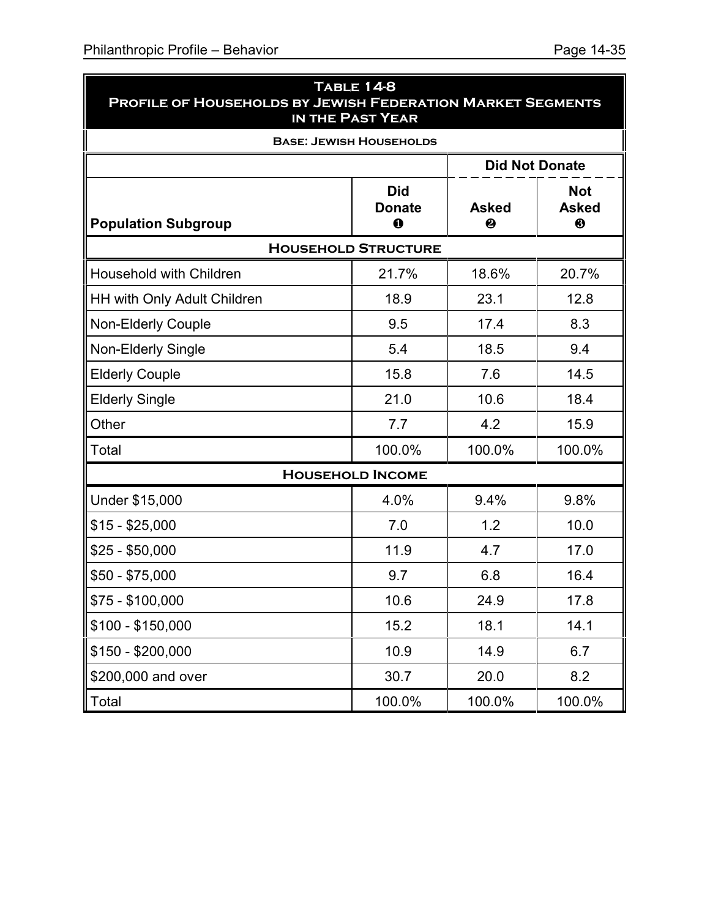| <b>TABLE 14-8</b><br>PROFILE OF HOUSEHOLDS BY JEWISH FEDERATION MARKET SEGMENTS<br>IN THE PAST YEAR |                                           |                   |                                 |  |  |  |  |  |  |
|-----------------------------------------------------------------------------------------------------|-------------------------------------------|-------------------|---------------------------------|--|--|--|--|--|--|
| <b>BASE: JEWISH HOUSEHOLDS</b>                                                                      |                                           |                   |                                 |  |  |  |  |  |  |
| <b>Did Not Donate</b>                                                                               |                                           |                   |                                 |  |  |  |  |  |  |
| <b>Population Subgroup</b>                                                                          | <b>Did</b><br><b>Donate</b><br>$\bf\bf 0$ | <b>Asked</b><br>❷ | <b>Not</b><br><b>Asked</b><br>❸ |  |  |  |  |  |  |
| <b>HOUSEHOLD STRUCTURE</b>                                                                          |                                           |                   |                                 |  |  |  |  |  |  |
| <b>Household with Children</b>                                                                      | 21.7%                                     | 18.6%             | 20.7%                           |  |  |  |  |  |  |
| <b>HH with Only Adult Children</b>                                                                  | 18.9                                      | 23.1              | 12.8                            |  |  |  |  |  |  |
| <b>Non-Elderly Couple</b>                                                                           | 9.5                                       | 17.4              | 8.3                             |  |  |  |  |  |  |
| Non-Elderly Single                                                                                  | 5.4                                       | 18.5              | 9.4                             |  |  |  |  |  |  |
| <b>Elderly Couple</b>                                                                               | 15.8                                      | 7.6               | 14.5                            |  |  |  |  |  |  |
| <b>Elderly Single</b>                                                                               | 21.0                                      | 10.6              | 18.4                            |  |  |  |  |  |  |
| Other                                                                                               | 7.7                                       | 4.2               | 15.9                            |  |  |  |  |  |  |
| Total                                                                                               | 100.0%                                    | 100.0%            | 100.0%                          |  |  |  |  |  |  |
|                                                                                                     | <b>HOUSEHOLD INCOME</b>                   |                   |                                 |  |  |  |  |  |  |
| Under \$15,000                                                                                      | 4.0%                                      | 9.4%              | 9.8%                            |  |  |  |  |  |  |
| $$15 - $25,000$                                                                                     | 7.0                                       | 1.2               | 10.0                            |  |  |  |  |  |  |
| $$25 - $50,000$                                                                                     | 11.9                                      | 4.7               | 17.0                            |  |  |  |  |  |  |
| $$50 - $75,000$                                                                                     | 9.7                                       | 6.8               | 16.4                            |  |  |  |  |  |  |
| \$75 - \$100,000                                                                                    | 10.6                                      | 24.9              | 17.8                            |  |  |  |  |  |  |
| $$100 - $150,000$                                                                                   | 15.2                                      | 18.1              | 14.1                            |  |  |  |  |  |  |
| $$150 - $200,000$                                                                                   | 10.9                                      | 14.9              | 6.7                             |  |  |  |  |  |  |
| \$200,000 and over                                                                                  | 30.7                                      | 20.0              | 8.2                             |  |  |  |  |  |  |
| Total                                                                                               | 100.0%                                    | 100.0%            | 100.0%                          |  |  |  |  |  |  |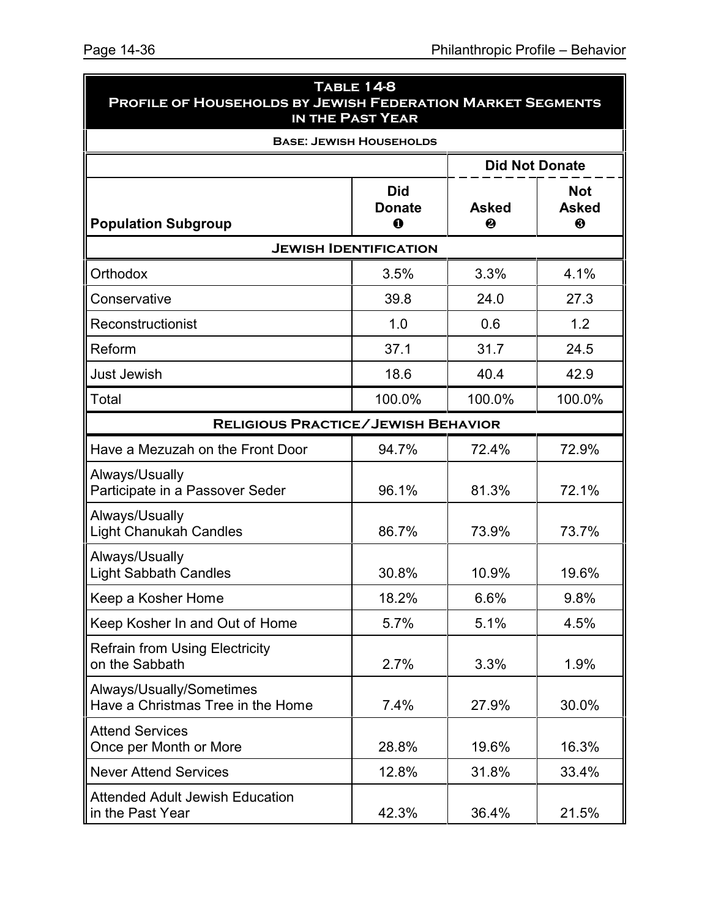| <b>TABLE 14-8</b><br>PROFILE OF HOUSEHOLDS BY JEWISH FEDERATION MARKET SEGMENTS<br><b>IN THE PAST YEAR</b><br><b>BASE: JEWISH HOUSEHOLDS</b> |                                  |                   |                                 |
|----------------------------------------------------------------------------------------------------------------------------------------------|----------------------------------|-------------------|---------------------------------|
|                                                                                                                                              |                                  |                   |                                 |
| <b>Population Subgroup</b>                                                                                                                   | <b>Did</b><br><b>Donate</b><br>0 | <b>Asked</b><br>❷ | <b>Not</b><br><b>Asked</b><br>❸ |
| <b>JEWISH IDENTIFICATION</b>                                                                                                                 |                                  |                   |                                 |
| Orthodox                                                                                                                                     | 3.5%                             | 3.3%              | 4.1%                            |
| Conservative                                                                                                                                 | 39.8                             | 24.0              | 27.3                            |
| Reconstructionist                                                                                                                            | 1.0                              | 0.6               | 1.2                             |
| Reform                                                                                                                                       | 37.1                             | 31.7              | 24.5                            |
| <b>Just Jewish</b>                                                                                                                           | 18.6                             | 40.4              | 42.9                            |
| Total                                                                                                                                        | 100.0%                           | 100.0%            | 100.0%                          |
| <b>RELIGIOUS PRACTICE/JEWISH BEHAVIOR</b>                                                                                                    |                                  |                   |                                 |
| Have a Mezuzah on the Front Door                                                                                                             | 94.7%                            | 72.4%             | 72.9%                           |
| Always/Usually<br>Participate in a Passover Seder                                                                                            | 96.1%                            | 81.3%             | 72.1%                           |
| Always/Usually<br>Light Chanukah Candles                                                                                                     | 86.7%                            | 73.9%             | 73.7%                           |
| Always/Usually<br><b>Light Sabbath Candles</b>                                                                                               | 30.8%                            | 10.9%             | 19.6%                           |
| Keep a Kosher Home                                                                                                                           | 18.2%                            | 6.6%              | 9.8%                            |
| Keep Kosher In and Out of Home                                                                                                               | 5.7%                             | 5.1%              | 4.5%                            |
| <b>Refrain from Using Electricity</b><br>on the Sabbath                                                                                      | 2.7%                             | 3.3%              | 1.9%                            |
| Always/Usually/Sometimes<br>Have a Christmas Tree in the Home                                                                                | 7.4%                             | 27.9%             | 30.0%                           |
| <b>Attend Services</b><br>Once per Month or More                                                                                             | 28.8%                            | 19.6%             | 16.3%                           |
| <b>Never Attend Services</b>                                                                                                                 | 12.8%                            | 31.8%             | 33.4%                           |
| <b>Attended Adult Jewish Education</b><br>in the Past Year                                                                                   | 42.3%                            | 36.4%             | 21.5%                           |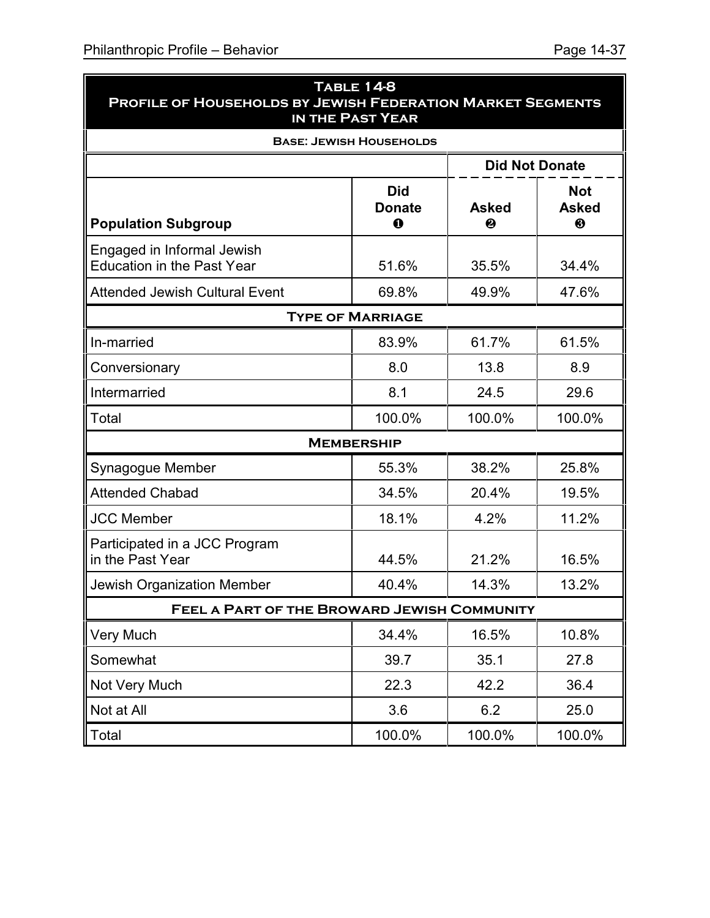| <b>PROFILE OF HOUSEHOLDS BY JEWISH FEDERATION MARKET SEGMENTS</b> | <b>TABLE 14-8</b><br>IN THE PAST YEAR |                   |                                 |  |  |  |  |
|-------------------------------------------------------------------|---------------------------------------|-------------------|---------------------------------|--|--|--|--|
|                                                                   | <b>BASE: JEWISH HOUSEHOLDS</b>        |                   |                                 |  |  |  |  |
|                                                                   |                                       |                   | <b>Did Not Donate</b>           |  |  |  |  |
| <b>Population Subgroup</b>                                        | <b>Did</b><br><b>Donate</b><br>0      | <b>Asked</b><br>❷ | <b>Not</b><br><b>Asked</b><br>❸ |  |  |  |  |
| Engaged in Informal Jewish<br><b>Education in the Past Year</b>   | 51.6%                                 | 35.5%             | 34.4%                           |  |  |  |  |
| <b>Attended Jewish Cultural Event</b>                             | 49.9%                                 | 47.6%             |                                 |  |  |  |  |
| <b>TYPE OF MARRIAGE</b>                                           |                                       |                   |                                 |  |  |  |  |
| In-married                                                        | 83.9%                                 | 61.7%             | 61.5%                           |  |  |  |  |
| Conversionary                                                     | 8.0                                   | 13.8              | 8.9                             |  |  |  |  |
| Intermarried                                                      | 8.1                                   | 24.5              | 29.6                            |  |  |  |  |
| Total                                                             | 100.0%                                | 100.0%            | 100.0%                          |  |  |  |  |
|                                                                   | <b>MEMBERSHIP</b>                     |                   |                                 |  |  |  |  |
| Synagogue Member                                                  | 55.3%                                 | 38.2%             | 25.8%                           |  |  |  |  |
| <b>Attended Chabad</b>                                            | 34.5%                                 | 20.4%             | 19.5%                           |  |  |  |  |
| <b>JCC Member</b>                                                 | 18.1%                                 | 4.2%              | 11.2%                           |  |  |  |  |
| Participated in a JCC Program<br>in the Past Year                 | 44.5%                                 | 21.2%             | 16.5%                           |  |  |  |  |
| Jewish Organization Member                                        | 40.4%                                 | 14.3%             | 13.2%                           |  |  |  |  |
| FEEL A PART OF THE BROWARD JEWISH COMMUNITY                       |                                       |                   |                                 |  |  |  |  |
| <b>Very Much</b>                                                  | 34.4%                                 | 16.5%             | 10.8%                           |  |  |  |  |
| Somewhat                                                          | 39.7                                  | 35.1              | 27.8                            |  |  |  |  |
| Not Very Much                                                     | 22.3                                  | 42.2              | 36.4                            |  |  |  |  |
| Not at All                                                        | 3.6                                   | 6.2               | 25.0                            |  |  |  |  |
| Total                                                             | 100.0%                                | 100.0%            | 100.0%                          |  |  |  |  |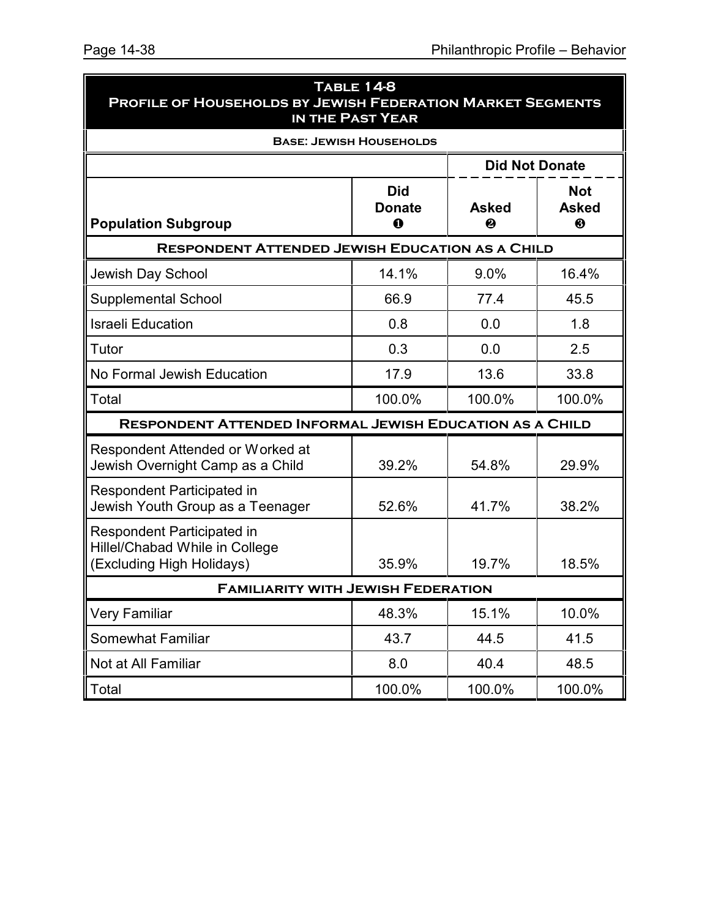| TABLE 14-8<br><b>PROFILE OF HOUSEHOLDS BY JEWISH FEDERATION MARKET SEGMENTS</b><br>IN THE PAST YEAR                           |                                |                       |        |  |  |  |
|-------------------------------------------------------------------------------------------------------------------------------|--------------------------------|-----------------------|--------|--|--|--|
|                                                                                                                               | <b>BASE: JEWISH HOUSEHOLDS</b> |                       |        |  |  |  |
|                                                                                                                               |                                | <b>Did Not Donate</b> |        |  |  |  |
| <b>Not</b><br><b>Did</b><br><b>Asked</b><br><b>Asked</b><br><b>Donate</b><br><b>Population Subgroup</b><br>$\bf{0}$<br>❸<br>❷ |                                |                       |        |  |  |  |
| <b>RESPONDENT ATTENDED JEWISH EDUCATION AS A CHILD</b>                                                                        |                                |                       |        |  |  |  |
| Jewish Day School                                                                                                             | 14.1%                          | 9.0%                  | 16.4%  |  |  |  |
| <b>Supplemental School</b>                                                                                                    | 66.9                           | 77.4                  | 45.5   |  |  |  |
| <b>Israeli Education</b>                                                                                                      | 0.8                            | 0.0                   | 1.8    |  |  |  |
| Tutor                                                                                                                         | 0.3                            | 0.0                   | 2.5    |  |  |  |
| No Formal Jewish Education                                                                                                    | 17.9                           | 13.6                  | 33.8   |  |  |  |
| Total                                                                                                                         | 100.0%                         | 100.0%                | 100.0% |  |  |  |
| <b>RESPONDENT ATTENDED INFORMAL JEWISH EDUCATION AS A CHILD</b>                                                               |                                |                       |        |  |  |  |
| Respondent Attended or Worked at<br>Jewish Overnight Camp as a Child                                                          | 39.2%                          | 54.8%                 | 29.9%  |  |  |  |
| <b>Respondent Participated in</b><br>Jewish Youth Group as a Teenager                                                         | 52.6%                          | 41.7%                 | 38.2%  |  |  |  |
| <b>Respondent Participated in</b><br>Hillel/Chabad While in College<br>(Excluding High Holidays)                              | 35.9%                          | 19.7%                 | 18.5%  |  |  |  |
| <b>FAMILIARITY WITH JEWISH FEDERATION</b>                                                                                     |                                |                       |        |  |  |  |
| <b>Very Familiar</b>                                                                                                          | 48.3%                          | 15.1%                 | 10.0%  |  |  |  |
| <b>Somewhat Familiar</b>                                                                                                      | 43.7                           | 44.5                  | 41.5   |  |  |  |
| Not at All Familiar                                                                                                           | 8.0                            | 40.4                  | 48.5   |  |  |  |
| Total                                                                                                                         | 100.0%                         | 100.0%                | 100.0% |  |  |  |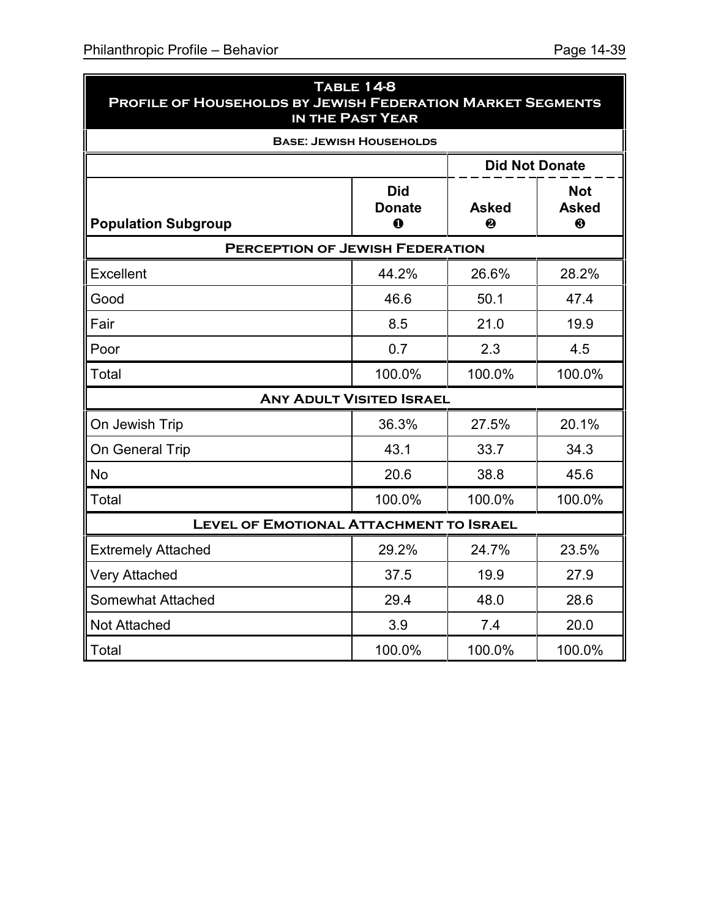| <b>PROFILE OF HOUSEHOLDS BY JEWISH FEDERATION MARKET SEGMENTS</b> | <b>TABLE 14-8</b><br>IN THE PAST YEAR      |                   |                                                     |  |  |  |
|-------------------------------------------------------------------|--------------------------------------------|-------------------|-----------------------------------------------------|--|--|--|
|                                                                   | <b>BASE: JEWISH HOUSEHOLDS</b>             |                   |                                                     |  |  |  |
| <b>Did Not Donate</b>                                             |                                            |                   |                                                     |  |  |  |
| <b>Population Subgroup</b>                                        | <b>Did</b><br><b>Donate</b><br>$\mathbf 0$ | <b>Asked</b><br>❷ | <b>Not</b><br><b>Asked</b><br>$\boldsymbol{\Theta}$ |  |  |  |
| <b>PERCEPTION OF JEWISH FEDERATION</b>                            |                                            |                   |                                                     |  |  |  |
| Excellent                                                         | 44.2%                                      | 26.6%             | 28.2%                                               |  |  |  |
| Good                                                              | 46.6                                       | 50.1              | 47.4                                                |  |  |  |
| Fair                                                              | 8.5                                        | 21.0              | 19.9                                                |  |  |  |
| Poor                                                              | 0.7                                        | 2.3               | 4.5                                                 |  |  |  |
| Total                                                             | 100.0%                                     | 100.0%            | 100.0%                                              |  |  |  |
|                                                                   | <b>ANY ADULT VISITED ISRAEL</b>            |                   |                                                     |  |  |  |
| On Jewish Trip                                                    | 36.3%                                      | 27.5%             | 20.1%                                               |  |  |  |
| On General Trip                                                   | 43.1                                       | 33.7              | 34.3                                                |  |  |  |
| <b>No</b>                                                         | 20.6                                       | 38.8              | 45.6                                                |  |  |  |
| Total                                                             | 100.0%                                     | 100.0%            | 100.0%                                              |  |  |  |
| <b>LEVEL OF EMOTIONAL ATTACHMENT TO ISRAEL</b>                    |                                            |                   |                                                     |  |  |  |
| <b>Extremely Attached</b>                                         | 29.2%                                      | 24.7%             | 23.5%                                               |  |  |  |
| <b>Very Attached</b>                                              | 37.5                                       | 19.9              | 27.9                                                |  |  |  |
| <b>Somewhat Attached</b>                                          | 29.4                                       | 48.0              | 28.6                                                |  |  |  |
| Not Attached                                                      | 3.9                                        | 7.4               | 20.0                                                |  |  |  |
| Total                                                             | 100.0%                                     | 100.0%            | 100.0%                                              |  |  |  |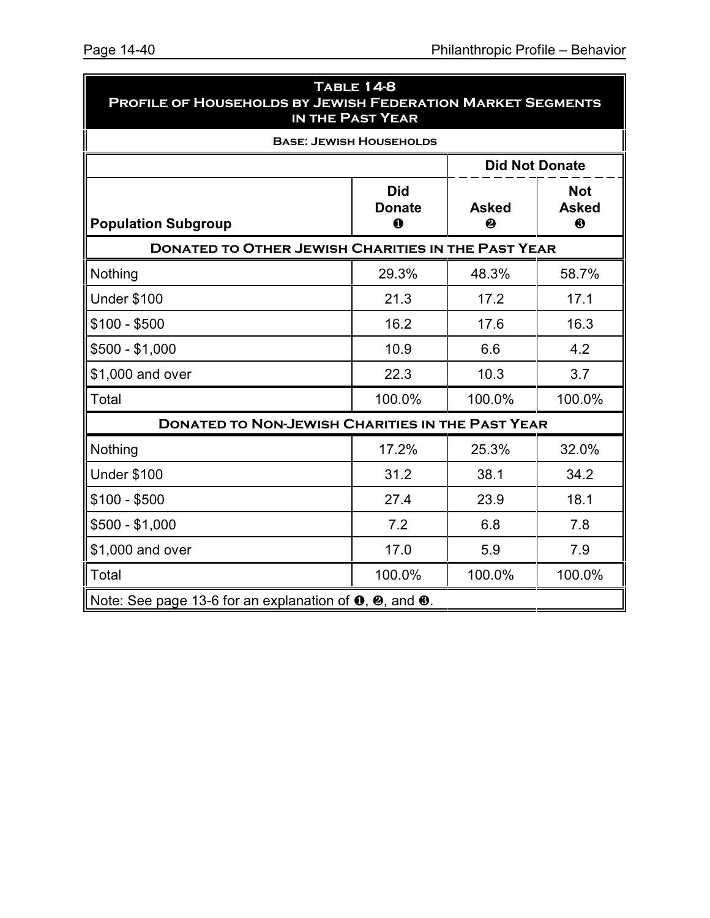| <b>TABLE 14-8</b><br><b>PROFILE OF HOUSEHOLDS BY JEWISH FEDERATION MARKET SEGMENTS</b><br>IN THE PAST YEAR |                                |                                 |        |  |  |
|------------------------------------------------------------------------------------------------------------|--------------------------------|---------------------------------|--------|--|--|
|                                                                                                            | <b>BASE: JEWISH HOUSEHOLDS</b> |                                 |        |  |  |
|                                                                                                            |                                | <b>Did Not Donate</b>           |        |  |  |
| <b>Population Subgroup</b>                                                                                 | <b>Asked</b><br>❷              | <b>Not</b><br><b>Asked</b><br>❸ |        |  |  |
| <b>DONATED TO OTHER JEWISH CHARITIES IN THE PAST YEAR</b>                                                  |                                |                                 |        |  |  |
| Nothing                                                                                                    | 29.3%                          | 48.3%                           | 58.7%  |  |  |
| <b>Under \$100</b>                                                                                         | 21.3                           | 17.2                            | 17.1   |  |  |
| $$100 - $500$                                                                                              | 16.2                           | 17.6                            | 16.3   |  |  |
| $$500 - $1,000$                                                                                            | 10.9                           | 6.6                             | 4.2    |  |  |
| \$1,000 and over                                                                                           | 22.3                           | 10.3                            | 3.7    |  |  |
| Total                                                                                                      | 100.0%                         | 100.0%                          | 100.0% |  |  |
| <b>DONATED TO NON-JEWISH CHARITIES IN THE PAST YEAR</b>                                                    |                                |                                 |        |  |  |
| Nothing                                                                                                    | 17.2%                          | 25.3%                           | 32.0%  |  |  |
| <b>Under \$100</b>                                                                                         | 31.2                           | 38.1                            | 34.2   |  |  |
| $$100 - $500$                                                                                              | 27.4                           | 23.9                            | 18.1   |  |  |
| $$500 - $1,000$                                                                                            | 7.2                            | 6.8                             | 7.8    |  |  |
| \$1,000 and over                                                                                           | 17.0                           | 5.9                             | 7.9    |  |  |
| Total                                                                                                      | 100.0%                         | 100.0%                          | 100.0% |  |  |
| Note: See page 13-6 for an explanation of $\mathbf{0}$ , $\mathbf{\Theta}$ , and $\mathbf{\Theta}$ .       |                                |                                 |        |  |  |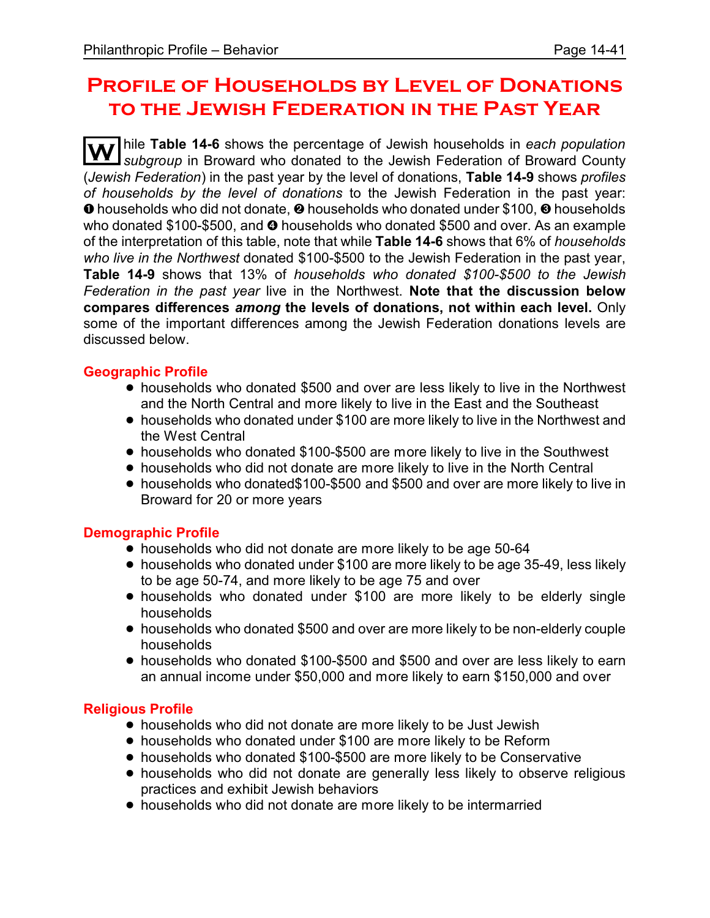# **Profile of Households by Level of Donations to the Jewish Federation in the Past Year**

**W** hile **Table 14-6** shows the percentage of Jewish households in *each population subgroup* in Broward who donated to the Jewish Federation of Broward County (*Jewish Federation*) in the past year by the level of donations, **Table 14-9** shows *profiles of households by the level of donations* to the Jewish Federation in the past year: **O** households who did not donate, **O** households who donated under \$100, **O** households who donated  $$100-\$500$ , and  $\odot$  households who donated \$500 and over. As an example of the interpretation of this table, note that while **Table 14-6** shows that 6% of *households who live in the Northwest* donated \$100-\$500 to the Jewish Federation in the past year, **Table 14-9** shows that 13% of *households who donated \$100-\$500 to the Jewish Federation in the past year* live in the Northwest. **Note that the discussion below compares differences** *among* **the levels of donations, not within each level.** Only some of the important differences among the Jewish Federation donations levels are discussed below.

## **Geographic Profile**

- households who donated \$500 and over are less likely to live in the Northwest and the North Central and more likely to live in the East and the Southeast
- ! households who donated under \$100 are more likely to live in the Northwest and the West Central
- households who donated \$100-\$500 are more likely to live in the Southwest
- ! households who did not donate are more likely to live in the North Central
- ! households who donated\$100-\$500 and \$500 and over are more likely to live in Broward for 20 or more years

## **Demographic Profile**

- households who did not donate are more likely to be age 50-64
- households who donated under \$100 are more likely to be age 35-49, less likely to be age 50-74, and more likely to be age 75 and over
- households who donated under \$100 are more likely to be elderly single households
- ! households who donated \$500 and over are more likely to be non-elderly couple households
- ! households who donated \$100-\$500 and \$500 and over are less likely to earn an annual income under \$50,000 and more likely to earn \$150,000 and over

## **Religious Profile**

- ! households who did not donate are more likely to be Just Jewish
- households who donated under \$100 are more likely to be Reform
- households who donated \$100-\$500 are more likely to be Conservative
- households who did not donate are generally less likely to observe religious practices and exhibit Jewish behaviors
- ! households who did not donate are more likely to be intermarried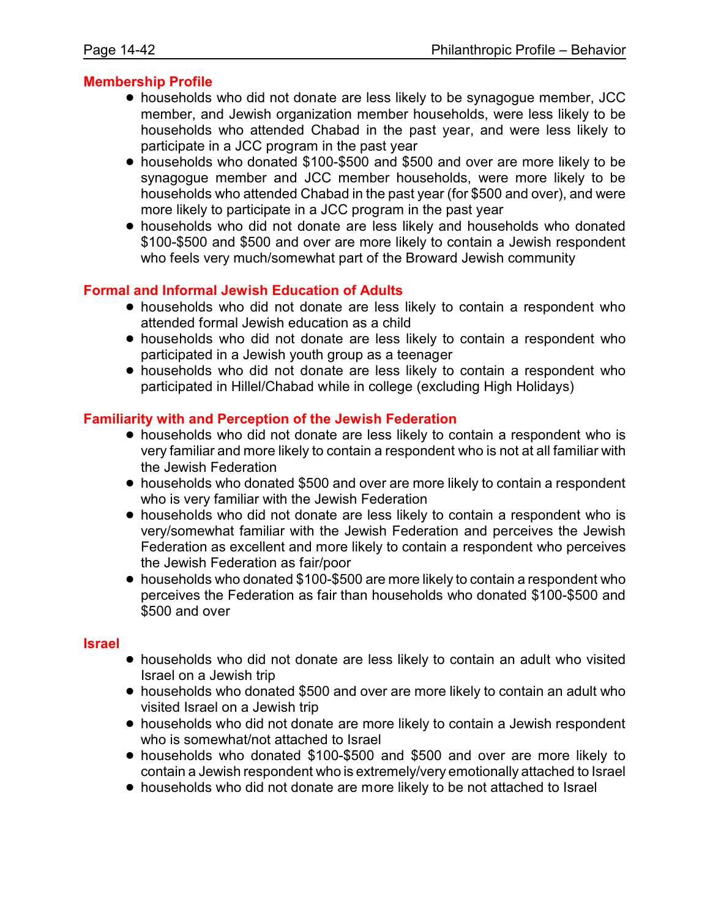### **Membership Profile**

- ! households who did not donate are less likely to be synagogue member, JCC member, and Jewish organization member households, were less likely to be households who attended Chabad in the past year, and were less likely to participate in a JCC program in the past year
- households who donated \$100-\$500 and \$500 and over are more likely to be synagogue member and JCC member households, were more likely to be households who attended Chabad in the past year (for \$500 and over), and were more likely to participate in a JCC program in the past year
- ! households who did not donate are less likely and households who donated \$100-\$500 and \$500 and over are more likely to contain a Jewish respondent who feels very much/somewhat part of the Broward Jewish community

### **Formal and Informal Jewish Education of Adults**

- households who did not donate are less likely to contain a respondent who attended formal Jewish education as a child
- ! households who did not donate are less likely to contain a respondent who participated in a Jewish youth group as a teenager
- ! households who did not donate are less likely to contain a respondent who participated in Hillel/Chabad while in college (excluding High Holidays)

### **Familiarity with and Perception of the Jewish Federation**

- ! households who did not donate are less likely to contain a respondent who is very familiar and more likely to contain a respondent who is not at all familiar with the Jewish Federation
- ! households who donated \$500 and over are more likely to contain a respondent who is very familiar with the Jewish Federation
- ! households who did not donate are less likely to contain a respondent who is very/somewhat familiar with the Jewish Federation and perceives the Jewish Federation as excellent and more likely to contain a respondent who perceives the Jewish Federation as fair/poor
- ! households who donated \$100-\$500 are more likely to contain a respondent who perceives the Federation as fair than households who donated \$100-\$500 and \$500 and over

#### **Israel**

- ! households who did not donate are less likely to contain an adult who visited Israel on a Jewish trip
- households who donated \$500 and over are more likely to contain an adult who visited Israel on a Jewish trip
- ! households who did not donate are more likely to contain a Jewish respondent who is somewhat/not attached to Israel
- ! households who donated \$100-\$500 and \$500 and over are more likely to contain a Jewish respondent who is extremely/very emotionally attached to Israel
- ! households who did not donate are more likely to be not attached to Israel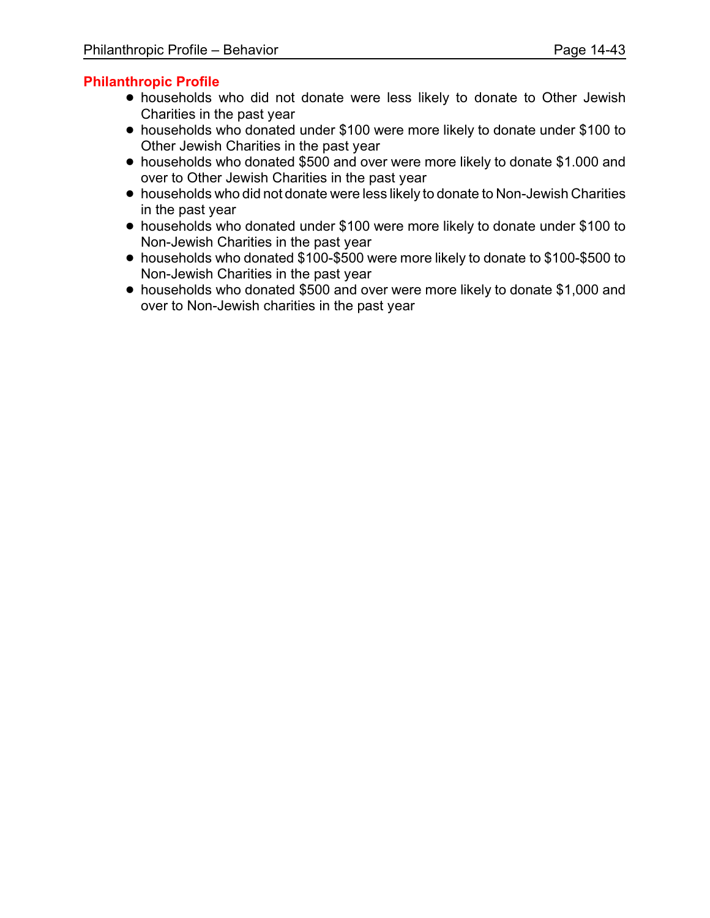# **Philanthropic Profile**

- ! households who did not donate were less likely to donate to Other Jewish Charities in the past year
- ! households who donated under \$100 were more likely to donate under \$100 to Other Jewish Charities in the past year
- ! households who donated \$500 and over were more likely to donate \$1.000 and over to Other Jewish Charities in the past year
- ! households who did not donate were less likely to donate to Non-Jewish Charities in the past year
- ! households who donated under \$100 were more likely to donate under \$100 to Non-Jewish Charities in the past year
- ! households who donated \$100-\$500 were more likely to donate to \$100-\$500 to Non-Jewish Charities in the past year
- ! households who donated \$500 and over were more likely to donate \$1,000 and over to Non-Jewish charities in the past year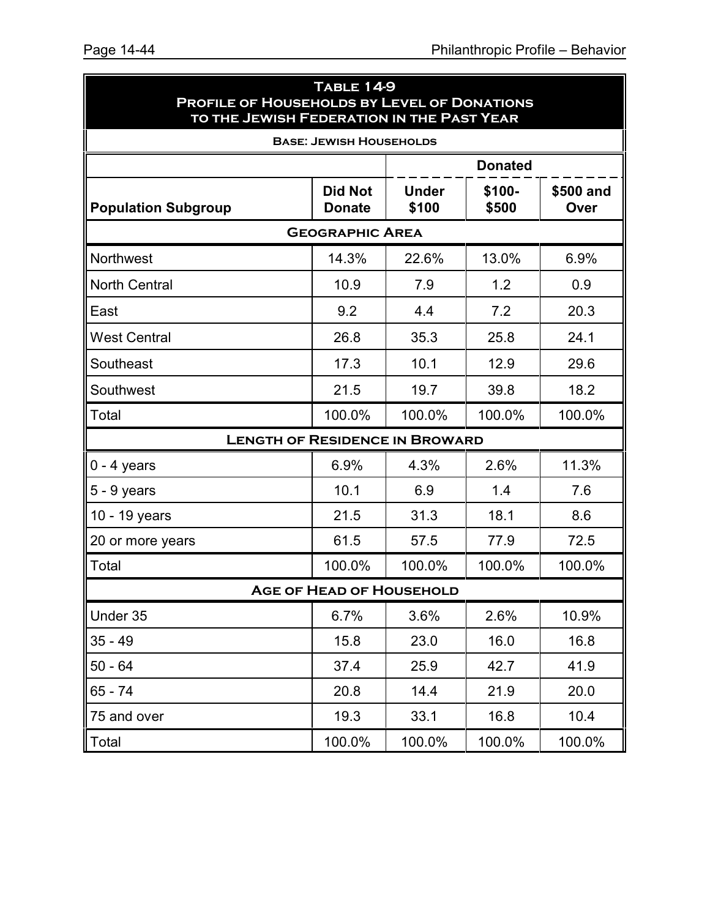| <b>TABLE 14-9</b><br><b>PROFILE OF HOUSEHOLDS BY LEVEL OF DONATIONS</b><br>TO THE JEWISH FEDERATION IN THE PAST YEAR |                                 |                       |                 |                   |  |  |
|----------------------------------------------------------------------------------------------------------------------|---------------------------------|-----------------------|-----------------|-------------------|--|--|
| <b>BASE: JEWISH HOUSEHOLDS</b>                                                                                       |                                 |                       |                 |                   |  |  |
|                                                                                                                      |                                 |                       | <b>Donated</b>  |                   |  |  |
| <b>Population Subgroup</b>                                                                                           | <b>Did Not</b><br><b>Donate</b> | <b>Under</b><br>\$100 | \$100-<br>\$500 | \$500 and<br>Over |  |  |
| <b>GEOGRAPHIC AREA</b>                                                                                               |                                 |                       |                 |                   |  |  |
| Northwest                                                                                                            | 14.3%                           | 22.6%                 | 13.0%           | 6.9%              |  |  |
| <b>North Central</b>                                                                                                 | 10.9                            | 7.9                   | 1.2             | 0.9               |  |  |
| East                                                                                                                 | 9.2                             | 4.4                   | 7.2             | 20.3              |  |  |
| <b>West Central</b>                                                                                                  | 26.8                            | 35.3                  | 25.8            | 24.1              |  |  |
| Southeast                                                                                                            | 17.3                            | 10.1                  | 12.9            | 29.6              |  |  |
| Southwest                                                                                                            | 21.5                            | 19.7                  | 39.8            | 18.2              |  |  |
| Total                                                                                                                | 100.0%                          | 100.0%                | 100.0%          | 100.0%            |  |  |
| <b>LENGTH OF RESIDENCE IN BROWARD</b>                                                                                |                                 |                       |                 |                   |  |  |
| $0 - 4$ years                                                                                                        | 6.9%                            | 4.3%                  | 2.6%            | 11.3%             |  |  |
| $5 - 9$ years                                                                                                        | 10.1                            | 6.9                   | 1.4             | 7.6               |  |  |
| 10 - 19 years                                                                                                        | 21.5                            | 31.3                  | 18.1            | 8.6               |  |  |
| 20 or more years                                                                                                     | 61.5                            | 57.5                  | 77.9            | 72.5              |  |  |
| Total                                                                                                                | 100.0%                          | 100.0%                | 100.0%          | 100.0%            |  |  |
| <b>AGE OF HEAD OF HOUSEHOLD</b>                                                                                      |                                 |                       |                 |                   |  |  |
| Under 35                                                                                                             | 6.7%                            | 3.6%                  | 2.6%            | 10.9%             |  |  |
| $35 - 49$                                                                                                            | 15.8                            | 23.0                  | 16.0            | 16.8              |  |  |
| $50 - 64$                                                                                                            | 37.4                            | 25.9                  | 42.7            | 41.9              |  |  |
| 65 - 74                                                                                                              | 20.8                            | 14.4                  | 21.9            | 20.0              |  |  |
| 75 and over                                                                                                          | 19.3                            | 33.1                  | 16.8            | 10.4              |  |  |
| Total                                                                                                                | 100.0%                          | 100.0%                | 100.0%          | 100.0%            |  |  |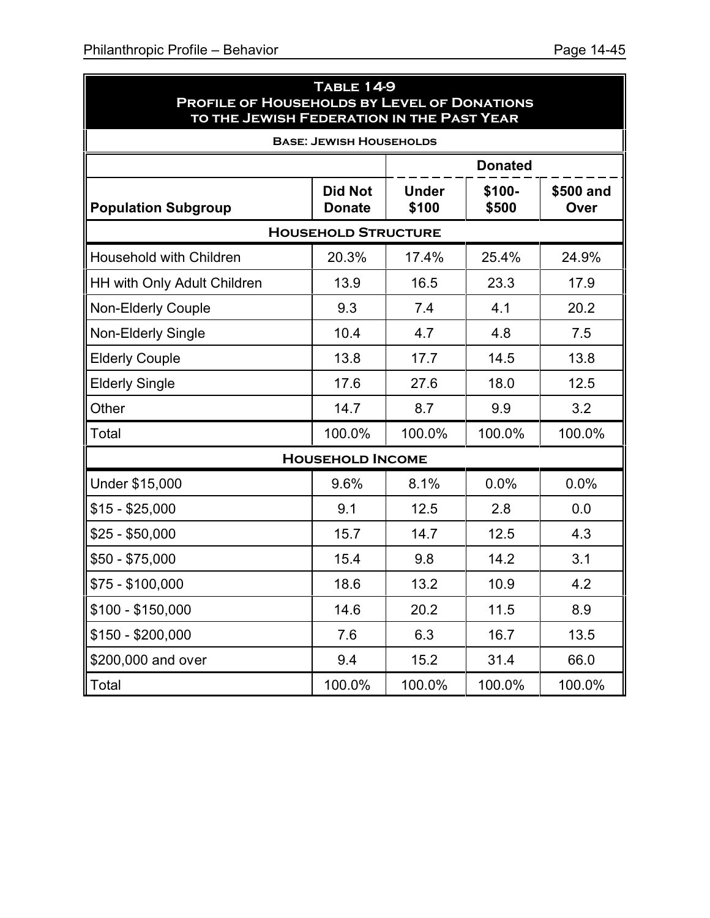ä

| <b>TABLE 14-9</b><br>PROFILE OF HOUSEHOLDS BY LEVEL OF DONATIONS<br>TO THE JEWISH FEDERATION IN THE PAST YEAR |                                 |                       |                 |                   |  |  |
|---------------------------------------------------------------------------------------------------------------|---------------------------------|-----------------------|-----------------|-------------------|--|--|
| <b>BASE: JEWISH HOUSEHOLDS</b>                                                                                |                                 |                       |                 |                   |  |  |
|                                                                                                               |                                 |                       | <b>Donated</b>  |                   |  |  |
| <b>Population Subgroup</b>                                                                                    | <b>Did Not</b><br><b>Donate</b> | <b>Under</b><br>\$100 | \$100-<br>\$500 | \$500 and<br>Over |  |  |
|                                                                                                               | <b>HOUSEHOLD STRUCTURE</b>      |                       |                 |                   |  |  |
| <b>Household with Children</b>                                                                                | 20.3%                           | 17.4%                 | 25.4%           | 24.9%             |  |  |
| HH with Only Adult Children                                                                                   | 13.9                            | 16.5                  | 23.3            | 17.9              |  |  |
| <b>Non-Elderly Couple</b>                                                                                     | 9.3                             | 7.4                   | 4.1             | 20.2              |  |  |
| <b>Non-Elderly Single</b>                                                                                     | 10.4                            | 4.7                   | 4.8             | 7.5               |  |  |
| <b>Elderly Couple</b>                                                                                         | 13.8                            | 17.7                  | 14.5            | 13.8              |  |  |
| <b>Elderly Single</b>                                                                                         | 17.6                            | 27.6                  | 18.0            | 12.5              |  |  |
| Other                                                                                                         | 14.7                            | 8.7                   | 9.9             | 3.2               |  |  |
| Total                                                                                                         | 100.0%                          | 100.0%                | 100.0%          | 100.0%            |  |  |
|                                                                                                               | <b>HOUSEHOLD INCOME</b>         |                       |                 |                   |  |  |
| Under \$15,000                                                                                                | 9.6%                            | 8.1%                  | 0.0%            | 0.0%              |  |  |
| $$15 - $25,000$                                                                                               | 9.1                             | 12.5                  | 2.8             | 0.0               |  |  |
| $$25 - $50,000$                                                                                               | 15.7                            | 14.7                  | 12.5            | 4.3               |  |  |
| $$50 - $75,000$                                                                                               | 15.4                            | 9.8                   | 14.2            | 3.1               |  |  |
| $$75 - $100,000$                                                                                              | 18.6                            | 13.2                  | 10.9            | 4.2               |  |  |
| $$100 - $150,000$                                                                                             | 14.6                            | 20.2                  | 11.5            | 8.9               |  |  |
| $$150 - $200,000$                                                                                             | 7.6                             | 6.3                   | 16.7            | 13.5              |  |  |
| \$200,000 and over                                                                                            | 9.4                             | 15.2                  | 31.4            | 66.0              |  |  |
| Total                                                                                                         | 100.0%                          | 100.0%                | 100.0%          | 100.0%            |  |  |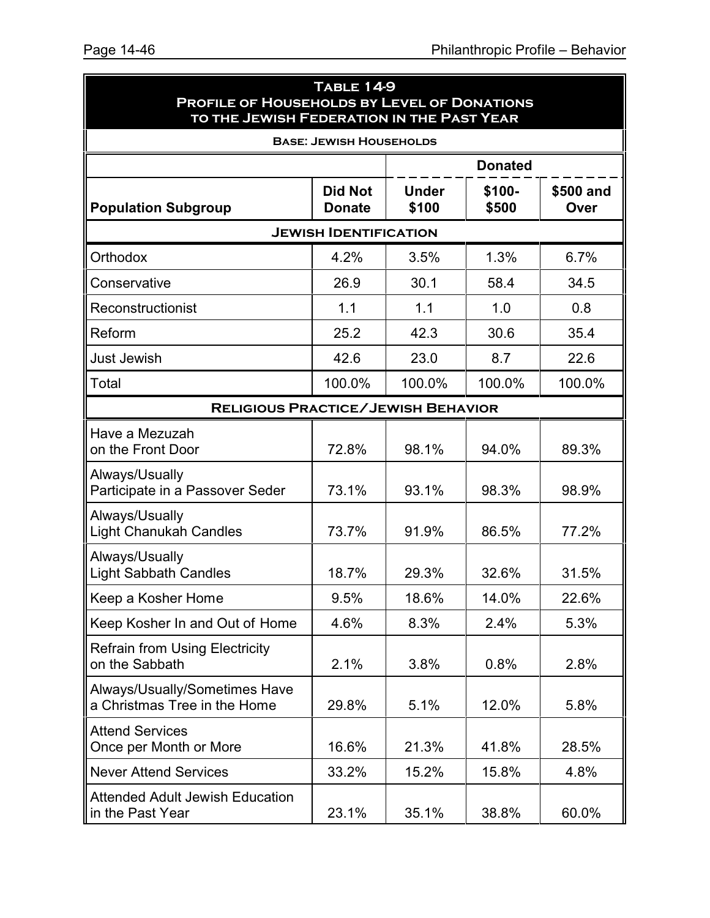| <b>TABLE 14-9</b><br>PROFILE OF HOUSEHOLDS BY LEVEL OF DONATIONS<br>TO THE JEWISH FEDERATION IN THE PAST YEAR |                                 |                       |                 |                   |  |  |
|---------------------------------------------------------------------------------------------------------------|---------------------------------|-----------------------|-----------------|-------------------|--|--|
|                                                                                                               | <b>BASE: JEWISH HOUSEHOLDS</b>  |                       |                 |                   |  |  |
|                                                                                                               |                                 |                       | <b>Donated</b>  |                   |  |  |
| <b>Population Subgroup</b>                                                                                    | <b>Did Not</b><br><b>Donate</b> | <b>Under</b><br>\$100 | \$100-<br>\$500 | \$500 and<br>Over |  |  |
| <b>JEWISH IDENTIFICATION</b>                                                                                  |                                 |                       |                 |                   |  |  |
| Orthodox                                                                                                      | 4.2%                            | 3.5%                  | 1.3%            | 6.7%              |  |  |
| Conservative                                                                                                  | 26.9                            | 30.1                  | 58.4            | 34.5              |  |  |
| Reconstructionist                                                                                             | 1.1                             | 1.1                   | 1.0             | 0.8               |  |  |
| Reform                                                                                                        | 25.2                            | 42.3                  | 30.6            | 35.4              |  |  |
| <b>Just Jewish</b>                                                                                            | 42.6                            | 23.0                  | 8.7             | 22.6              |  |  |
| Total                                                                                                         | 100.0%                          | 100.0%                | 100.0%          | 100.0%            |  |  |
| <b>RELIGIOUS PRACTICE/JEWISH BEHAVIOR</b>                                                                     |                                 |                       |                 |                   |  |  |
| Have a Mezuzah<br>on the Front Door                                                                           | 72.8%                           | 98.1%                 | 94.0%           | 89.3%             |  |  |
| Always/Usually<br>Participate in a Passover Seder                                                             | 73.1%                           | 93.1%                 | 98.3%           | 98.9%             |  |  |
| Always/Usually<br><b>Light Chanukah Candles</b>                                                               | 73.7%                           | 91.9%                 | 86.5%           | 77.2%             |  |  |
| Always/Usually<br><b>Light Sabbath Candles</b>                                                                | 18.7%                           | 29.3%                 | 32.6%           | 31.5%             |  |  |
| Keep a Kosher Home                                                                                            | 9.5%                            | 18.6%                 | 14.0%           | 22.6%             |  |  |
| Keep Kosher In and Out of Home                                                                                | 4.6%                            | 8.3%                  | 2.4%            | 5.3%              |  |  |
| <b>Refrain from Using Electricity</b><br>on the Sabbath                                                       | 2.1%                            | 3.8%                  | 0.8%            | 2.8%              |  |  |
| Always/Usually/Sometimes Have<br>a Christmas Tree in the Home                                                 | 29.8%                           | 5.1%                  | 12.0%           | 5.8%              |  |  |
| <b>Attend Services</b><br>Once per Month or More                                                              | 16.6%                           | 21.3%                 | 41.8%           | 28.5%             |  |  |
| <b>Never Attend Services</b>                                                                                  | 33.2%                           | 15.2%                 | 15.8%           | 4.8%              |  |  |
| <b>Attended Adult Jewish Education</b><br>in the Past Year                                                    | 23.1%                           | 35.1%                 | 38.8%           | 60.0%             |  |  |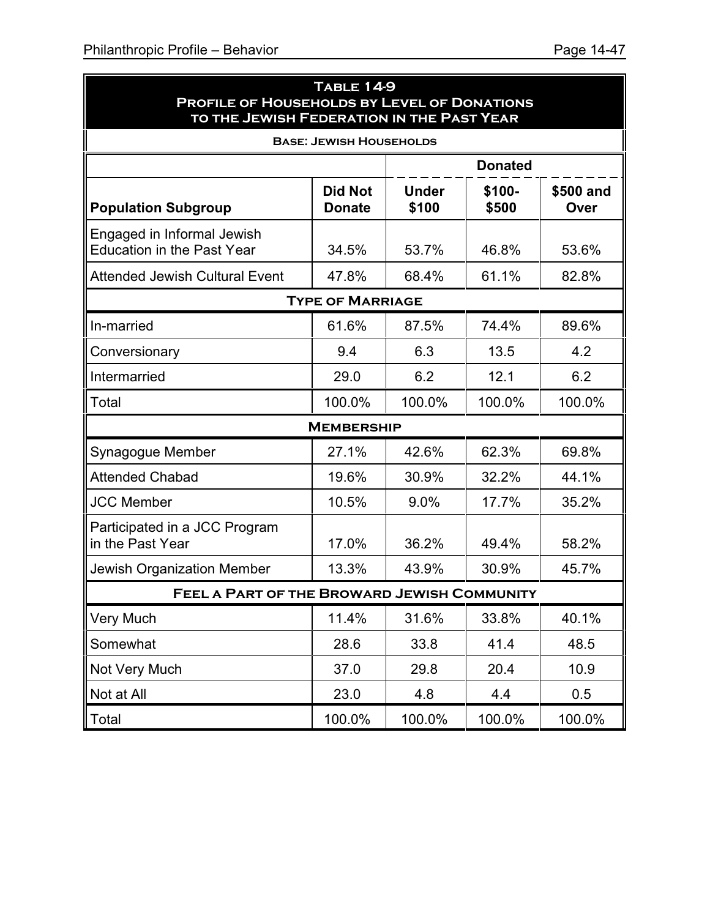| <b>TABLE 14-9</b><br>PROFILE OF HOUSEHOLDS BY LEVEL OF DONATIONS<br>TO THE JEWISH FEDERATION IN THE PAST YEAR |                                 |                       |                 |                   |  |  |
|---------------------------------------------------------------------------------------------------------------|---------------------------------|-----------------------|-----------------|-------------------|--|--|
|                                                                                                               | <b>BASE: JEWISH HOUSEHOLDS</b>  |                       |                 |                   |  |  |
|                                                                                                               |                                 |                       | <b>Donated</b>  |                   |  |  |
| <b>Population Subgroup</b>                                                                                    | <b>Did Not</b><br><b>Donate</b> | <b>Under</b><br>\$100 | \$100-<br>\$500 | \$500 and<br>Over |  |  |
| Engaged in Informal Jewish<br><b>Education in the Past Year</b>                                               | 34.5%                           | 53.7%                 | 46.8%           | 53.6%             |  |  |
| <b>Attended Jewish Cultural Event</b>                                                                         | 47.8%                           | 68.4%                 | 61.1%           | 82.8%             |  |  |
| <b>TYPE OF MARRIAGE</b>                                                                                       |                                 |                       |                 |                   |  |  |
| In-married                                                                                                    | 61.6%                           | 87.5%                 | 74.4%           | 89.6%             |  |  |
| Conversionary                                                                                                 | 9.4                             | 6.3                   | 13.5            | 4.2               |  |  |
| Intermarried                                                                                                  | 29.0                            | 6.2                   | 12.1            | 6.2               |  |  |
| Total                                                                                                         | 100.0%                          | 100.0%                | 100.0%          | 100.0%            |  |  |
|                                                                                                               | <b>MEMBERSHIP</b>               |                       |                 |                   |  |  |
| Synagogue Member                                                                                              | 27.1%                           | 42.6%                 | 62.3%           | 69.8%             |  |  |
| <b>Attended Chabad</b>                                                                                        | 19.6%                           | 30.9%                 | 32.2%           | 44.1%             |  |  |
| <b>JCC Member</b>                                                                                             | 10.5%                           | 9.0%                  | 17.7%           | 35.2%             |  |  |
| Participated in a JCC Program<br>in the Past Year                                                             | 17.0%                           | 36.2%                 | 49.4%           | 58.2%             |  |  |
| <b>Jewish Organization Member</b>                                                                             | 13.3%                           | 43.9%                 | 30.9%           | 45.7%             |  |  |
| FEEL A PART OF THE BROWARD JEWISH COMMUNITY                                                                   |                                 |                       |                 |                   |  |  |
| <b>Very Much</b>                                                                                              | 11.4%                           | 31.6%                 | 33.8%           | 40.1%             |  |  |
| Somewhat                                                                                                      | 28.6                            | 33.8                  | 41.4            | 48.5              |  |  |
| Not Very Much                                                                                                 | 37.0                            | 29.8                  | 20.4            | 10.9              |  |  |
| Not at All                                                                                                    | 23.0                            | 4.8                   | 4.4             | 0.5               |  |  |
| Total                                                                                                         | 100.0%                          | 100.0%                | 100.0%          | 100.0%            |  |  |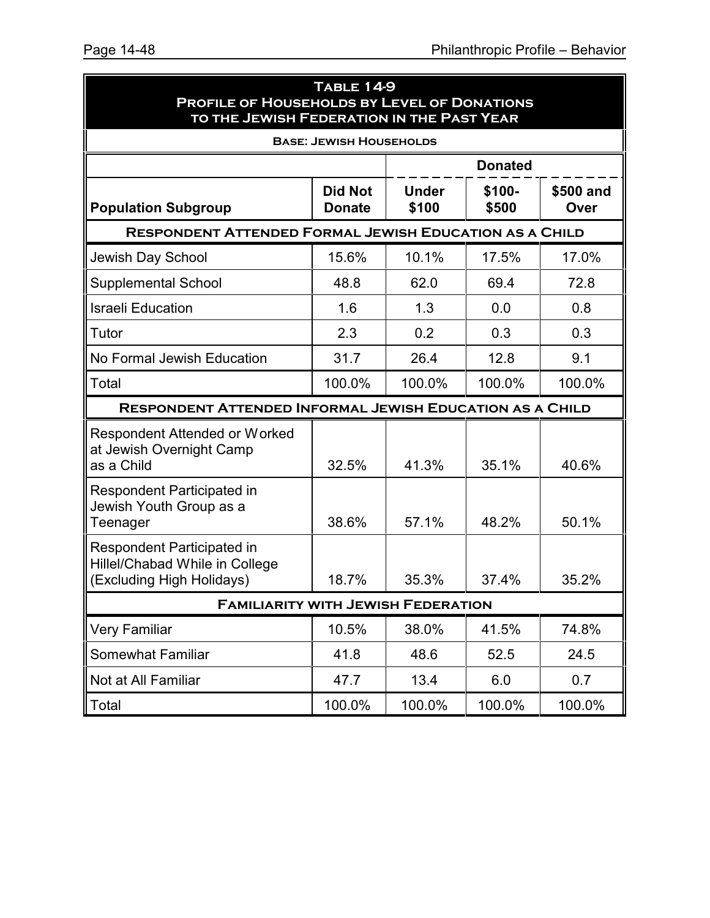| <b>TABLE 14-9</b><br>PROFILE OF HOUSEHOLDS BY LEVEL OF DONATIONS<br>TO THE JEWISH FEDERATION IN THE PAST YEAR |                                 |                       |                 |                   |
|---------------------------------------------------------------------------------------------------------------|---------------------------------|-----------------------|-----------------|-------------------|
| <b>BASE: JEWISH HOUSEHOLDS</b>                                                                                |                                 |                       |                 |                   |
|                                                                                                               |                                 |                       | <b>Donated</b>  |                   |
| <b>Population Subgroup</b>                                                                                    | <b>Did Not</b><br><b>Donate</b> | <b>Under</b><br>\$100 | \$100-<br>\$500 | \$500 and<br>Over |
| <b>RESPONDENT ATTENDED FORMAL JEWISH EDUCATION AS A CHILD</b>                                                 |                                 |                       |                 |                   |
| Jewish Day School                                                                                             | 15.6%                           | 10.1%                 | 17.5%           | 17.0%             |
| <b>Supplemental School</b>                                                                                    | 48.8                            | 62.0                  | 69.4            | 72.8              |
| <b>Israeli Education</b>                                                                                      | 1.6                             | 1.3                   | 0.0             | 0.8               |
| Tutor                                                                                                         | 2.3                             | 0.2                   | 0.3             | 0.3               |
| No Formal Jewish Education                                                                                    | 31.7                            | 26.4                  | 12.8            | 9.1               |
| Total                                                                                                         | 100.0%                          | 100.0%                | 100.0%          | 100.0%            |
| <b>RESPONDENT ATTENDED INFORMAL JEWISH EDUCATION AS A CHILD</b>                                               |                                 |                       |                 |                   |
| Respondent Attended or Worked<br>at Jewish Overnight Camp<br>as a Child                                       | 32.5%                           | 41.3%                 | 35.1%           | 40.6%             |
| <b>Respondent Participated in</b><br>Jewish Youth Group as a<br>Teenager                                      | 38.6%                           | 57.1%                 | 48.2%           | 50.1%             |
| <b>Respondent Participated in</b><br>Hillel/Chabad While in College<br>(Excluding High Holidays)              | 18.7%                           | 35.3%                 | 37.4%           | 35.2%             |
| <b>FAMILIARITY WITH JEWISH FEDERATION</b>                                                                     |                                 |                       |                 |                   |
| <b>Very Familiar</b>                                                                                          | 10.5%                           | 38.0%                 | 41.5%           | 74.8%             |
| <b>Somewhat Familiar</b>                                                                                      | 41.8                            | 48.6                  | 52.5            | 24.5              |
| Not at All Familiar                                                                                           | 47.7                            | 13.4                  | 6.0             | 0.7               |
| Total                                                                                                         | 100.0%                          | 100.0%                | 100.0%          | 100.0%            |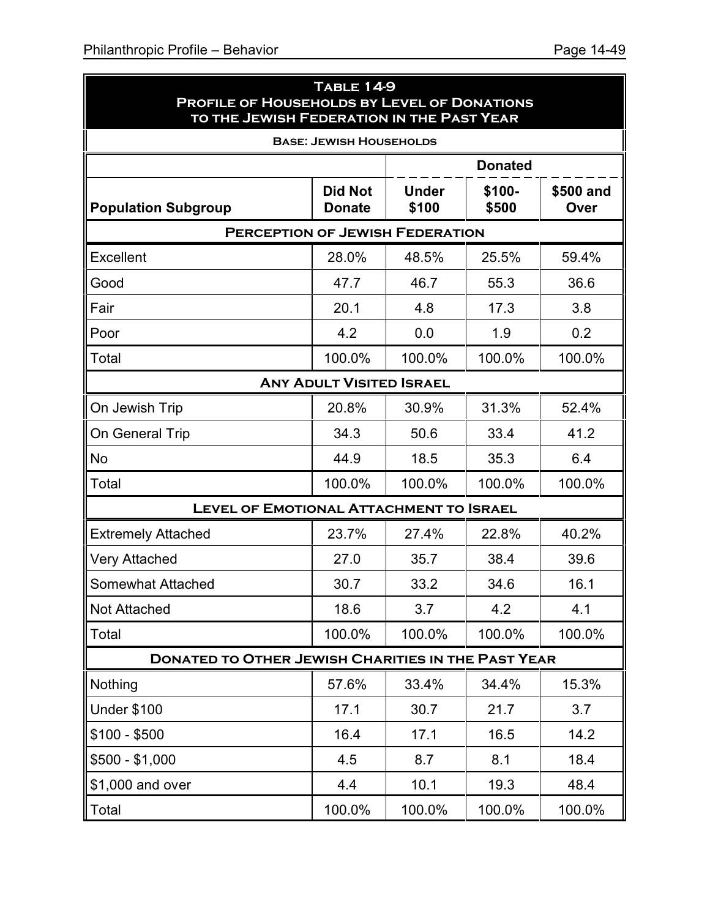$\blacksquare$ 

|                                                           | <b>TABLE 14-9</b><br>PROFILE OF HOUSEHOLDS BY LEVEL OF DONATIONS<br>TO THE JEWISH FEDERATION IN THE PAST YEAR |                       |                 |                   |  |
|-----------------------------------------------------------|---------------------------------------------------------------------------------------------------------------|-----------------------|-----------------|-------------------|--|
|                                                           | <b>BASE: JEWISH HOUSEHOLDS</b>                                                                                |                       |                 |                   |  |
|                                                           |                                                                                                               |                       | <b>Donated</b>  |                   |  |
| <b>Population Subgroup</b>                                | <b>Did Not</b><br><b>Donate</b>                                                                               | <b>Under</b><br>\$100 | \$100-<br>\$500 | \$500 and<br>Over |  |
|                                                           | <b>PERCEPTION OF JEWISH FEDERATION</b>                                                                        |                       |                 |                   |  |
| <b>Excellent</b>                                          | 28.0%                                                                                                         | 48.5%                 | 25.5%           | 59.4%             |  |
| Good                                                      | 47.7                                                                                                          | 46.7                  | 55.3            | 36.6              |  |
| Fair                                                      | 20.1                                                                                                          | 4.8                   | 17.3            | 3.8               |  |
| Poor                                                      | 4.2                                                                                                           | 0.0                   | 1.9             | 0.2               |  |
| Total                                                     | 100.0%                                                                                                        | 100.0%                | 100.0%          | 100.0%            |  |
| <b>ANY ADULT VISITED ISRAEL</b>                           |                                                                                                               |                       |                 |                   |  |
| On Jewish Trip                                            | 20.8%                                                                                                         | 30.9%                 | 31.3%           | 52.4%             |  |
| On General Trip                                           | 34.3                                                                                                          | 50.6                  | 33.4            | 41.2              |  |
| <b>No</b>                                                 | 44.9                                                                                                          | 18.5                  | 35.3            | 6.4               |  |
| Total                                                     | 100.0%                                                                                                        | 100.0%                | 100.0%          | 100.0%            |  |
|                                                           | <b>LEVEL OF EMOTIONAL ATTACHMENT TO ISRAEL</b>                                                                |                       |                 |                   |  |
| <b>Extremely Attached</b>                                 | 23.7%                                                                                                         | 27.4%                 | 22.8%           | 40.2%             |  |
| <b>Very Attached</b>                                      | 27.0                                                                                                          | 35.7                  | 38.4            | 39.6              |  |
| <b>Somewhat Attached</b>                                  | 30.7                                                                                                          | 33.2                  | 34.6            | 16.1              |  |
| <b>Not Attached</b>                                       | 18.6                                                                                                          | 3.7                   | 4.2             | 4.1               |  |
| Total                                                     | 100.0%                                                                                                        | 100.0%                | 100.0%          | 100.0%            |  |
| <b>DONATED TO OTHER JEWISH CHARITIES IN THE PAST YEAR</b> |                                                                                                               |                       |                 |                   |  |
| Nothing                                                   | 57.6%                                                                                                         | 33.4%                 | 34.4%           | 15.3%             |  |
| <b>Under \$100</b>                                        | 17.1                                                                                                          | 30.7                  | 21.7            | 3.7               |  |
| $$100 - $500$                                             | 16.4                                                                                                          | 17.1                  | 16.5            | 14.2              |  |
| $$500 - $1,000$                                           | 4.5                                                                                                           | 8.7                   | 8.1             | 18.4              |  |
| \$1,000 and over                                          | 4.4                                                                                                           | 10.1                  | 19.3            | 48.4              |  |
| Total                                                     | 100.0%                                                                                                        | 100.0%                | 100.0%          | 100.0%            |  |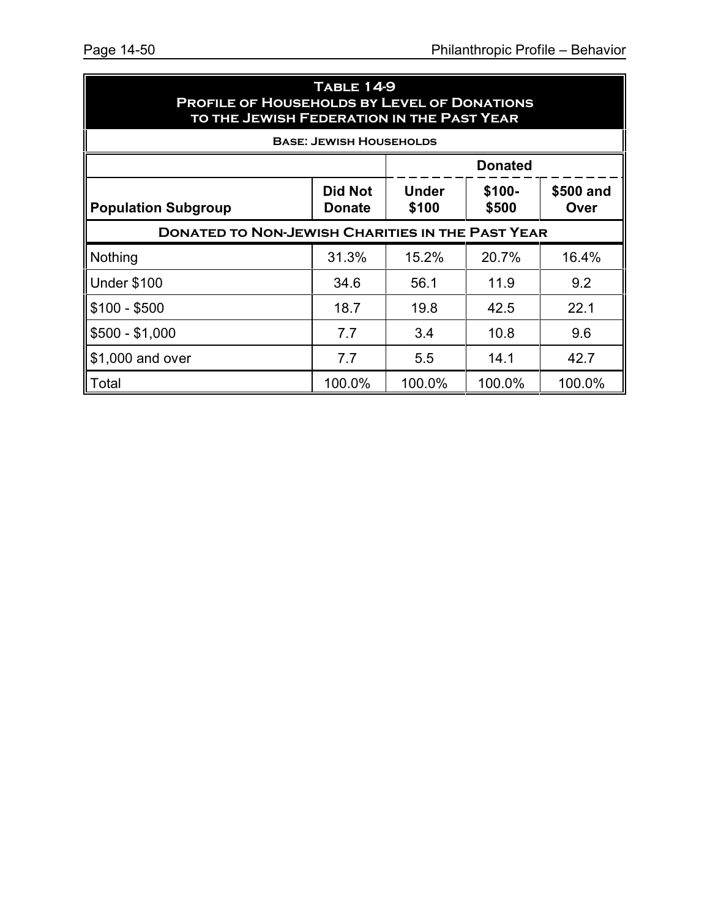| <b>TABLE 14-9</b><br><b>PROFILE OF HOUSEHOLDS BY LEVEL OF DONATIONS</b><br>TO THE JEWISH FEDERATION IN THE PAST YEAR           |                                |        |        |        |
|--------------------------------------------------------------------------------------------------------------------------------|--------------------------------|--------|--------|--------|
|                                                                                                                                | <b>BASE: JEWISH HOUSEHOLDS</b> |        |        |        |
| <b>Donated</b>                                                                                                                 |                                |        |        |        |
| \$100-<br><b>Did Not</b><br><b>Under</b><br>\$500 and<br>\$500<br>\$100<br><b>Population Subgroup</b><br>Over<br><b>Donate</b> |                                |        |        |        |
| <b>DONATED TO NON-JEWISH CHARITIES IN THE PAST YEAR</b>                                                                        |                                |        |        |        |
| Nothing                                                                                                                        | 31.3%                          | 15.2%  | 20.7%  | 16.4%  |
| <b>Under \$100</b>                                                                                                             | 34.6                           | 56.1   | 11.9   | 9.2    |
| $$100 - $500$                                                                                                                  | 18.7                           | 19.8   | 42.5   | 22.1   |
| $$500 - $1,000$                                                                                                                | 7.7                            | 3.4    | 10.8   | 9.6    |
| \$1,000 and over                                                                                                               | 7.7                            | 5.5    | 14.1   | 42.7   |
| Total                                                                                                                          | 100.0%                         | 100.0% | 100.0% | 100.0% |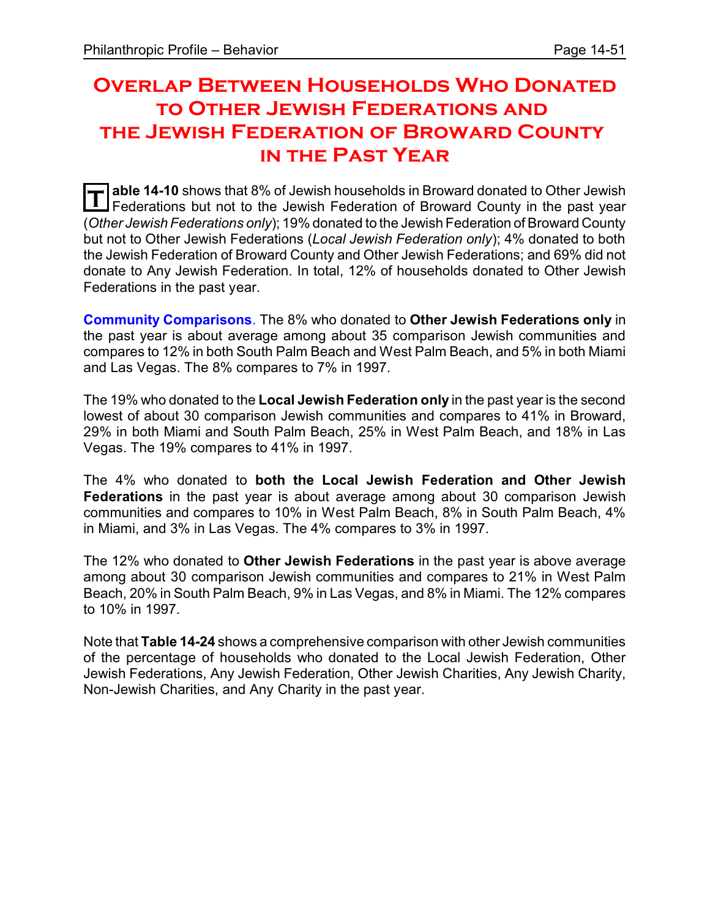# **Overlap Between Households Who Donated to Other Jewish Federations and the Jewish Federation of Broward County in the Past Year**

**T** able 14-10 shows that 8% of Jewish households in Broward donated to Other Jewish<br>Eodorations, but not to the Jowish Eodoration of Broward County in the past vear Federations but not to the Jewish Federation of Broward County in the past year (*Other Jewish Federations only*); 19% donated to the Jewish Federation of Broward County but not to Other Jewish Federations (*Local Jewish Federation only*); 4% donated to both the Jewish Federation of Broward County and Other Jewish Federations; and 69% did not donate to Any Jewish Federation. In total, 12% of households donated to Other Jewish Federations in the past year.

**Community Comparisons**. The 8% who donated to **Other Jewish Federations only** in the past year is about average among about 35 comparison Jewish communities and compares to 12% in both South Palm Beach and West Palm Beach, and 5% in both Miami and Las Vegas. The 8% compares to 7% in 1997.

The 19% who donated to the **Local Jewish Federation only** in the past year is the second lowest of about 30 comparison Jewish communities and compares to 41% in Broward, 29% in both Miami and South Palm Beach, 25% in West Palm Beach, and 18% in Las Vegas. The 19% compares to 41% in 1997.

The 4% who donated to **both the Local Jewish Federation and Other Jewish Federations** in the past year is about average among about 30 comparison Jewish communities and compares to 10% in West Palm Beach, 8% in South Palm Beach, 4% in Miami, and 3% in Las Vegas. The 4% compares to 3% in 1997.

The 12% who donated to **Other Jewish Federations** in the past year is above average among about 30 comparison Jewish communities and compares to 21% in West Palm Beach, 20% in South Palm Beach, 9% in Las Vegas, and 8% in Miami. The 12% compares to 10% in 1997.

Note that **Table 14-24** shows a comprehensive comparison with other Jewish communities of the percentage of households who donated to the Local Jewish Federation, Other Jewish Federations, Any Jewish Federation, Other Jewish Charities, Any Jewish Charity, Non-Jewish Charities, and Any Charity in the past year.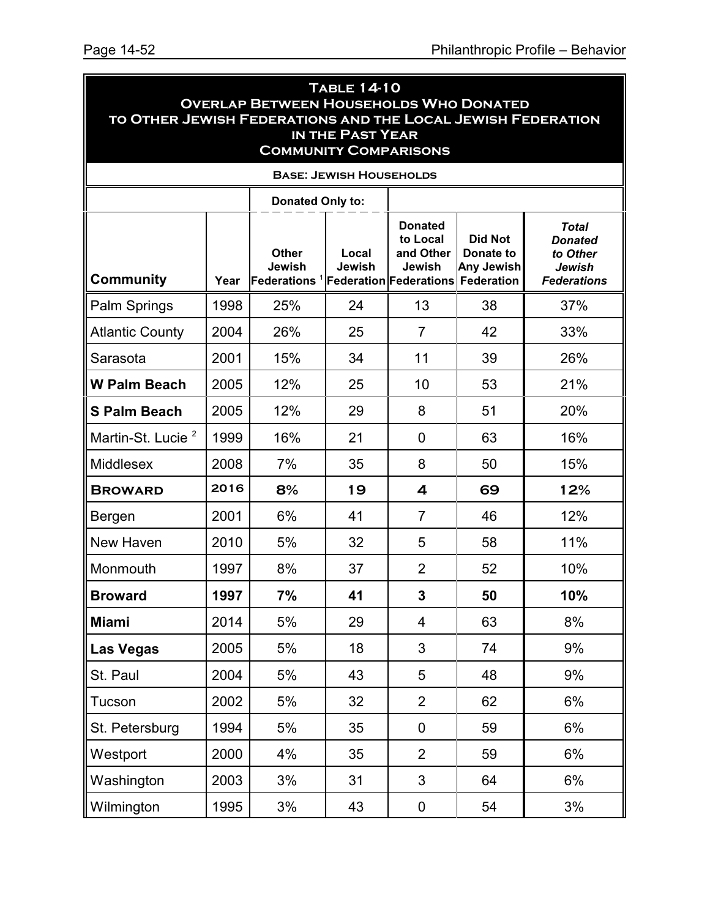| <b>TABLE 14-10</b><br><b>OVERLAP BETWEEN HOUSEHOLDS WHO DONATED</b><br>TO OTHER JEWISH FEDERATIONS AND THE LOCAL JEWISH FEDERATION<br>IN THE PAST YEAR<br><b>COMMUNITY COMPARISONS</b> |      |                                                                                 |                                |                                                   |                                                  |                                                                                   |  |
|----------------------------------------------------------------------------------------------------------------------------------------------------------------------------------------|------|---------------------------------------------------------------------------------|--------------------------------|---------------------------------------------------|--------------------------------------------------|-----------------------------------------------------------------------------------|--|
|                                                                                                                                                                                        |      |                                                                                 | <b>BASE: JEWISH HOUSEHOLDS</b> |                                                   |                                                  |                                                                                   |  |
| <b>Donated Only to:</b>                                                                                                                                                                |      |                                                                                 |                                |                                                   |                                                  |                                                                                   |  |
| <b>Community</b>                                                                                                                                                                       | Year | <b>Other</b><br>Jewish<br><b>Federations <sup>1</sup>Federation Federations</b> | Local<br>Jewish                | <b>Donated</b><br>to Local<br>and Other<br>Jewish | Did Not<br>Donate to<br>Any Jewish<br>Federation | <b>Total</b><br><b>Donated</b><br>to Other<br><b>Jewish</b><br><b>Federations</b> |  |
| Palm Springs                                                                                                                                                                           | 1998 | 25%                                                                             | 24                             | 13                                                | 38                                               | 37%                                                                               |  |
| <b>Atlantic County</b>                                                                                                                                                                 | 2004 | 26%                                                                             | 25                             | $\overline{7}$                                    | 42                                               | 33%                                                                               |  |
| Sarasota                                                                                                                                                                               | 2001 | 15%                                                                             | 34                             | 11                                                | 39                                               | 26%                                                                               |  |
| <b>W Palm Beach</b>                                                                                                                                                                    | 2005 | 12%                                                                             | 25                             | 10                                                | 53                                               | 21%                                                                               |  |
| <b>S Palm Beach</b>                                                                                                                                                                    | 2005 | 12%                                                                             | 29                             | 8                                                 | 51                                               | 20%                                                                               |  |
| Martin-St. Lucie <sup>2</sup>                                                                                                                                                          | 1999 | 16%                                                                             | 21                             | 0                                                 | 63                                               | 16%                                                                               |  |
| <b>Middlesex</b>                                                                                                                                                                       | 2008 | 7%                                                                              | 35                             | 8                                                 | 50                                               | 15%                                                                               |  |
| <b>BROWARD</b>                                                                                                                                                                         | 2016 | 8%                                                                              | 19                             | 4                                                 | 69                                               | 12%                                                                               |  |
| Bergen                                                                                                                                                                                 | 2001 | 6%                                                                              | 41                             | $\overline{7}$                                    | 46                                               | 12%                                                                               |  |
| New Haven                                                                                                                                                                              | 2010 | 5%                                                                              | 32                             | 5                                                 | 58                                               | 11%                                                                               |  |
| Monmouth                                                                                                                                                                               | 1997 | 8%                                                                              | 37                             | $\overline{2}$                                    | 52                                               | 10%                                                                               |  |
| <b>Broward</b>                                                                                                                                                                         | 1997 | 7%                                                                              | 41                             | 3                                                 | 50                                               | 10%                                                                               |  |
| <b>Miami</b>                                                                                                                                                                           | 2014 | 5%                                                                              | 29                             | 4                                                 | 63                                               | 8%                                                                                |  |
| <b>Las Vegas</b>                                                                                                                                                                       | 2005 | 5%                                                                              | 18                             | 3                                                 | 74                                               | 9%                                                                                |  |
| St. Paul                                                                                                                                                                               | 2004 | 5%                                                                              | 43                             | 5                                                 | 48                                               | 9%                                                                                |  |
| Tucson                                                                                                                                                                                 | 2002 | 5%                                                                              | 32                             | $\overline{2}$                                    | 62                                               | 6%                                                                                |  |
| St. Petersburg                                                                                                                                                                         | 1994 | 5%                                                                              | 35                             | $\mathbf 0$                                       | 59                                               | 6%                                                                                |  |
| Westport                                                                                                                                                                               | 2000 | 4%                                                                              | 35                             | $\overline{2}$                                    | 59                                               | 6%                                                                                |  |
| Washington                                                                                                                                                                             | 2003 | 3%                                                                              | 31                             | 3                                                 | 64                                               | 6%                                                                                |  |
| Wilmington                                                                                                                                                                             | 1995 | 3%                                                                              | 43                             | 0                                                 | 54                                               | 3%                                                                                |  |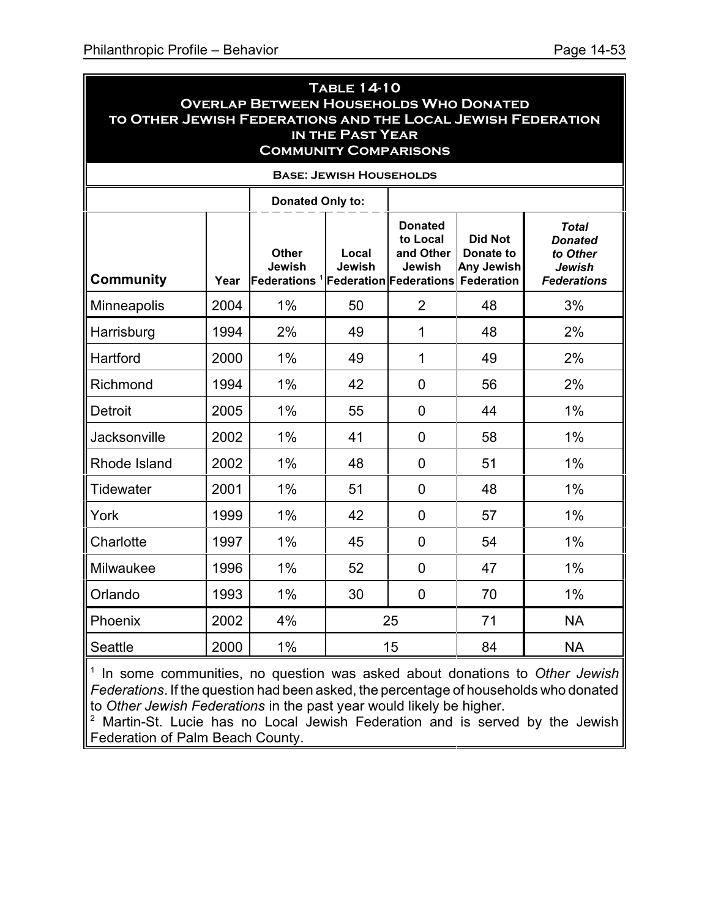| <b>TABLE 14-10</b><br><b>OVERLAP BETWEEN HOUSEHOLDS WHO DONATED</b><br>TO OTHER JEWISH FEDERATIONS AND THE LOCAL JEWISH FEDERATION<br>IN THE PAST YEAR<br><b>COMMUNITY COMPARISONS</b> |                                |                                           |                 |                                                                                    |                                                         |                                                                            |  |  |  |  |  |
|----------------------------------------------------------------------------------------------------------------------------------------------------------------------------------------|--------------------------------|-------------------------------------------|-----------------|------------------------------------------------------------------------------------|---------------------------------------------------------|----------------------------------------------------------------------------|--|--|--|--|--|
|                                                                                                                                                                                        | <b>BASE: JEWISH HOUSEHOLDS</b> |                                           |                 |                                                                                    |                                                         |                                                                            |  |  |  |  |  |
|                                                                                                                                                                                        |                                | <b>Donated Only to:</b>                   |                 |                                                                                    |                                                         |                                                                            |  |  |  |  |  |
| <b>Community</b>                                                                                                                                                                       | Year                           | <b>Other</b><br>Jewish<br>Federations $1$ | Local<br>Jewish | <b>Donated</b><br>to Local<br>and Other<br>Jewish<br><b>Federation Federations</b> | <b>Did Not</b><br>Donate to<br>Any Jewish<br>Federation | Total<br><b>Donated</b><br>to Other<br><b>Jewish</b><br><b>Federations</b> |  |  |  |  |  |
| Minneapolis                                                                                                                                                                            | 2004                           | 1%                                        | 50              | $\overline{2}$                                                                     | 48                                                      | 3%                                                                         |  |  |  |  |  |
| Harrisburg                                                                                                                                                                             | 1994                           | 2%                                        | 49              | $\mathbf 1$                                                                        | 48                                                      | 2%                                                                         |  |  |  |  |  |
| Hartford                                                                                                                                                                               | 2000                           | 1%                                        | 49              | $\mathbf 1$                                                                        | 49                                                      | 2%                                                                         |  |  |  |  |  |
| Richmond                                                                                                                                                                               | 1994                           | 1%                                        | 42              | $\overline{0}$                                                                     | 56                                                      | 2%                                                                         |  |  |  |  |  |
| <b>Detroit</b>                                                                                                                                                                         | 2005                           | $1\%$                                     | 55              | $\overline{0}$                                                                     | 44                                                      | 1%                                                                         |  |  |  |  |  |
| Jacksonville                                                                                                                                                                           | 2002                           | $1\%$                                     | 41              | $\overline{0}$                                                                     | 58                                                      | 1%                                                                         |  |  |  |  |  |
| Rhode Island                                                                                                                                                                           | 2002                           | 1%                                        | 48              | $\overline{0}$                                                                     | 51                                                      | 1%                                                                         |  |  |  |  |  |
| Tidewater                                                                                                                                                                              | 2001                           | 1%                                        | 51              | $\overline{0}$                                                                     | 48                                                      | $1\%$                                                                      |  |  |  |  |  |
| York                                                                                                                                                                                   | 1999                           | 1%                                        | 42              | $\overline{0}$                                                                     | 57                                                      | 1%                                                                         |  |  |  |  |  |
| Charlotte                                                                                                                                                                              | 1997                           | 1%                                        | 45              | $\overline{0}$                                                                     | 54                                                      | 1%                                                                         |  |  |  |  |  |
| Milwaukee                                                                                                                                                                              | 1996                           | 1%                                        | 52              | $\overline{0}$                                                                     | 47                                                      | $1\%$                                                                      |  |  |  |  |  |
| Orlando                                                                                                                                                                                | 1993                           | $1\%$                                     | 30              | $\overline{0}$                                                                     | 70                                                      | 1%                                                                         |  |  |  |  |  |
| Phoenix                                                                                                                                                                                | 2002                           | 4%                                        |                 | 25                                                                                 | 71                                                      | <b>NA</b>                                                                  |  |  |  |  |  |
| <b>Seattle</b>                                                                                                                                                                         | 2000                           | 1%                                        |                 | 15                                                                                 | 84                                                      | <b>NA</b>                                                                  |  |  |  |  |  |

1 In some communities, no question was asked about donations to *Other Jewish Federations*. If the question had been asked, the percentage of households who donated to *Other Jewish Federations* in the past year would likely be higher.

<sup>2</sup> Martin-St. Lucie has no Local Jewish Federation and is served by the Jewish Federation of Palm Beach County.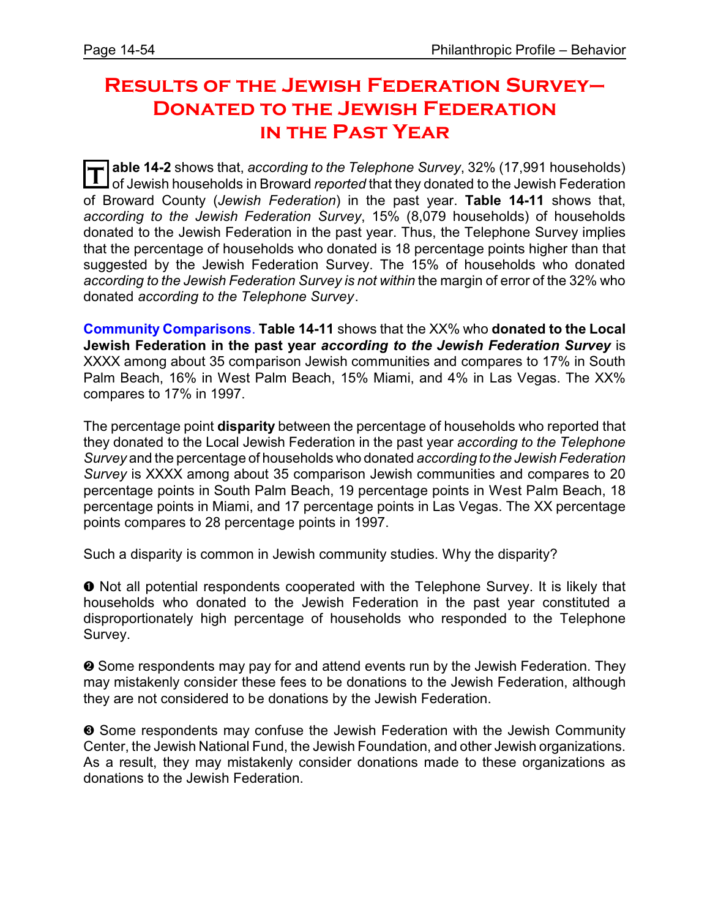# **Results of the Jewish Federation Survey– Donated to the Jewish Federation in the Past Year**

**T** able 14-2 shows that, *according to the Telephone Survey*, 32% (17,991 households) of Jewish households in Broward *reported* that they donated to the Jewish Federation of Broward County (*Jewish Federation*) in the past year. **Table 14-11** shows that, *according to the Jewish Federation Survey*, 15% (8,079 households) of households donated to the Jewish Federation in the past year. Thus, the Telephone Survey implies that the percentage of households who donated is 18 percentage points higher than that suggested by the Jewish Federation Survey. The 15% of households who donated *according to the Jewish Federation Survey is not within* the margin of error of the 32% who donated *according to the Telephone Survey*.

**Community Comparisons**. **Table 14-11** shows that the XX% who **donated to the Local Jewish Federation in the past year** *according to the Jewish Federation Survey* is XXXX among about 35 comparison Jewish communities and compares to 17% in South Palm Beach, 16% in West Palm Beach, 15% Miami, and 4% in Las Vegas. The XX% compares to 17% in 1997.

The percentage point **disparity** between the percentage of households who reported that they donated to the Local Jewish Federation in the past year *according to the Telephone Survey* and the percentage of households who donated *according to the Jewish Federation Survey* is XXXX among about 35 comparison Jewish communities and compares to 20 percentage points in South Palm Beach, 19 percentage points in West Palm Beach, 18 percentage points in Miami, and 17 percentage points in Las Vegas. The XX percentage points compares to 28 percentage points in 1997.

Such a disparity is common in Jewish community studies. Why the disparity?

 $\bullet$  Not all potential respondents cooperated with the Telephone Survey. It is likely that households who donated to the Jewish Federation in the past year constituted a disproportionately high percentage of households who responded to the Telephone Survey.

<sup>2</sup> Some respondents may pay for and attend events run by the Jewish Federation. They may mistakenly consider these fees to be donations to the Jewish Federation, although they are not considered to be donations by the Jewish Federation.

 $\odot$  Some respondents may confuse the Jewish Federation with the Jewish Community Center, the Jewish National Fund, the Jewish Foundation, and other Jewish organizations. As a result, they may mistakenly consider donations made to these organizations as donations to the Jewish Federation.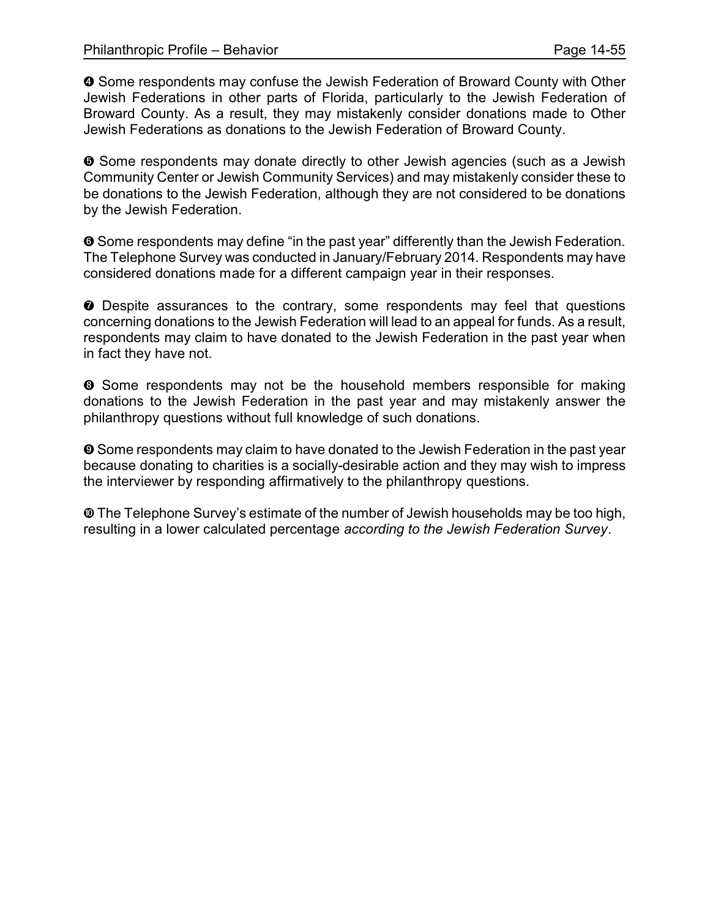$\bullet$  Some respondents may confuse the Jewish Federation of Broward County with Other Jewish Federations in other parts of Florida, particularly to the Jewish Federation of Broward County. As a result, they may mistakenly consider donations made to Other Jewish Federations as donations to the Jewish Federation of Broward County.

ð Some respondents may donate directly to other Jewish agencies (such as a Jewish Community Center or Jewish Community Services) and may mistakenly consider these to be donations to the Jewish Federation, although they are not considered to be donations by the Jewish Federation.

 $\odot$  Some respondents may define "in the past year" differently than the Jewish Federation. The Telephone Survey was conducted in January/February 2014. Respondents may have considered donations made for a different campaign year in their responses.

ò Despite assurances to the contrary, some respondents may feel that questions concerning donations to the Jewish Federation will lead to an appeal for funds. As a result, respondents may claim to have donated to the Jewish Federation in the past year when in fact they have not.

 $\odot$  Some respondents may not be the household members responsible for making donations to the Jewish Federation in the past year and may mistakenly answer the philanthropy questions without full knowledge of such donations.

 $\odot$  Some respondents may claim to have donated to the Jewish Federation in the past year because donating to charities is a socially-desirable action and they may wish to impress the interviewer by responding affirmatively to the philanthropy questions.

õ The Telephone Survey's estimate of the number of Jewish households may be too high, resulting in a lower calculated percentage *according to the Jewish Federation Survey*.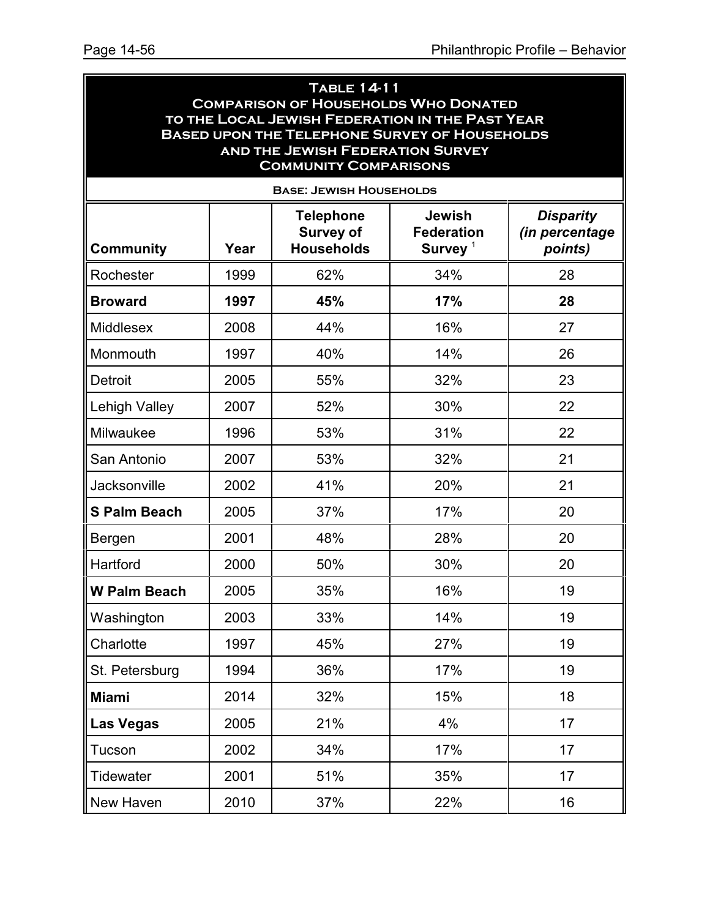#### **Table 14-11 Comparison of Households Who Donated to the Local Jewish Federation in the Past Year Based upon the Telephone Survey of Households and the Jewish Federation Survey Community Comparisons**

| <b>BASE: JEWISH HOUSEHOLDS</b> |      |                                                           |                                                  |                                               |  |  |  |
|--------------------------------|------|-----------------------------------------------------------|--------------------------------------------------|-----------------------------------------------|--|--|--|
| <b>Community</b>               | Year | <b>Telephone</b><br><b>Survey of</b><br><b>Households</b> | <b>Jewish</b><br><b>Federation</b><br>Survey $1$ | <b>Disparity</b><br>(in percentage<br>points) |  |  |  |
| Rochester                      | 1999 | 62%                                                       | 34%                                              | 28                                            |  |  |  |
| <b>Broward</b>                 | 1997 | 45%                                                       | 17%                                              | 28                                            |  |  |  |
| <b>Middlesex</b>               | 2008 | 44%                                                       | 16%                                              | 27                                            |  |  |  |
| Monmouth                       | 1997 | 40%                                                       | 14%                                              | 26                                            |  |  |  |
| <b>Detroit</b>                 | 2005 | 55%                                                       | 32%                                              | 23                                            |  |  |  |
| <b>Lehigh Valley</b>           | 2007 | 52%                                                       | 30%                                              | 22                                            |  |  |  |
| Milwaukee                      | 1996 | 53%                                                       | 31%                                              | 22                                            |  |  |  |
| San Antonio                    | 2007 | 53%                                                       | 32%                                              | 21                                            |  |  |  |
| <b>Jacksonville</b>            | 2002 | 41%                                                       | 20%                                              | 21                                            |  |  |  |
| <b>S Palm Beach</b>            | 2005 | 37%                                                       | 17%                                              | 20                                            |  |  |  |
| Bergen                         | 2001 | 48%                                                       | 28%                                              | 20                                            |  |  |  |
| Hartford                       | 2000 | 50%                                                       | 30%                                              | 20                                            |  |  |  |
| <b>W Palm Beach</b>            | 2005 | 35%                                                       | 16%                                              | 19                                            |  |  |  |
| Washington                     | 2003 | 33%                                                       | 14%                                              | 19                                            |  |  |  |
| Charlotte                      | 1997 | 45%                                                       | 27%                                              | 19                                            |  |  |  |
| St. Petersburg                 | 1994 | 36%                                                       | 17%                                              | 19                                            |  |  |  |
| <b>Miami</b>                   | 2014 | 32%                                                       | 15%                                              | 18                                            |  |  |  |
| <b>Las Vegas</b>               | 2005 | 21%                                                       | 4%                                               | 17                                            |  |  |  |
| Tucson                         | 2002 | 34%                                                       | 17%                                              | 17                                            |  |  |  |
| Tidewater                      | 2001 | 51%                                                       | 35%                                              | 17                                            |  |  |  |
| New Haven                      | 2010 | 37%                                                       | 22%                                              | 16                                            |  |  |  |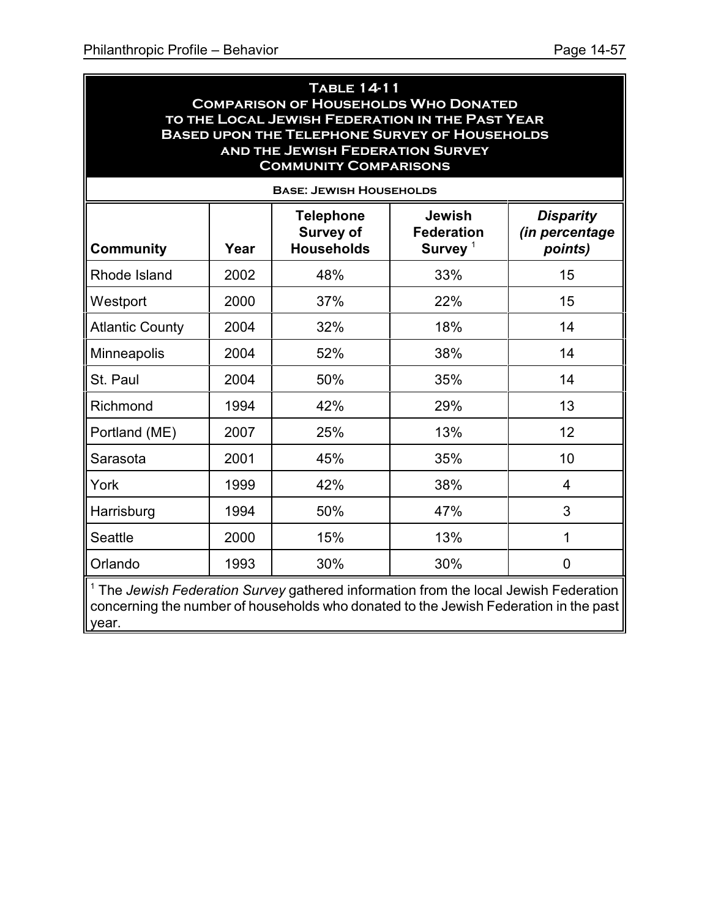#### **Table 14-11 Comparison of Households Who Donated to the Local Jewish Federation in the Past Year Based upon the Telephone Survey of Households and the Jewish Federation Survey Community Comparisons**

| <b>BASE: JEWISH HOUSEHOLDS</b> |      |                                                                                    |                                                           |                                                      |  |  |  |
|--------------------------------|------|------------------------------------------------------------------------------------|-----------------------------------------------------------|------------------------------------------------------|--|--|--|
| <b>Community</b>               | Year | <b>Telephone</b><br><b>Survey of</b><br><b>Households</b>                          | <b>Jewish</b><br><b>Federation</b><br>Survey <sup>1</sup> | <b>Disparity</b><br><i>(in percentage</i><br>points) |  |  |  |
| Rhode Island                   | 2002 | 48%                                                                                | 33%                                                       | 15                                                   |  |  |  |
| Westport                       | 2000 | 37%                                                                                | 22%                                                       | 15                                                   |  |  |  |
| <b>Atlantic County</b>         | 2004 | 32%                                                                                | 18%                                                       | 14                                                   |  |  |  |
| Minneapolis                    | 2004 | 52%                                                                                | 38%                                                       | 14                                                   |  |  |  |
| St. Paul                       | 2004 | 50%                                                                                | 35%                                                       | 14                                                   |  |  |  |
| Richmond                       | 1994 | 42%                                                                                | 29%                                                       | 13                                                   |  |  |  |
| Portland (ME)                  | 2007 | 25%                                                                                | 13%                                                       | 12                                                   |  |  |  |
| Sarasota                       | 2001 | 45%                                                                                | 35%                                                       | 10                                                   |  |  |  |
| York                           | 1999 | 42%                                                                                | 38%                                                       | 4                                                    |  |  |  |
| Harrisburg                     | 1994 | 50%                                                                                | 47%                                                       | 3                                                    |  |  |  |
| Seattle                        | 2000 | 15%                                                                                | 13%                                                       | 1                                                    |  |  |  |
| Orlando                        | 1993 | 30%                                                                                | 30%                                                       | 0                                                    |  |  |  |
|                                |      | The Jewish Federation Survey gathered information from the local Jewish Federation |                                                           |                                                      |  |  |  |

<sup>1</sup> The *Jewish Federation Survey* gathered information from the local Jewish Federation concerning the number of households who donated to the Jewish Federation in the past year.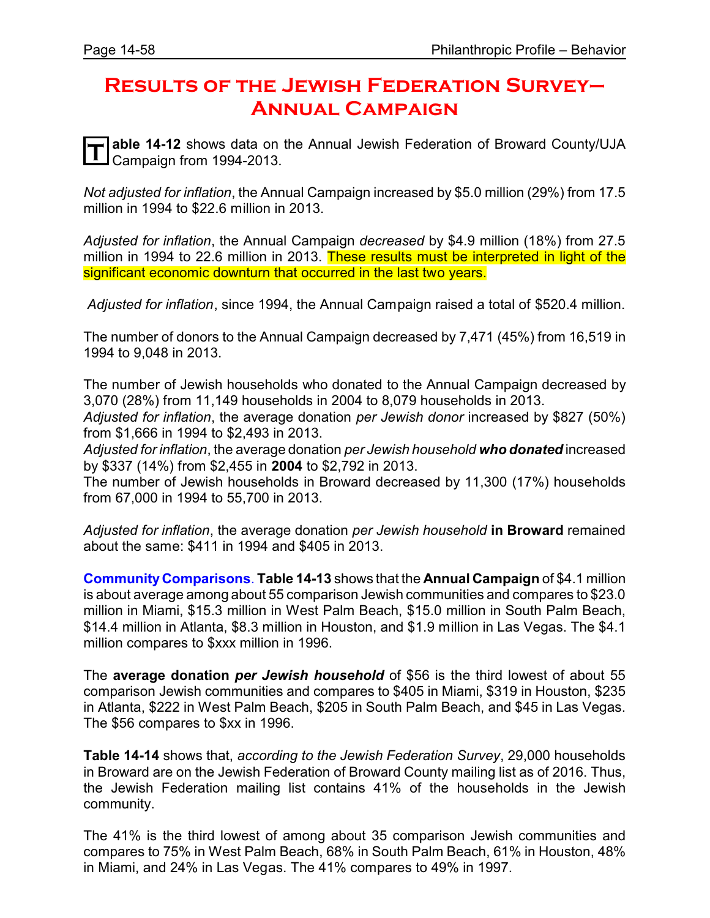# **Results of the Jewish Federation Survey– Annual Campaign**

**T** able 14-12 shows data on<br>Campaign from 1994-2013. **able 14-12** shows data on the Annual Jewish Federation of Broward County/UJA

*Not adjusted for inflation*, the Annual Campaign increased by \$5.0 million (29%) from 17.5 million in 1994 to \$22.6 million in 2013.

*Adjusted for inflation*, the Annual Campaign *decreased* by \$4.9 million (18%) from 27.5 million in 1994 to 22.6 million in 2013. These results must be interpreted in light of the significant economic downturn that occurred in the last two years.

 *Adjusted for inflation*, since 1994, the Annual Campaign raised a total of \$520.4 million.

The number of donors to the Annual Campaign decreased by 7,471 (45%) from 16,519 in 1994 to 9,048 in 2013.

The number of Jewish households who donated to the Annual Campaign decreased by 3,070 (28%) from 11,149 households in 2004 to 8,079 households in 2013.

*Adjusted for inflation*, the average donation *per Jewish donor* increased by \$827 (50%) from \$1,666 in 1994 to \$2,493 in 2013.

*Adjusted for inflation*, the average donation *per Jewish household who donated* increased by \$337 (14%) from \$2,455 in **2004** to \$2,792 in 2013.

The number of Jewish households in Broward decreased by 11,300 (17%) households from 67,000 in 1994 to 55,700 in 2013.

*Adjusted for inflation*, the average donation *per Jewish household* **in Broward** remained about the same: \$411 in 1994 and \$405 in 2013.

**CommunityComparisons**. **Table 14-13** shows that the **Annual Campaign** of \$4.1 million is about average among about 55 comparison Jewish communities and compares to \$23.0 million in Miami, \$15.3 million in West Palm Beach, \$15.0 million in South Palm Beach, \$14.4 million in Atlanta, \$8.3 million in Houston, and \$1.9 million in Las Vegas. The \$4.1 million compares to \$xxx million in 1996.

The **average donation** *per Jewish household* of \$56 is the third lowest of about 55 comparison Jewish communities and compares to \$405 in Miami, \$319 in Houston, \$235 in Atlanta, \$222 in West Palm Beach, \$205 in South Palm Beach, and \$45 in Las Vegas. The \$56 compares to \$xx in 1996.

**Table 14-14** shows that, *according to the Jewish Federation Survey*, 29,000 households in Broward are on the Jewish Federation of Broward County mailing list as of 2016. Thus, the Jewish Federation mailing list contains 41% of the households in the Jewish community.

The 41% is the third lowest of among about 35 comparison Jewish communities and compares to 75% in West Palm Beach, 68% in South Palm Beach, 61% in Houston, 48% in Miami, and 24% in Las Vegas. The 41% compares to 49% in 1997.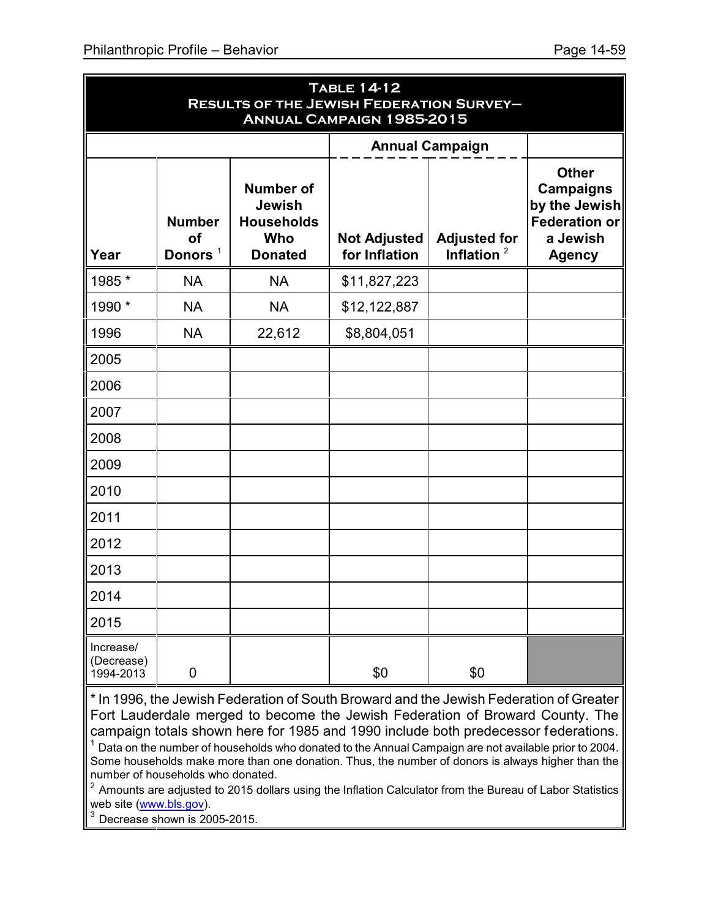|                                      | <b>TABLE 14-12</b><br><b>RESULTS OF THE JEWISH FEDERATION SURVEY-</b><br><b>ANNUAL CAMPAIGN 1985-2015</b> |                                                                          |                                      |                                       |                                                                                                        |  |  |  |
|--------------------------------------|-----------------------------------------------------------------------------------------------------------|--------------------------------------------------------------------------|--------------------------------------|---------------------------------------|--------------------------------------------------------------------------------------------------------|--|--|--|
|                                      |                                                                                                           |                                                                          |                                      | <b>Annual Campaign</b>                |                                                                                                        |  |  |  |
| Year                                 | <b>Number</b><br>of<br>Donors <sup>1</sup>                                                                | <b>Number of</b><br>Jewish<br><b>Households</b><br>Who<br><b>Donated</b> | <b>Not Adjusted</b><br>for Inflation | <b>Adjusted for</b><br>Inflation $^2$ | <b>Other</b><br><b>Campaigns</b><br>by the Jewish<br><b>Federation or</b><br>a Jewish<br><b>Agency</b> |  |  |  |
| 1985 *                               | <b>NA</b>                                                                                                 | <b>NA</b>                                                                | \$11,827,223                         |                                       |                                                                                                        |  |  |  |
| 1990 *                               | <b>NA</b>                                                                                                 | <b>NA</b>                                                                | \$12,122,887                         |                                       |                                                                                                        |  |  |  |
| 1996                                 | <b>NA</b>                                                                                                 | 22,612                                                                   | \$8,804,051                          |                                       |                                                                                                        |  |  |  |
| 2005                                 |                                                                                                           |                                                                          |                                      |                                       |                                                                                                        |  |  |  |
| 2006                                 |                                                                                                           |                                                                          |                                      |                                       |                                                                                                        |  |  |  |
| 2007                                 |                                                                                                           |                                                                          |                                      |                                       |                                                                                                        |  |  |  |
| 2008                                 |                                                                                                           |                                                                          |                                      |                                       |                                                                                                        |  |  |  |
| 2009                                 |                                                                                                           |                                                                          |                                      |                                       |                                                                                                        |  |  |  |
| 2010                                 |                                                                                                           |                                                                          |                                      |                                       |                                                                                                        |  |  |  |
| 2011                                 |                                                                                                           |                                                                          |                                      |                                       |                                                                                                        |  |  |  |
| 2012                                 |                                                                                                           |                                                                          |                                      |                                       |                                                                                                        |  |  |  |
| 2013                                 |                                                                                                           |                                                                          |                                      |                                       |                                                                                                        |  |  |  |
| 2014                                 |                                                                                                           |                                                                          |                                      |                                       |                                                                                                        |  |  |  |
| 2015                                 |                                                                                                           |                                                                          |                                      |                                       |                                                                                                        |  |  |  |
| Increase/<br>(Decrease)<br>1994-2013 | $\pmb{0}$                                                                                                 |                                                                          | \$0                                  | \$0                                   |                                                                                                        |  |  |  |

\* In 1996, the Jewish Federation of South Broward and the Jewish Federation of Greater Fort Lauderdale merged to become the Jewish Federation of Broward County. The campaign totals shown here for 1985 and 1990 include both predecessor federations.

<sup>1</sup> Data on the number of households who donated to the Annual Campaign are not available prior to 2004. Some households make more than one donation. Thus, the number of donors is always higher than the number of households who donated.

 $^{\rm 2}$  Amounts are adjusted to 2015 dollars using the Inflation Calculator from the Bureau of Labor Statistics web site [\(www.bls.gov](http://www.bls.gov))).

 $3$  Decrease shown is 2005-2015.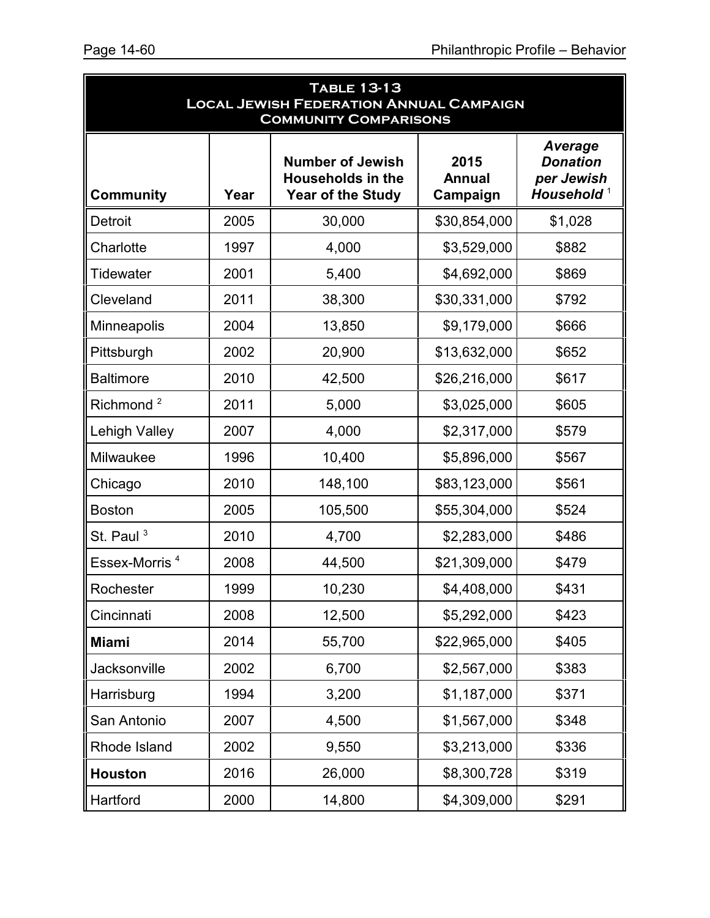| <b>TABLE 13-13</b><br><b>LOCAL JEWISH FEDERATION ANNUAL CAMPAIGN</b><br><b>COMMUNITY COMPARISONS</b> |      |                                                                                                                      |              |                                                                           |  |  |
|------------------------------------------------------------------------------------------------------|------|----------------------------------------------------------------------------------------------------------------------|--------------|---------------------------------------------------------------------------|--|--|
| <b>Community</b>                                                                                     | Year | <b>Number of Jewish</b><br>2015<br><b>Households in the</b><br><b>Annual</b><br><b>Year of the Study</b><br>Campaign |              | <b>Average</b><br><b>Donation</b><br>per Jewish<br>Household <sup>1</sup> |  |  |
| <b>Detroit</b>                                                                                       | 2005 | 30,000                                                                                                               | \$30,854,000 | \$1,028                                                                   |  |  |
| Charlotte                                                                                            | 1997 | 4,000                                                                                                                | \$3,529,000  | \$882                                                                     |  |  |
| <b>Tidewater</b>                                                                                     | 2001 | 5,400                                                                                                                | \$4,692,000  | \$869                                                                     |  |  |
| Cleveland                                                                                            | 2011 | 38,300                                                                                                               | \$30,331,000 | \$792                                                                     |  |  |
| Minneapolis                                                                                          | 2004 | 13,850                                                                                                               | \$9,179,000  | \$666                                                                     |  |  |
| Pittsburgh                                                                                           | 2002 | 20,900                                                                                                               | \$13,632,000 | \$652                                                                     |  |  |
| <b>Baltimore</b>                                                                                     | 2010 | 42,500                                                                                                               | \$26,216,000 | \$617                                                                     |  |  |
| Richmond <sup>2</sup>                                                                                | 2011 | 5,000                                                                                                                | \$3,025,000  | \$605                                                                     |  |  |
| <b>Lehigh Valley</b>                                                                                 | 2007 | 4,000                                                                                                                | \$2,317,000  | \$579                                                                     |  |  |
| Milwaukee                                                                                            | 1996 | 10,400                                                                                                               | \$5,896,000  | \$567                                                                     |  |  |
| Chicago                                                                                              | 2010 | 148,100                                                                                                              | \$83,123,000 | \$561                                                                     |  |  |
| <b>Boston</b>                                                                                        | 2005 | 105,500                                                                                                              | \$55,304,000 | \$524                                                                     |  |  |
| St. Paul <sup>3</sup>                                                                                | 2010 | 4,700                                                                                                                | \$2,283,000  | \$486                                                                     |  |  |
| Essex-Morris <sup>4</sup>                                                                            | 2008 | 44,500                                                                                                               | \$21,309,000 | \$479                                                                     |  |  |
| Rochester                                                                                            | 1999 | 10,230                                                                                                               | \$4,408,000  | \$431                                                                     |  |  |
| Cincinnati                                                                                           | 2008 | 12,500                                                                                                               | \$5,292,000  | \$423                                                                     |  |  |
| <b>Miami</b>                                                                                         | 2014 | 55,700                                                                                                               | \$22,965,000 | \$405                                                                     |  |  |
| Jacksonville                                                                                         | 2002 | 6,700                                                                                                                | \$2,567,000  | \$383                                                                     |  |  |
| Harrisburg                                                                                           | 1994 | 3,200                                                                                                                | \$1,187,000  | \$371                                                                     |  |  |
| San Antonio                                                                                          | 2007 | 4,500                                                                                                                | \$1,567,000  | \$348                                                                     |  |  |
| Rhode Island                                                                                         | 2002 | 9,550                                                                                                                | \$3,213,000  | \$336                                                                     |  |  |
| <b>Houston</b>                                                                                       | 2016 | 26,000                                                                                                               | \$8,300,728  | \$319                                                                     |  |  |
| Hartford                                                                                             | 2000 | 14,800                                                                                                               | \$4,309,000  | \$291                                                                     |  |  |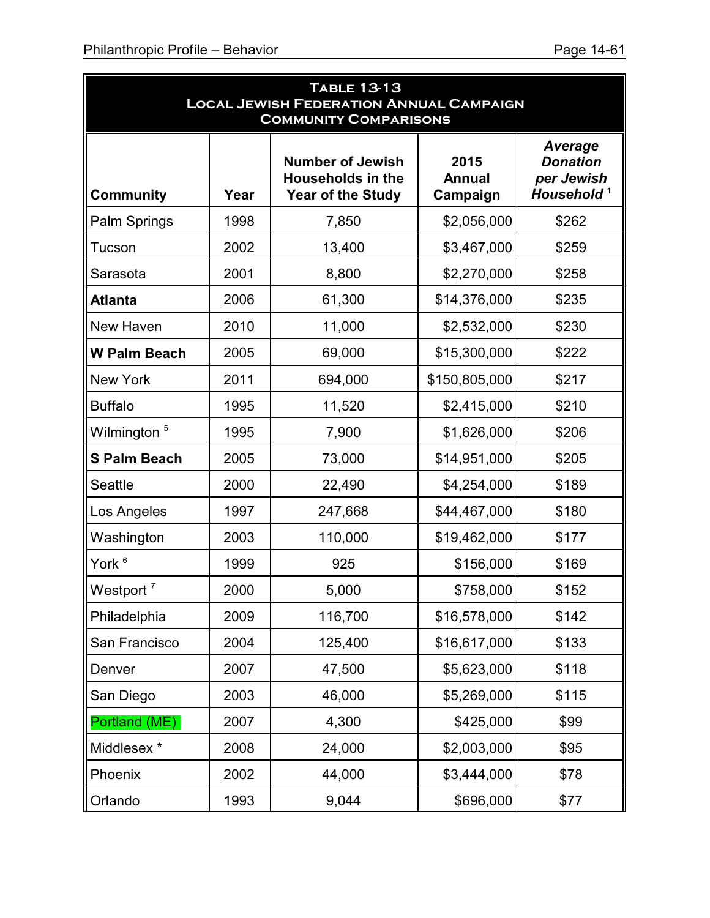| <b>TABLE 13-13</b><br><b>LOCAL JEWISH FEDERATION ANNUAL CAMPAIGN</b><br><b>COMMUNITY COMPARISONS</b> |      |                                                                                 |                                   |                                                                           |  |  |
|------------------------------------------------------------------------------------------------------|------|---------------------------------------------------------------------------------|-----------------------------------|---------------------------------------------------------------------------|--|--|
| <b>Community</b>                                                                                     | Year | <b>Number of Jewish</b><br><b>Households in the</b><br><b>Year of the Study</b> | 2015<br><b>Annual</b><br>Campaign | <b>Average</b><br><b>Donation</b><br>per Jewish<br>Household <sup>1</sup> |  |  |
| Palm Springs                                                                                         | 1998 | 7,850                                                                           | \$2,056,000                       | \$262                                                                     |  |  |
| Tucson                                                                                               | 2002 | 13,400                                                                          | \$3,467,000                       | \$259                                                                     |  |  |
| Sarasota                                                                                             | 2001 | 8,800                                                                           | \$2,270,000                       | \$258                                                                     |  |  |
| <b>Atlanta</b>                                                                                       | 2006 | 61,300                                                                          | \$14,376,000                      | \$235                                                                     |  |  |
| New Haven                                                                                            | 2010 | 11,000                                                                          | \$2,532,000                       | \$230                                                                     |  |  |
| <b>W Palm Beach</b>                                                                                  | 2005 | 69,000                                                                          | \$15,300,000                      | \$222                                                                     |  |  |
| <b>New York</b>                                                                                      | 2011 | 694,000                                                                         | \$150,805,000                     | \$217                                                                     |  |  |
| <b>Buffalo</b>                                                                                       | 1995 | 11,520                                                                          | \$2,415,000                       | \$210                                                                     |  |  |
| Wilmington <sup>5</sup>                                                                              | 1995 | 7,900                                                                           | \$1,626,000                       | \$206                                                                     |  |  |
| <b>S Palm Beach</b>                                                                                  | 2005 | 73,000                                                                          | \$14,951,000                      | \$205                                                                     |  |  |
| <b>Seattle</b>                                                                                       | 2000 | 22,490                                                                          | \$4,254,000                       | \$189                                                                     |  |  |
| Los Angeles                                                                                          | 1997 | 247,668                                                                         | \$44,467,000                      | \$180                                                                     |  |  |
| Washington                                                                                           | 2003 | 110,000                                                                         | \$19,462,000                      | \$177                                                                     |  |  |
| York <sup>6</sup>                                                                                    | 1999 | 925                                                                             | \$156,000                         | \$169                                                                     |  |  |
| Westport <sup>7</sup>                                                                                | 2000 | 5,000                                                                           | \$758,000                         | \$152                                                                     |  |  |
| Philadelphia                                                                                         | 2009 | 116,700                                                                         | \$16,578,000                      | \$142                                                                     |  |  |
| San Francisco                                                                                        | 2004 | 125,400                                                                         | \$16,617,000                      | \$133                                                                     |  |  |
| Denver                                                                                               | 2007 | 47,500                                                                          | \$5,623,000                       | \$118                                                                     |  |  |
| San Diego                                                                                            | 2003 | 46,000                                                                          | \$5,269,000                       | \$115                                                                     |  |  |
| Portland (ME)                                                                                        | 2007 | 4,300                                                                           | \$425,000                         | \$99                                                                      |  |  |
| Middlesex *                                                                                          | 2008 | 24,000                                                                          | \$2,003,000                       | \$95                                                                      |  |  |
| Phoenix                                                                                              | 2002 | 44,000                                                                          | \$3,444,000                       | \$78                                                                      |  |  |
| Orlando                                                                                              | 1993 | 9,044                                                                           | \$696,000                         | \$77                                                                      |  |  |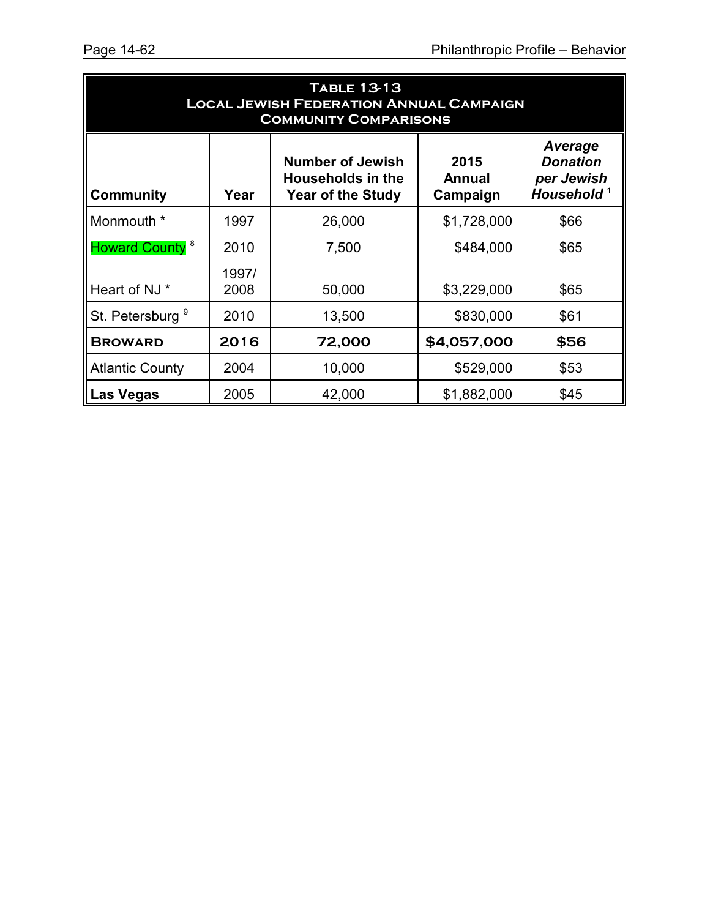| <b>TABLE 13-13</b><br><b>LOCAL JEWISH FEDERATION ANNUAL CAMPAIGN</b><br><b>COMMUNITY COMPARISONS</b> |               |                                                                                 |                                   |                                                                           |  |  |  |
|------------------------------------------------------------------------------------------------------|---------------|---------------------------------------------------------------------------------|-----------------------------------|---------------------------------------------------------------------------|--|--|--|
| <b>Community</b>                                                                                     | Year          | <b>Number of Jewish</b><br><b>Households in the</b><br><b>Year of the Study</b> | 2015<br><b>Annual</b><br>Campaign | <b>Average</b><br><b>Donation</b><br>per Jewish<br>Household <sup>1</sup> |  |  |  |
| Monmouth *                                                                                           | 1997          | 26,000                                                                          | \$1,728,000                       | \$66                                                                      |  |  |  |
| Howard County <sup>8</sup>                                                                           | 2010          | 7,500                                                                           | \$484,000                         | \$65                                                                      |  |  |  |
| Heart of NJ *                                                                                        | 1997/<br>2008 | 50,000                                                                          | \$3,229,000                       | \$65                                                                      |  |  |  |
| St. Petersburg <sup>9</sup>                                                                          | 2010          | 13,500                                                                          | \$830,000                         | \$61                                                                      |  |  |  |
| <b>BROWARD</b>                                                                                       | 2016          | 72,000                                                                          | \$4,057,000                       | \$56                                                                      |  |  |  |
| <b>Atlantic County</b>                                                                               | 2004          | 10,000                                                                          | \$529,000                         | \$53                                                                      |  |  |  |
| <b>Las Vegas</b>                                                                                     | 2005          | 42,000                                                                          | \$1,882,000                       | \$45                                                                      |  |  |  |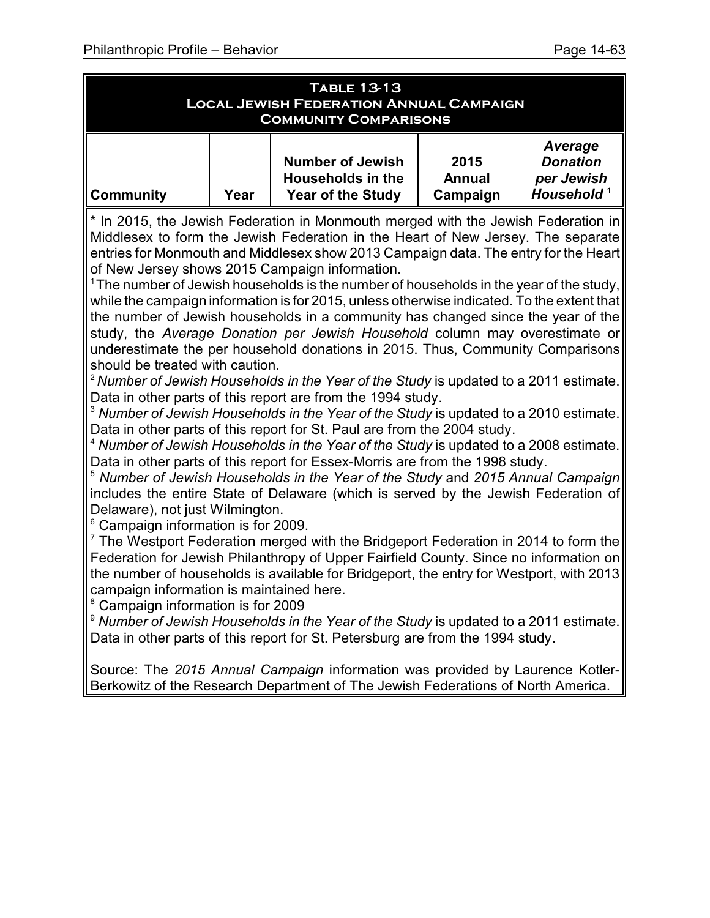| <b>TABLE 13-13</b><br><b>LOCAL JEWISH FEDERATION ANNUAL CAMPAIGN</b><br><b>COMMUNITY COMPARISONS</b> |                                                                                     |                                                                                 |                                   |                                                                    |  |  |  |
|------------------------------------------------------------------------------------------------------|-------------------------------------------------------------------------------------|---------------------------------------------------------------------------------|-----------------------------------|--------------------------------------------------------------------|--|--|--|
| <b>Community</b>                                                                                     | Year                                                                                | <b>Number of Jewish</b><br><b>Households in the</b><br><b>Year of the Study</b> | 2015<br><b>Annual</b><br>Campaign | Average<br><b>Donation</b><br>per Jewish<br>Household <sup>1</sup> |  |  |  |
|                                                                                                      | $*$ In 2015, the Jowish Eoderation in Monmouth merged with the Jowish Eoderation in |                                                                                 |                                   |                                                                    |  |  |  |

In 2015, the Jewish Federation in Monmouth merged with the Jewish Federation in Middlesex to form the Jewish Federation in the Heart of New Jersey. The separate entries for Monmouth and Middlesex show 2013 Campaign data. The entry for the Heart of New Jersey shows 2015 Campaign information.

 $1$ The number of Jewish households is the number of households in the year of the study, while the campaign information is for 2015, unless otherwise indicated. To the extent that the number of Jewish households in a community has changed since the year of the study, the *Average Donation per Jewish Household* column may overestimate or underestimate the per household donations in 2015. Thus, Community Comparisons should be treated with caution.

<sup>2</sup> *Number of Jewish Households in the Year of the Study* is updated to a 2011 estimate. Data in other parts of this report are from the 1994 study.

<sup>3</sup> Number of Jewish Households in the Year of the Study is updated to a 2010 estimate. Data in other parts of this report for St. Paul are from the 2004 study.

<sup>4</sup> *Number of Jewish Households in the Year of the Study* is updated to a 2008 estimate. Data in other parts of this report for Essex-Morris are from the 1998 study.

<sup>5</sup> *Number of Jewish Households in the Year of the Study* and *2015 Annual Campaign* includes the entire State of Delaware (which is served by the Jewish Federation of Delaware), not just Wilmington.

6 Campaign information is for 2009.

 $7$  The Westport Federation merged with the Bridgeport Federation in 2014 to form the Federation for Jewish Philanthropy of Upper Fairfield County. Since no information on the number of households is available for Bridgeport, the entry for Westport, with 2013 campaign information is maintained here.

8 Campaign information is for 2009

<sup>9</sup> Number of Jewish Households in the Year of the Study is updated to a 2011 estimate. Data in other parts of this report for St. Petersburg are from the 1994 study.

Source: The *2015 Annual Campaign* information was provided by Laurence Kotler-Berkowitz of the Research Department of The Jewish Federations of North America.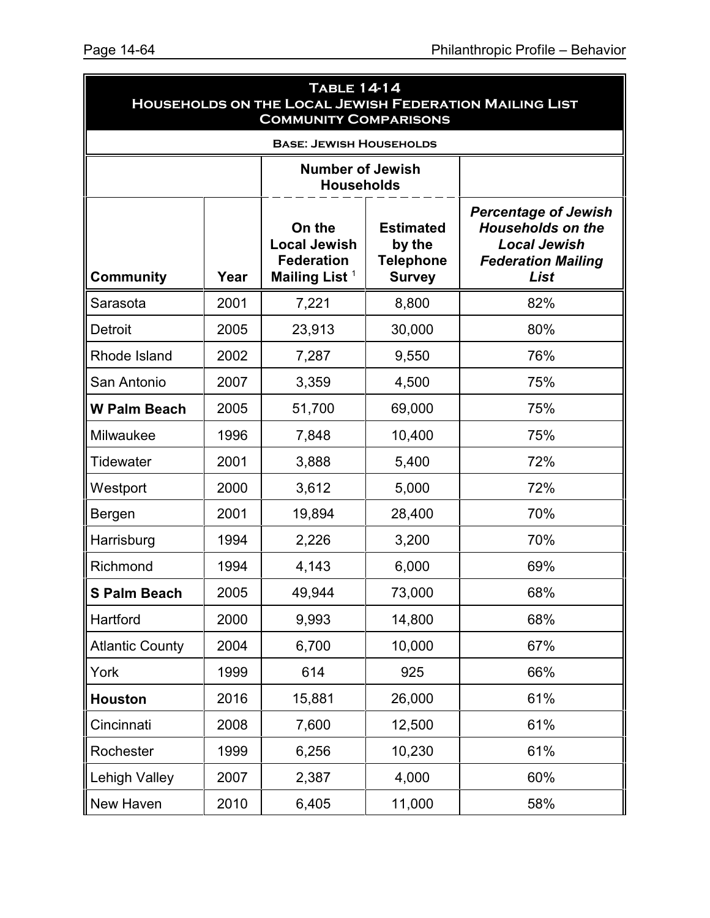| <b>TABLE 14-14</b><br>HOUSEHOLDS ON THE LOCAL JEWISH FEDERATION MAILING LIST<br><b>COMMUNITY COMPARISONS</b> |      |                                                                                 |                                                                 |                                                                                                                     |  |  |  |  |
|--------------------------------------------------------------------------------------------------------------|------|---------------------------------------------------------------------------------|-----------------------------------------------------------------|---------------------------------------------------------------------------------------------------------------------|--|--|--|--|
| <b>BASE: JEWISH HOUSEHOLDS</b>                                                                               |      |                                                                                 |                                                                 |                                                                                                                     |  |  |  |  |
| <b>Number of Jewish</b><br><b>Households</b>                                                                 |      |                                                                                 |                                                                 |                                                                                                                     |  |  |  |  |
| <b>Community</b>                                                                                             | Year | On the<br><b>Local Jewish</b><br><b>Federation</b><br>Mailing List <sup>1</sup> | <b>Estimated</b><br>by the<br><b>Telephone</b><br><b>Survey</b> | <b>Percentage of Jewish</b><br><b>Households on the</b><br><b>Local Jewish</b><br><b>Federation Mailing</b><br>List |  |  |  |  |
| Sarasota                                                                                                     | 2001 | 7,221                                                                           | 8,800                                                           | 82%                                                                                                                 |  |  |  |  |
| <b>Detroit</b>                                                                                               | 2005 | 23,913                                                                          | 30,000                                                          | 80%                                                                                                                 |  |  |  |  |
| Rhode Island                                                                                                 | 2002 | 7,287                                                                           | 9,550                                                           | 76%                                                                                                                 |  |  |  |  |
| San Antonio                                                                                                  | 2007 | 3,359                                                                           | 4,500                                                           | 75%                                                                                                                 |  |  |  |  |
| <b>W Palm Beach</b>                                                                                          | 2005 | 51,700                                                                          | 69,000                                                          | 75%                                                                                                                 |  |  |  |  |
| Milwaukee                                                                                                    | 1996 | 7,848                                                                           | 10,400                                                          | 75%                                                                                                                 |  |  |  |  |
| <b>Tidewater</b>                                                                                             | 2001 | 3,888                                                                           | 5,400                                                           | 72%                                                                                                                 |  |  |  |  |
| Westport                                                                                                     | 2000 | 3,612                                                                           | 5,000                                                           | 72%                                                                                                                 |  |  |  |  |
| Bergen                                                                                                       | 2001 | 19,894                                                                          | 28,400                                                          | 70%                                                                                                                 |  |  |  |  |
| Harrisburg                                                                                                   | 1994 | 2,226                                                                           | 3,200                                                           | 70%                                                                                                                 |  |  |  |  |
| Richmond                                                                                                     | 1994 | 4,143                                                                           | 6,000                                                           | 69%                                                                                                                 |  |  |  |  |
| <b>S Palm Beach</b>                                                                                          | 2005 | 49,944                                                                          | 73,000                                                          | 68%                                                                                                                 |  |  |  |  |
| Hartford                                                                                                     | 2000 | 9,993                                                                           | 14,800                                                          | 68%                                                                                                                 |  |  |  |  |
| <b>Atlantic County</b>                                                                                       | 2004 | 6,700                                                                           | 10,000                                                          | 67%                                                                                                                 |  |  |  |  |
| York                                                                                                         | 1999 | 614                                                                             | 925                                                             | 66%                                                                                                                 |  |  |  |  |
| <b>Houston</b>                                                                                               | 2016 | 15,881                                                                          | 26,000                                                          | 61%                                                                                                                 |  |  |  |  |
| Cincinnati                                                                                                   | 2008 | 7,600                                                                           | 12,500                                                          | 61%                                                                                                                 |  |  |  |  |
| Rochester                                                                                                    | 1999 | 6,256                                                                           | 10,230                                                          | 61%                                                                                                                 |  |  |  |  |
| Lehigh Valley                                                                                                | 2007 | 2,387                                                                           | 4,000                                                           | 60%                                                                                                                 |  |  |  |  |
| New Haven                                                                                                    | 2010 | 6,405                                                                           | 11,000                                                          | 58%                                                                                                                 |  |  |  |  |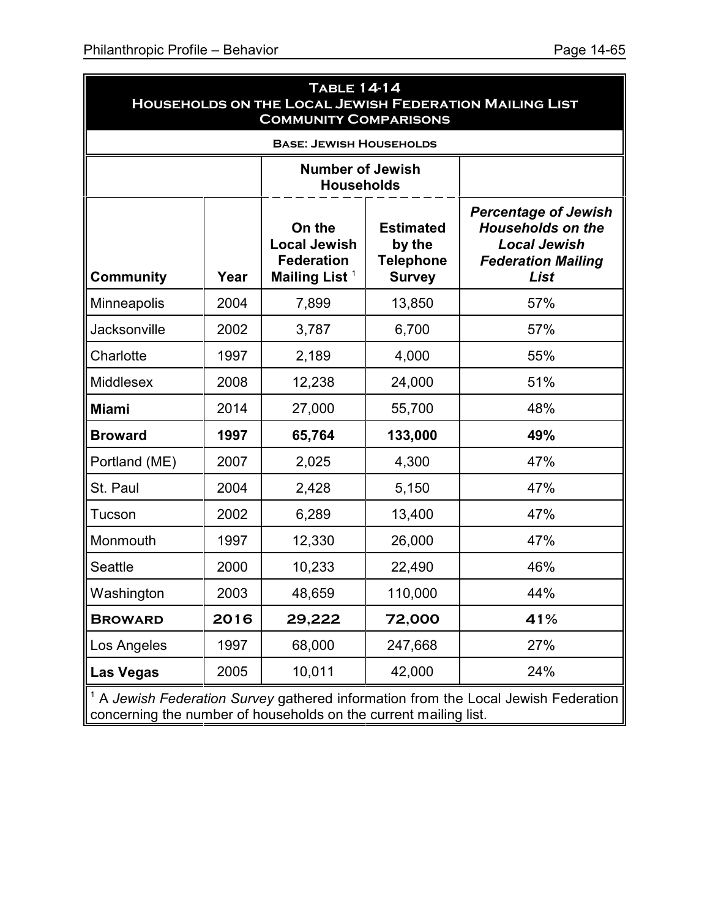| <b>TABLE 14-14</b><br>HOUSEHOLDS ON THE LOCAL JEWISH FEDERATION MAILING LIST<br><b>COMMUNITY COMPARISONS</b> |      |                                                                                 |                                                                 |                                                                                                                     |  |  |  |
|--------------------------------------------------------------------------------------------------------------|------|---------------------------------------------------------------------------------|-----------------------------------------------------------------|---------------------------------------------------------------------------------------------------------------------|--|--|--|
| <b>BASE: JEWISH HOUSEHOLDS</b>                                                                               |      |                                                                                 |                                                                 |                                                                                                                     |  |  |  |
|                                                                                                              |      | <b>Number of Jewish</b><br><b>Households</b>                                    |                                                                 |                                                                                                                     |  |  |  |
| <b>Community</b>                                                                                             | Year | On the<br><b>Local Jewish</b><br><b>Federation</b><br>Mailing List <sup>1</sup> | <b>Estimated</b><br>by the<br><b>Telephone</b><br><b>Survey</b> | <b>Percentage of Jewish</b><br><b>Households on the</b><br><b>Local Jewish</b><br><b>Federation Mailing</b><br>List |  |  |  |
| Minneapolis                                                                                                  | 2004 | 7,899                                                                           | 13,850                                                          | 57%                                                                                                                 |  |  |  |
| Jacksonville                                                                                                 | 2002 | 3,787                                                                           | 6,700                                                           | 57%                                                                                                                 |  |  |  |
| Charlotte                                                                                                    | 1997 | 2,189                                                                           | 4,000                                                           | 55%                                                                                                                 |  |  |  |
| Middlesex                                                                                                    | 2008 | 12,238                                                                          | 24,000                                                          | 51%                                                                                                                 |  |  |  |
| <b>Miami</b>                                                                                                 | 2014 | 27,000                                                                          | 55,700                                                          | 48%                                                                                                                 |  |  |  |
| <b>Broward</b>                                                                                               | 1997 | 65,764                                                                          | 133,000                                                         | 49%                                                                                                                 |  |  |  |
| Portland (ME)                                                                                                | 2007 | 2,025                                                                           | 4,300                                                           | 47%                                                                                                                 |  |  |  |
| St. Paul                                                                                                     | 2004 | 2,428                                                                           | 5,150                                                           | 47%                                                                                                                 |  |  |  |
| Tucson                                                                                                       | 2002 | 6,289                                                                           | 13,400                                                          | 47%                                                                                                                 |  |  |  |
| Monmouth                                                                                                     | 1997 | 12,330                                                                          | 26,000                                                          | 47%                                                                                                                 |  |  |  |
| <b>Seattle</b>                                                                                               | 2000 | 10,233                                                                          | 22,490                                                          | 46%                                                                                                                 |  |  |  |
| Washington                                                                                                   | 2003 | 48,659                                                                          | 110,000                                                         | 44%                                                                                                                 |  |  |  |
| <b>BROWARD</b>                                                                                               | 2016 | 29,222                                                                          | 72,000                                                          | 41%                                                                                                                 |  |  |  |
| Los Angeles                                                                                                  | 1997 | 68,000                                                                          | 247,668                                                         | 27%                                                                                                                 |  |  |  |
| <b>Las Vegas</b>                                                                                             | 2005 | 10,011                                                                          | 42,000                                                          | 24%                                                                                                                 |  |  |  |

<sup>1</sup> A *Jewish Federation Survey* gathered information from the Local Jewish Federation concerning the number of households on the current mailing list.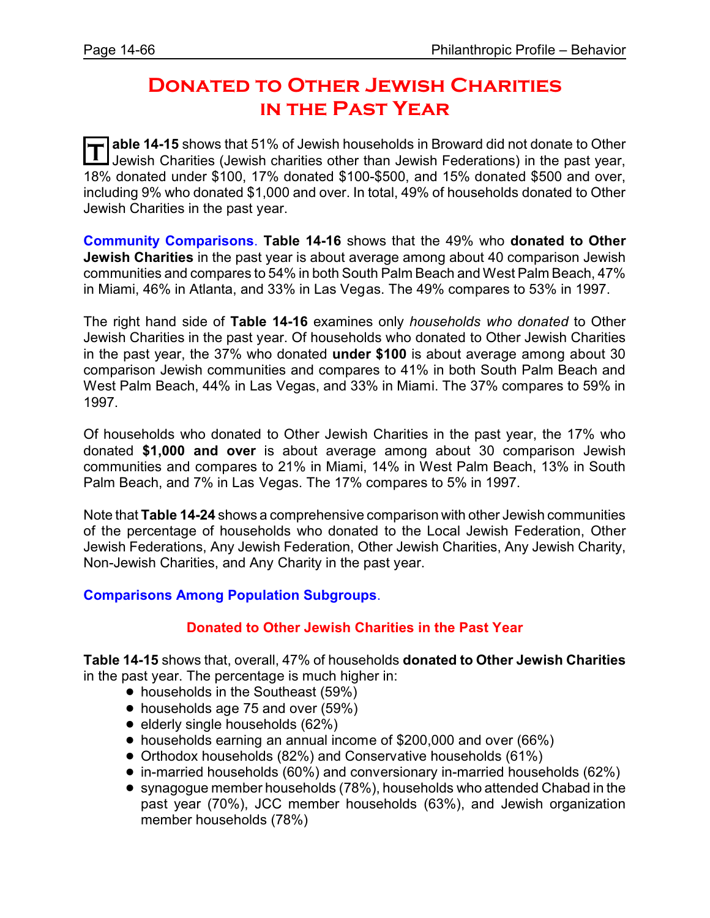# **Donated to Other Jewish Charities in the Past Year**

**T** able 14-15 shows that 51% of Jewish households in Broward did not donate to Other Jewish Charities (Jewish charities other than Jewish Federations) in the past year, 18% donated under \$100, 17% donated \$100-\$500, and 15% donated \$500 and over, including 9% who donated \$1,000 and over. In total, 49% of households donated to Other Jewish Charities in the past year.

**Community Comparisons**. **Table 14-16** shows that the 49% who **donated to Other Jewish Charities** in the past year is about average among about 40 comparison Jewish communities and compares to 54% in both South Palm Beach and West Palm Beach, 47% in Miami, 46% in Atlanta, and 33% in Las Vegas. The 49% compares to 53% in 1997.

The right hand side of **Table 14-16** examines only *households who donated* to Other Jewish Charities in the past year. Of households who donated to Other Jewish Charities in the past year, the 37% who donated **under \$100** is about average among about 30 comparison Jewish communities and compares to 41% in both South Palm Beach and West Palm Beach, 44% in Las Vegas, and 33% in Miami. The 37% compares to 59% in 1997.

Of households who donated to Other Jewish Charities in the past year, the 17% who donated **\$1,000 and over** is about average among about 30 comparison Jewish communities and compares to 21% in Miami, 14% in West Palm Beach, 13% in South Palm Beach, and 7% in Las Vegas. The 17% compares to 5% in 1997.

Note that **Table 14-24** shows a comprehensive comparison with other Jewish communities of the percentage of households who donated to the Local Jewish Federation, Other Jewish Federations, Any Jewish Federation, Other Jewish Charities, Any Jewish Charity, Non-Jewish Charities, and Any Charity in the past year.

### **Comparisons Among Population Subgroups**.

### **Donated to Other Jewish Charities in the Past Year**

**Table 14-15** shows that, overall, 47% of households **donated to Other Jewish Charities** in the past year. The percentage is much higher in:

- households in the Southeast (59%)
- households age 75 and over (59%)
- $\bullet$  elderly single households (62%)
- ! households earning an annual income of \$200,000 and over (66%)
- ! Orthodox households (82%) and Conservative households (61%)
- ! in-married households (60%) and conversionary in-married households (62%)
- ! synagogue member households (78%), households who attended Chabad in the past year (70%), JCC member households (63%), and Jewish organization member households (78%)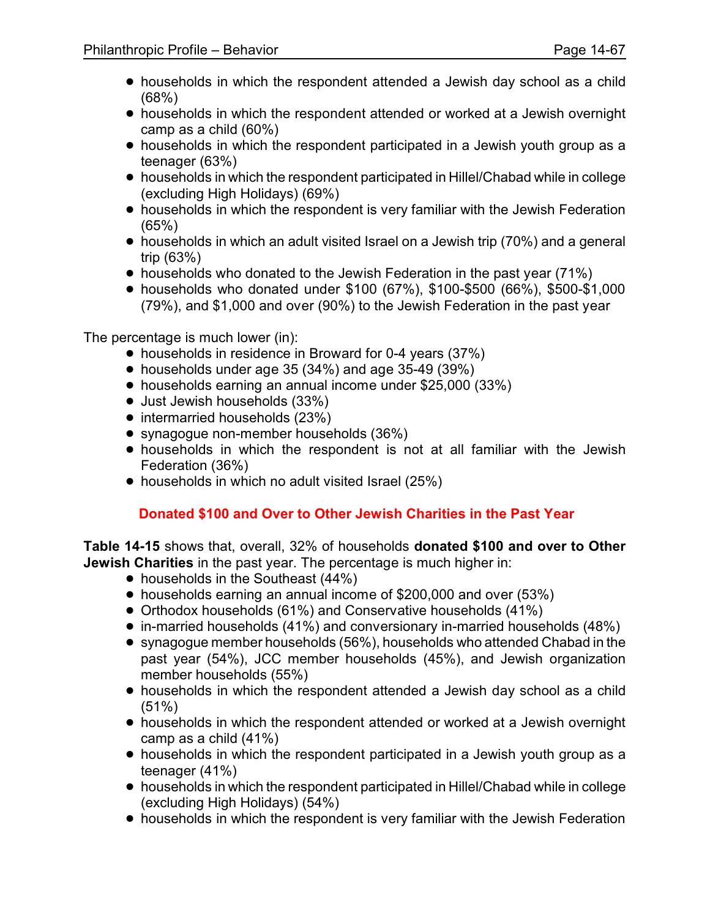- households in which the respondent attended a Jewish day school as a child (68%)
- ! households in which the respondent attended or worked at a Jewish overnight camp as a child (60%)
- households in which the respondent participated in a Jewish youth group as a teenager (63%)
- ! households in which the respondent participated in Hillel/Chabad while in college (excluding High Holidays) (69%)
- ! households in which the respondent is very familiar with the Jewish Federation (65%)
- $\bullet$  households in which an adult visited Israel on a Jewish trip (70%) and a general trip (63%)
- households who donated to the Jewish Federation in the past year (71%)
- ! households who donated under \$100 (67%), \$100-\$500 (66%), \$500-\$1,000 (79%), and \$1,000 and over (90%) to the Jewish Federation in the past year

The percentage is much lower (in):

- households in residence in Broward for 0-4 years (37%)
- $\bullet$  households under age 35 (34%) and age 35-49 (39%)
- households earning an annual income under \$25,000 (33%)
- Just Jewish households (33%)
- intermarried households (23%)
- synagogue non-member households (36%)
- ! households in which the respondent is not at all familiar with the Jewish Federation (36%)
- households in which no adult visited Israel (25%)

# **Donated \$100 and Over to Other Jewish Charities in the Past Year**

**Table 14-15** shows that, overall, 32% of households **donated \$100 and over to Other Jewish Charities** in the past year. The percentage is much higher in:

- $\bullet$  households in the Southeast (44%)
- ! households earning an annual income of \$200,000 and over (53%)
- Orthodox households (61%) and Conservative households (41%)
- ! in-married households (41%) and conversionary in-married households (48%)
- ! synagogue member households (56%), households who attended Chabad in the past year (54%), JCC member households (45%), and Jewish organization member households (55%)
- households in which the respondent attended a Jewish day school as a child (51%)
- households in which the respondent attended or worked at a Jewish overnight camp as a child (41%)
- households in which the respondent participated in a Jewish youth group as a teenager (41%)
- ! households in which the respondent participated in Hillel/Chabad while in college (excluding High Holidays) (54%)
- households in which the respondent is very familiar with the Jewish Federation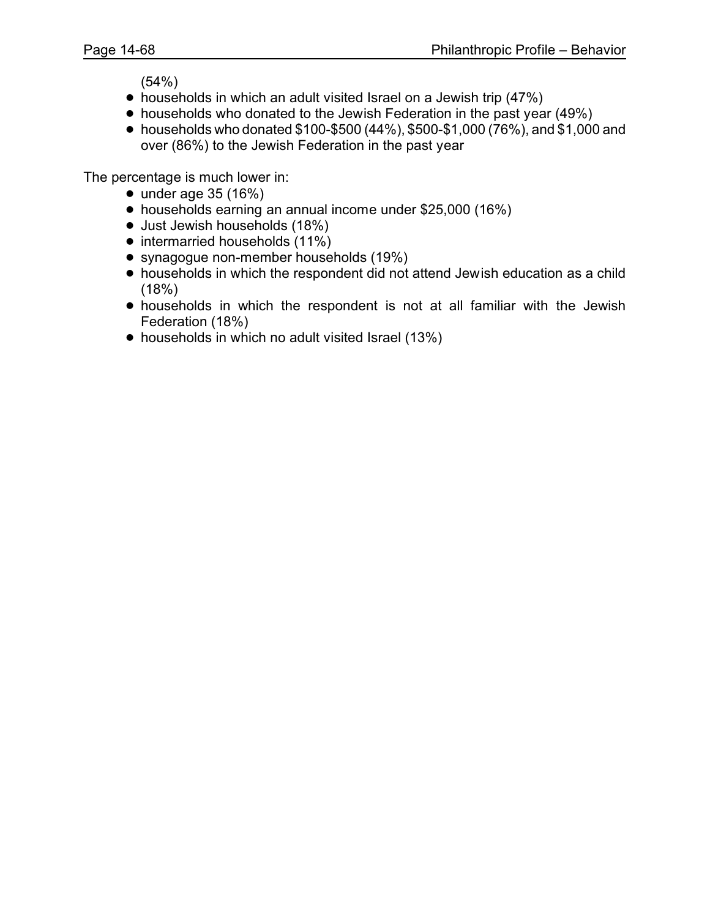(54%)

- households in which an adult visited Israel on a Jewish trip (47%)
- households who donated to the Jewish Federation in the past year (49%)
- households who donated  $$100-$500 (44%), $500-$1,000 (76%), and $1,000 and$ over (86%) to the Jewish Federation in the past year

The percentage is much lower in:

- $\bullet$  under age 35 (16%)
- ! households earning an annual income under \$25,000 (16%)
- Just Jewish households (18%)
- intermarried households (11%)
- synagogue non-member households (19%)
- ! households in which the respondent did not attend Jewish education as a child (18%)
- ! households in which the respondent is not at all familiar with the Jewish Federation (18%)
- households in which no adult visited Israel (13%)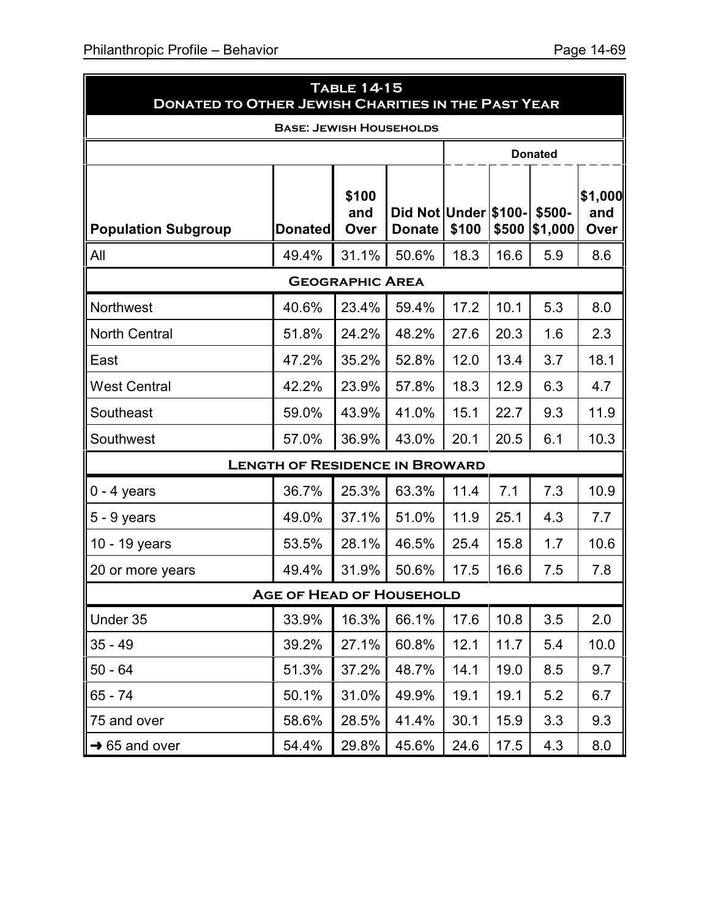| <b>TABLE 14-15</b><br><b>DONATED TO OTHER JEWISH CHARITIES IN THE PAST YEAR</b> |                                       |                        |                                       |       |       |                   |                        |  |  |
|---------------------------------------------------------------------------------|---------------------------------------|------------------------|---------------------------------------|-------|-------|-------------------|------------------------|--|--|
| <b>BASE: JEWISH HOUSEHOLDS</b>                                                  |                                       |                        |                                       |       |       |                   |                        |  |  |
|                                                                                 |                                       |                        |                                       |       |       | <b>Donated</b>    |                        |  |  |
| <b>Population Subgroup</b>                                                      | <b>Donated</b>                        | \$100<br>and<br>Over   | Did Not Under \$100-<br><b>Donate</b> | \$100 | \$500 | \$500-<br>\$1,000 | \$1,000<br>and<br>Over |  |  |
| All                                                                             | 49.4%                                 | 31.1%                  | 50.6%                                 | 18.3  | 16.6  | 5.9               | 8.6                    |  |  |
|                                                                                 |                                       | <b>GEOGRAPHIC AREA</b> |                                       |       |       |                   |                        |  |  |
| Northwest                                                                       | 40.6%                                 | 23.4%                  | 59.4%                                 | 17.2  | 10.1  | 5.3               | 8.0                    |  |  |
| <b>North Central</b>                                                            | 51.8%                                 | 24.2%                  | 48.2%                                 | 27.6  | 20.3  | 1.6               | 2.3                    |  |  |
| East                                                                            | 47.2%                                 | 35.2%                  | 52.8%                                 | 12.0  | 13.4  | 3.7               | 18.1                   |  |  |
| <b>West Central</b>                                                             | 42.2%                                 | 23.9%                  | 57.8%                                 | 18.3  | 12.9  | 6.3               | 4.7                    |  |  |
| Southeast                                                                       | 59.0%                                 | 43.9%                  | 41.0%                                 | 15.1  | 22.7  | 9.3               | 11.9                   |  |  |
| Southwest                                                                       | 57.0%                                 | 36.9%                  | 43.0%                                 | 20.1  | 20.5  | 6.1               | 10.3                   |  |  |
|                                                                                 | <b>LENGTH OF RESIDENCE IN BROWARD</b> |                        |                                       |       |       |                   |                        |  |  |
| $0 - 4$ years                                                                   | 36.7%                                 | 25.3%                  | 63.3%                                 | 11.4  | 7.1   | 7.3               | 10.9                   |  |  |
| $5 - 9$ years                                                                   | 49.0%                                 | 37.1%                  | 51.0%                                 | 11.9  | 25.1  | 4.3               | 7.7                    |  |  |
| 10 - 19 years                                                                   | 53.5%                                 | 28.1%                  | 46.5%                                 | 25.4  | 15.8  | 1.7               | 10.6                   |  |  |
| 20 or more years                                                                | 49.4%                                 | 31.9%                  | 50.6%                                 | 17.5  | 16.6  | 7.5               | 7.8                    |  |  |
| <b>AGE OF HEAD OF HOUSEHOLD</b>                                                 |                                       |                        |                                       |       |       |                   |                        |  |  |
| Under 35                                                                        | 33.9%                                 | 16.3%                  | 66.1%                                 | 17.6  | 10.8  | 3.5               | 2.0                    |  |  |
| $35 - 49$                                                                       | 39.2%                                 | 27.1%                  | 60.8%                                 | 12.1  | 11.7  | 5.4               | 10.0                   |  |  |
| $50 - 64$                                                                       | 51.3%                                 | 37.2%                  | 48.7%                                 | 14.1  | 19.0  | 8.5               | 9.7                    |  |  |
| 65 - 74                                                                         | 50.1%                                 | 31.0%                  | 49.9%                                 | 19.1  | 19.1  | 5.2               | 6.7                    |  |  |
| 75 and over                                                                     | 58.6%                                 | 28.5%                  | 41.4%                                 | 30.1  | 15.9  | 3.3               | 9.3                    |  |  |
| $\rightarrow$ 65 and over                                                       | 54.4%                                 | 29.8%                  | 45.6%                                 | 24.6  | 17.5  | 4.3               | 8.0                    |  |  |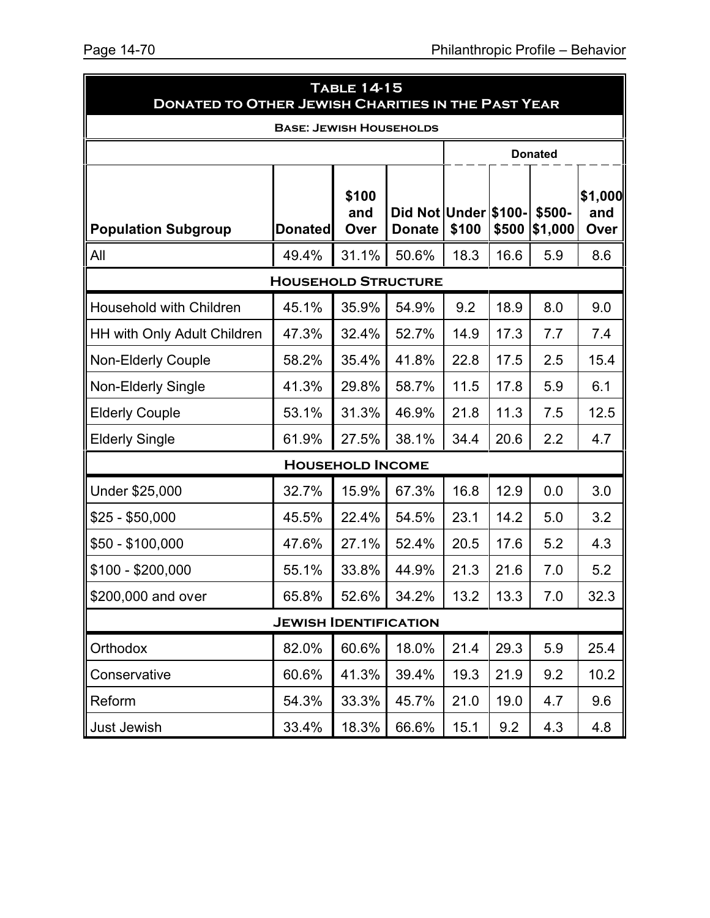|                                | <b>TABLE 14-15</b><br><b>DONATED TO OTHER JEWISH CHARITIES IN THE PAST YEAR</b> |                         |                                       |       |       |                   |                        |  |
|--------------------------------|---------------------------------------------------------------------------------|-------------------------|---------------------------------------|-------|-------|-------------------|------------------------|--|
| <b>BASE: JEWISH HOUSEHOLDS</b> |                                                                                 |                         |                                       |       |       |                   |                        |  |
|                                |                                                                                 |                         |                                       |       |       | <b>Donated</b>    |                        |  |
| <b>Population Subgroup</b>     | <b>Donated</b>                                                                  | \$100<br>and<br>Over    | Did Not Under \$100-<br><b>Donate</b> | \$100 | \$500 | \$500-<br>\$1,000 | \$1,000<br>and<br>Over |  |
| All                            | 49.4%                                                                           | 31.1%                   | 50.6%                                 | 18.3  | 16.6  | 5.9               | 8.6                    |  |
|                                | <b>HOUSEHOLD STRUCTURE</b>                                                      |                         |                                       |       |       |                   |                        |  |
| Household with Children        | 45.1%                                                                           | 35.9%                   | 54.9%                                 | 9.2   | 18.9  | 8.0               | 9.0                    |  |
| HH with Only Adult Children    | 47.3%                                                                           | 32.4%                   | 52.7%                                 | 14.9  | 17.3  | 7.7               | 7.4                    |  |
| <b>Non-Elderly Couple</b>      | 58.2%                                                                           | 35.4%                   | 41.8%                                 | 22.8  | 17.5  | 2.5               | 15.4                   |  |
| <b>Non-Elderly Single</b>      | 41.3%                                                                           | 29.8%                   | 58.7%                                 | 11.5  | 17.8  | 5.9               | 6.1                    |  |
| <b>Elderly Couple</b>          | 53.1%                                                                           | 31.3%                   | 46.9%                                 | 21.8  | 11.3  | 7.5               | 12.5                   |  |
| <b>Elderly Single</b>          | 61.9%                                                                           | 27.5%                   | 38.1%                                 | 34.4  | 20.6  | 2.2               | 4.7                    |  |
|                                |                                                                                 | <b>HOUSEHOLD INCOME</b> |                                       |       |       |                   |                        |  |
| Under \$25,000                 | 32.7%                                                                           | 15.9%                   | 67.3%                                 | 16.8  | 12.9  | 0.0               | 3.0                    |  |
| $$25 - $50,000$                | 45.5%                                                                           | 22.4%                   | 54.5%                                 | 23.1  | 14.2  | 5.0               | 3.2                    |  |
| $$50 - $100,000$               | 47.6%                                                                           | 27.1%                   | 52.4%                                 | 20.5  | 17.6  | 5.2               | 4.3                    |  |
| $$100 - $200,000$              | 55.1%                                                                           | 33.8%                   | 44.9%                                 | 21.3  | 21.6  | 7.0               | 5.2                    |  |
| \$200,000 and over             | 65.8%                                                                           | 52.6%                   | 34.2%                                 | 13.2  | 13.3  | 7.0               | 32.3                   |  |
| <b>JEWISH IDENTIFICATION</b>   |                                                                                 |                         |                                       |       |       |                   |                        |  |
| Orthodox                       | 82.0%                                                                           | 60.6%                   | 18.0%                                 | 21.4  | 29.3  | 5.9               | 25.4                   |  |
| Conservative                   | 60.6%                                                                           | 41.3%                   | 39.4%                                 | 19.3  | 21.9  | 9.2               | 10.2                   |  |
| Reform                         | 54.3%                                                                           | 33.3%                   | 45.7%                                 | 21.0  | 19.0  | 4.7               | 9.6                    |  |
| Just Jewish                    | 33.4%                                                                           | 18.3%                   | 66.6%                                 | 15.1  | 9.2   | 4.3               | 4.8                    |  |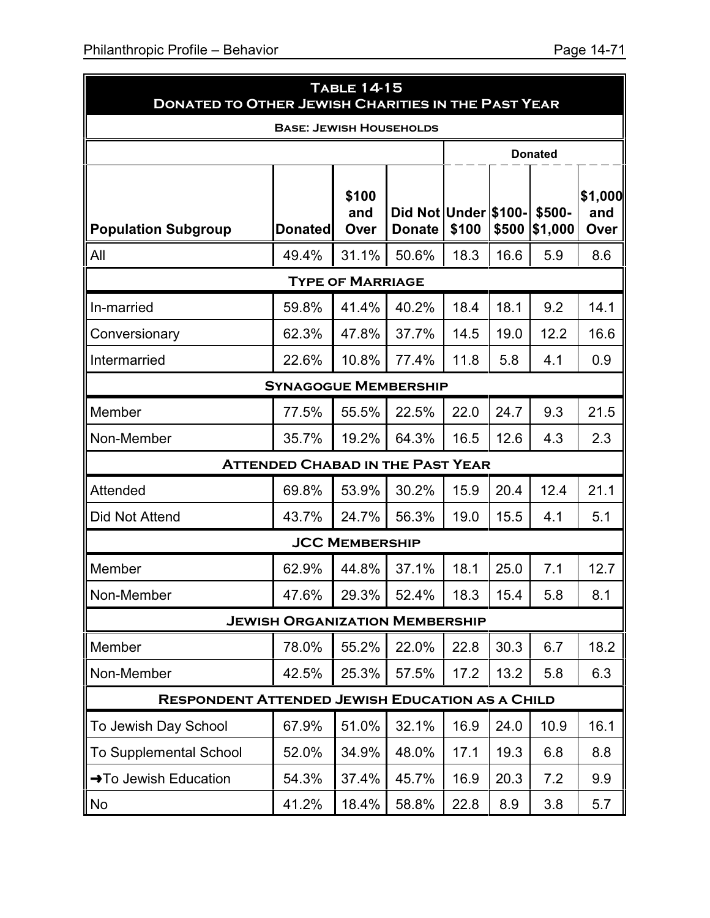| <b>TABLE 14-15</b><br><b>DONATED TO OTHER JEWISH CHARITIES IN THE PAST YEAR</b> |                |                      |                                       |       |       |                   |                        |  |  |  |  |
|---------------------------------------------------------------------------------|----------------|----------------------|---------------------------------------|-------|-------|-------------------|------------------------|--|--|--|--|
| <b>BASE: JEWISH HOUSEHOLDS</b>                                                  |                |                      |                                       |       |       |                   |                        |  |  |  |  |
|                                                                                 |                | <b>Donated</b>       |                                       |       |       |                   |                        |  |  |  |  |
| <b>Population Subgroup</b>                                                      | <b>Donated</b> | \$100<br>and<br>Over | Did Not Under \$100-<br><b>Donate</b> | \$100 | \$500 | \$500-<br>\$1,000 | \$1,000<br>and<br>Over |  |  |  |  |
| All                                                                             | 49.4%          | 31.1%                | 50.6%                                 | 18.3  | 16.6  | 5.9               | 8.6                    |  |  |  |  |
| <b>TYPE OF MARRIAGE</b>                                                         |                |                      |                                       |       |       |                   |                        |  |  |  |  |
| In-married                                                                      | 59.8%          | 41.4%                | 40.2%                                 | 18.4  | 18.1  | 9.2               | 14.1                   |  |  |  |  |
| Conversionary                                                                   | 62.3%          | 47.8%                | 37.7%                                 | 14.5  | 19.0  | 12.2              | 16.6                   |  |  |  |  |
| Intermarried                                                                    | 22.6%          | 10.8%                | 77.4%                                 | 11.8  | 5.8   | 4.1               | 0.9                    |  |  |  |  |
| <b>SYNAGOGUE MEMBERSHIP</b>                                                     |                |                      |                                       |       |       |                   |                        |  |  |  |  |
| Member                                                                          | 77.5%          | 55.5%                | 22.5%                                 | 22.0  | 24.7  | 9.3               | 21.5                   |  |  |  |  |
| Non-Member                                                                      | 35.7%          | 19.2%                | 64.3%                                 | 16.5  | 12.6  | 4.3               | 2.3                    |  |  |  |  |
| <b>ATTENDED CHABAD IN THE PAST YEAR</b>                                         |                |                      |                                       |       |       |                   |                        |  |  |  |  |
| Attended                                                                        | 69.8%          | 53.9%                | 30.2%                                 | 15.9  | 20.4  | 12.4              | 21.1                   |  |  |  |  |
| Did Not Attend                                                                  | 43.7%          | 24.7%                | 56.3%                                 | 19.0  | 15.5  | 4.1               | 5.1                    |  |  |  |  |
| <b>JCC MEMBERSHIP</b>                                                           |                |                      |                                       |       |       |                   |                        |  |  |  |  |
| Member                                                                          | 62.9%          | 44.8%                | 37.1%                                 | 18.1  | 25.0  | 7.1               | 12.7                   |  |  |  |  |
| Non-Member                                                                      | 47.6%          | 29.3%                | 52.4%                                 | 18.3  | 15.4  | 5.8               | 8.1                    |  |  |  |  |
| <b>JEWISH ORGANIZATION MEMBERSHIP</b>                                           |                |                      |                                       |       |       |                   |                        |  |  |  |  |
| Member                                                                          | 78.0%          | 55.2%                | 22.0%                                 | 22.8  | 30.3  | 6.7               | 18.2                   |  |  |  |  |
| Non-Member                                                                      | 42.5%          | 25.3%                | 57.5%                                 | 17.2  | 13.2  | 5.8               | 6.3                    |  |  |  |  |
| <b>RESPONDENT ATTENDED JEWISH EDUCATION AS A CHILD</b>                          |                |                      |                                       |       |       |                   |                        |  |  |  |  |
| To Jewish Day School                                                            | 67.9%          | 51.0%                | 32.1%                                 | 16.9  | 24.0  | 10.9              | 16.1                   |  |  |  |  |
| <b>To Supplemental School</b>                                                   | 52.0%          | 34.9%                | 48.0%                                 | 17.1  | 19.3  | 6.8               | 8.8                    |  |  |  |  |
| →To Jewish Education                                                            | 54.3%          | 37.4%                | 45.7%                                 | 16.9  | 20.3  | 7.2               | 9.9                    |  |  |  |  |
| No                                                                              | 41.2%          | 18.4%                | 58.8%                                 | 22.8  | 8.9   | 3.8               | 5.7                    |  |  |  |  |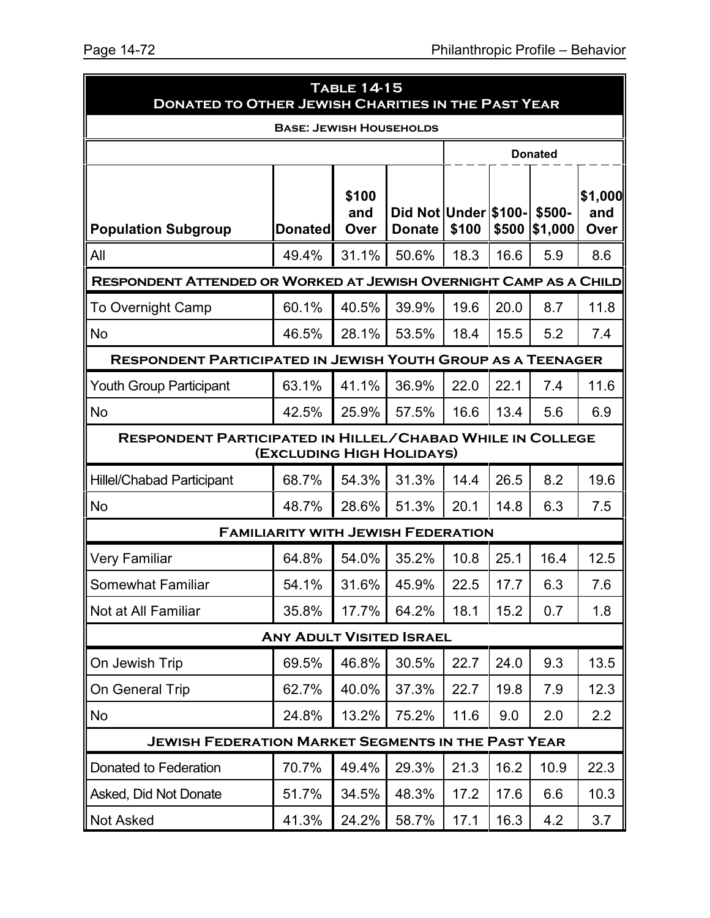| <b>TABLE 14-15</b><br><b>DONATED TO OTHER JEWISH CHARITIES IN THE PAST YEAR</b>               |                                           |                      |                                       |                |       |                   |                        |  |  |  |  |
|-----------------------------------------------------------------------------------------------|-------------------------------------------|----------------------|---------------------------------------|----------------|-------|-------------------|------------------------|--|--|--|--|
| <b>BASE: JEWISH HOUSEHOLDS</b>                                                                |                                           |                      |                                       |                |       |                   |                        |  |  |  |  |
|                                                                                               |                                           |                      |                                       | <b>Donated</b> |       |                   |                        |  |  |  |  |
| <b>Population Subgroup</b>                                                                    | <b>Donated</b>                            | \$100<br>and<br>Over | Did Not Under \$100-<br><b>Donate</b> | \$100          | \$500 | \$500-<br>\$1,000 | \$1,000<br>and<br>Over |  |  |  |  |
| All                                                                                           | 49.4%                                     | 31.1%                | 50.6%                                 | 18.3           | 16.6  | 5.9               | 8.6                    |  |  |  |  |
| RESPONDENT ATTENDED OR WORKED AT JEWISH OVERNIGHT CAMP AS A CHILD                             |                                           |                      |                                       |                |       |                   |                        |  |  |  |  |
| <b>To Overnight Camp</b>                                                                      | 60.1%                                     | 40.5%                | 39.9%                                 | 19.6           | 20.0  | 8.7               | 11.8                   |  |  |  |  |
| No                                                                                            | 46.5%                                     | 28.1%                | 53.5%                                 | 18.4           | 15.5  | 5.2               | 7.4                    |  |  |  |  |
| <b>RESPONDENT PARTICIPATED IN JEWISH YOUTH GROUP AS A TEENAGER</b>                            |                                           |                      |                                       |                |       |                   |                        |  |  |  |  |
| <b>Youth Group Participant</b>                                                                | 63.1%                                     | 41.1%                | 36.9%                                 | 22.0           | 22.1  | 7.4               | 11.6                   |  |  |  |  |
| <b>No</b>                                                                                     | 42.5%                                     | 25.9%                | 57.5%                                 | 16.6           | 13.4  | 5.6               | 6.9                    |  |  |  |  |
| <b>RESPONDENT PARTICIPATED IN HILLEL/CHABAD WHILE IN COLLEGE</b><br>(EXCLUDING HIGH HOLIDAYS) |                                           |                      |                                       |                |       |                   |                        |  |  |  |  |
| <b>Hillel/Chabad Participant</b>                                                              | 68.7%                                     | 54.3%                | 31.3%                                 | 14.4           | 26.5  | 8.2               | 19.6                   |  |  |  |  |
| <b>No</b>                                                                                     | 48.7%                                     | 28.6%                | 51.3%                                 | 20.1           | 14.8  | 6.3               | 7.5                    |  |  |  |  |
|                                                                                               | <b>FAMILIARITY WITH JEWISH FEDERATION</b> |                      |                                       |                |       |                   |                        |  |  |  |  |
| Very Familiar                                                                                 | 64.8%                                     | 54.0%                | 35.2%                                 | 10.8           | 25.1  | 16.4              | 12.5                   |  |  |  |  |
| <b>Somewhat Familiar</b>                                                                      | 54.1%                                     | 31.6%                | 45.9%                                 | 22.5           | 17.7  | 6.3               | 7.6                    |  |  |  |  |
| Not at All Familiar                                                                           | 35.8%                                     | 17.7%                | 64.2%                                 | 18.1           | 15.2  | 0.7               | 1.8                    |  |  |  |  |
| <b>ANY ADULT VISITED ISRAEL</b>                                                               |                                           |                      |                                       |                |       |                   |                        |  |  |  |  |
| On Jewish Trip                                                                                | 69.5%                                     | 46.8%                | 30.5%                                 | 22.7           | 24.0  | 9.3               | 13.5                   |  |  |  |  |
| On General Trip                                                                               | 62.7%                                     | 40.0%                | 37.3%                                 | 22.7           | 19.8  | 7.9               | 12.3                   |  |  |  |  |
| No                                                                                            | 24.8%                                     | 13.2%                | 75.2%                                 | 11.6           | 9.0   | 2.0               | 2.2                    |  |  |  |  |
| <b>JEWISH FEDERATION MARKET SEGMENTS IN THE PAST YEAR</b>                                     |                                           |                      |                                       |                |       |                   |                        |  |  |  |  |
| Donated to Federation                                                                         | 70.7%                                     | 49.4%                | 29.3%                                 | 21.3           | 16.2  | 10.9              | 22.3                   |  |  |  |  |
| Asked, Did Not Donate                                                                         | 51.7%                                     | 34.5%                | 48.3%                                 | 17.2           | 17.6  | 6.6               | 10.3                   |  |  |  |  |
| <b>Not Asked</b>                                                                              | 41.3%                                     | 24.2%                | 58.7%                                 | 17.1           | 16.3  | 4.2               | 3.7                    |  |  |  |  |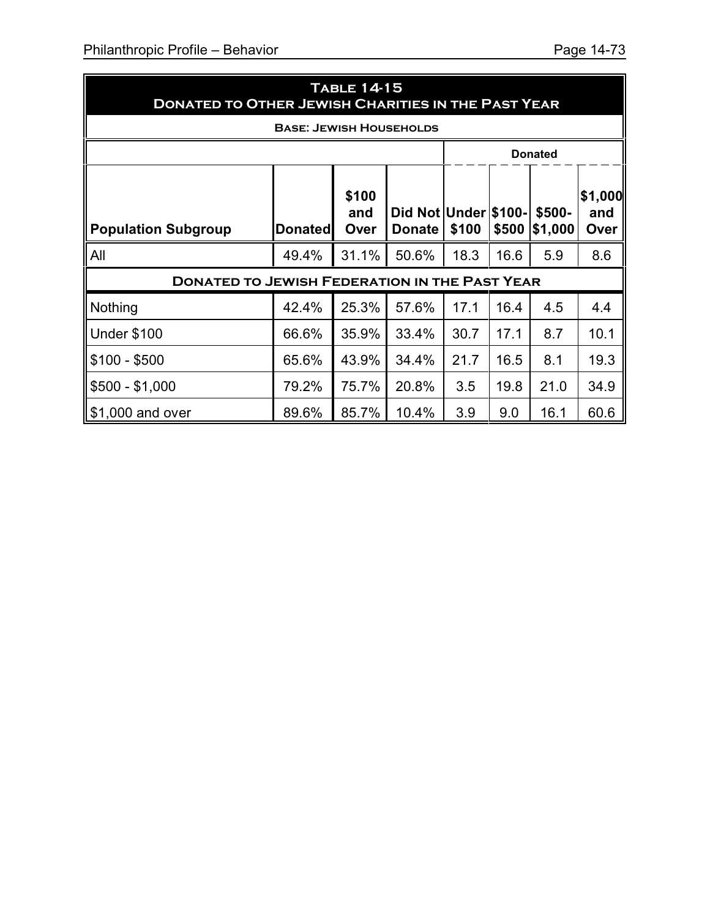| <b>TABLE 14-15</b><br><b>DONATED TO OTHER JEWISH CHARITIES IN THE PAST YEAR</b> |                                                      |                      |                                       |       |       |                   |                        |
|---------------------------------------------------------------------------------|------------------------------------------------------|----------------------|---------------------------------------|-------|-------|-------------------|------------------------|
|                                                                                 | <b>BASE: JEWISH HOUSEHOLDS</b>                       |                      |                                       |       |       |                   |                        |
|                                                                                 | <b>Donated</b>                                       |                      |                                       |       |       |                   |                        |
| <b>Population Subgroup</b>                                                      | <b>Donated</b>                                       | \$100<br>and<br>Over | Did Not Under \$100-<br><b>Donate</b> | \$100 | \$500 | \$500-<br>\$1,000 | \$1,000<br>and<br>Over |
| All                                                                             | 49.4%                                                | 31.1%                | 50.6%                                 | 18.3  | 16.6  | 5.9               | 8.6                    |
|                                                                                 | <b>DONATED TO JEWISH FEDERATION IN THE PAST YEAR</b> |                      |                                       |       |       |                   |                        |
| Nothing                                                                         | 42.4%                                                | 25.3%                | 57.6%                                 | 17.1  | 16.4  | 4.5               | 4.4                    |
| Under \$100                                                                     | 66.6%                                                | 35.9%                | 33.4%                                 | 30.7  | 17.1  | 8.7               | 10.1                   |
| $$100 - $500$                                                                   | 65.6%                                                | 43.9%                | 34.4%                                 | 21.7  | 16.5  | 8.1               | 19.3                   |
| $$500 - $1,000$                                                                 | 79.2%                                                | 75.7%                | 20.8%                                 | 3.5   | 19.8  | 21.0              | 34.9                   |
| 1\$1,000 and over                                                               | 89.6%                                                | 85.7%                | 10.4%                                 | 3.9   | 9.0   | 16.1              | 60.6                   |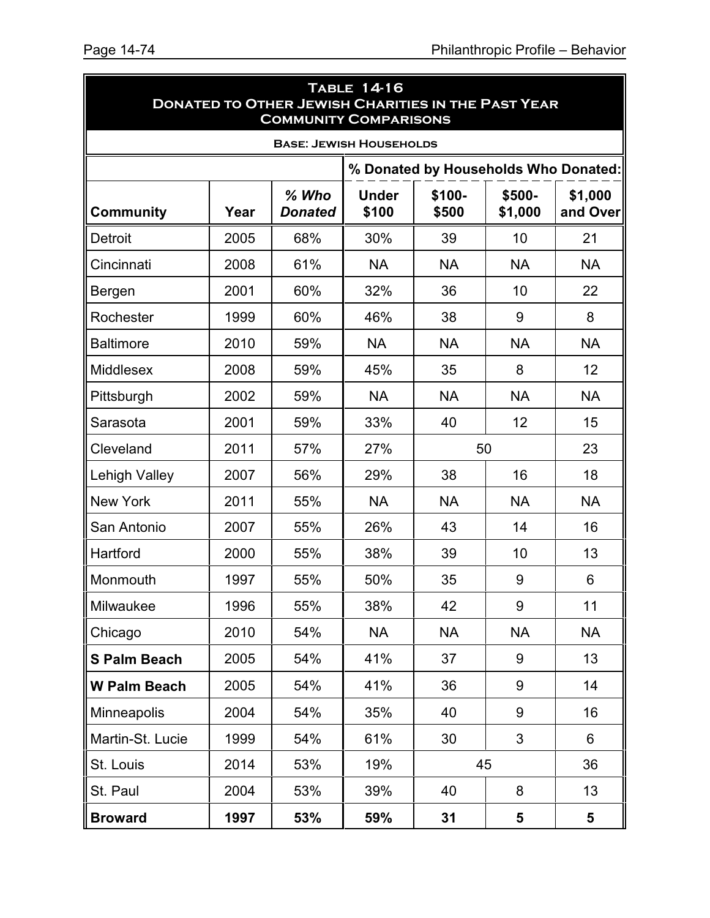5

| <b>TABLE 14-16</b><br><b>DONATED TO OTHER JEWISH CHARITIES IN THE PAST YEAR</b><br><b>COMMUNITY COMPARISONS</b> |      |                           |                       |                                      |                   |                     |
|-----------------------------------------------------------------------------------------------------------------|------|---------------------------|-----------------------|--------------------------------------|-------------------|---------------------|
| <b>BASE: JEWISH HOUSEHOLDS</b>                                                                                  |      |                           |                       |                                      |                   |                     |
|                                                                                                                 |      |                           |                       | % Donated by Households Who Donated: |                   |                     |
| <b>Community</b>                                                                                                | Year | $%$ Who<br><b>Donated</b> | <b>Under</b><br>\$100 | \$100-<br>\$500                      | \$500-<br>\$1,000 | \$1,000<br>and Over |
| Detroit                                                                                                         | 2005 | 68%                       | 30%                   | 39                                   | 10                | 21                  |
| Cincinnati                                                                                                      | 2008 | 61%                       | <b>NA</b>             | <b>NA</b>                            | <b>NA</b>         | <b>NA</b>           |
| Bergen                                                                                                          | 2001 | 60%                       | 32%                   | 36                                   | 10                | 22                  |
| Rochester                                                                                                       | 1999 | 60%                       | 46%                   | 38                                   | 9                 | 8                   |
| <b>Baltimore</b>                                                                                                | 2010 | 59%                       | <b>NA</b>             | <b>NA</b>                            | <b>NA</b>         | <b>NA</b>           |
| <b>Middlesex</b>                                                                                                | 2008 | 59%                       | 45%                   | 35                                   | 8                 | 12                  |
| Pittsburgh                                                                                                      | 2002 | 59%                       | <b>NA</b>             | <b>NA</b>                            | <b>NA</b>         | <b>NA</b>           |
| Sarasota                                                                                                        | 2001 | 59%                       | 33%                   | 40                                   | 12                | 15                  |
| Cleveland                                                                                                       | 2011 | 57%                       | 27%                   | 50                                   |                   | 23                  |
| <b>Lehigh Valley</b>                                                                                            | 2007 | 56%                       | 29%                   | 38                                   | 16                | 18                  |
| <b>New York</b>                                                                                                 | 2011 | 55%                       | <b>NA</b>             | <b>NA</b>                            | <b>NA</b>         | <b>NA</b>           |
| San Antonio                                                                                                     | 2007 | 55%                       | 26%                   | 43                                   | 14                | 16                  |
| Hartford                                                                                                        | 2000 | 55%                       | 38%                   | 39                                   | 10                | 13                  |
| Monmouth                                                                                                        | 1997 | 55%                       | 50%                   | 35                                   | 9                 | 6                   |
| Milwaukee                                                                                                       | 1996 | 55%                       | 38%                   | 42                                   | 9                 | 11                  |
| Chicago                                                                                                         | 2010 | 54%                       | <b>NA</b>             | <b>NA</b>                            | <b>NA</b>         | <b>NA</b>           |
| <b>S Palm Beach</b>                                                                                             | 2005 | 54%                       | 41%                   | 37                                   | 9                 | 13                  |
| <b>W Palm Beach</b>                                                                                             | 2005 | 54%                       | 41%                   | 36                                   | 9                 | 14                  |
| <b>Minneapolis</b>                                                                                              | 2004 | 54%                       | 35%                   | 40                                   | 9                 | 16                  |
| Martin-St. Lucie                                                                                                | 1999 | 54%                       | 61%                   | 30                                   | 3                 | 6                   |
| St. Louis                                                                                                       | 2014 | 53%                       | 19%                   | 45                                   |                   | 36                  |
| St. Paul                                                                                                        | 2004 | 53%                       | 39%                   | 40                                   | 8                 | 13                  |
| <b>Broward</b>                                                                                                  | 1997 | 53%                       | 59%                   | 31                                   | 5                 | 5                   |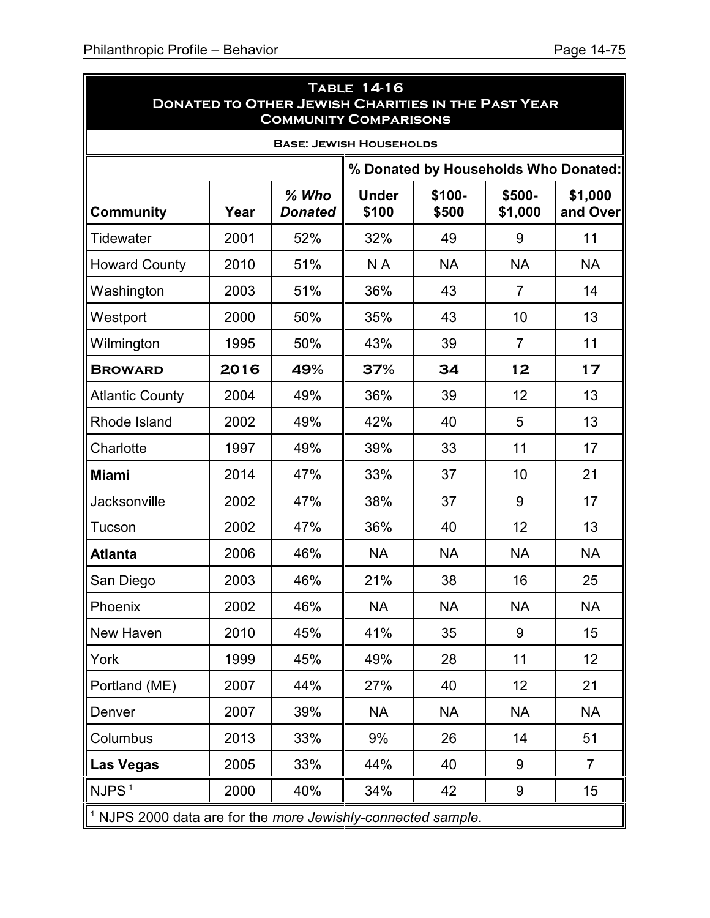ń

| <b>TABLE 14-16</b><br><b>DONATED TO OTHER JEWISH CHARITIES IN THE PAST YEAR</b><br><b>COMMUNITY COMPARISONS</b> |      |                           |                       |                 |                   |                     |
|-----------------------------------------------------------------------------------------------------------------|------|---------------------------|-----------------------|-----------------|-------------------|---------------------|
| <b>BASE: JEWISH HOUSEHOLDS</b>                                                                                  |      |                           |                       |                 |                   |                     |
| % Donated by Households Who Donated:                                                                            |      |                           |                       |                 |                   |                     |
| <b>Community</b>                                                                                                | Year | $%$ Who<br><b>Donated</b> | <b>Under</b><br>\$100 | \$100-<br>\$500 | \$500-<br>\$1,000 | \$1,000<br>and Over |
| Tidewater                                                                                                       | 2001 | 52%                       | 32%                   | 49              | 9                 | 11                  |
| <b>Howard County</b>                                                                                            | 2010 | 51%                       | N A                   | <b>NA</b>       | <b>NA</b>         | <b>NA</b>           |
| Washington                                                                                                      | 2003 | 51%                       | 36%                   | 43              | $\overline{7}$    | 14                  |
| Westport                                                                                                        | 2000 | 50%                       | 35%                   | 43              | 10                | 13                  |
| Wilmington                                                                                                      | 1995 | 50%                       | 43%                   | 39              | $\overline{7}$    | 11                  |
| <b>BROWARD</b>                                                                                                  | 2016 | 49%                       | 37%                   | 34              | 12                | 17                  |
| <b>Atlantic County</b>                                                                                          | 2004 | 49%                       | 36%                   | 39              | 12                | 13                  |
| Rhode Island                                                                                                    | 2002 | 49%                       | 42%                   | 40              | 5                 | 13                  |
| Charlotte                                                                                                       | 1997 | 49%                       | 39%                   | 33              | 11                | 17                  |
| <b>Miami</b>                                                                                                    | 2014 | 47%                       | 33%                   | 37              | 10                | 21                  |
| Jacksonville                                                                                                    | 2002 | 47%                       | 38%                   | 37              | 9                 | 17                  |
| Tucson                                                                                                          | 2002 | 47%                       | 36%                   | 40              | 12                | 13                  |
| <b>Atlanta</b>                                                                                                  | 2006 | 46%                       | <b>NA</b>             | <b>NA</b>       | <b>NA</b>         | <b>NA</b>           |
| San Diego                                                                                                       | 2003 | 46%                       | 21%                   | 38              | 16                | 25                  |
| Phoenix                                                                                                         | 2002 | 46%                       | <b>NA</b>             | <b>NA</b>       | <b>NA</b>         | <b>NA</b>           |
| New Haven                                                                                                       | 2010 | 45%                       | 41%                   | 35              | 9                 | 15                  |
| York                                                                                                            | 1999 | 45%                       | 49%                   | 28              | 11                | 12                  |
| Portland (ME)                                                                                                   | 2007 | 44%                       | 27%                   | 40              | 12                | 21                  |
| Denver                                                                                                          | 2007 | 39%                       | <b>NA</b>             | <b>NA</b>       | <b>NA</b>         | <b>NA</b>           |
| Columbus                                                                                                        | 2013 | 33%                       | 9%                    | 26              | 14                | 51                  |
| <b>Las Vegas</b>                                                                                                | 2005 | 33%                       | 44%                   | 40              | 9                 | $\overline{7}$      |
| NJPS <sup>1</sup>                                                                                               | 2000 | 40%                       | 34%                   | 42              | 9                 | 15                  |
| 1 NJPS 2000 data are for the more Jewishly-connected sample.                                                    |      |                           |                       |                 |                   |                     |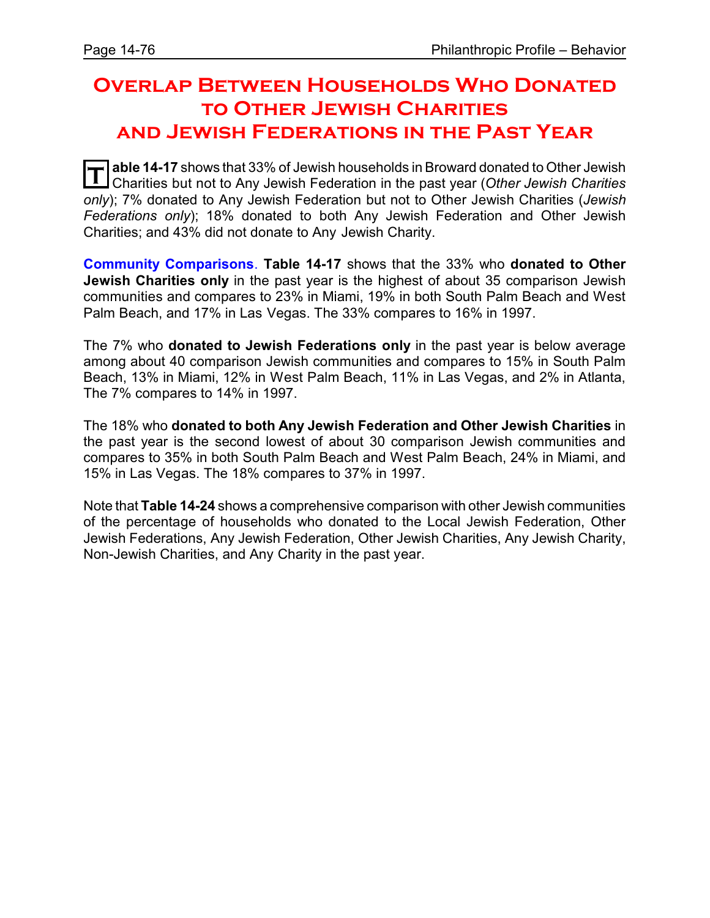# **Overlap Between Households Who Donated to Other Jewish Charities and Jewish Federations in the Past Year**

**T** able 14-17 shows that 33% of Jewish households in Broward donated to Other Jewish Charities but not to Any Jewish Federation in the past year (*Other Jewish Charities only*); 7% donated to Any Jewish Federation but not to Other Jewish Charities (*Jewish Federations only*); 18% donated to both Any Jewish Federation and Other Jewish Charities; and 43% did not donate to Any Jewish Charity.

**Community Comparisons**. **Table 14-17** shows that the 33% who **donated to Other Jewish Charities only** in the past year is the highest of about 35 comparison Jewish communities and compares to 23% in Miami, 19% in both South Palm Beach and West Palm Beach, and 17% in Las Vegas. The 33% compares to 16% in 1997.

The 7% who **donated to Jewish Federations only** in the past year is below average among about 40 comparison Jewish communities and compares to 15% in South Palm Beach, 13% in Miami, 12% in West Palm Beach, 11% in Las Vegas, and 2% in Atlanta, The 7% compares to 14% in 1997.

The 18% who **donated to both Any Jewish Federation and Other Jewish Charities** in the past year is the second lowest of about 30 comparison Jewish communities and compares to 35% in both South Palm Beach and West Palm Beach, 24% in Miami, and 15% in Las Vegas. The 18% compares to 37% in 1997.

Note that **Table 14-24** shows a comprehensive comparison with other Jewish communities of the percentage of households who donated to the Local Jewish Federation, Other Jewish Federations, Any Jewish Federation, Other Jewish Charities, Any Jewish Charity, Non-Jewish Charities, and Any Charity in the past year.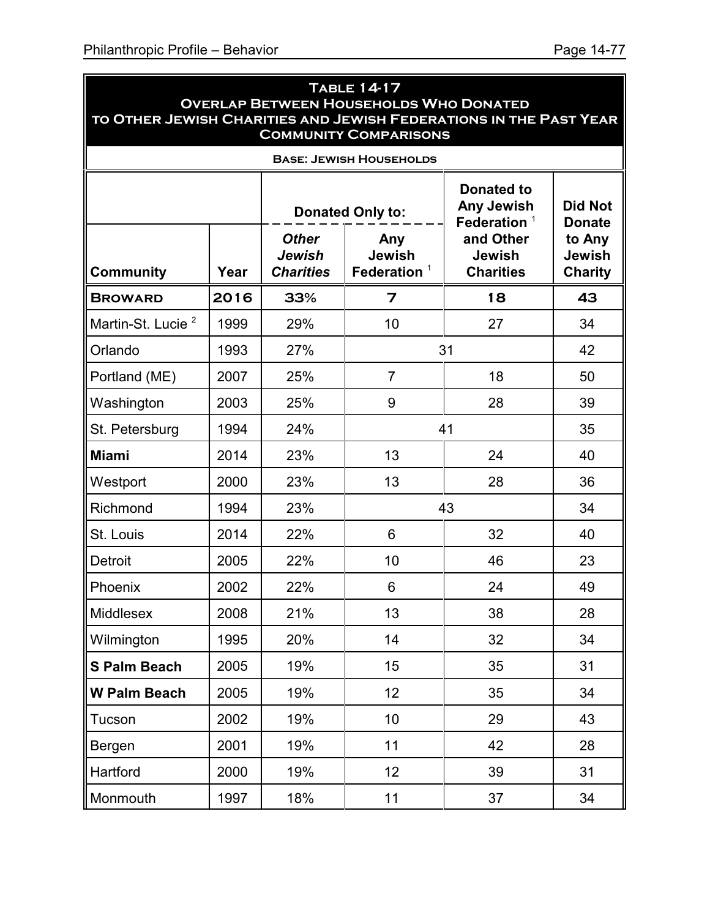| <b>TABLE 14-17</b><br><b>OVERLAP BETWEEN HOUSEHOLDS WHO DONATED</b><br>TO OTHER JEWISH CHARITIES AND JEWISH FEDERATIONS IN THE PAST YEAR<br><b>COMMUNITY COMPARISONS</b> |      |                                            |                                        |                                                   |                                    |
|--------------------------------------------------------------------------------------------------------------------------------------------------------------------------|------|--------------------------------------------|----------------------------------------|---------------------------------------------------|------------------------------------|
|                                                                                                                                                                          |      |                                            | <b>BASE: JEWISH HOUSEHOLDS</b>         |                                                   |                                    |
|                                                                                                                                                                          |      | <b>Donated Only to:</b>                    |                                        | <b>Donated to</b><br>Any Jewish<br>Federation $1$ | <b>Did Not</b><br><b>Donate</b>    |
| <b>Community</b>                                                                                                                                                         | Year | <b>Other</b><br>Jewish<br><b>Charities</b> | Any<br><b>Jewish</b><br>Federation $1$ | and Other<br><b>Jewish</b><br><b>Charities</b>    | to Any<br>Jewish<br><b>Charity</b> |
| <b>BROWARD</b>                                                                                                                                                           | 2016 | 33%                                        | $\overline{z}$                         | 18                                                | 43                                 |
| Martin-St. Lucie <sup>2</sup>                                                                                                                                            | 1999 | 29%                                        | 10                                     | 27                                                | 34                                 |
| Orlando                                                                                                                                                                  | 1993 | 27%                                        |                                        | 31                                                | 42                                 |
| Portland (ME)                                                                                                                                                            | 2007 | 25%                                        | $\overline{7}$                         | 18                                                | 50                                 |
| Washington                                                                                                                                                               | 2003 | 25%                                        | 9                                      | 28                                                | 39                                 |
| St. Petersburg                                                                                                                                                           | 1994 | 24%                                        | 41                                     |                                                   | 35                                 |
| <b>Miami</b>                                                                                                                                                             | 2014 | 23%                                        | 13                                     | 24                                                | 40                                 |
| Westport                                                                                                                                                                 | 2000 | 23%                                        | 13                                     | 28                                                | 36                                 |
| Richmond                                                                                                                                                                 | 1994 | 23%                                        |                                        | 43                                                | 34                                 |
| St. Louis                                                                                                                                                                | 2014 | 22%                                        | 6                                      | 32                                                | 40                                 |
| Detroit                                                                                                                                                                  | 2005 | 22%                                        | 10                                     | 46                                                | 23                                 |
| Phoenix                                                                                                                                                                  | 2002 | 22%                                        | 6                                      | 24                                                | 49                                 |
| Middlesex                                                                                                                                                                | 2008 | 21%                                        | 13                                     | 38                                                | 28                                 |
| Wilmington                                                                                                                                                               | 1995 | 20%                                        | 14                                     | 32                                                | 34                                 |
| <b>S Palm Beach</b>                                                                                                                                                      | 2005 | 19%                                        | 15                                     | 35                                                | 31                                 |
| <b>W Palm Beach</b>                                                                                                                                                      | 2005 | 19%                                        | 12                                     | 35                                                | 34                                 |
| Tucson                                                                                                                                                                   | 2002 | 19%                                        | 10                                     | 29                                                | 43                                 |
| Bergen                                                                                                                                                                   | 2001 | 19%                                        | 11                                     | 42                                                | 28                                 |
| Hartford                                                                                                                                                                 | 2000 | 19%                                        | 12                                     | 39                                                | 31                                 |
| Monmouth                                                                                                                                                                 | 1997 | 18%                                        | 11                                     | 37                                                | 34                                 |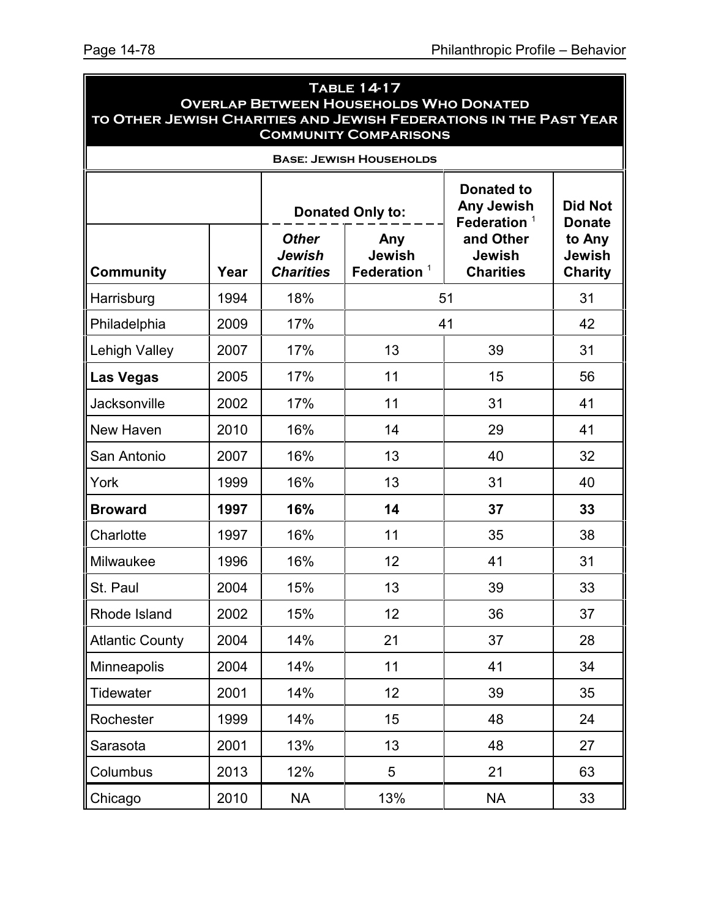| <b>TABLE 14-17</b><br><b>OVERLAP BETWEEN HOUSEHOLDS WHO DONATED</b><br>TO OTHER JEWISH CHARITIES AND JEWISH FEDERATIONS IN THE PAST YEAR<br><b>COMMUNITY COMPARISONS</b> |      |                                            |                                                                                     |                                                |                                                            |  |
|--------------------------------------------------------------------------------------------------------------------------------------------------------------------------|------|--------------------------------------------|-------------------------------------------------------------------------------------|------------------------------------------------|------------------------------------------------------------|--|
|                                                                                                                                                                          |      |                                            | <b>BASE: JEWISH HOUSEHOLDS</b>                                                      |                                                |                                                            |  |
|                                                                                                                                                                          |      |                                            | <b>Donated to</b><br><b>Any Jewish</b><br><b>Donated Only to:</b><br>Federation $1$ |                                                |                                                            |  |
| Community                                                                                                                                                                | Year | <b>Other</b><br>Jewish<br><b>Charities</b> | Any<br><b>Jewish</b><br>Federation $1$                                              | and Other<br><b>Jewish</b><br><b>Charities</b> | <b>Donate</b><br>to Any<br><b>Jewish</b><br><b>Charity</b> |  |
| Harrisburg                                                                                                                                                               | 1994 | 18%                                        |                                                                                     | 51                                             | 31                                                         |  |
| Philadelphia                                                                                                                                                             | 2009 | 17%                                        |                                                                                     | 41                                             | 42                                                         |  |
| Lehigh Valley                                                                                                                                                            | 2007 | 17%                                        | 13                                                                                  | 39                                             | 31                                                         |  |
| <b>Las Vegas</b>                                                                                                                                                         | 2005 | 17%                                        | 11                                                                                  | 15                                             | 56                                                         |  |
| Jacksonville                                                                                                                                                             | 2002 | 17%                                        | 11                                                                                  | 31                                             | 41                                                         |  |
| New Haven                                                                                                                                                                | 2010 | 16%                                        | 14                                                                                  | 29                                             | 41                                                         |  |
| San Antonio                                                                                                                                                              | 2007 | 16%                                        | 13                                                                                  | 40                                             | 32                                                         |  |
| York                                                                                                                                                                     | 1999 | 16%                                        | 13                                                                                  | 31                                             | 40                                                         |  |
| <b>Broward</b>                                                                                                                                                           | 1997 | 16%                                        | 14                                                                                  | 37                                             | 33                                                         |  |
| Charlotte                                                                                                                                                                | 1997 | 16%                                        | 11                                                                                  | 35                                             | 38                                                         |  |
| Milwaukee                                                                                                                                                                | 1996 | 16%                                        | 12                                                                                  | 41                                             | 31                                                         |  |
| St. Paul                                                                                                                                                                 | 2004 | 15%                                        | 13                                                                                  | 39                                             | 33                                                         |  |
| Rhode Island                                                                                                                                                             | 2002 | 15%                                        | 12                                                                                  | 36                                             | 37                                                         |  |
| <b>Atlantic County</b>                                                                                                                                                   | 2004 | 14%                                        | 21                                                                                  | 37                                             | 28                                                         |  |
| <b>Minneapolis</b>                                                                                                                                                       | 2004 | 14%                                        | 11                                                                                  | 41                                             | 34                                                         |  |
| <b>Tidewater</b>                                                                                                                                                         | 2001 | 14%                                        | 12                                                                                  | 39                                             | 35                                                         |  |
| Rochester                                                                                                                                                                | 1999 | 14%                                        | 15                                                                                  | 48                                             | 24                                                         |  |
| Sarasota                                                                                                                                                                 | 2001 | 13%                                        | 13                                                                                  | 48                                             | 27                                                         |  |
| Columbus                                                                                                                                                                 | 2013 | 12%                                        | 5                                                                                   | 21                                             | 63                                                         |  |
| Chicago                                                                                                                                                                  | 2010 | <b>NA</b>                                  | 13%                                                                                 | <b>NA</b>                                      | 33                                                         |  |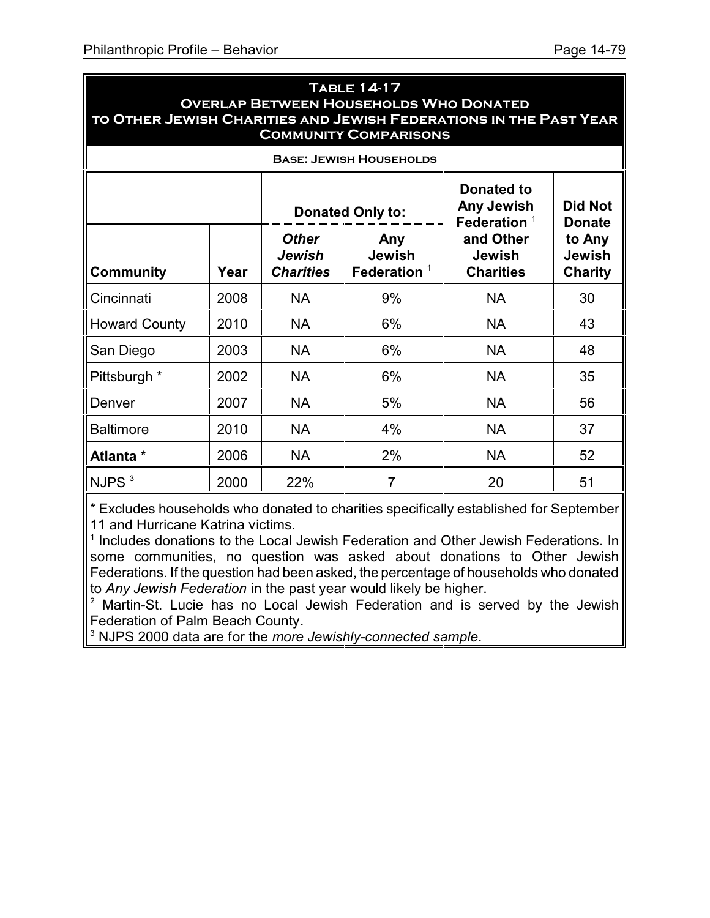| <b>TABLE 14-17</b>                                                |
|-------------------------------------------------------------------|
| <b>OVERLAP BETWEEN HOUSEHOLDS WHO DONATED</b>                     |
| TO OTHER JEWISH CHARITIES AND JEWISH FEDERATIONS IN THE PAST YEAR |
| <b>COMMUNITY COMPARISONS</b>                                      |

| <b>BASE: JEWISH HOUSEHOLDS</b> |      |                                            |                                        |                                                |                                           |
|--------------------------------|------|--------------------------------------------|----------------------------------------|------------------------------------------------|-------------------------------------------|
|                                |      | <b>Donated Only to:</b>                    |                                        | Donated to<br>Any Jewish<br>Federation $1$     | <b>Did Not</b><br><b>Donate</b>           |
| <b>Community</b>               | Year | <b>Other</b><br>Jewish<br><b>Charities</b> | Any<br><b>Jewish</b><br>Federation $1$ | and Other<br><b>Jewish</b><br><b>Charities</b> | to Any<br><b>Jewish</b><br><b>Charity</b> |
| Cincinnati                     | 2008 | <b>NA</b>                                  | 9%                                     | <b>NA</b>                                      | 30                                        |
| <b>Howard County</b>           | 2010 | <b>NA</b>                                  | 6%                                     | <b>NA</b>                                      | 43                                        |
| San Diego                      | 2003 | <b>NA</b>                                  | 6%                                     | <b>NA</b>                                      | 48                                        |
| Pittsburgh *                   | 2002 | <b>NA</b>                                  | 6%                                     | <b>NA</b>                                      | 35                                        |
| Denver                         | 2007 | <b>NA</b>                                  | 5%                                     | <b>NA</b>                                      | 56                                        |
| <b>Baltimore</b>               | 2010 | <b>NA</b>                                  | 4%                                     | <b>NA</b>                                      | 37                                        |
| Atlanta *                      | 2006 | NA                                         | 2%                                     | <b>NA</b>                                      | 52                                        |
| $\parallel$ NJPS $^3$          | 2000 | 22%                                        | 7                                      | 20                                             | 51                                        |

\* Excludes households who donated to charities specifically established for September 11 and Hurricane Katrina victims.

<sup>1</sup> Includes donations to the Local Jewish Federation and Other Jewish Federations. In some communities, no question was asked about donations to Other Jewish Federations. If the question had been asked, the percentage of households who donated to *Any Jewish Federation* in the past year would likely be higher.

<sup>2</sup> Martin-St. Lucie has no Local Jewish Federation and is served by the Jewish Federation of Palm Beach County.

3 NJPS 2000 data are for the *more Jewishly-connected sample*.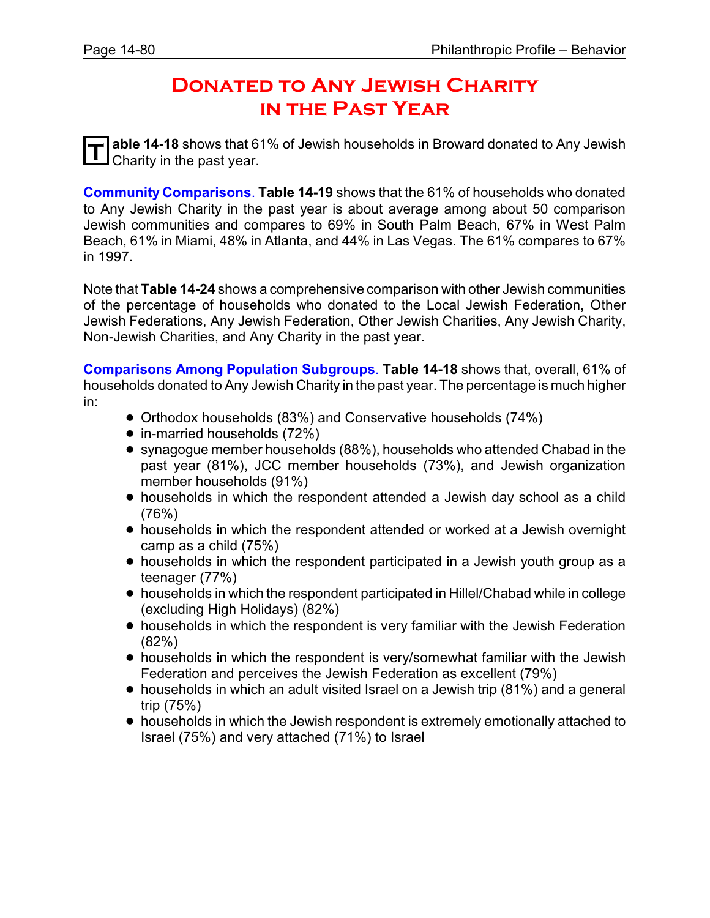## **Donated to Any Jewish Charity in the Past Year**

**T able 14-18** shows that 61% of Jewish households in Broward donated to Any Jewish Charity in the past year.

**Community Comparisons**. **Table 14-19** shows that the 61% of households who donated to Any Jewish Charity in the past year is about average among about 50 comparison Jewish communities and compares to 69% in South Palm Beach, 67% in West Palm Beach, 61% in Miami, 48% in Atlanta, and 44% in Las Vegas. The 61% compares to 67% in 1997.

Note that **Table 14-24** shows a comprehensive comparison with other Jewish communities of the percentage of households who donated to the Local Jewish Federation, Other Jewish Federations, Any Jewish Federation, Other Jewish Charities, Any Jewish Charity, Non-Jewish Charities, and Any Charity in the past year.

**Comparisons Among Population Subgroups**. **Table 14-18** shows that, overall, 61% of households donated to Any Jewish Charity in the past year. The percentage is much higher in:

- ! Orthodox households (83%) and Conservative households (74%)
- in-married households (72%)
- ! synagogue member households (88%), households who attended Chabad in the past year (81%), JCC member households (73%), and Jewish organization member households (91%)
- ! households in which the respondent attended a Jewish day school as a child (76%)
- households in which the respondent attended or worked at a Jewish overnight camp as a child (75%)
- ! households in which the respondent participated in a Jewish youth group as a teenager (77%)
- ! households in which the respondent participated in Hillel/Chabad while in college (excluding High Holidays) (82%)
- households in which the respondent is very familiar with the Jewish Federation (82%)
- ! households in which the respondent is very/somewhat familiar with the Jewish Federation and perceives the Jewish Federation as excellent (79%)
- ! households in which an adult visited Israel on a Jewish trip (81%) and a general trip (75%)
- ! households in which the Jewish respondent is extremely emotionally attached to Israel (75%) and very attached (71%) to Israel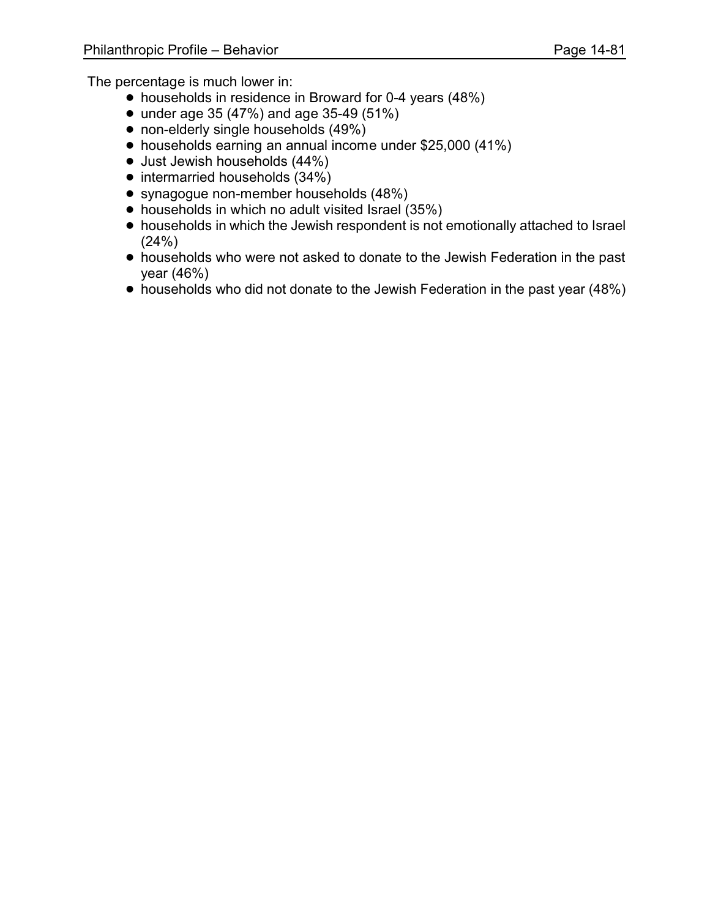- households in residence in Broward for 0-4 years (48%)
- under age 35 (47%) and age 35-49 (51%)
- non-elderly single households (49%)
- ! households earning an annual income under \$25,000 (41%)
- Just Jewish households (44%)
- intermarried households (34%)
- ! synagogue non-member households (48%)
- households in which no adult visited Israel (35%)
- households in which the Jewish respondent is not emotionally attached to Israel (24%)
- ! households who were not asked to donate to the Jewish Federation in the past year (46%)
- households who did not donate to the Jewish Federation in the past year (48%)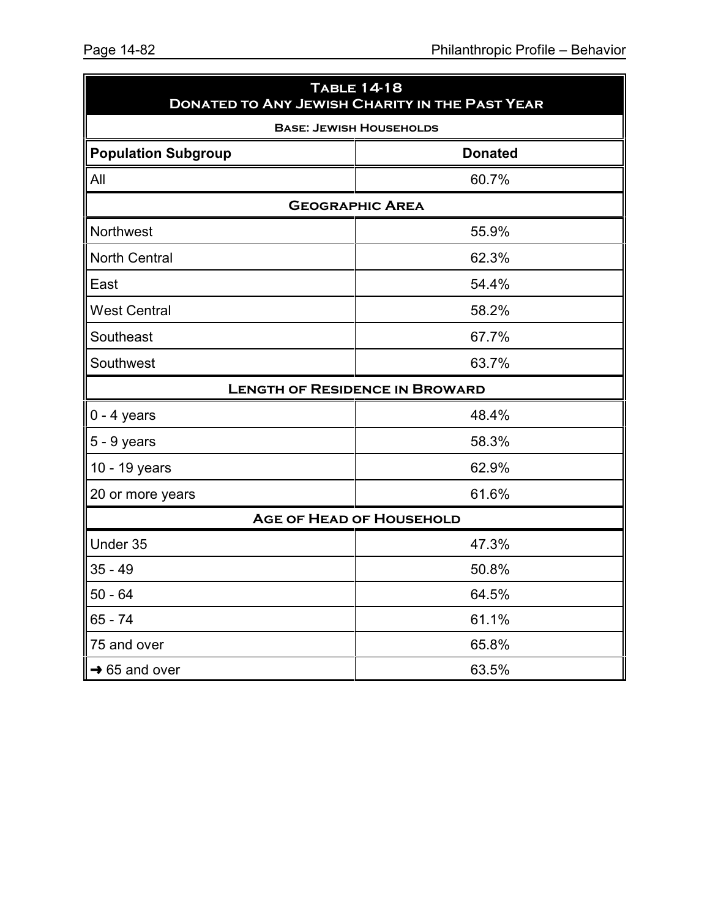| <b>TABLE 14-18</b><br><b>DONATED TO ANY JEWISH CHARITY IN THE PAST YEAR</b> |                                 |  |  |  |  |  |  |
|-----------------------------------------------------------------------------|---------------------------------|--|--|--|--|--|--|
|                                                                             | <b>BASE: JEWISH HOUSEHOLDS</b>  |  |  |  |  |  |  |
| <b>Population Subgroup</b><br><b>Donated</b>                                |                                 |  |  |  |  |  |  |
| All                                                                         | 60.7%                           |  |  |  |  |  |  |
|                                                                             | <b>GEOGRAPHIC AREA</b>          |  |  |  |  |  |  |
| Northwest                                                                   | 55.9%                           |  |  |  |  |  |  |
| <b>North Central</b>                                                        | 62.3%                           |  |  |  |  |  |  |
| East                                                                        | 54.4%                           |  |  |  |  |  |  |
| <b>West Central</b>                                                         | 58.2%                           |  |  |  |  |  |  |
| Southeast                                                                   | 67.7%                           |  |  |  |  |  |  |
| Southwest                                                                   | 63.7%                           |  |  |  |  |  |  |
| <b>LENGTH OF RESIDENCE IN BROWARD</b>                                       |                                 |  |  |  |  |  |  |
| $0 - 4$ years                                                               | 48.4%                           |  |  |  |  |  |  |
| $5 - 9$ years                                                               | 58.3%                           |  |  |  |  |  |  |
| 10 - 19 years                                                               | 62.9%                           |  |  |  |  |  |  |
| 20 or more years                                                            | 61.6%                           |  |  |  |  |  |  |
|                                                                             | <b>AGE OF HEAD OF HOUSEHOLD</b> |  |  |  |  |  |  |
| Under 35                                                                    | 47.3%                           |  |  |  |  |  |  |
| $35 - 49$                                                                   | 50.8%                           |  |  |  |  |  |  |
| $50 - 64$                                                                   | 64.5%                           |  |  |  |  |  |  |
| $65 - 74$                                                                   | 61.1%                           |  |  |  |  |  |  |
| 75 and over                                                                 | 65.8%                           |  |  |  |  |  |  |
| $\rightarrow$ 65 and over                                                   | 63.5%                           |  |  |  |  |  |  |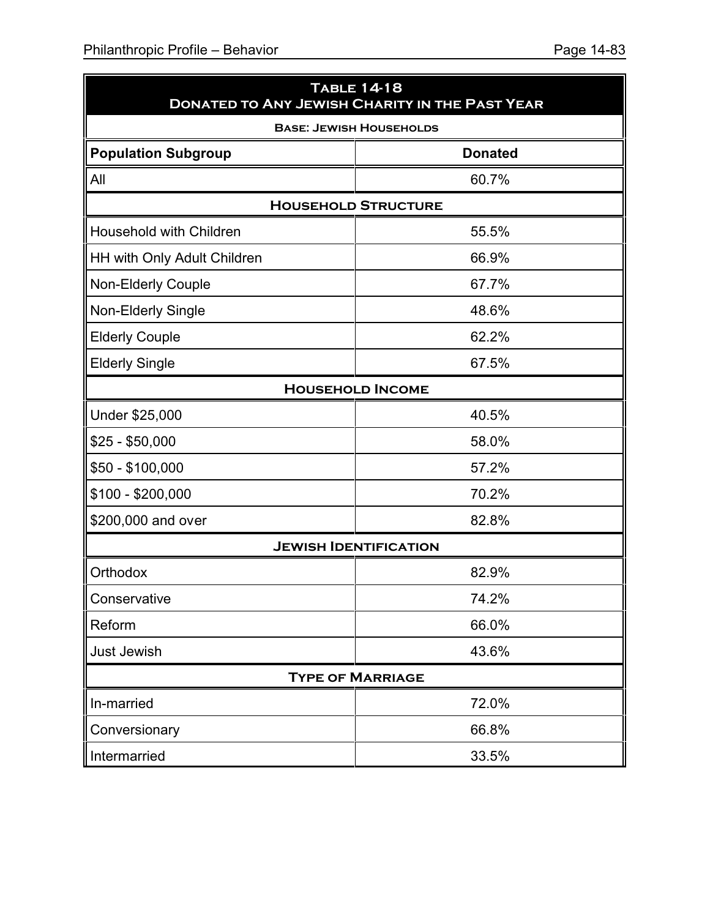| <b>TABLE 14-18</b><br><b>DONATED TO ANY JEWISH CHARITY IN THE PAST YEAR</b> |                                |  |  |  |
|-----------------------------------------------------------------------------|--------------------------------|--|--|--|
|                                                                             | <b>BASE: JEWISH HOUSEHOLDS</b> |  |  |  |
| <b>Population Subgroup</b>                                                  | <b>Donated</b>                 |  |  |  |
| All                                                                         | 60.7%                          |  |  |  |
|                                                                             | <b>HOUSEHOLD STRUCTURE</b>     |  |  |  |
| Household with Children                                                     | 55.5%                          |  |  |  |
| HH with Only Adult Children                                                 | 66.9%                          |  |  |  |
| Non-Elderly Couple                                                          | 67.7%                          |  |  |  |
| Non-Elderly Single                                                          | 48.6%                          |  |  |  |
| <b>Elderly Couple</b>                                                       | 62.2%                          |  |  |  |
| <b>Elderly Single</b>                                                       | 67.5%                          |  |  |  |
|                                                                             | <b>HOUSEHOLD INCOME</b>        |  |  |  |
| Under \$25,000                                                              | 40.5%                          |  |  |  |
| $$25 - $50,000$                                                             | 58.0%                          |  |  |  |
| \$50 - \$100,000                                                            | 57.2%                          |  |  |  |
| \$100 - \$200,000                                                           | 70.2%                          |  |  |  |
| \$200,000 and over                                                          | 82.8%                          |  |  |  |
|                                                                             | <b>JEWISH IDENTIFICATION</b>   |  |  |  |
| Orthodox                                                                    | 82.9%                          |  |  |  |
| Conservative                                                                | 74.2%                          |  |  |  |
| Reform                                                                      | 66.0%                          |  |  |  |
| Just Jewish                                                                 | 43.6%                          |  |  |  |
|                                                                             | <b>TYPE OF MARRIAGE</b>        |  |  |  |
| In-married                                                                  | 72.0%                          |  |  |  |
| Conversionary                                                               | 66.8%                          |  |  |  |
| Intermarried                                                                | 33.5%                          |  |  |  |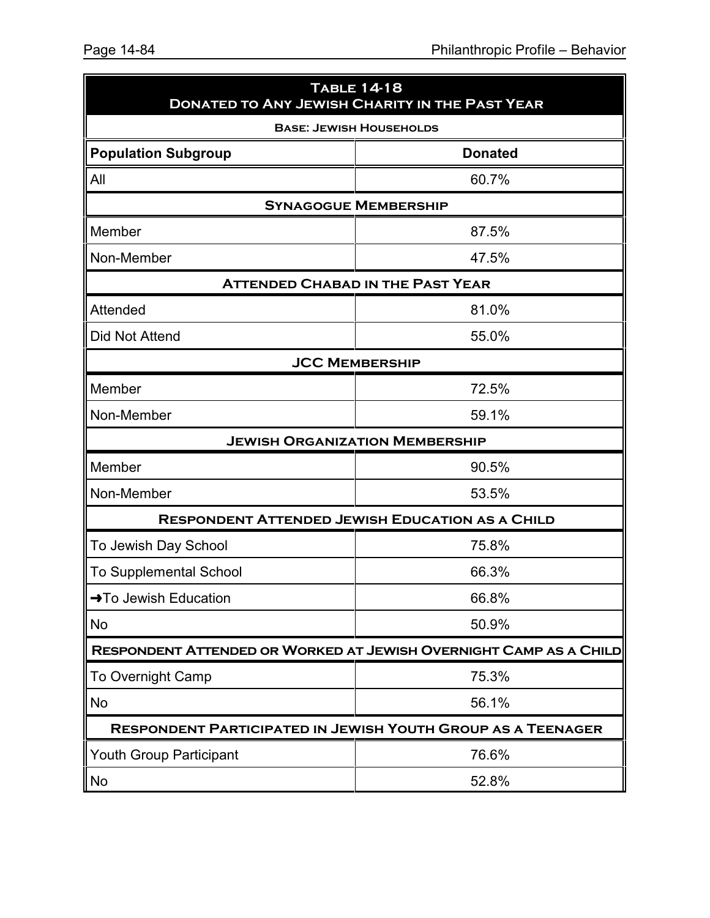| <b>TABLE 14-18</b><br><b>DONATED TO ANY JEWISH CHARITY IN THE PAST YEAR</b> |                                                                    |  |  |  |
|-----------------------------------------------------------------------------|--------------------------------------------------------------------|--|--|--|
|                                                                             | <b>BASE: JEWISH HOUSEHOLDS</b>                                     |  |  |  |
| <b>Population Subgroup</b>                                                  | <b>Donated</b>                                                     |  |  |  |
| All                                                                         | 60.7%                                                              |  |  |  |
|                                                                             | <b>SYNAGOGUE MEMBERSHIP</b>                                        |  |  |  |
| Member                                                                      | 87.5%                                                              |  |  |  |
| Non-Member                                                                  | 47.5%                                                              |  |  |  |
|                                                                             | <b>ATTENDED CHABAD IN THE PAST YEAR</b>                            |  |  |  |
| Attended                                                                    | 81.0%                                                              |  |  |  |
| Did Not Attend                                                              | 55.0%                                                              |  |  |  |
|                                                                             | <b>JCC MEMBERSHIP</b>                                              |  |  |  |
| Member                                                                      | 72.5%                                                              |  |  |  |
| Non-Member                                                                  | 59.1%                                                              |  |  |  |
|                                                                             | <b>JEWISH ORGANIZATION MEMBERSHIP</b>                              |  |  |  |
| Member                                                                      | 90.5%                                                              |  |  |  |
| Non-Member                                                                  | 53.5%                                                              |  |  |  |
|                                                                             | <b>RESPONDENT ATTENDED JEWISH EDUCATION AS A CHILD</b>             |  |  |  |
| To Jewish Day School                                                        | 75.8%                                                              |  |  |  |
| <b>To Supplemental School</b>                                               | 66.3%                                                              |  |  |  |
| →To Jewish Education                                                        | 66.8%                                                              |  |  |  |
| No                                                                          | 50.9%                                                              |  |  |  |
|                                                                             | RESPONDENT ATTENDED OR WORKED AT JEWISH OVERNIGHT CAMP AS A CHILD  |  |  |  |
| <b>To Overnight Camp</b>                                                    | 75.3%                                                              |  |  |  |
| <b>No</b>                                                                   | 56.1%                                                              |  |  |  |
|                                                                             | <b>RESPONDENT PARTICIPATED IN JEWISH YOUTH GROUP AS A TEENAGER</b> |  |  |  |
| <b>Youth Group Participant</b>                                              | 76.6%                                                              |  |  |  |
| No                                                                          | 52.8%                                                              |  |  |  |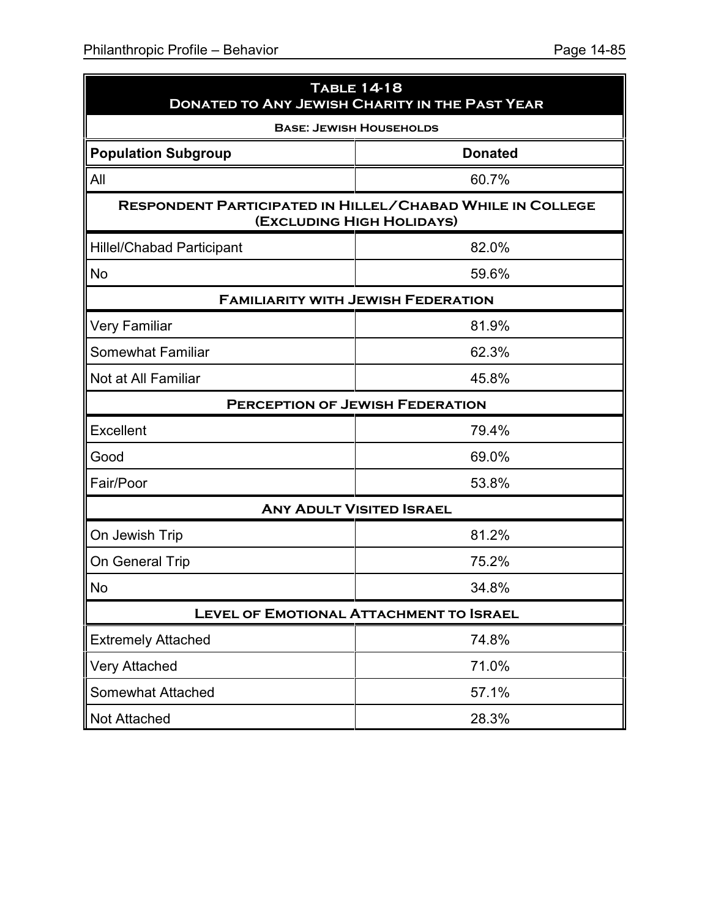| <b>TABLE 14-18</b><br><b>DONATED TO ANY JEWISH CHARITY IN THE PAST YEAR</b> |                                                                                               |  |  |  |  |
|-----------------------------------------------------------------------------|-----------------------------------------------------------------------------------------------|--|--|--|--|
|                                                                             | <b>BASE: JEWISH HOUSEHOLDS</b>                                                                |  |  |  |  |
| <b>Population Subgroup</b>                                                  | <b>Donated</b>                                                                                |  |  |  |  |
| All                                                                         | 60.7%                                                                                         |  |  |  |  |
|                                                                             | <b>RESPONDENT PARTICIPATED IN HILLEL/CHABAD WHILE IN COLLEGE</b><br>(EXCLUDING HIGH HOLIDAYS) |  |  |  |  |
| <b>Hillel/Chabad Participant</b>                                            | 82.0%                                                                                         |  |  |  |  |
| <b>No</b>                                                                   | 59.6%                                                                                         |  |  |  |  |
|                                                                             | <b>FAMILIARITY WITH JEWISH FEDERATION</b>                                                     |  |  |  |  |
| Very Familiar                                                               | 81.9%                                                                                         |  |  |  |  |
| <b>Somewhat Familiar</b>                                                    | 62.3%                                                                                         |  |  |  |  |
| Not at All Familiar                                                         | 45.8%                                                                                         |  |  |  |  |
| <b>PERCEPTION OF JEWISH FEDERATION</b>                                      |                                                                                               |  |  |  |  |
| Excellent                                                                   | 79.4%                                                                                         |  |  |  |  |
| Good                                                                        | 69.0%                                                                                         |  |  |  |  |
| Fair/Poor                                                                   | 53.8%                                                                                         |  |  |  |  |
|                                                                             | <b>ANY ADULT VISITED ISRAEL</b>                                                               |  |  |  |  |
| On Jewish Trip                                                              | 81.2%                                                                                         |  |  |  |  |
| On General Trip                                                             | 75.2%                                                                                         |  |  |  |  |
| <b>No</b>                                                                   | 34.8%                                                                                         |  |  |  |  |
| <b>LEVEL OF EMOTIONAL ATTACHMENT TO ISRAEL</b>                              |                                                                                               |  |  |  |  |
| <b>Extremely Attached</b>                                                   | 74.8%                                                                                         |  |  |  |  |
| Very Attached                                                               | 71.0%                                                                                         |  |  |  |  |
| <b>Somewhat Attached</b>                                                    | 57.1%                                                                                         |  |  |  |  |
| <b>Not Attached</b>                                                         | 28.3%                                                                                         |  |  |  |  |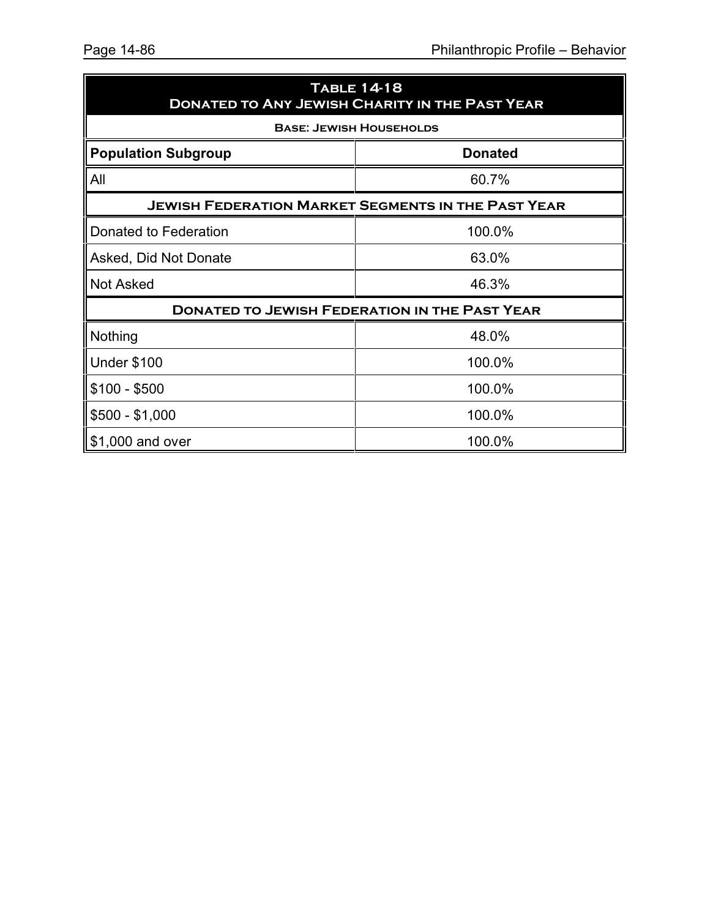| <b>TABLE 14-18</b><br><b>DONATED TO ANY JEWISH CHARITY IN THE PAST YEAR</b> |                                |  |  |  |
|-----------------------------------------------------------------------------|--------------------------------|--|--|--|
|                                                                             | <b>BASE: JEWISH HOUSEHOLDS</b> |  |  |  |
| <b>Donated</b><br><b>Population Subgroup</b>                                |                                |  |  |  |
| All                                                                         | 60.7%                          |  |  |  |
| <b>JEWISH FEDERATION MARKET SEGMENTS IN THE PAST YEAR</b>                   |                                |  |  |  |
| Donated to Federation                                                       | 100.0%                         |  |  |  |
| Asked, Did Not Donate                                                       | 63.0%                          |  |  |  |
| <b>Not Asked</b>                                                            | 46.3%                          |  |  |  |
| <b>DONATED TO JEWISH FEDERATION IN THE PAST YEAR</b>                        |                                |  |  |  |
| Nothing                                                                     | 48.0%                          |  |  |  |
| Under \$100                                                                 | 100.0%                         |  |  |  |
| $$100 - $500$                                                               | 100.0%                         |  |  |  |
| \$500 - \$1,000                                                             | 100.0%                         |  |  |  |
| \$1,000 and over                                                            | 100.0%                         |  |  |  |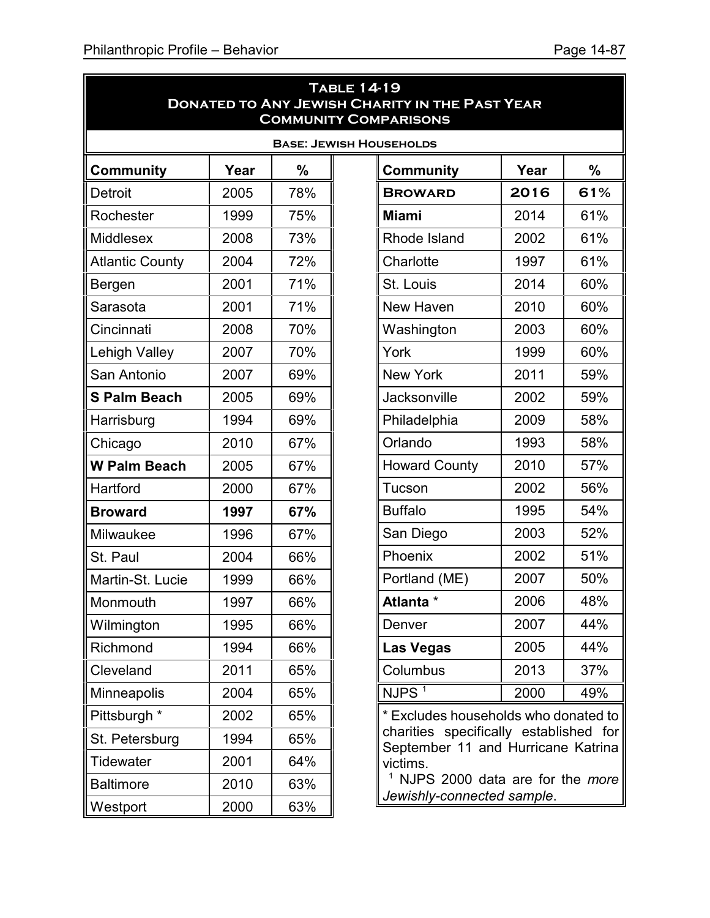|                        |      |     | <b>TABLE 14-19</b><br><b>DONATED TO ANY JEWISH CHARITY IN THE PAST YEAR</b><br><b>COMMUNITY COMPARISONS</b> |                                 |     |  |  |
|------------------------|------|-----|-------------------------------------------------------------------------------------------------------------|---------------------------------|-----|--|--|
|                        |      |     | <b>BASE: JEWISH HOUSEHOLDS</b>                                                                              |                                 |     |  |  |
| <b>Community</b>       | Year | %   | <b>Community</b>                                                                                            | Year                            | %   |  |  |
| Detroit                | 2005 | 78% | <b>BROWARD</b>                                                                                              | 2016                            | 61% |  |  |
| Rochester              | 1999 | 75% | <b>Miami</b>                                                                                                | 2014                            | 61% |  |  |
| <b>Middlesex</b>       | 2008 | 73% | Rhode Island                                                                                                | 2002                            | 61% |  |  |
| <b>Atlantic County</b> | 2004 | 72% | Charlotte                                                                                                   | 1997                            | 61% |  |  |
| Bergen                 | 2001 | 71% | St. Louis                                                                                                   | 2014                            | 60% |  |  |
| Sarasota               | 2001 | 71% | New Haven                                                                                                   | 2010                            | 60% |  |  |
| Cincinnati             | 2008 | 70% | Washington                                                                                                  | 2003                            | 60% |  |  |
| <b>Lehigh Valley</b>   | 2007 | 70% | York                                                                                                        | 1999                            | 60% |  |  |
| San Antonio            | 2007 | 69% | <b>New York</b>                                                                                             | 2011                            | 59% |  |  |
| <b>S Palm Beach</b>    | 2005 | 69% | Jacksonville                                                                                                | 2002                            | 59% |  |  |
| Harrisburg             | 1994 | 69% | Philadelphia                                                                                                | 2009                            | 58% |  |  |
| Chicago                | 2010 | 67% | Orlando                                                                                                     | 1993                            | 58% |  |  |
| <b>W Palm Beach</b>    | 2005 | 67% | <b>Howard County</b>                                                                                        | 2010                            | 57% |  |  |
| Hartford               | 2000 | 67% | Tucson                                                                                                      | 2002                            | 56% |  |  |
| <b>Broward</b>         | 1997 | 67% | <b>Buffalo</b>                                                                                              | 1995                            | 54% |  |  |
| Milwaukee              | 1996 | 67% | San Diego                                                                                                   | 2003                            | 52% |  |  |
| St. Paul               | 2004 | 66% | Phoenix                                                                                                     | 2002                            | 51% |  |  |
| Martin-St. Lucie       | 1999 | 66% | Portland (ME)                                                                                               | 2007                            | 50% |  |  |
| Monmouth               | 1997 | 66% | <b>Atlanta</b> *                                                                                            | 2006                            | 48% |  |  |
| Wilmington             | 1995 | 66% | Denver                                                                                                      | 2007                            | 44% |  |  |
| Richmond               | 1994 | 66% | Las Vegas                                                                                                   | 2005                            | 44% |  |  |
| Cleveland              | 2011 | 65% | Columbus                                                                                                    | 2013                            | 37% |  |  |
| <b>Minneapolis</b>     | 2004 | 65% | NJPS <sup>1</sup>                                                                                           | 2000                            | 49% |  |  |
| Pittsburgh *           | 2002 | 65% | * Excludes households who donated to                                                                        |                                 |     |  |  |
| St. Petersburg         | 1994 | 65% | charities specifically established for<br>September 11 and Hurricane Katrina                                |                                 |     |  |  |
| Tidewater              | 2001 | 64% | victims.                                                                                                    |                                 |     |  |  |
| <b>Baltimore</b>       | 2010 | 63% |                                                                                                             | NJPS 2000 data are for the more |     |  |  |
| Westport               | 2000 | 63% | Jewishly-connected sample.                                                                                  |                                 |     |  |  |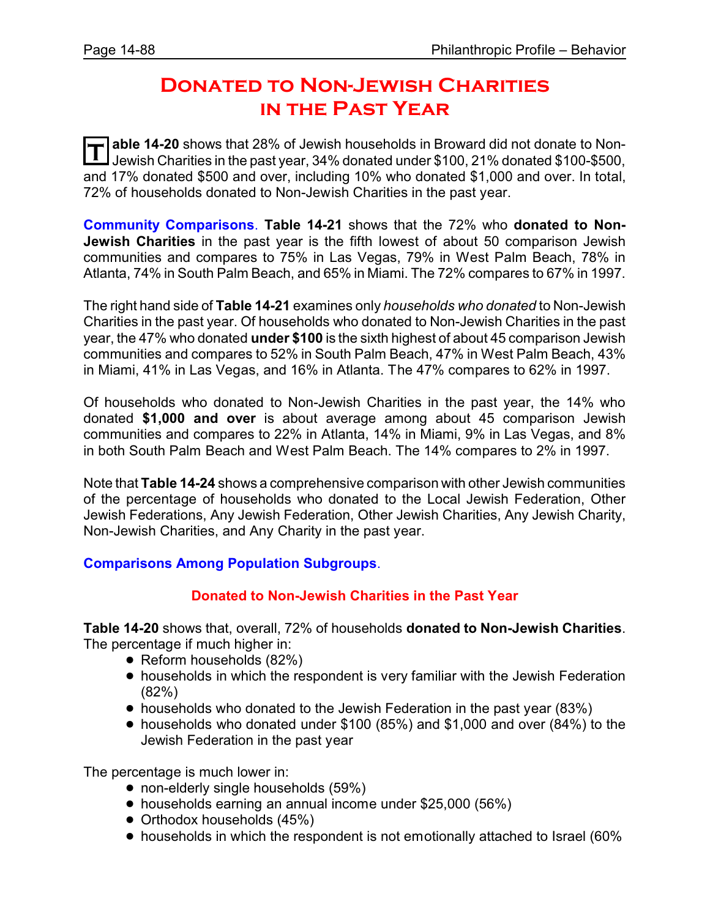## **Donated to Non-Jewish Charities in the Past Year**

**T** able 14-20 shows that 28% of Jewish households in Broward did not donate to Non-<br>Lowish Charities in the past vear, 34% denated under \$100, 21% denated \$100, \$500. Jewish Charities in the past year, 34% donated under \$100, 21% donated \$100-\$500, and 17% donated \$500 and over, including 10% who donated \$1,000 and over. In total, 72% of households donated to Non-Jewish Charities in the past year.

**Community Comparisons**. **Table 14-21** shows that the 72% who **donated to Non-Jewish Charities** in the past year is the fifth lowest of about 50 comparison Jewish communities and compares to 75% in Las Vegas, 79% in West Palm Beach, 78% in Atlanta, 74% in South Palm Beach, and 65% in Miami. The 72% compares to 67% in 1997.

The right hand side of **Table 14-21** examines only *households who donated* to Non-Jewish Charities in the past year. Of households who donated to Non-Jewish Charities in the past year, the 47% who donated **under \$100** is the sixth highest of about 45 comparison Jewish communities and compares to 52% in South Palm Beach, 47% in West Palm Beach, 43% in Miami, 41% in Las Vegas, and 16% in Atlanta. The 47% compares to 62% in 1997.

Of households who donated to Non-Jewish Charities in the past year, the 14% who donated **\$1,000 and over** is about average among about 45 comparison Jewish communities and compares to 22% in Atlanta, 14% in Miami, 9% in Las Vegas, and 8% in both South Palm Beach and West Palm Beach. The 14% compares to 2% in 1997.

Note that **Table 14-24** shows a comprehensive comparison with other Jewish communities of the percentage of households who donated to the Local Jewish Federation, Other Jewish Federations, Any Jewish Federation, Other Jewish Charities, Any Jewish Charity, Non-Jewish Charities, and Any Charity in the past year.

#### **Comparisons Among Population Subgroups**.

#### **Donated to Non-Jewish Charities in the Past Year**

**Table 14-20** shows that, overall, 72% of households **donated to Non-Jewish Charities**. The percentage if much higher in:

- Reform households (82%)
- households in which the respondent is very familiar with the Jewish Federation (82%)
- households who donated to the Jewish Federation in the past year (83%)
- ! households who donated under \$100 (85%) and \$1,000 and over (84%) to the Jewish Federation in the past year

- non-elderly single households (59%)
- ! households earning an annual income under \$25,000 (56%)
- Orthodox households (45%)
- households in which the respondent is not emotionally attached to Israel (60%)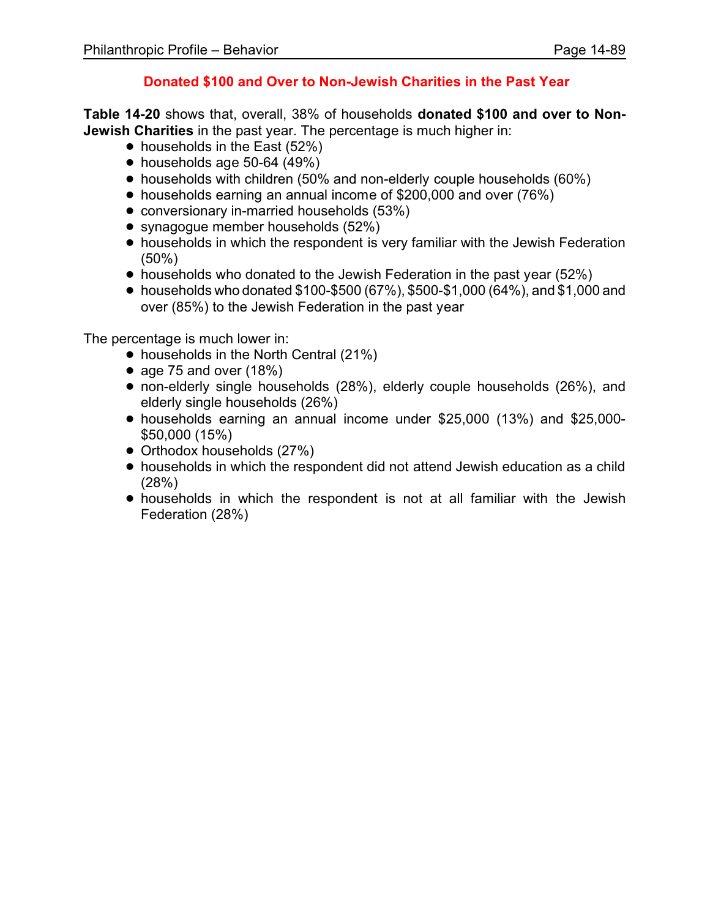#### **Donated \$100 and Over to Non-Jewish Charities in the Past Year**

**Table 14-20** shows that, overall, 38% of households **donated \$100 and over to Non-Jewish Charities** in the past year. The percentage is much higher in:

- $\bullet$  households in the East (52%)
- $\bullet$  households age 50-64 (49%)
- households with children (50% and non-elderly couple households (60%)
- households earning an annual income of \$200,000 and over (76%)
- conversionary in-married households (53%)
- synagogue member households (52%)
- households in which the respondent is very familiar with the Jewish Federation (50%)
- $\bullet$  households who donated to the Jewish Federation in the past year (52%)
- $\bullet$  households who donated \$100-\$500 (67%), \$500-\$1,000 (64%), and \$1,000 and over (85%) to the Jewish Federation in the past year

- households in the North Central (21%)
- $\bullet$  age 75 and over (18%)
- non-elderly single households (28%), elderly couple households (26%), and elderly single households (26%)
- ! households earning an annual income under \$25,000 (13%) and \$25,000- \$50,000 (15%)
- Orthodox households (27%)
- ! households in which the respondent did not attend Jewish education as a child (28%)
- ! households in which the respondent is not at all familiar with the Jewish Federation (28%)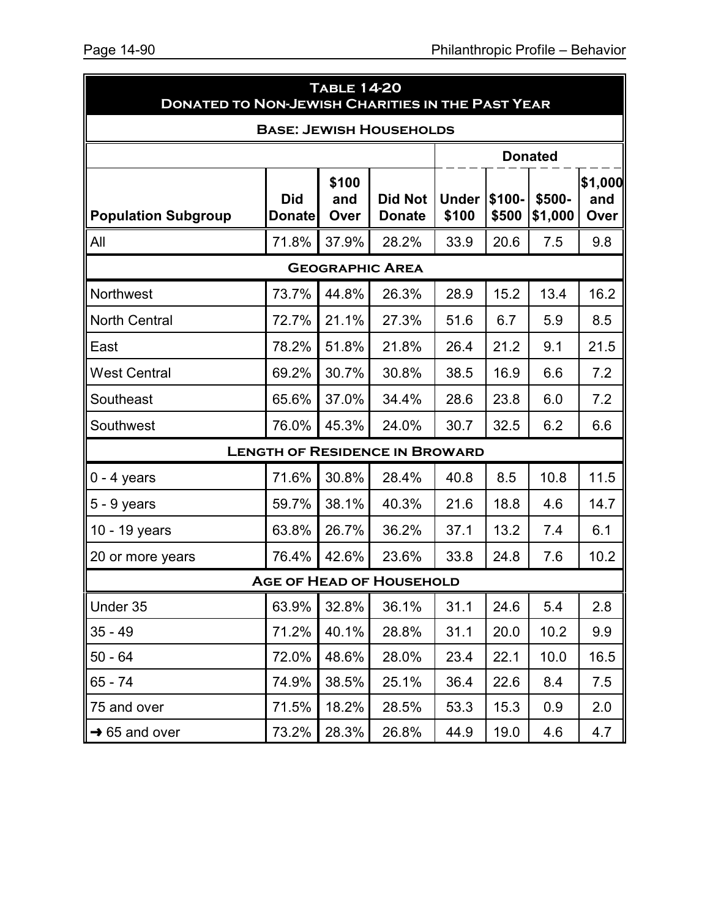|                                | <b>TABLE 14-20</b><br><b>DONATED TO NON-JEWISH CHARITIES IN THE PAST YEAR</b> |                      |                                       |                       |                 |                   |                        |  |  |  |
|--------------------------------|-------------------------------------------------------------------------------|----------------------|---------------------------------------|-----------------------|-----------------|-------------------|------------------------|--|--|--|
| <b>BASE: JEWISH HOUSEHOLDS</b> |                                                                               |                      |                                       |                       |                 |                   |                        |  |  |  |
|                                |                                                                               |                      |                                       |                       |                 | <b>Donated</b>    |                        |  |  |  |
| <b>Population Subgroup</b>     | <b>Did</b><br><b>Donate</b>                                                   | \$100<br>and<br>Over | <b>Did Not</b><br><b>Donate</b>       | <b>Under</b><br>\$100 | \$100-<br>\$500 | \$500-<br>\$1,000 | \$1,000<br>and<br>Over |  |  |  |
| All                            | 71.8%                                                                         | 37.9%                | 28.2%                                 | 33.9                  | 20.6            | 7.5               | 9.8                    |  |  |  |
|                                | <b>GEOGRAPHIC AREA</b>                                                        |                      |                                       |                       |                 |                   |                        |  |  |  |
| Northwest                      | 73.7%                                                                         | 44.8%                | 26.3%                                 | 28.9                  | 15.2            | 13.4              | 16.2                   |  |  |  |
| <b>North Central</b>           | 72.7%                                                                         | 21.1%                | 27.3%                                 | 51.6                  | 6.7             | 5.9               | 8.5                    |  |  |  |
| East                           | 78.2%                                                                         | 51.8%                | 21.8%                                 | 26.4                  | 21.2            | 9.1               | 21.5                   |  |  |  |
| <b>West Central</b>            | 69.2%                                                                         | 30.7%                | 30.8%                                 | 38.5                  | 16.9            | 6.6               | 7.2                    |  |  |  |
| Southeast                      | 65.6%                                                                         | 37.0%                | 34.4%                                 | 28.6                  | 23.8            | 6.0               | 7.2                    |  |  |  |
| Southwest                      | 76.0%                                                                         | 45.3%                | 24.0%                                 | 30.7                  | 32.5            | 6.2               | 6.6                    |  |  |  |
|                                |                                                                               |                      | <b>LENGTH OF RESIDENCE IN BROWARD</b> |                       |                 |                   |                        |  |  |  |
| $0 - 4$ years                  | 71.6%                                                                         | 30.8%                | 28.4%                                 | 40.8                  | 8.5             | 10.8              | 11.5                   |  |  |  |
| $5 - 9$ years                  | 59.7%                                                                         | 38.1%                | 40.3%                                 | 21.6                  | 18.8            | 4.6               | 14.7                   |  |  |  |
| 10 - 19 years                  | 63.8%                                                                         | 26.7%                | 36.2%                                 | 37.1                  | 13.2            | 7.4               | 6.1                    |  |  |  |
| 20 or more years               | 76.4%                                                                         | 42.6%                | 23.6%                                 | 33.8                  | 24.8            | 7.6               | 10.2                   |  |  |  |
|                                |                                                                               |                      | <b>AGE OF HEAD OF HOUSEHOLD</b>       |                       |                 |                   |                        |  |  |  |
| Under 35                       | 63.9%                                                                         | 32.8%                | 36.1%                                 | 31.1                  | 24.6            | 5.4               | 2.8                    |  |  |  |
| $35 - 49$                      | 71.2%                                                                         | 40.1%                | 28.8%                                 | 31.1                  | 20.0            | 10.2              | 9.9                    |  |  |  |
| $50 - 64$                      | 72.0%                                                                         | 48.6%                | 28.0%                                 | 23.4                  | 22.1            | 10.0              | 16.5                   |  |  |  |
| $65 - 74$                      | 74.9%                                                                         | 38.5%                | 25.1%                                 | 36.4                  | 22.6            | 8.4               | 7.5                    |  |  |  |
| 75 and over                    | 71.5%                                                                         | 18.2%                | 28.5%                                 | 53.3                  | 15.3            | 0.9               | 2.0                    |  |  |  |
| $\rightarrow$ 65 and over      | 73.2%                                                                         | 28.3%                | 26.8%                                 | 44.9                  | 19.0            | 4.6               | 4.7                    |  |  |  |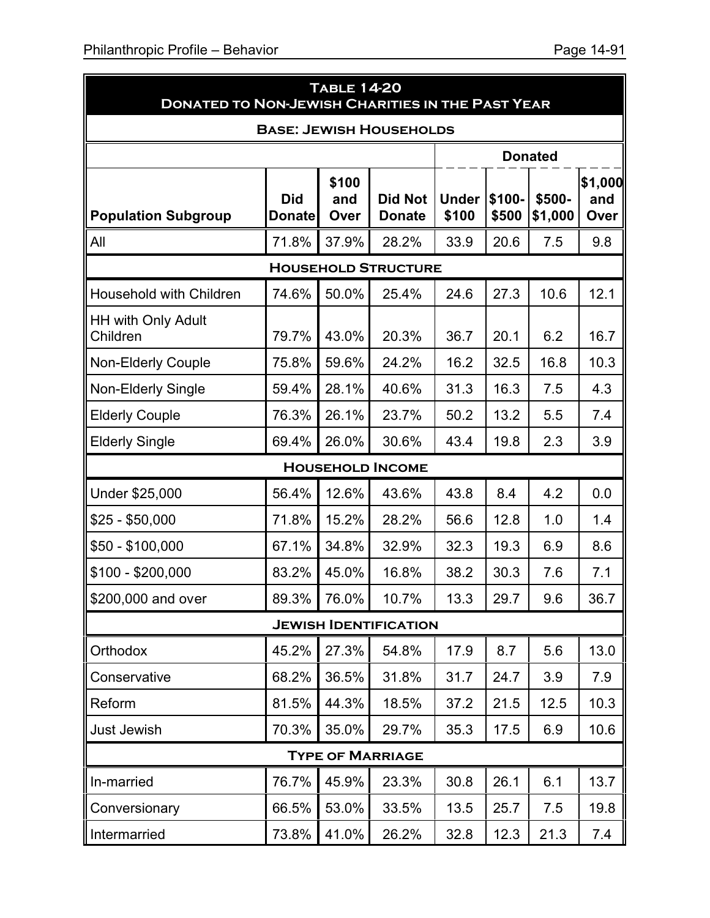| <b>TABLE 14-20</b><br><b>DONATED TO NON-JEWISH CHARITIES IN THE PAST YEAR</b> |                      |                      |                                 |                       |                 |                   |                        |  |  |  |
|-------------------------------------------------------------------------------|----------------------|----------------------|---------------------------------|-----------------------|-----------------|-------------------|------------------------|--|--|--|
| <b>BASE: JEWISH HOUSEHOLDS</b>                                                |                      |                      |                                 |                       |                 |                   |                        |  |  |  |
|                                                                               |                      |                      |                                 |                       |                 | <b>Donated</b>    |                        |  |  |  |
| <b>Population Subgroup</b>                                                    | <b>Did</b><br>Donate | \$100<br>and<br>Over | <b>Did Not</b><br><b>Donate</b> | <b>Under</b><br>\$100 | \$100-<br>\$500 | \$500-<br>\$1,000 | \$1,000<br>and<br>Over |  |  |  |
| All                                                                           | 71.8%                | 37.9%                | 28.2%                           | 33.9                  | 20.6            | 7.5               | 9.8                    |  |  |  |
| <b>HOUSEHOLD STRUCTURE</b>                                                    |                      |                      |                                 |                       |                 |                   |                        |  |  |  |
| Household with Children                                                       | 74.6%                | 50.0%                | 25.4%                           | 24.6                  | 27.3            | 10.6              | 12.1                   |  |  |  |
| <b>HH with Only Adult</b><br>Children                                         | 79.7%                | 43.0%                | 20.3%                           | 36.7                  | 20.1            | 6.2               | 16.7                   |  |  |  |
| <b>Non-Elderly Couple</b>                                                     | 75.8%                | 59.6%                | 24.2%                           | 16.2                  | 32.5            | 16.8              | 10.3                   |  |  |  |
| <b>Non-Elderly Single</b>                                                     | 59.4%                | 28.1%                | 40.6%                           | 31.3                  | 16.3            | 7.5               | 4.3                    |  |  |  |
| <b>Elderly Couple</b>                                                         | 76.3%                | 26.1%                | 23.7%                           | 50.2                  | 13.2            | 5.5               | 7.4                    |  |  |  |
| <b>Elderly Single</b>                                                         | 69.4%                | 26.0%                | 30.6%                           | 43.4                  | 19.8            | 2.3               | 3.9                    |  |  |  |
|                                                                               |                      |                      | <b>HOUSEHOLD INCOME</b>         |                       |                 |                   |                        |  |  |  |
| Under \$25,000                                                                | 56.4%                | 12.6%                | 43.6%                           | 43.8                  | 8.4             | 4.2               | 0.0                    |  |  |  |
| $$25 - $50,000$                                                               | 71.8%                | 15.2%                | 28.2%                           | 56.6                  | 12.8            | 1.0               | 1.4                    |  |  |  |
| $$50 - $100,000$                                                              | 67.1%                | 34.8%                | 32.9%                           | 32.3                  | 19.3            | 6.9               | 8.6                    |  |  |  |
| $$100 - $200,000$                                                             | 83.2%                | 45.0%                | 16.8%                           | 38.2                  | 30.3            | 7.6               | 7.1                    |  |  |  |
| \$200,000 and over                                                            | 89.3%                | 76.0%                | 10.7%                           | 13.3                  | 29.7            | 9.6               | 36.7                   |  |  |  |
|                                                                               |                      |                      | <b>JEWISH IDENTIFICATION</b>    |                       |                 |                   |                        |  |  |  |
| Orthodox                                                                      | 45.2%                | 27.3%                | 54.8%                           | 17.9                  | 8.7             | 5.6               | 13.0                   |  |  |  |
| Conservative                                                                  | 68.2%                | 36.5%                | 31.8%                           | 31.7                  | 24.7            | 3.9               | 7.9                    |  |  |  |
| Reform                                                                        | 81.5%                | 44.3%                | 18.5%                           | 37.2                  | 21.5            | 12.5              | 10.3                   |  |  |  |
| Just Jewish                                                                   | 70.3%                | 35.0%                | 29.7%                           | 35.3                  | 17.5            | 6.9               | 10.6                   |  |  |  |

### **Type of Marriage**

| In-married    |  | 76.7% 45.9% 23.3%    | 30.8 | 26.1 | 6.1  | 13.7 |
|---------------|--|----------------------|------|------|------|------|
| Conversionary |  | $66.5\%$ 53.0% 33.5% | 13.5 | 25.7 | 7.5  | 19.8 |
| Intermarried  |  | 73.8% 41.0% 26.2%    | 32.8 | 12.3 | 21.3 | 7.4  |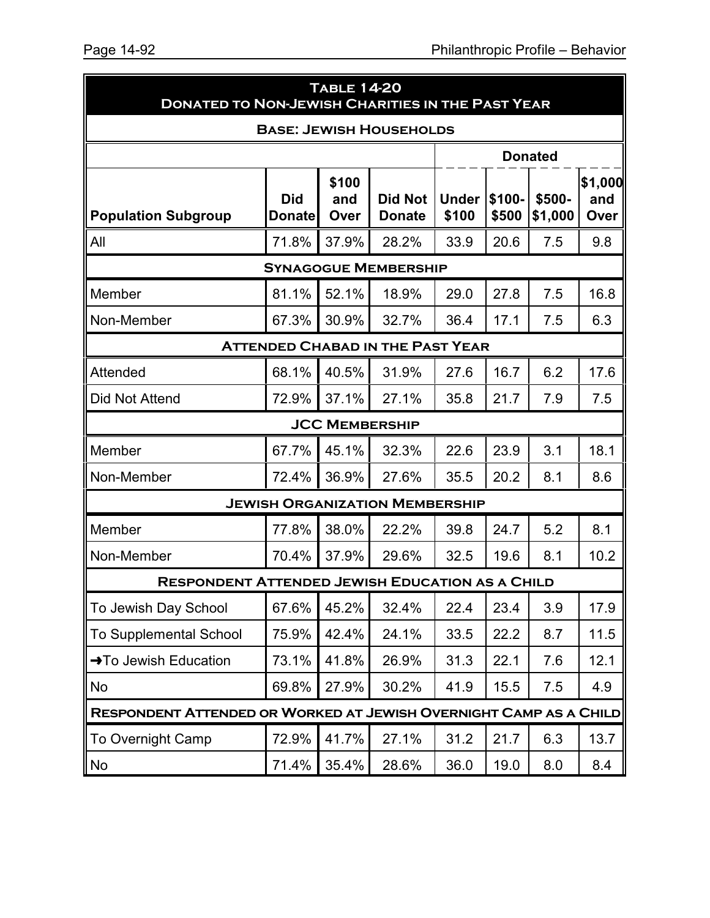| <b>TABLE 14-20</b><br><b>DONATED TO NON-JEWISH CHARITIES IN THE PAST YEAR</b> |                             |                       |                                       |                       |                 |                   |                        |  |
|-------------------------------------------------------------------------------|-----------------------------|-----------------------|---------------------------------------|-----------------------|-----------------|-------------------|------------------------|--|
| <b>BASE: JEWISH HOUSEHOLDS</b>                                                |                             |                       |                                       |                       |                 |                   |                        |  |
|                                                                               |                             |                       |                                       |                       |                 | <b>Donated</b>    |                        |  |
| <b>Population Subgroup</b>                                                    | <b>Did</b><br><b>Donate</b> | \$100<br>and<br>Over  | <b>Did Not</b><br><b>Donate</b>       | <b>Under</b><br>\$100 | \$100-<br>\$500 | \$500-<br>\$1,000 | \$1,000<br>and<br>Over |  |
| All                                                                           | 71.8%                       | 37.9%                 | 28.2%                                 | 33.9                  | 20.6            | 7.5               | 9.8                    |  |
|                                                                               |                             |                       | <b>SYNAGOGUE MEMBERSHIP</b>           |                       |                 |                   |                        |  |
| Member                                                                        | 81.1%                       | 52.1%                 | 18.9%                                 | 29.0                  | 27.8            | 7.5               | 16.8                   |  |
| Non-Member                                                                    | 67.3%                       | 30.9%                 | 32.7%                                 | 36.4                  | 17.1            | 7.5               | 6.3                    |  |
| <b>ATTENDED CHABAD IN THE PAST YEAR</b>                                       |                             |                       |                                       |                       |                 |                   |                        |  |
| Attended                                                                      | 68.1%                       | 40.5%                 | 31.9%                                 | 27.6                  | 16.7            | 6.2               | 17.6                   |  |
| Did Not Attend                                                                | 72.9%                       | 37.1%                 | 27.1%                                 | 35.8                  | 21.7            | 7.9               | 7.5                    |  |
|                                                                               |                             | <b>JCC MEMBERSHIP</b> |                                       |                       |                 |                   |                        |  |
| Member                                                                        | 67.7%                       | 45.1%                 | 32.3%                                 | 22.6                  | 23.9            | 3.1               | 18.1                   |  |
| Non-Member                                                                    | 72.4%                       | 36.9%                 | 27.6%                                 | 35.5                  | 20.2            | 8.1               | 8.6                    |  |
|                                                                               |                             |                       | <b>JEWISH ORGANIZATION MEMBERSHIP</b> |                       |                 |                   |                        |  |
| Member                                                                        | 77.8%                       | 38.0%                 | 22.2%                                 | 39.8                  | 24.7            | 5.2               | 8.1                    |  |
| Non-Member                                                                    | 70.4%                       | 37.9%                 | 29.6%                                 | 32.5                  | 19.6            | 8.1               | 10.2                   |  |
| <b>RESPONDENT ATTENDED JEWISH EDUCATION AS A CHILD</b>                        |                             |                       |                                       |                       |                 |                   |                        |  |
| To Jewish Day School                                                          | 67.6%                       | 45.2%                 | 32.4%                                 | 22.4                  | 23.4            | 3.9               | 17.9                   |  |
| <b>To Supplemental School</b>                                                 | 75.9%                       | 42.4%                 | 24.1%                                 | 33.5                  | 22.2            | 8.7               | 11.5                   |  |
| →To Jewish Education                                                          | 73.1%                       | 41.8%                 | 26.9%                                 | 31.3                  | 22.1            | 7.6               | 12.1                   |  |
| No                                                                            | 69.8%                       | 27.9%                 | 30.2%                                 | 41.9                  | 15.5            | 7.5               | 4.9                    |  |
| RESPONDENT ATTENDED OR WORKED AT JEWISH OVERNIGHT CAMP AS A CHILD             |                             |                       |                                       |                       |                 |                   |                        |  |
| <b>To Overnight Camp</b>                                                      | 72.9%                       | 41.7%                 | 27.1%                                 | 31.2                  | 21.7            | 6.3               | 13.7                   |  |
| No                                                                            | 71.4%                       | 35.4%                 | 28.6%                                 | 36.0                  | 19.0            | 8.0               | 8.4                    |  |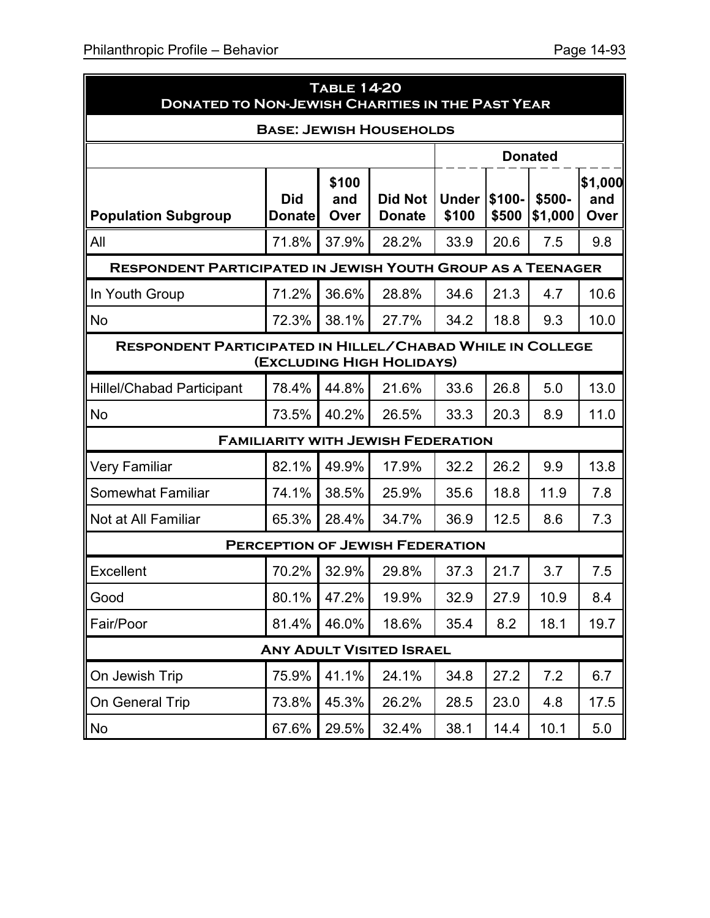| <b>TABLE 14-20</b><br><b>DONATED TO NON-JEWISH CHARITIES IN THE PAST YEAR</b>                 |                             |                      |                                           |                       |                 |                   |                        |  |
|-----------------------------------------------------------------------------------------------|-----------------------------|----------------------|-------------------------------------------|-----------------------|-----------------|-------------------|------------------------|--|
| <b>BASE: JEWISH HOUSEHOLDS</b>                                                                |                             |                      |                                           |                       |                 |                   |                        |  |
|                                                                                               |                             |                      |                                           |                       |                 | <b>Donated</b>    |                        |  |
| <b>Population Subgroup</b>                                                                    | <b>Did</b><br><b>Donate</b> | \$100<br>and<br>Over | <b>Did Not</b><br><b>Donate</b>           | <b>Under</b><br>\$100 | \$100-<br>\$500 | \$500-<br>\$1,000 | \$1,000<br>and<br>Over |  |
| All                                                                                           | 71.8%                       | 37.9%                | 28.2%                                     | 33.9                  | 20.6            | 7.5               | 9.8                    |  |
| <b>RESPONDENT PARTICIPATED IN JEWISH YOUTH GROUP AS A TEENAGER</b>                            |                             |                      |                                           |                       |                 |                   |                        |  |
| In Youth Group                                                                                | 71.2%                       | 36.6%                | 28.8%                                     | 34.6                  | 21.3            | 4.7               | 10.6                   |  |
| <b>No</b>                                                                                     | 72.3%                       | 38.1%                | 27.7%                                     | 34.2                  | 18.8            | 9.3               | 10.0                   |  |
| <b>RESPONDENT PARTICIPATED IN HILLEL/CHABAD WHILE IN COLLEGE</b><br>(EXCLUDING HIGH HOLIDAYS) |                             |                      |                                           |                       |                 |                   |                        |  |
| <b>Hillel/Chabad Participant</b>                                                              | 78.4%                       | 44.8%                | 21.6%                                     | 33.6                  | 26.8            | 5.0               | 13.0                   |  |
| <b>No</b>                                                                                     | 73.5%                       | 40.2%                | 26.5%                                     | 33.3                  | 20.3            | 8.9               | 11.0                   |  |
|                                                                                               |                             |                      | <b>FAMILIARITY WITH JEWISH FEDERATION</b> |                       |                 |                   |                        |  |
| <b>Very Familiar</b>                                                                          | 82.1%                       | 49.9%                | 17.9%                                     | 32.2                  | 26.2            | 9.9               | 13.8                   |  |
| <b>Somewhat Familiar</b>                                                                      | 74.1%                       | 38.5%                | 25.9%                                     | 35.6                  | 18.8            | 11.9              | 7.8                    |  |
| Not at All Familiar                                                                           | 65.3%                       | 28.4%                | 34.7%                                     | 36.9                  | 12.5            | 8.6               | 7.3                    |  |
|                                                                                               |                             |                      | <b>PERCEPTION OF JEWISH FEDERATION</b>    |                       |                 |                   |                        |  |
| <b>Excellent</b>                                                                              | 70.2%                       | 32.9%                | 29.8%                                     | 37.3                  | 21.7            | 3.7               | 7.5                    |  |
| Good                                                                                          | 80.1%                       | 47.2%                | 19.9%                                     | 32.9                  | 27.9            | 10.9              | 8.4                    |  |
| Fair/Poor                                                                                     | 81.4%                       | 46.0%                | 18.6%                                     | 35.4                  | 8.2             | 18.1              | 19.7                   |  |
|                                                                                               |                             |                      | <b>ANY ADULT VISITED ISRAEL</b>           |                       |                 |                   |                        |  |
| On Jewish Trip                                                                                | 75.9%                       | 41.1%                | 24.1%                                     | 34.8                  | 27.2            | 7.2               | 6.7                    |  |
| On General Trip                                                                               | 73.8%                       | 45.3%                | 26.2%                                     | 28.5                  | 23.0            | 4.8               | 17.5                   |  |
| No                                                                                            | 67.6%                       | 29.5%                | 32.4%                                     | 38.1                  | 14.4            | 10.1              | 5.0                    |  |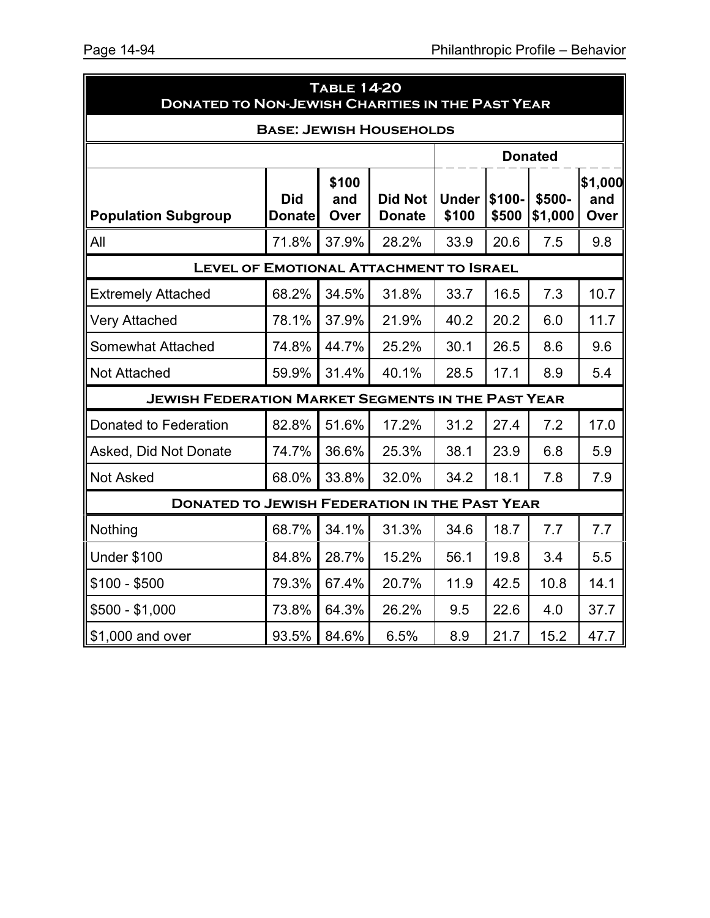|                                                           | <b>TABLE 14-20</b><br><b>DONATED TO NON-JEWISH CHARITIES IN THE PAST YEAR</b> |                      |                                 |                       |                 |                   |                        |  |  |
|-----------------------------------------------------------|-------------------------------------------------------------------------------|----------------------|---------------------------------|-----------------------|-----------------|-------------------|------------------------|--|--|
| <b>BASE: JEWISH HOUSEHOLDS</b>                            |                                                                               |                      |                                 |                       |                 |                   |                        |  |  |
|                                                           |                                                                               |                      |                                 |                       |                 | <b>Donated</b>    |                        |  |  |
| <b>Population Subgroup</b>                                | <b>Did</b><br><b>Donate</b>                                                   | \$100<br>and<br>Over | <b>Did Not</b><br><b>Donate</b> | <b>Under</b><br>\$100 | \$100-<br>\$500 | \$500-<br>\$1,000 | \$1,000<br>and<br>Over |  |  |
| All                                                       | 71.8%                                                                         | 37.9%                | 28.2%                           | 33.9                  | 20.6            | 7.5               | 9.8                    |  |  |
| <b>LEVEL OF EMOTIONAL ATTACHMENT TO ISRAEL</b>            |                                                                               |                      |                                 |                       |                 |                   |                        |  |  |
| <b>Extremely Attached</b>                                 | 68.2%                                                                         | 34.5%                | 31.8%                           | 33.7                  | 16.5            | 7.3               | 10.7                   |  |  |
| <b>Very Attached</b>                                      | 78.1%                                                                         | 37.9%                | 21.9%                           | 40.2                  | 20.2            | 6.0               | 11.7                   |  |  |
| <b>Somewhat Attached</b>                                  | 74.8%                                                                         | 44.7%                | 25.2%                           | 30.1                  | 26.5            | 8.6               | 9.6                    |  |  |
| <b>Not Attached</b>                                       | 59.9%                                                                         | 31.4%                | 40.1%                           | 28.5                  | 17.1            | 8.9               | 5.4                    |  |  |
| <b>JEWISH FEDERATION MARKET SEGMENTS IN THE PAST YEAR</b> |                                                                               |                      |                                 |                       |                 |                   |                        |  |  |
| Donated to Federation                                     | 82.8%                                                                         | 51.6%                | 17.2%                           | 31.2                  | 27.4            | 7.2               | 17.0                   |  |  |
| Asked, Did Not Donate                                     | 74.7%                                                                         | 36.6%                | 25.3%                           | 38.1                  | 23.9            | 6.8               | 5.9                    |  |  |
| <b>Not Asked</b>                                          | 68.0%                                                                         | 33.8%                | 32.0%                           | 34.2                  | 18.1            | 7.8               | 7.9                    |  |  |
| <b>DONATED TO JEWISH FEDERATION IN THE PAST YEAR</b>      |                                                                               |                      |                                 |                       |                 |                   |                        |  |  |
| Nothing                                                   | 68.7%                                                                         | 34.1%                | 31.3%                           | 34.6                  | 18.7            | 7.7               | 7.7                    |  |  |
| <b>Under \$100</b>                                        | 84.8%                                                                         | 28.7%                | 15.2%                           | 56.1                  | 19.8            | 3.4               | 5.5                    |  |  |
| $$100 - $500$                                             | 79.3%                                                                         | 67.4%                | 20.7%                           | 11.9                  | 42.5            | 10.8              | 14.1                   |  |  |
| $$500 - $1,000$                                           | 73.8%                                                                         | 64.3%                | 26.2%                           | 9.5                   | 22.6            | 4.0               | 37.7                   |  |  |
| \$1,000 and over                                          | 93.5%                                                                         | 84.6%                | 6.5%                            | 8.9                   | 21.7            | 15.2              | 47.7                   |  |  |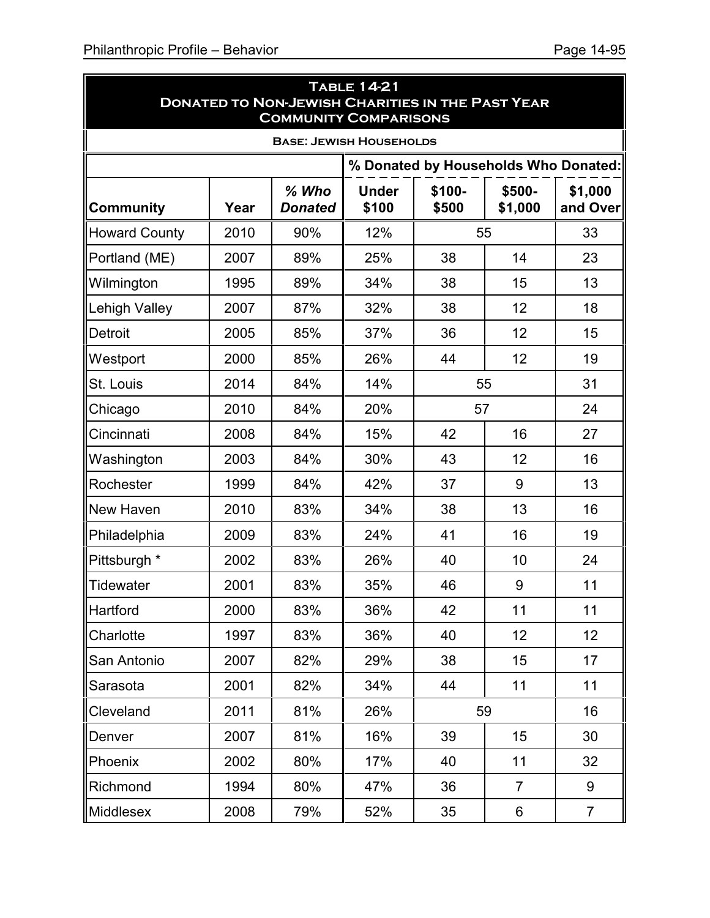ä.

|                      | <b>TABLE 14-21</b><br><b>DONATED TO NON-JEWISH CHARITIES IN THE PAST YEAR</b><br><b>COMMUNITY COMPARISONS</b> |                                |                       |                                      |                |                     |  |  |  |
|----------------------|---------------------------------------------------------------------------------------------------------------|--------------------------------|-----------------------|--------------------------------------|----------------|---------------------|--|--|--|
|                      |                                                                                                               | <b>BASE: JEWISH HOUSEHOLDS</b> |                       |                                      |                |                     |  |  |  |
|                      |                                                                                                               |                                |                       | % Donated by Households Who Donated: |                |                     |  |  |  |
| <b>Community</b>     | Year                                                                                                          | % Who<br><b>Donated</b>        | <b>Under</b><br>\$100 | \$100-<br>\$500<br>\$1,000           |                | \$1,000<br>and Over |  |  |  |
| <b>Howard County</b> | 2010                                                                                                          | 90%                            | 12%                   |                                      | 55             | 33                  |  |  |  |
| Portland (ME)        | 2007                                                                                                          | 89%                            | 25%                   | 38                                   | 14             | 23                  |  |  |  |
| Wilmington           | 1995                                                                                                          | 89%                            | 34%                   | 38                                   | 15             | 13                  |  |  |  |
| <b>Lehigh Valley</b> | 2007                                                                                                          | 87%                            | 32%                   | 38                                   | 12             | 18                  |  |  |  |
| <b>Detroit</b>       | 2005                                                                                                          | 85%                            | 37%                   | 36                                   | 12             | 15                  |  |  |  |
| Westport             | 2000                                                                                                          | 85%                            | 26%                   | 44                                   | 12             | 19                  |  |  |  |
| St. Louis            | 2014                                                                                                          | 84%                            | 14%                   | 55                                   |                | 31                  |  |  |  |
| Chicago              | 2010                                                                                                          | 84%                            | 20%                   | 57                                   |                | 24                  |  |  |  |
| Cincinnati           | 2008                                                                                                          | 84%                            | 15%                   | 42                                   | 16             | 27                  |  |  |  |
| Washington           | 2003                                                                                                          | 84%                            | 30%                   | 43                                   | 12             | 16                  |  |  |  |
| Rochester            | 1999                                                                                                          | 84%                            | 42%                   | 37                                   | 9              | 13                  |  |  |  |
| New Haven            | 2010                                                                                                          | 83%                            | 34%                   | 38                                   | 13             | 16                  |  |  |  |
| Philadelphia         | 2009                                                                                                          | 83%                            | 24%                   | 41                                   | 16             | 19                  |  |  |  |
| Pittsburgh *         | 2002                                                                                                          | 83%                            | 26%                   | 40                                   | 10             | 24                  |  |  |  |
| <b>Tidewater</b>     | 2001                                                                                                          | 83%                            | 35%                   | 46                                   | 9              | 11                  |  |  |  |
| Hartford             | 2000                                                                                                          | 83%                            | 36%                   | 42                                   | 11             | 11                  |  |  |  |
| Charlotte            | 1997                                                                                                          | 83%                            | 36%                   | 40                                   | 12             | 12                  |  |  |  |
| San Antonio          | 2007                                                                                                          | 82%                            | 29%                   | 38                                   | 15             | 17                  |  |  |  |
| Sarasota             | 2001                                                                                                          | 82%                            | 34%                   | 44                                   | 11             | 11                  |  |  |  |
| Cleveland            | 2011                                                                                                          | 81%                            | 26%                   |                                      | 59             | 16                  |  |  |  |
| Denver               | 2007                                                                                                          | 81%                            | 16%                   | 39                                   | 15             | 30                  |  |  |  |
| Phoenix              | 2002                                                                                                          | 80%                            | 17%                   | 40                                   | 11             | 32                  |  |  |  |
| Richmond             | 1994                                                                                                          | 80%                            | 47%                   | 36                                   | $\overline{7}$ | 9                   |  |  |  |
| Middlesex            | 2008                                                                                                          | 79%                            | 52%                   | 35                                   | 6              | $\overline{7}$      |  |  |  |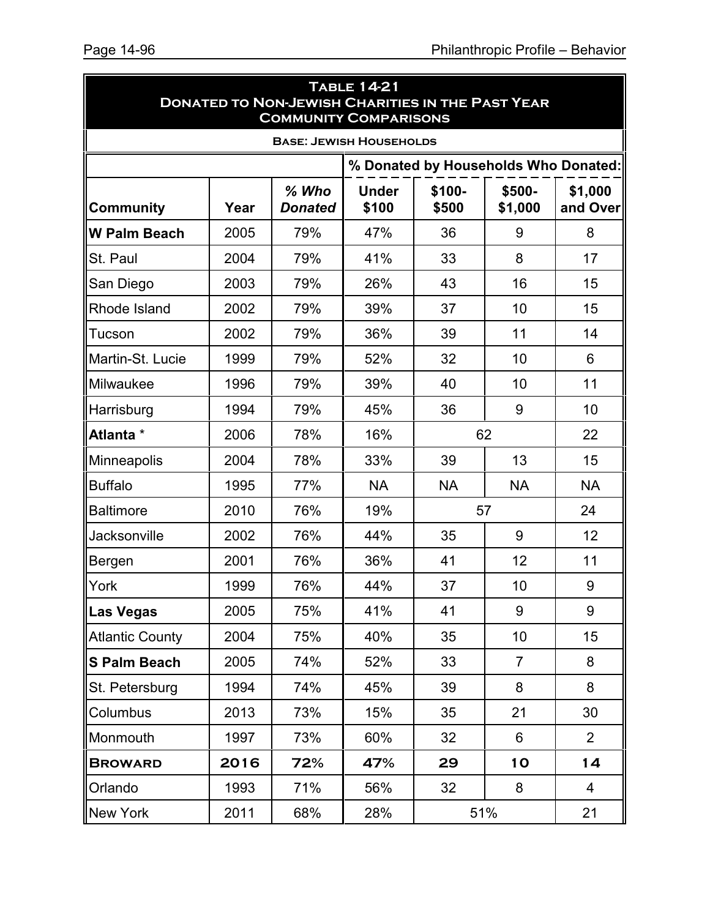$\blacksquare$ 

 $\blacksquare$ 

| <b>TABLE 14-21</b><br><b>DONATED TO NON-JEWISH CHARITIES IN THE PAST YEAR</b><br><b>COMMUNITY COMPARISONS</b> |      |                                |                       |                                      |                   |                     |  |  |  |
|---------------------------------------------------------------------------------------------------------------|------|--------------------------------|-----------------------|--------------------------------------|-------------------|---------------------|--|--|--|
|                                                                                                               |      | <b>BASE: JEWISH HOUSEHOLDS</b> |                       |                                      |                   |                     |  |  |  |
|                                                                                                               |      |                                |                       | % Donated by Households Who Donated: |                   |                     |  |  |  |
| <b>Community</b>                                                                                              | Year | % Who<br><b>Donated</b>        | <b>Under</b><br>\$100 | \$100-<br>\$500                      | \$500-<br>\$1,000 | \$1,000<br>and Over |  |  |  |
| <b>W Palm Beach</b>                                                                                           | 2005 | 79%                            | 47%                   | 36                                   | 9                 | 8                   |  |  |  |
| St. Paul                                                                                                      | 2004 | 79%                            | 41%                   | 33                                   | 8                 | 17                  |  |  |  |
| San Diego                                                                                                     | 2003 | 79%                            | 26%                   | 43                                   | 16                | 15                  |  |  |  |
| Rhode Island                                                                                                  | 2002 | 79%                            | 39%                   | 37                                   | 10                | 15                  |  |  |  |
| Tucson                                                                                                        | 2002 | 79%                            | 36%                   | 39                                   | 11                | 14                  |  |  |  |
| Martin-St. Lucie                                                                                              | 1999 | 79%                            | 52%                   | 32                                   | 10                | 6                   |  |  |  |
| Milwaukee                                                                                                     | 1996 | 79%                            | 39%                   | 40                                   | 10                | 11                  |  |  |  |
| Harrisburg                                                                                                    | 1994 | 79%                            | 45%                   | 36                                   | 9                 | 10                  |  |  |  |
| Atlanta *                                                                                                     | 2006 | 78%                            | 16%                   | 62                                   |                   | 22                  |  |  |  |
| Minneapolis                                                                                                   | 2004 | 78%                            | 33%                   | 39                                   | 13                | 15                  |  |  |  |
| <b>Buffalo</b>                                                                                                | 1995 | 77%                            | <b>NA</b>             | <b>NA</b>                            | <b>NA</b>         | <b>NA</b>           |  |  |  |
| <b>Baltimore</b>                                                                                              | 2010 | 76%                            | 19%                   |                                      | 57                | 24                  |  |  |  |
| Jacksonville                                                                                                  | 2002 | 76%                            | 44%                   | 35                                   | 9                 | 12                  |  |  |  |
| <b>Bergen</b>                                                                                                 | 2001 | 76%                            | 36%                   | 41                                   | 12                | 11                  |  |  |  |
| York                                                                                                          | 1999 | 76%                            | 44%                   | 37                                   | 10                | 9                   |  |  |  |
| ∥Las Vegas                                                                                                    | 2005 | 75%                            | 41%                   | 41                                   | 9                 | 9                   |  |  |  |
| <b>Atlantic County</b>                                                                                        | 2004 | 75%                            | 40%                   | 35                                   | 10                | 15                  |  |  |  |
| S Palm Beach                                                                                                  | 2005 | 74%                            | 52%                   | 33                                   | $\overline{7}$    | 8                   |  |  |  |
| St. Petersburg                                                                                                | 1994 | 74%                            | 45%                   | 39                                   | 8                 | 8                   |  |  |  |
| Columbus                                                                                                      | 2013 | 73%                            | 15%                   | 35                                   | 21                | 30                  |  |  |  |
| Monmouth                                                                                                      | 1997 | 73%                            | 60%                   | 32                                   | 6                 | $\overline{2}$      |  |  |  |
| <b>BROWARD</b>                                                                                                | 2016 | 72%                            | 47%                   | 29                                   | <b>10</b>         | 14                  |  |  |  |
| Orlando                                                                                                       | 1993 | 71%                            | 56%                   | 32                                   | 8                 | 4                   |  |  |  |
| New York                                                                                                      | 2011 | 68%                            | 28%                   | 51%                                  |                   | 21                  |  |  |  |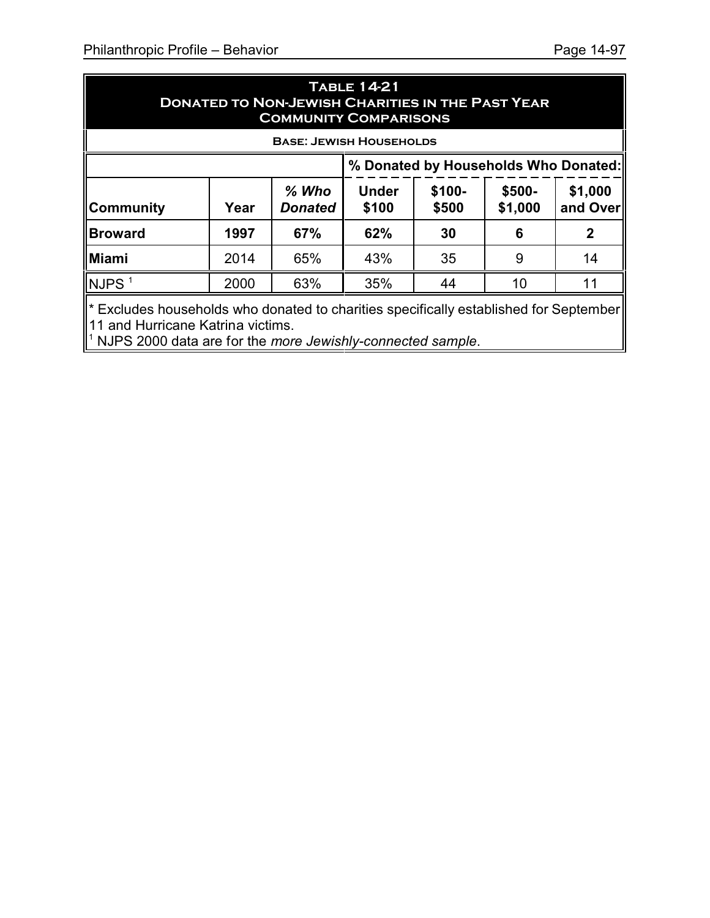| <b>TABLE 14-21</b><br><b>DONATED TO NON-JEWISH CHARITIES IN THE PAST YEAR</b><br><b>COMMUNITY COMPARISONS</b> |      |                           |                                                                                       |    |   |              |  |  |
|---------------------------------------------------------------------------------------------------------------|------|---------------------------|---------------------------------------------------------------------------------------|----|---|--------------|--|--|
| <b>BASE: JEWISH HOUSEHOLDS</b>                                                                                |      |                           |                                                                                       |    |   |              |  |  |
|                                                                                                               |      |                           | % Donated by Households Who Donated:                                                  |    |   |              |  |  |
| ∥Community                                                                                                    | Year | $%$ Who<br><b>Donated</b> | \$100-<br>\$1,000<br><b>Under</b><br>$$500-$<br>\$1,000<br>and Over<br>\$100<br>\$500 |    |   |              |  |  |
| <b>Broward</b>                                                                                                | 1997 | 67%                       | 62%                                                                                   | 30 | 6 | $\mathbf{2}$ |  |  |
| Miami                                                                                                         | 2014 | 65%                       | 43%                                                                                   | 35 | 9 | 14           |  |  |
| $NJPS$ <sup>1</sup>                                                                                           | 2000 | 63%                       | 35%<br>44<br>10<br>11                                                                 |    |   |              |  |  |
| ∥* Excludes households who donated to charities specifically established for September∥                       |      |                           |                                                                                       |    |   |              |  |  |

11 and Hurricane Katrina victims. 1 NJPS 2000 data are for the *more Jewishly-connected sample*.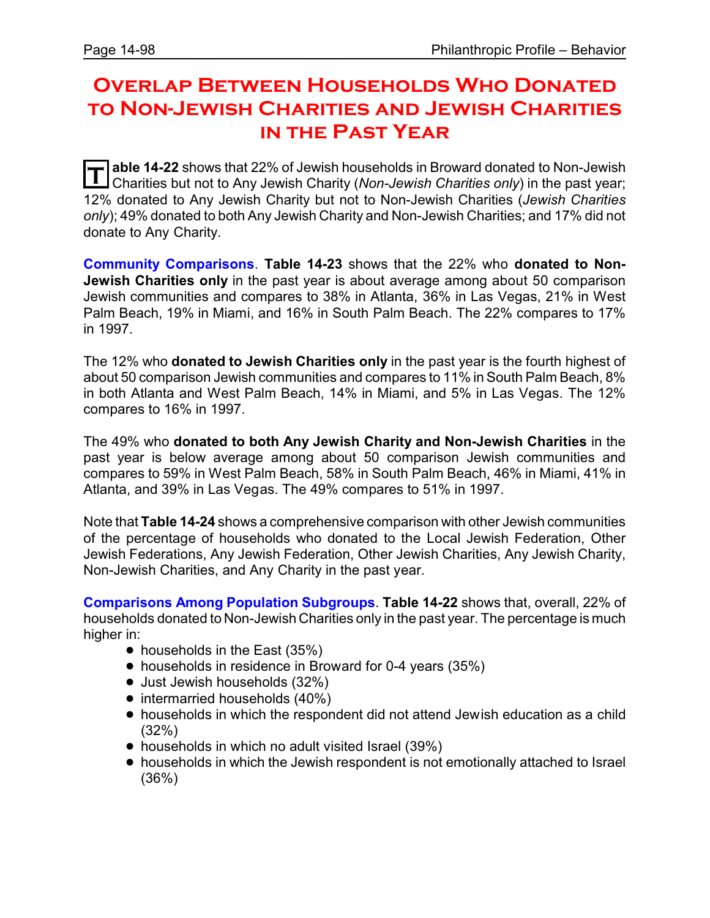# **Overlap Between Households Who Donated to Non-Jewish Charities and Jewish Charities in the Past Year**

**T** able 14-22 shows that 22% of Jewish households in Broward donated to Non-Jewish<br>Charities but not to Apy Jowish Charity (Non-Jowish Charities ank) in the past year: Charities but not to Any Jewish Charity (*Non-Jewish Charities only*) in the past year; 12% donated to Any Jewish Charity but not to Non-Jewish Charities (*Jewish Charities only*); 49% donated to both Any Jewish Charity and Non-Jewish Charities; and 17% did not donate to Any Charity.

**Community Comparisons**. **Table 14-23** shows that the 22% who **donated to Non-Jewish Charities only** in the past year is about average among about 50 comparison Jewish communities and compares to 38% in Atlanta, 36% in Las Vegas, 21% in West Palm Beach, 19% in Miami, and 16% in South Palm Beach. The 22% compares to 17% in 1997.

The 12% who **donated to Jewish Charities only** in the past year is the fourth highest of about 50 comparison Jewish communities and compares to 11% in South Palm Beach, 8% in both Atlanta and West Palm Beach, 14% in Miami, and 5% in Las Vegas. The 12% compares to 16% in 1997.

The 49% who **donated to both Any Jewish Charity and Non-Jewish Charities** in the past year is below average among about 50 comparison Jewish communities and compares to 59% in West Palm Beach, 58% in South Palm Beach, 46% in Miami, 41% in Atlanta, and 39% in Las Vegas. The 49% compares to 51% in 1997.

Note that **Table 14-24** shows a comprehensive comparison with other Jewish communities of the percentage of households who donated to the Local Jewish Federation, Other Jewish Federations, Any Jewish Federation, Other Jewish Charities, Any Jewish Charity, Non-Jewish Charities, and Any Charity in the past year.

**Comparisons Among Population Subgroups**. **Table 14-22** shows that, overall, 22% of households donated to Non-Jewish Charities only in the past year. The percentage is much higher in:

- $\bullet$  households in the East (35%)
- households in residence in Broward for 0-4 years (35%)
- Just Jewish households (32%)
- intermarried households (40%)
- ! households in which the respondent did not attend Jewish education as a child (32%)
- households in which no adult visited Israel (39%)
- ! households in which the Jewish respondent is not emotionally attached to Israel (36%)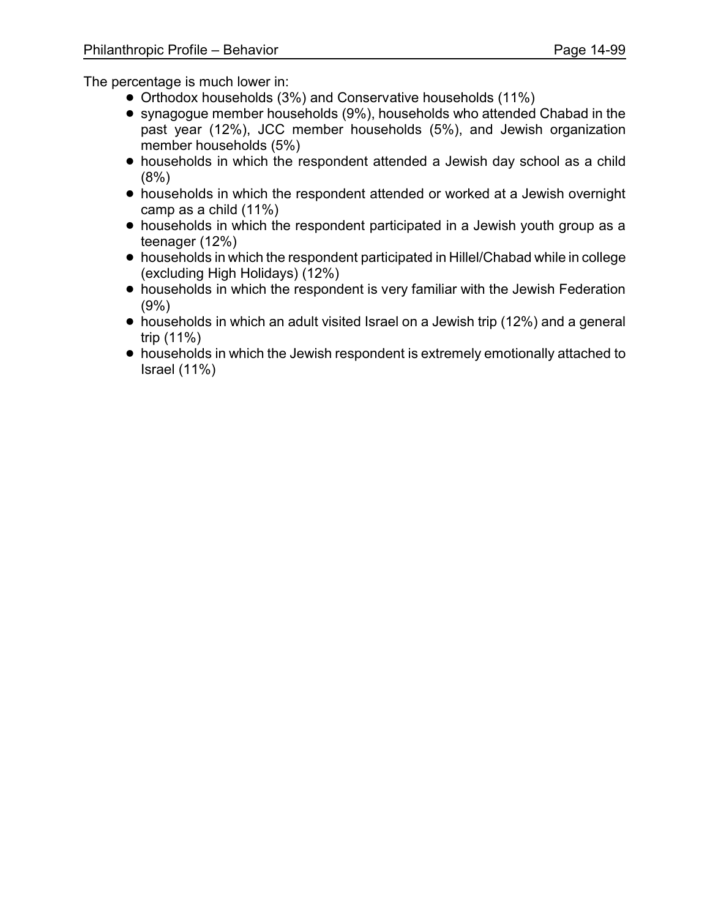- ! Orthodox households (3%) and Conservative households (11%)
- synagogue member households (9%), households who attended Chabad in the past year (12%), JCC member households (5%), and Jewish organization member households (5%)
- households in which the respondent attended a Jewish day school as a child (8%)
- households in which the respondent attended or worked at a Jewish overnight camp as a child (11%)
- households in which the respondent participated in a Jewish youth group as a teenager (12%)
- ! households in which the respondent participated in Hillel/Chabad while in college (excluding High Holidays) (12%)
- ! households in which the respondent is very familiar with the Jewish Federation (9%)
- households in which an adult visited Israel on a Jewish trip (12%) and a general trip (11%)
- households in which the Jewish respondent is extremely emotionally attached to Israel (11%)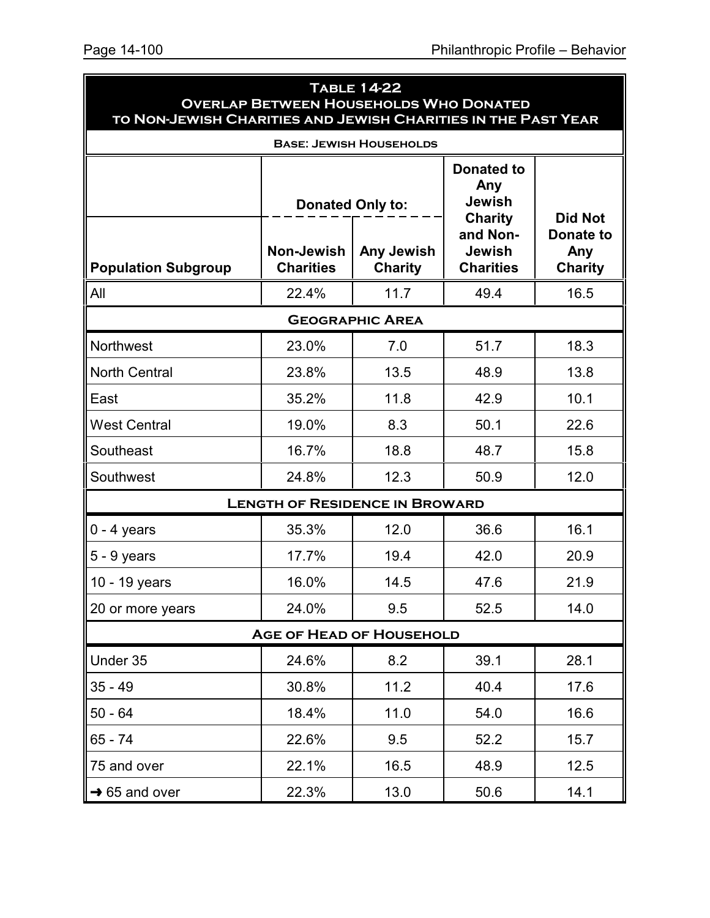| <b>TABLE 14-22</b><br><b>OVERLAP BETWEEN HOUSEHOLDS WHO DONATED</b><br>TO NON-JEWISH CHARITIES AND JEWISH CHARITIES IN THE PAST YEAR |                                       |                                                         |                                                                                                       |                                                             |  |  |  |  |  |  |
|--------------------------------------------------------------------------------------------------------------------------------------|---------------------------------------|---------------------------------------------------------|-------------------------------------------------------------------------------------------------------|-------------------------------------------------------------|--|--|--|--|--|--|
| <b>BASE: JEWISH HOUSEHOLDS</b>                                                                                                       |                                       |                                                         |                                                                                                       |                                                             |  |  |  |  |  |  |
| <b>Population Subgroup</b>                                                                                                           | Non-Jewish<br><b>Charities</b>        | <b>Donated Only to:</b><br>Any Jewish<br><b>Charity</b> | <b>Donated to</b><br>Any<br><b>Jewish</b><br><b>Charity</b><br>and Non-<br>Jewish<br><b>Charities</b> | <b>Did Not</b><br><b>Donate to</b><br>Any<br><b>Charity</b> |  |  |  |  |  |  |
| All                                                                                                                                  | 22.4%                                 | 11.7                                                    | 49.4                                                                                                  | 16.5                                                        |  |  |  |  |  |  |
| <b>GEOGRAPHIC AREA</b>                                                                                                               |                                       |                                                         |                                                                                                       |                                                             |  |  |  |  |  |  |
| Northwest                                                                                                                            | 23.0%                                 | 7.0                                                     | 51.7                                                                                                  | 18.3                                                        |  |  |  |  |  |  |
| <b>North Central</b>                                                                                                                 | 23.8%                                 | 13.5                                                    | 48.9                                                                                                  | 13.8                                                        |  |  |  |  |  |  |
| East                                                                                                                                 | 35.2%                                 | 11.8                                                    | 42.9                                                                                                  | 10.1                                                        |  |  |  |  |  |  |
| <b>West Central</b>                                                                                                                  | 19.0%                                 | 8.3                                                     | 50.1                                                                                                  | 22.6                                                        |  |  |  |  |  |  |
| Southeast                                                                                                                            | 16.7%                                 | 18.8                                                    | 48.7                                                                                                  | 15.8                                                        |  |  |  |  |  |  |
| Southwest                                                                                                                            | 24.8%                                 | 12.3                                                    | 50.9                                                                                                  | 12.0                                                        |  |  |  |  |  |  |
|                                                                                                                                      | <b>LENGTH OF RESIDENCE IN BROWARD</b> |                                                         |                                                                                                       |                                                             |  |  |  |  |  |  |
| $0 - 4$ years                                                                                                                        | 35.3%                                 | 12.0                                                    | 36.6                                                                                                  | 16.1                                                        |  |  |  |  |  |  |
| $5 - 9$ years                                                                                                                        | 17.7%                                 | 19.4                                                    | 42.0                                                                                                  | 20.9                                                        |  |  |  |  |  |  |
| 10 - 19 years                                                                                                                        | 16.0%                                 | 14.5                                                    | 47.6                                                                                                  | 21.9                                                        |  |  |  |  |  |  |
| 20 or more years                                                                                                                     | 24.0%                                 | 9.5                                                     | 52.5                                                                                                  | 14.0                                                        |  |  |  |  |  |  |
|                                                                                                                                      | <b>AGE OF HEAD OF HOUSEHOLD</b>       |                                                         |                                                                                                       |                                                             |  |  |  |  |  |  |
| Under 35                                                                                                                             | 24.6%                                 | 8.2                                                     | 39.1                                                                                                  | 28.1                                                        |  |  |  |  |  |  |
| $35 - 49$                                                                                                                            | 30.8%                                 | 11.2                                                    | 40.4                                                                                                  | 17.6                                                        |  |  |  |  |  |  |
| $50 - 64$                                                                                                                            | 18.4%                                 | 11.0                                                    | 54.0                                                                                                  | 16.6                                                        |  |  |  |  |  |  |
| 65 - 74                                                                                                                              | 22.6%                                 | 9.5                                                     | 52.2                                                                                                  | 15.7                                                        |  |  |  |  |  |  |
| 75 and over                                                                                                                          | 22.1%                                 | 16.5                                                    | 48.9                                                                                                  | 12.5                                                        |  |  |  |  |  |  |
| $\rightarrow$ 65 and over                                                                                                            | 22.3%                                 | 13.0                                                    | 50.6                                                                                                  | 14.1                                                        |  |  |  |  |  |  |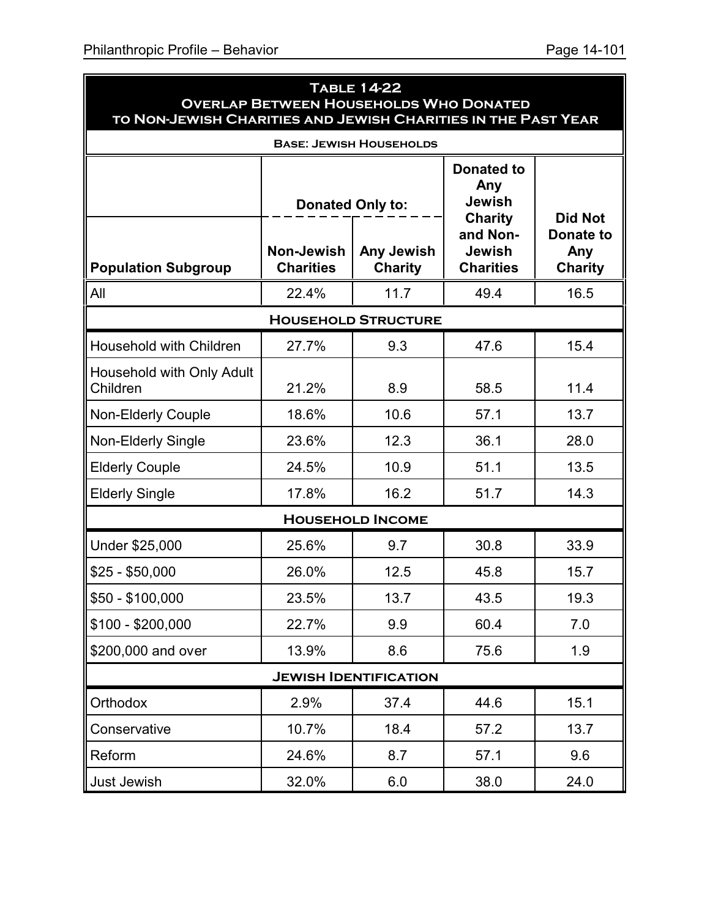| <b>TABLE 14-22</b><br><b>OVERLAP BETWEEN HOUSEHOLDS WHO DONATED</b><br>TO NON-JEWISH CHARITIES AND JEWISH CHARITIES IN THE PAST YEAR |                                       |                                |                                                             |                                           |  |  |  |  |  |
|--------------------------------------------------------------------------------------------------------------------------------------|---------------------------------------|--------------------------------|-------------------------------------------------------------|-------------------------------------------|--|--|--|--|--|
|                                                                                                                                      |                                       | <b>BASE: JEWISH HOUSEHOLDS</b> |                                                             |                                           |  |  |  |  |  |
|                                                                                                                                      | <b>Donated Only to:</b>               |                                | <b>Donated to</b><br>Any<br><b>Jewish</b><br><b>Charity</b> | <b>Did Not</b>                            |  |  |  |  |  |
| <b>Population Subgroup</b>                                                                                                           | <b>Non-Jewish</b><br><b>Charities</b> | Any Jewish<br><b>Charity</b>   | and Non-<br><b>Jewish</b><br><b>Charities</b>               | <b>Donate to</b><br>Any<br><b>Charity</b> |  |  |  |  |  |
| All                                                                                                                                  | 22.4%                                 | 11.7                           | 49.4                                                        | 16.5                                      |  |  |  |  |  |
| <b>HOUSEHOLD STRUCTURE</b>                                                                                                           |                                       |                                |                                                             |                                           |  |  |  |  |  |
| <b>Household with Children</b>                                                                                                       | 27.7%                                 | 9.3                            | 47.6                                                        | 15.4                                      |  |  |  |  |  |
| Household with Only Adult<br>Children                                                                                                | 21.2%                                 | 8.9                            | 58.5                                                        | 11.4                                      |  |  |  |  |  |
| <b>Non-Elderly Couple</b>                                                                                                            | 18.6%                                 | 10.6                           | 57.1                                                        | 13.7                                      |  |  |  |  |  |
| <b>Non-Elderly Single</b>                                                                                                            | 23.6%                                 | 12.3                           | 36.1                                                        | 28.0                                      |  |  |  |  |  |
| <b>Elderly Couple</b>                                                                                                                | 24.5%                                 | 10.9                           | 51.1                                                        | 13.5                                      |  |  |  |  |  |
| <b>Elderly Single</b>                                                                                                                | 17.8%                                 | 16.2                           | 51.7                                                        | 14.3                                      |  |  |  |  |  |
|                                                                                                                                      |                                       | <b>HOUSEHOLD INCOME</b>        |                                                             |                                           |  |  |  |  |  |
| Under \$25,000                                                                                                                       | 25.6%                                 | 9.7                            | 30.8                                                        | 33.9                                      |  |  |  |  |  |
| $$25 - $50,000$                                                                                                                      | 26.0%                                 | 12.5                           | 45.8                                                        | 15.7                                      |  |  |  |  |  |
| \$50 - \$100,000                                                                                                                     | 23.5%                                 | 13.7                           | 43.5                                                        | 19.3                                      |  |  |  |  |  |
| $$100 - $200,000$                                                                                                                    | 22.7%                                 | 9.9                            | 60.4                                                        | 7.0                                       |  |  |  |  |  |
| \$200,000 and over                                                                                                                   | 13.9%                                 | 8.6                            | 75.6                                                        | 1.9                                       |  |  |  |  |  |
|                                                                                                                                      |                                       | <b>JEWISH IDENTIFICATION</b>   |                                                             |                                           |  |  |  |  |  |
| Orthodox                                                                                                                             | 2.9%                                  | 37.4                           | 44.6                                                        | 15.1                                      |  |  |  |  |  |
| Conservative                                                                                                                         | 10.7%                                 | 18.4                           | 57.2                                                        | 13.7                                      |  |  |  |  |  |
| Reform                                                                                                                               | 24.6%                                 | 8.7                            | 57.1                                                        | 9.6                                       |  |  |  |  |  |
| Just Jewish                                                                                                                          | 32.0%                                 | 6.0                            | 38.0                                                        | 24.0                                      |  |  |  |  |  |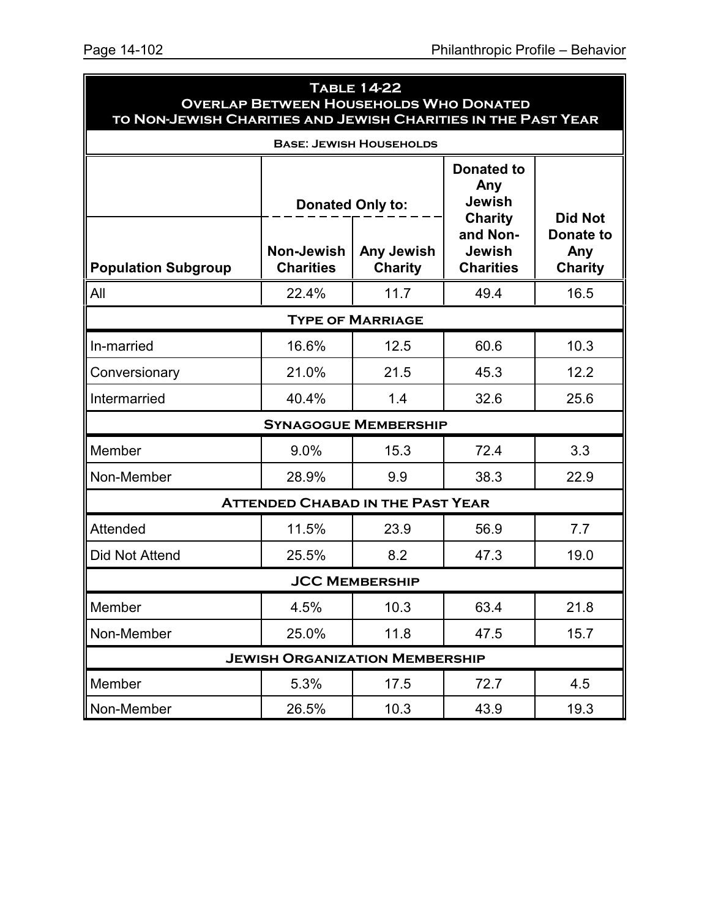| <b>TABLE 14-22</b><br><b>OVERLAP BETWEEN HOUSEHOLDS WHO DONATED</b><br>TO NON-JEWISH CHARITIES AND JEWISH CHARITIES IN THE PAST YEAR |                                         |                                |                                                                         |                                    |  |  |
|--------------------------------------------------------------------------------------------------------------------------------------|-----------------------------------------|--------------------------------|-------------------------------------------------------------------------|------------------------------------|--|--|
|                                                                                                                                      |                                         | <b>BASE: JEWISH HOUSEHOLDS</b> |                                                                         |                                    |  |  |
|                                                                                                                                      | <b>Donated Only to:</b>                 |                                | <b>Donated to</b><br>Any<br><b>Jewish</b><br><b>Charity</b><br>and Non- | <b>Did Not</b><br><b>Donate to</b> |  |  |
| <b>Population Subgroup</b>                                                                                                           | <b>Non-Jewish</b><br><b>Charities</b>   | Any Jewish<br><b>Charity</b>   | <b>Jewish</b><br><b>Charities</b>                                       | Any<br><b>Charity</b>              |  |  |
| All                                                                                                                                  | 22.4%                                   | 11.7                           | 49.4                                                                    | 16.5                               |  |  |
|                                                                                                                                      |                                         | <b>TYPE OF MARRIAGE</b>        |                                                                         |                                    |  |  |
| In-married                                                                                                                           | 16.6%                                   | 12.5                           | 60.6                                                                    | 10.3                               |  |  |
| Conversionary                                                                                                                        | 21.0%                                   | 21.5                           | 45.3                                                                    | 12.2                               |  |  |
| Intermarried                                                                                                                         | 40.4%                                   | 1.4                            | 32.6                                                                    | 25.6                               |  |  |
|                                                                                                                                      |                                         | <b>SYNAGOGUE MEMBERSHIP</b>    |                                                                         |                                    |  |  |
| Member                                                                                                                               | 9.0%                                    | 15.3                           | 72.4                                                                    | 3.3                                |  |  |
| Non-Member                                                                                                                           | 28.9%                                   | 9.9                            | 38.3                                                                    | 22.9                               |  |  |
|                                                                                                                                      | <b>ATTENDED CHABAD IN THE PAST YEAR</b> |                                |                                                                         |                                    |  |  |
| Attended                                                                                                                             | 11.5%                                   | 23.9                           | 56.9                                                                    | 7.7                                |  |  |
| Did Not Attend                                                                                                                       | 25.5%                                   | 8.2                            | 47.3                                                                    | 19.0                               |  |  |
| <b>JCC MEMBERSHIP</b>                                                                                                                |                                         |                                |                                                                         |                                    |  |  |
| Member                                                                                                                               | 4.5%                                    | 10.3                           | 63.4                                                                    | 21.8                               |  |  |
| Non-Member                                                                                                                           | 25.0%                                   | 11.8                           | 47.5                                                                    | 15.7                               |  |  |
| <b>JEWISH ORGANIZATION MEMBERSHIP</b>                                                                                                |                                         |                                |                                                                         |                                    |  |  |
| Member                                                                                                                               | 5.3%                                    | 17.5                           | 72.7                                                                    | 4.5                                |  |  |
| Non-Member                                                                                                                           | 26.5%                                   | 10.3                           | 43.9                                                                    | 19.3                               |  |  |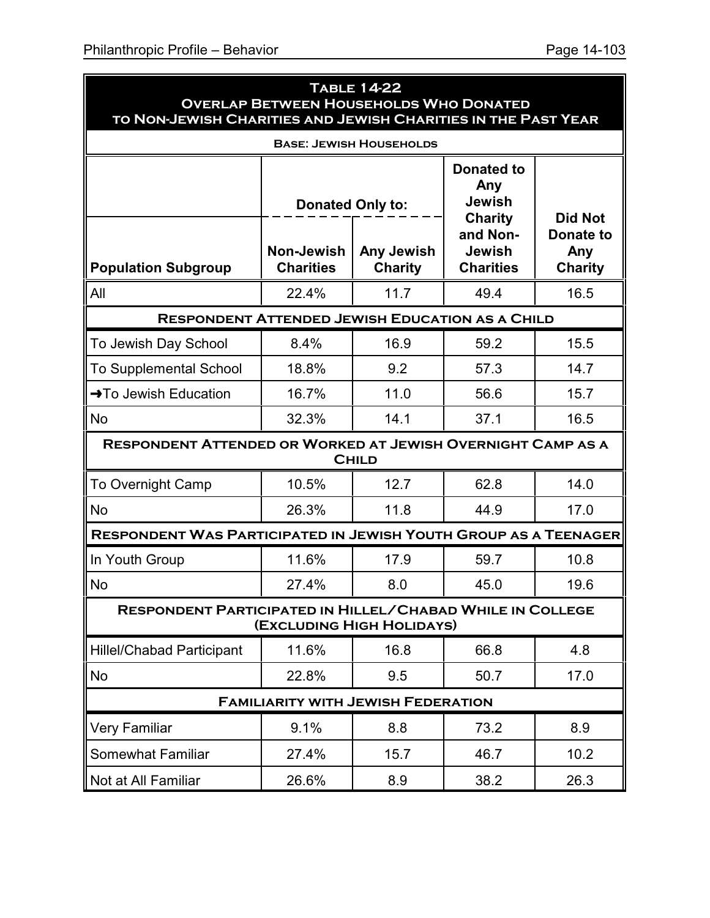ä

| <b>TABLE 14-22</b><br><b>OVERLAP BETWEEN HOUSEHOLDS WHO DONATED</b><br>TO NON-JEWISH CHARITIES AND JEWISH CHARITIES IN THE PAST YEAR |                                                            |                |                                                                                          |                                    |  |  |  |
|--------------------------------------------------------------------------------------------------------------------------------------|------------------------------------------------------------|----------------|------------------------------------------------------------------------------------------|------------------------------------|--|--|--|
| <b>BASE: JEWISH HOUSEHOLDS</b>                                                                                                       |                                                            |                |                                                                                          |                                    |  |  |  |
|                                                                                                                                      | <b>Donated Only to:</b><br><b>Non-Jewish</b><br>Any Jewish |                | <b>Donated to</b><br>Any<br><b>Jewish</b><br><b>Charity</b><br>and Non-<br><b>Jewish</b> | <b>Did Not</b><br>Donate to<br>Any |  |  |  |
| <b>Population Subgroup</b>                                                                                                           | <b>Charities</b>                                           | <b>Charity</b> | <b>Charities</b>                                                                         | <b>Charity</b>                     |  |  |  |
| All                                                                                                                                  | 22.4%                                                      | 11.7           | 49.4                                                                                     | 16.5                               |  |  |  |
| <b>RESPONDENT ATTENDED JEWISH EDUCATION AS A CHILD</b>                                                                               |                                                            |                |                                                                                          |                                    |  |  |  |
| To Jewish Day School                                                                                                                 | 8.4%                                                       | 16.9           | 59.2                                                                                     | 15.5                               |  |  |  |
| <b>To Supplemental School</b>                                                                                                        | 18.8%                                                      | 9.2            | 57.3                                                                                     | 14.7                               |  |  |  |
| →To Jewish Education                                                                                                                 | 16.7%                                                      | 11.0           | 56.6                                                                                     | 15.7                               |  |  |  |
| <b>No</b>                                                                                                                            | 32.3%                                                      | 14.1           | 37.1                                                                                     | 16.5                               |  |  |  |
| <b>RESPONDENT ATTENDED OR WORKED AT JEWISH OVERNIGHT CAMP AS A</b>                                                                   |                                                            | <b>CHILD</b>   |                                                                                          |                                    |  |  |  |
| <b>To Overnight Camp</b>                                                                                                             | 10.5%                                                      | 12.7           | 62.8                                                                                     | 14.0                               |  |  |  |
| <b>No</b>                                                                                                                            | 26.3%                                                      | 11.8           | 44.9                                                                                     | 17.0                               |  |  |  |
| <b>RESPONDENT WAS PARTICIPATED IN JEWISH YOUTH GROUP AS A TEENAGER</b>                                                               |                                                            |                |                                                                                          |                                    |  |  |  |
| In Youth Group                                                                                                                       | 11.6%                                                      | 17.9           | 59.7                                                                                     | 10.8                               |  |  |  |
| <b>No</b>                                                                                                                            | 27.4%                                                      | 8.0            | 45.0                                                                                     | 19.6                               |  |  |  |
| <b>RESPONDENT PARTICIPATED IN HILLEL/CHABAD WHILE IN COLLEGE</b><br>(EXCLUDING HIGH HOLIDAYS)                                        |                                                            |                |                                                                                          |                                    |  |  |  |
| <b>Hillel/Chabad Participant</b>                                                                                                     | 11.6%                                                      | 16.8           | 66.8                                                                                     | 4.8                                |  |  |  |
| <b>No</b>                                                                                                                            | 22.8%                                                      | 9.5            | 50.7                                                                                     | 17.0                               |  |  |  |
| <b>FAMILIARITY WITH JEWISH FEDERATION</b>                                                                                            |                                                            |                |                                                                                          |                                    |  |  |  |
| <b>Very Familiar</b>                                                                                                                 | 9.1%                                                       | 8.8            | 73.2                                                                                     | 8.9                                |  |  |  |
| <b>Somewhat Familiar</b>                                                                                                             | 27.4%                                                      | 15.7           | 46.7                                                                                     | 10.2                               |  |  |  |
| Not at All Familiar                                                                                                                  | 26.6%                                                      | 8.9            | 38.2                                                                                     | 26.3                               |  |  |  |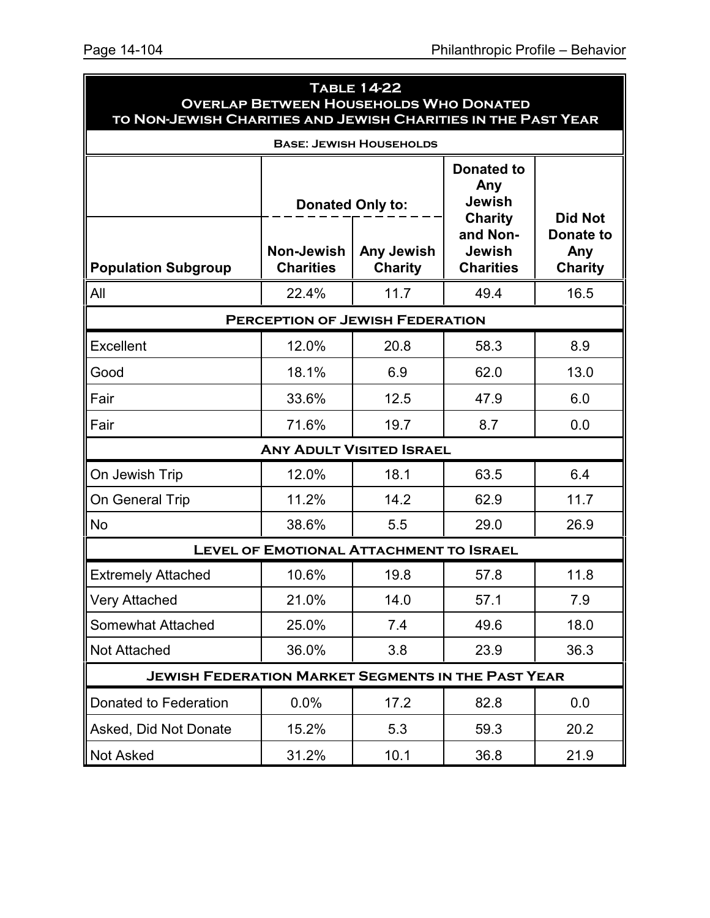| <b>TABLE 14-22</b><br><b>OVERLAP BETWEEN HOUSEHOLDS WHO DONATED</b><br>TO NON-JEWISH CHARITIES AND JEWISH CHARITIES IN THE PAST YEAR |                                                            |                |                                                                                   |                                           |  |  |
|--------------------------------------------------------------------------------------------------------------------------------------|------------------------------------------------------------|----------------|-----------------------------------------------------------------------------------|-------------------------------------------|--|--|
| <b>BASE: JEWISH HOUSEHOLDS</b>                                                                                                       |                                                            |                |                                                                                   |                                           |  |  |
|                                                                                                                                      | <b>Donated Only to:</b><br>Non-Jewish<br><b>Any Jewish</b> |                | <b>Donated to</b><br>Any<br>Jewish<br><b>Charity</b><br>and Non-<br><b>Jewish</b> | <b>Did Not</b><br><b>Donate to</b><br>Any |  |  |
| <b>Population Subgroup</b>                                                                                                           | <b>Charities</b>                                           | <b>Charity</b> | <b>Charities</b>                                                                  | <b>Charity</b>                            |  |  |
| All                                                                                                                                  | 22.4%                                                      | 11.7           | 49.4                                                                              | 16.5                                      |  |  |
|                                                                                                                                      | <b>PERCEPTION OF JEWISH FEDERATION</b>                     |                |                                                                                   |                                           |  |  |
| Excellent                                                                                                                            | 12.0%                                                      | 20.8           | 58.3                                                                              | 8.9                                       |  |  |
| Good                                                                                                                                 | 18.1%                                                      | 6.9            | 62.0                                                                              | 13.0                                      |  |  |
| Fair                                                                                                                                 | 33.6%                                                      | 12.5           | 47.9                                                                              | 6.0                                       |  |  |
| Fair                                                                                                                                 | 71.6%                                                      | 19.7           | 8.7                                                                               | 0.0                                       |  |  |
|                                                                                                                                      | <b>ANY ADULT VISITED ISRAEL</b>                            |                |                                                                                   |                                           |  |  |
| On Jewish Trip                                                                                                                       | 12.0%                                                      | 18.1           | 63.5                                                                              | 6.4                                       |  |  |
| On General Trip                                                                                                                      | 11.2%                                                      | 14.2           | 62.9                                                                              | 11.7                                      |  |  |
| No                                                                                                                                   | 38.6%                                                      | 5.5            | 29.0                                                                              | 26.9                                      |  |  |
|                                                                                                                                      | <b>LEVEL OF EMOTIONAL ATTACHMENT TO ISRAEL</b>             |                |                                                                                   |                                           |  |  |
| <b>Extremely Attached</b>                                                                                                            | 10.6%                                                      | 19.8           | 57.8                                                                              | 11.8                                      |  |  |
| <b>Very Attached</b>                                                                                                                 | 21.0%                                                      | 14.0           | 57.1                                                                              | 7.9                                       |  |  |
| <b>Somewhat Attached</b>                                                                                                             | 25.0%                                                      | 7.4            | 49.6                                                                              | 18.0                                      |  |  |
| <b>Not Attached</b>                                                                                                                  | 36.0%                                                      | 3.8            | 23.9                                                                              | 36.3                                      |  |  |
| <b>JEWISH FEDERATION MARKET SEGMENTS IN THE PAST YEAR</b>                                                                            |                                                            |                |                                                                                   |                                           |  |  |
| Donated to Federation                                                                                                                | 0.0%                                                       | 17.2           | 82.8                                                                              | 0.0                                       |  |  |
| Asked, Did Not Donate                                                                                                                | 15.2%                                                      | 5.3            | 59.3                                                                              | 20.2                                      |  |  |
| Not Asked                                                                                                                            | 31.2%                                                      | 10.1           | 36.8                                                                              | 21.9                                      |  |  |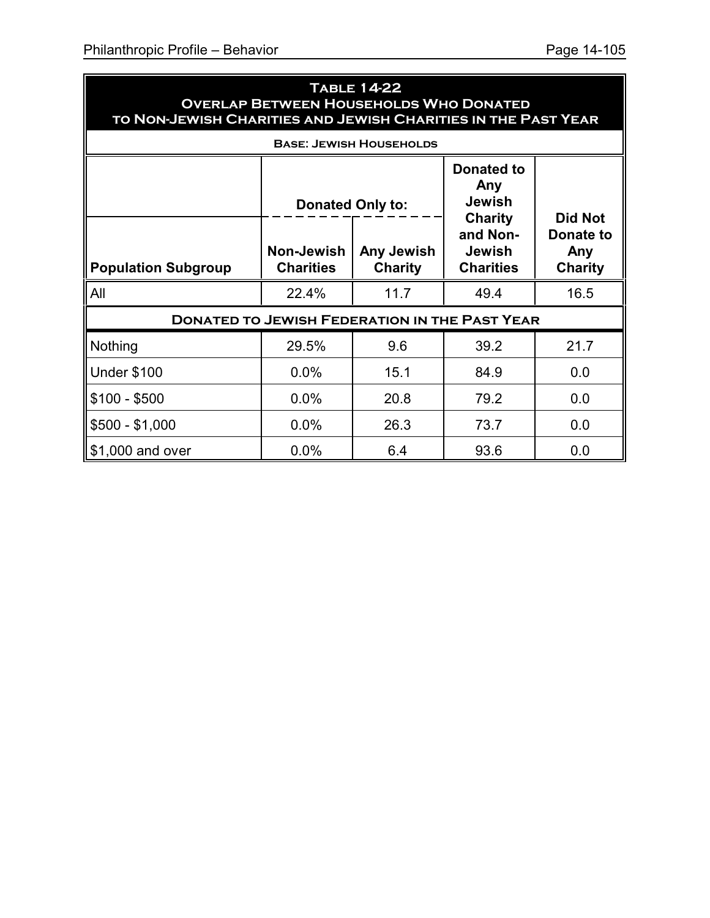| <b>TABLE 14-22</b><br><b>OVERLAP BETWEEN HOUSEHOLDS WHO DONATED</b><br>TO NON-JEWISH CHARITIES AND JEWISH CHARITIES IN THE PAST YEAR                                                                                                                                                            |       |                                |      |      |  |  |
|-------------------------------------------------------------------------------------------------------------------------------------------------------------------------------------------------------------------------------------------------------------------------------------------------|-------|--------------------------------|------|------|--|--|
|                                                                                                                                                                                                                                                                                                 |       | <b>BASE: JEWISH HOUSEHOLDS</b> |      |      |  |  |
| <b>Donated to</b><br>Any<br><b>Jewish</b><br><b>Donated Only to:</b><br><b>Did Not</b><br><b>Charity</b><br>and Non-<br><b>Donate to</b><br>Non-Jewish<br>Any Jewish<br><b>Jewish</b><br>Any<br><b>Charities</b><br><b>Charity</b><br><b>Charities</b><br><b>Population Subgroup</b><br>Charity |       |                                |      |      |  |  |
| All                                                                                                                                                                                                                                                                                             | 22.4% | 11.7                           | 49.4 | 16.5 |  |  |
| <b>DONATED TO JEWISH FEDERATION IN THE PAST YEAR</b>                                                                                                                                                                                                                                            |       |                                |      |      |  |  |
| Nothing                                                                                                                                                                                                                                                                                         | 29.5% | 9.6                            | 39.2 | 21.7 |  |  |
| <b>Under \$100</b>                                                                                                                                                                                                                                                                              | 0.0%  | 15.1                           | 84.9 | 0.0  |  |  |
| $$100 - $500$                                                                                                                                                                                                                                                                                   | 0.0%  | 20.8                           | 79.2 | 0.0  |  |  |
| $$500 - $1,000$                                                                                                                                                                                                                                                                                 | 0.0%  | 26.3                           | 73.7 | 0.0  |  |  |
| \$1,000 and over                                                                                                                                                                                                                                                                                | 0.0%  | 6.4                            | 93.6 | 0.0  |  |  |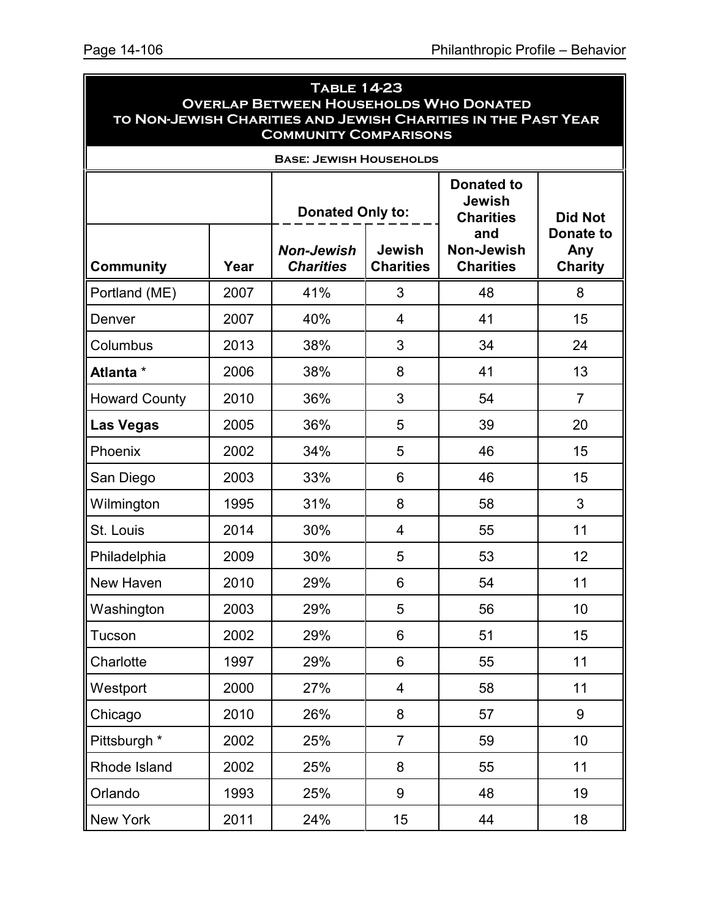| <b>TABLE 14-23</b><br><b>OVERLAP BETWEEN HOUSEHOLDS WHO DONATED</b><br>TO NON-JEWISH CHARITIES AND JEWISH CHARITIES IN THE PAST YEAR<br><b>COMMUNITY COMPARISONS</b> |      |                                       |                                   |                                                        |                                           |  |
|----------------------------------------------------------------------------------------------------------------------------------------------------------------------|------|---------------------------------------|-----------------------------------|--------------------------------------------------------|-------------------------------------------|--|
|                                                                                                                                                                      |      | <b>BASE: JEWISH HOUSEHOLDS</b>        |                                   |                                                        |                                           |  |
|                                                                                                                                                                      |      | <b>Donated Only to:</b>               |                                   | <b>Donated to</b><br><b>Jewish</b><br><b>Charities</b> | <b>Did Not</b>                            |  |
| <b>Community</b>                                                                                                                                                     | Year | <b>Non-Jewish</b><br><b>Charities</b> | <b>Jewish</b><br><b>Charities</b> | and<br><b>Non-Jewish</b><br><b>Charities</b>           | <b>Donate to</b><br>Any<br><b>Charity</b> |  |
| Portland (ME)                                                                                                                                                        | 2007 | 41%                                   | 3                                 | 48                                                     | 8                                         |  |
| Denver                                                                                                                                                               | 2007 | 40%                                   | 4                                 | 41                                                     | 15                                        |  |
| Columbus                                                                                                                                                             | 2013 | 38%                                   | 3                                 | 34                                                     | 24                                        |  |
| Atlanta *                                                                                                                                                            | 2006 | 38%                                   | 8                                 | 41                                                     | 13                                        |  |
| <b>Howard County</b>                                                                                                                                                 | 2010 | 36%                                   | 3                                 | 54                                                     | $\overline{7}$                            |  |
| <b>Las Vegas</b>                                                                                                                                                     | 2005 | 36%                                   | 5                                 | 39                                                     | 20                                        |  |
| Phoenix                                                                                                                                                              | 2002 | 34%                                   | 5                                 | 46                                                     | 15                                        |  |
| San Diego                                                                                                                                                            | 2003 | 33%                                   | 6                                 | 46                                                     | 15                                        |  |
| Wilmington                                                                                                                                                           | 1995 | 31%                                   | 8                                 | 58                                                     | 3                                         |  |
| St. Louis                                                                                                                                                            | 2014 | 30%                                   | 4                                 | 55                                                     | 11                                        |  |
| Philadelphia                                                                                                                                                         | 2009 | 30%                                   | 5                                 | 53                                                     | 12                                        |  |
| New Haven                                                                                                                                                            | 2010 | 29%                                   | 6                                 | 54                                                     | 11                                        |  |
| Washington                                                                                                                                                           | 2003 | 29%                                   | 5                                 | 56                                                     | 10                                        |  |
| Tucson                                                                                                                                                               | 2002 | 29%                                   | 6                                 | 51                                                     | 15                                        |  |
| Charlotte                                                                                                                                                            | 1997 | 29%                                   | 6                                 | 55                                                     | 11                                        |  |
| Westport                                                                                                                                                             | 2000 | 27%                                   | $\overline{\mathbf{4}}$           | 58                                                     | 11                                        |  |
| Chicago                                                                                                                                                              | 2010 | 26%                                   | 8                                 | 57                                                     | 9                                         |  |
| Pittsburgh *                                                                                                                                                         | 2002 | 25%                                   | $\overline{7}$                    | 59                                                     | 10                                        |  |
| Rhode Island                                                                                                                                                         | 2002 | 25%                                   | 8                                 | 55                                                     | 11                                        |  |
| Orlando                                                                                                                                                              | 1993 | 25%                                   | 9                                 | 48                                                     | 19                                        |  |
| <b>New York</b>                                                                                                                                                      | 2011 | 24%                                   | 15                                | 44                                                     | 18                                        |  |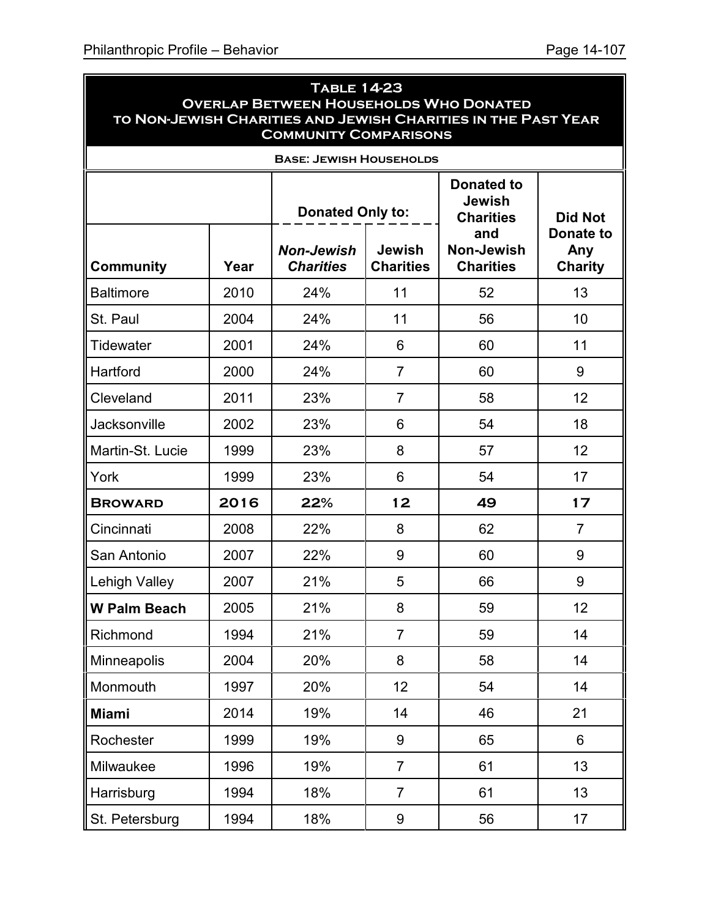| <b>TABLE 14-23</b><br><b>OVERLAP BETWEEN HOUSEHOLDS WHO DONATED</b><br>TO NON-JEWISH CHARITIES AND JEWISH CHARITIES IN THE PAST YEAR<br><b>COMMUNITY COMPARISONS</b> |      |                                       |                                   |                                                               |                                    |  |  |
|----------------------------------------------------------------------------------------------------------------------------------------------------------------------|------|---------------------------------------|-----------------------------------|---------------------------------------------------------------|------------------------------------|--|--|
| <b>BASE: JEWISH HOUSEHOLDS</b>                                                                                                                                       |      |                                       |                                   |                                                               |                                    |  |  |
|                                                                                                                                                                      |      | <b>Donated Only to:</b>               |                                   | <b>Donated to</b><br><b>Jewish</b><br><b>Charities</b><br>and | <b>Did Not</b><br><b>Donate to</b> |  |  |
| <b>Community</b>                                                                                                                                                     | Year | <b>Non-Jewish</b><br><b>Charities</b> | <b>Jewish</b><br><b>Charities</b> | <b>Non-Jewish</b><br><b>Charities</b>                         | Any<br><b>Charity</b>              |  |  |
| <b>Baltimore</b>                                                                                                                                                     | 2010 | 24%                                   | 11                                | 52                                                            | 13                                 |  |  |
| St. Paul                                                                                                                                                             | 2004 | 24%                                   | 11                                | 56                                                            | 10                                 |  |  |
| Tidewater                                                                                                                                                            | 2001 | 24%                                   | 6                                 | 60                                                            | 11                                 |  |  |
| Hartford                                                                                                                                                             | 2000 | 24%                                   | $\overline{7}$                    | 60                                                            | 9                                  |  |  |
| Cleveland                                                                                                                                                            | 2011 | 23%                                   | $\overline{7}$                    | 58                                                            | 12                                 |  |  |
| Jacksonville                                                                                                                                                         | 2002 | 23%                                   | 6                                 | 54                                                            | 18                                 |  |  |
| Martin-St. Lucie                                                                                                                                                     | 1999 | 23%                                   | 8                                 | 57                                                            | 12                                 |  |  |
| York                                                                                                                                                                 | 1999 | 23%                                   | 6                                 | 54                                                            | 17                                 |  |  |
| <b>BROWARD</b>                                                                                                                                                       | 2016 | 22%                                   | 12                                | 49                                                            | 17                                 |  |  |
| Cincinnati                                                                                                                                                           | 2008 | 22%                                   | 8                                 | 62                                                            | $\overline{7}$                     |  |  |
| San Antonio                                                                                                                                                          | 2007 | 22%                                   | 9                                 | 60                                                            | 9                                  |  |  |
| <b>Lehigh Valley</b>                                                                                                                                                 | 2007 | 21%                                   | 5                                 | 66                                                            | 9                                  |  |  |
| <b>W Palm Beach</b>                                                                                                                                                  | 2005 | 21%                                   | 8                                 | 59                                                            | 12                                 |  |  |
| Richmond                                                                                                                                                             | 1994 | 21%                                   | $\overline{7}$                    | 59                                                            | 14                                 |  |  |
| Minneapolis                                                                                                                                                          | 2004 | 20%                                   | 8                                 | 58                                                            | 14                                 |  |  |
| Monmouth                                                                                                                                                             | 1997 | 20%                                   | 12 <sub>2</sub>                   | 54                                                            | 14                                 |  |  |
| <b>Miami</b>                                                                                                                                                         | 2014 | 19%                                   | 14                                | 46                                                            | 21                                 |  |  |
| Rochester                                                                                                                                                            | 1999 | 19%                                   | 9                                 | 65                                                            | 6                                  |  |  |
| Milwaukee                                                                                                                                                            | 1996 | 19%                                   | $\overline{7}$                    | 61                                                            | 13                                 |  |  |
| Harrisburg                                                                                                                                                           | 1994 | 18%                                   | $\overline{7}$                    | 61                                                            | 13                                 |  |  |
| St. Petersburg                                                                                                                                                       | 1994 | 18%                                   | 9                                 | 56                                                            | 17                                 |  |  |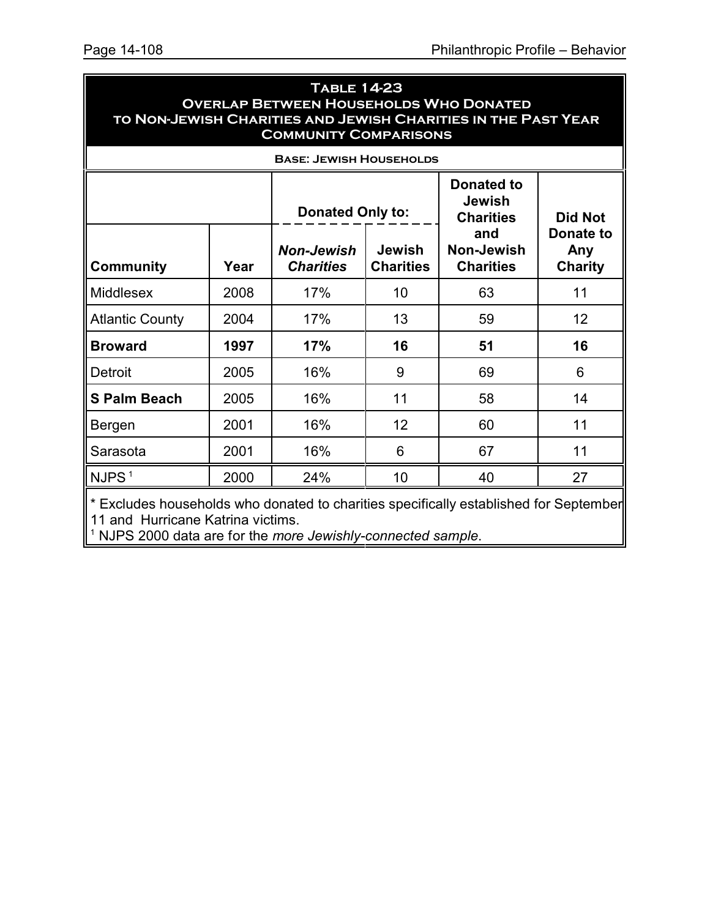| <b>TABLE 14-23</b>                                            |
|---------------------------------------------------------------|
| <b>OVERLAP BETWEEN HOUSEHOLDS WHO DONATED</b>                 |
| TO NON-JEWISH CHARITIES AND JEWISH CHARITIES IN THE PAST YEAR |
| <b>COMMUNITY COMPARISONS</b>                                  |

| <b>BASE: JEWISH HOUSEHOLDS</b>                                                        |      |                                       |                                   |                                                        |                                    |
|---------------------------------------------------------------------------------------|------|---------------------------------------|-----------------------------------|--------------------------------------------------------|------------------------------------|
|                                                                                       |      | <b>Donated Only to:</b>               |                                   | <b>Donated to</b><br><b>Jewish</b><br><b>Charities</b> | <b>Did Not</b>                     |
| <b>Community</b>                                                                      | Year | <b>Non-Jewish</b><br><b>Charities</b> | <b>Jewish</b><br><b>Charities</b> | and<br>Non-Jewish<br><b>Charities</b>                  | Donate to<br>Any<br><b>Charity</b> |
| <b>Middlesex</b>                                                                      | 2008 | 17%                                   | 10                                | 63                                                     | 11                                 |
| <b>Atlantic County</b>                                                                | 2004 | 17%                                   | 13                                | 59                                                     | 12 <sup>2</sup>                    |
| <b>Broward</b>                                                                        | 1997 | 17%                                   | 16                                | 51                                                     | 16                                 |
| Detroit                                                                               | 2005 | 16%                                   | 9                                 | 69                                                     | 6                                  |
| <b>S Palm Beach</b>                                                                   | 2005 | 16%                                   | 11                                | 58                                                     | 14                                 |
| Bergen                                                                                | 2001 | 16%                                   | 12                                | 60                                                     | 11                                 |
| Sarasota                                                                              | 2001 | 16%                                   | 6                                 | 67                                                     | 11                                 |
| NJPS <sup>1</sup>                                                                     | 2000 | 24%                                   | 10                                | 40                                                     | 27                                 |
| * Excludes households who donated to charities specifically established for September |      |                                       |                                   |                                                        |                                    |

11 and Hurricane Katrina victims.

1 NJPS 2000 data are for the *more Jewishly-connected sample*.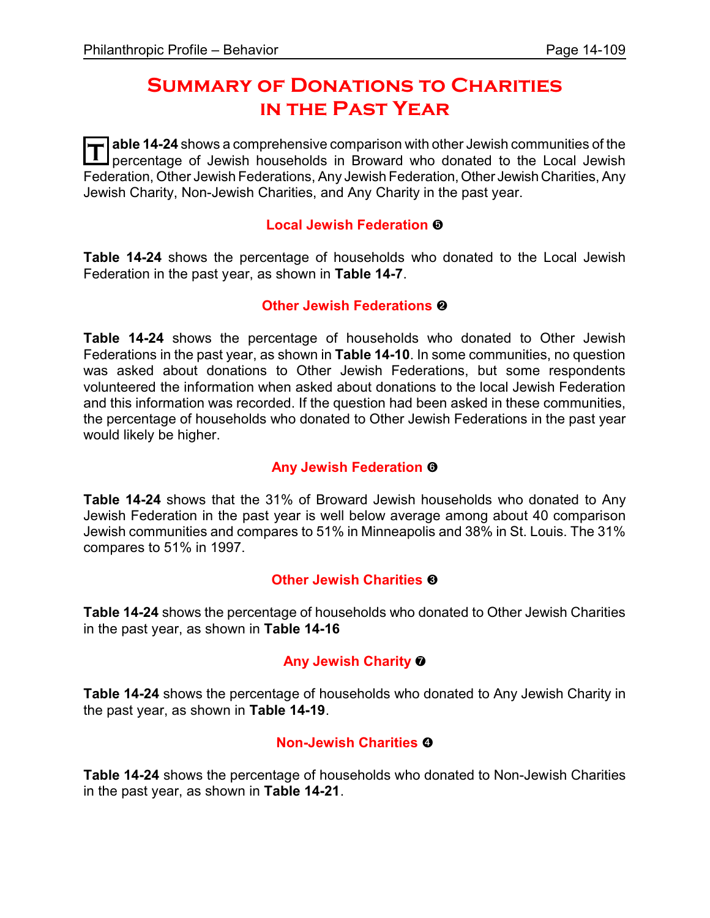# **Summary of Donations to Charities in the Past Year**

**T** able 14-24 shows a comprehensive comparison with other Jewish communities of the perception of Lowish bouseholds in Broward who denated to the Local Jewish percentage of Jewish households in Broward who donated to the Local Jewish Federation, Other Jewish Federations, Any Jewish Federation,Other Jewish Charities, Any Jewish Charity, Non-Jewish Charities, and Any Charity in the past year.

#### **Local Jewish Federation** ð

**Table 14-24** shows the percentage of households who donated to the Local Jewish Federation in the past year, as shown in **Table 14-7**.

#### **Other Jewish Federations @**

**Table 14-24** shows the percentage of households who donated to Other Jewish Federations in the past year, as shown in **Table 14-10**. In some communities, no question was asked about donations to Other Jewish Federations, but some respondents volunteered the information when asked about donations to the local Jewish Federation and this information was recorded. If the question had been asked in these communities, the percentage of households who donated to Other Jewish Federations in the past year would likely be higher.

## **Any Jewish Federation ©**

**Table 14-24** shows that the 31% of Broward Jewish households who donated to Any Jewish Federation in the past year is well below average among about 40 comparison Jewish communities and compares to 51% in Minneapolis and 38% in St. Louis. The 31% compares to 51% in 1997.

## **Other Jewish Charities &**

**Table 14-24** shows the percentage of households who donated to Other Jewish Charities in the past year, as shown in **Table 14-16**

## **Any Jewish Charity** ò

**Table 14-24** shows the percentage of households who donated to Any Jewish Charity in the past year, as shown in **Table 14-19**.

## **Non-Jewish Charities @**

**Table 14-24** shows the percentage of households who donated to Non-Jewish Charities in the past year, as shown in **Table 14-21**.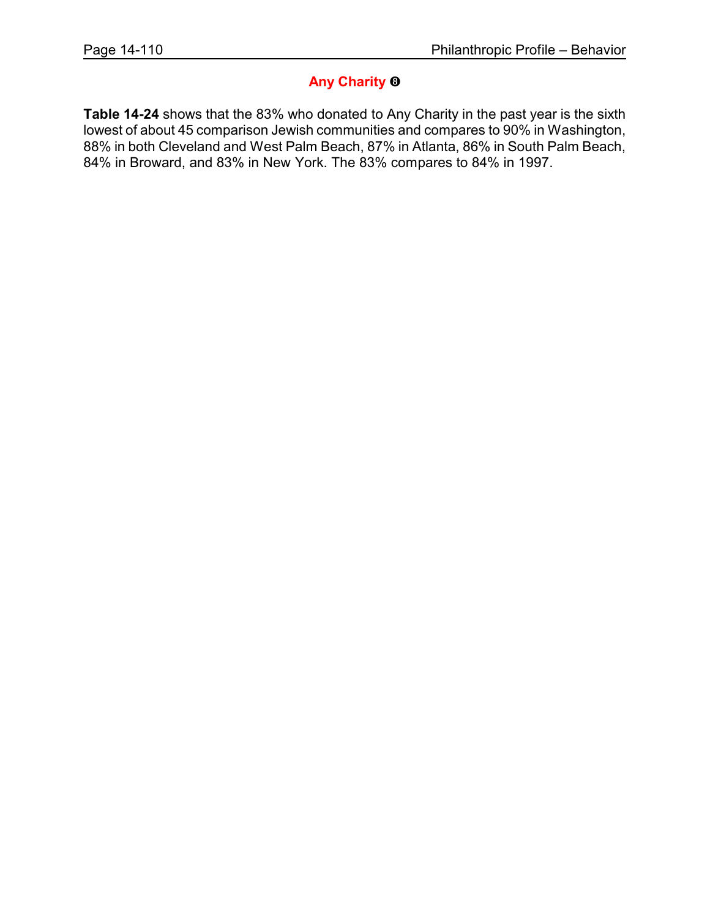#### **Any Charity** ó

**Table 14-24** shows that the 83% who donated to Any Charity in the past year is the sixth lowest of about 45 comparison Jewish communities and compares to 90% in Washington, 88% in both Cleveland and West Palm Beach, 87% in Atlanta, 86% in South Palm Beach, 84% in Broward, and 83% in New York. The 83% compares to 84% in 1997.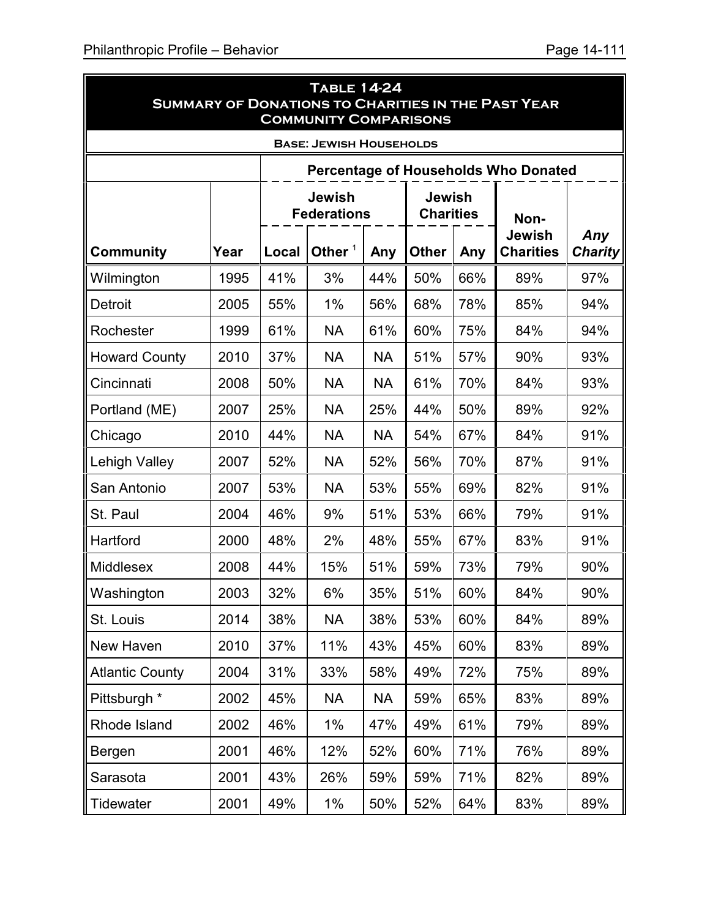|                        | <b>TABLE 14-24</b><br><b>SUMMARY OF DONATIONS TO CHARITIES IN THE PAST YEAR</b><br><b>COMMUNITY COMPARISONS</b> |       |                                     |           |                                   |                                          |                       |     |  |
|------------------------|-----------------------------------------------------------------------------------------------------------------|-------|-------------------------------------|-----------|-----------------------------------|------------------------------------------|-----------------------|-----|--|
|                        |                                                                                                                 |       | <b>BASE: JEWISH HOUSEHOLDS</b>      |           |                                   |                                          |                       |     |  |
|                        | <b>Percentage of Households Who Donated</b>                                                                     |       |                                     |           |                                   |                                          |                       |     |  |
|                        |                                                                                                                 |       | <b>Jewish</b><br><b>Federations</b> |           | <b>Jewish</b><br><b>Charities</b> |                                          | Non-                  |     |  |
| <b>Community</b>       | Year                                                                                                            | Local | Other $1$                           | Any       | <b>Other</b>                      | <b>Jewish</b><br><b>Charities</b><br>Any | Any<br><b>Charity</b> |     |  |
| Wilmington             | 1995                                                                                                            | 41%   | 3%                                  | 44%       | 50%                               | 66%                                      | 89%                   | 97% |  |
| Detroit                | 2005                                                                                                            | 55%   | 1%                                  | 56%       | 68%                               | 78%                                      | 85%                   | 94% |  |
| Rochester              | 1999                                                                                                            | 61%   | <b>NA</b>                           | 61%       | 60%                               | 75%                                      | 84%                   | 94% |  |
| <b>Howard County</b>   | 2010                                                                                                            | 37%   | <b>NA</b>                           | <b>NA</b> | 51%                               | 57%                                      | 90%                   | 93% |  |
| Cincinnati             | 2008                                                                                                            | 50%   | <b>NA</b>                           | NA        | 61%                               | 70%                                      | 84%                   | 93% |  |
| Portland (ME)          | 2007                                                                                                            | 25%   | <b>NA</b>                           | 25%       | 44%                               | 50%                                      | 89%                   | 92% |  |
| Chicago                | 2010                                                                                                            | 44%   | <b>NA</b>                           | <b>NA</b> | 54%                               | 67%                                      | 84%                   | 91% |  |
| Lehigh Valley          | 2007                                                                                                            | 52%   | <b>NA</b>                           | 52%       | 56%                               | 70%                                      | 87%                   | 91% |  |
| San Antonio            | 2007                                                                                                            | 53%   | <b>NA</b>                           | 53%       | 55%                               | 69%                                      | 82%                   | 91% |  |
| St. Paul               | 2004                                                                                                            | 46%   | 9%                                  | 51%       | 53%                               | 66%                                      | 79%                   | 91% |  |
| Hartford               | 2000                                                                                                            | 48%   | 2%                                  | 48%       | 55%                               | 67%                                      | 83%                   | 91% |  |
| Middlesex              | 2008                                                                                                            | 44%   | 15%                                 | 51%       | 59%                               | 73%                                      | 79%                   | 90% |  |
| Washington             | 2003                                                                                                            | 32%   | 6%                                  | 35%       | 51%                               | 60%                                      | 84%                   | 90% |  |
| St. Louis              | 2014                                                                                                            | 38%   | <b>NA</b>                           | 38%       | 53%                               | 60%                                      | 84%                   | 89% |  |
| New Haven              | 2010                                                                                                            | 37%   | 11%                                 | 43%       | 45%                               | 60%                                      | 83%                   | 89% |  |
| <b>Atlantic County</b> | 2004                                                                                                            | 31%   | 33%                                 | 58%       | 49%                               | 72%                                      | 75%                   | 89% |  |
| Pittsburgh *           | 2002                                                                                                            | 45%   | <b>NA</b>                           | <b>NA</b> | 59%                               | 65%                                      | 83%                   | 89% |  |
| Rhode Island           | 2002                                                                                                            | 46%   | $1\%$                               | 47%       | 49%                               | 61%                                      | 79%                   | 89% |  |
| Bergen                 | 2001                                                                                                            | 46%   | 12%                                 | 52%       | 60%                               | 71%                                      | 76%                   | 89% |  |
| Sarasota               | 2001                                                                                                            | 43%   | 26%                                 | 59%       | 59%                               | 71%                                      | 82%                   | 89% |  |
| Tidewater              | 2001                                                                                                            | 49%   | $1\%$                               | 50%       | 52%                               | 64%                                      | 83%                   | 89% |  |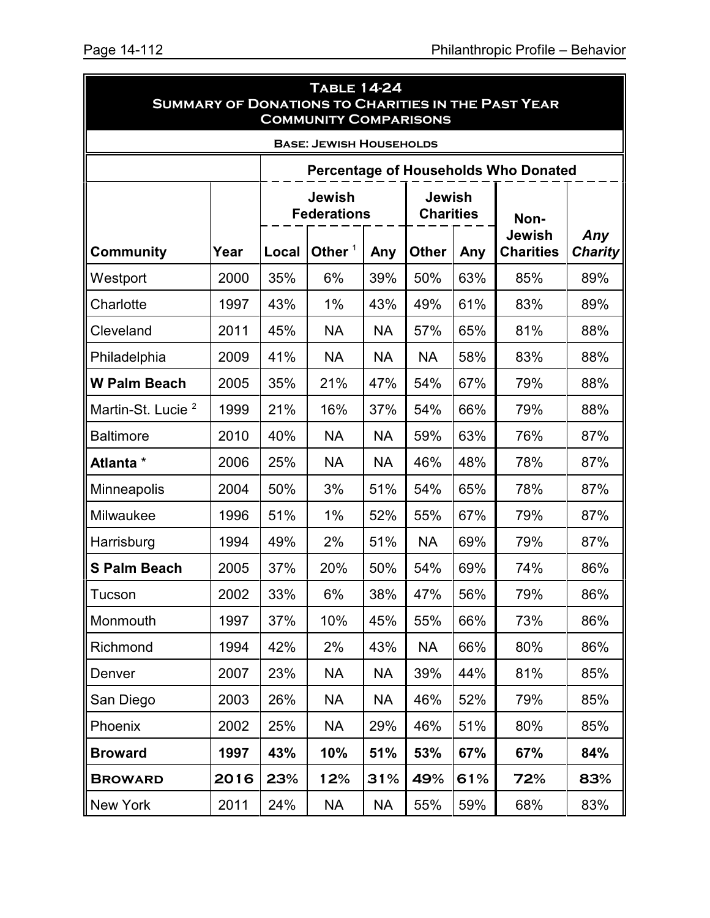Ē.

| <b>TABLE 14-24</b><br><b>SUMMARY OF DONATIONS TO CHARITIES IN THE PAST YEAR</b><br><b>COMMUNITY COMPARISONS</b> |      |       |                                     |           |                                   |     |                                             |                       |
|-----------------------------------------------------------------------------------------------------------------|------|-------|-------------------------------------|-----------|-----------------------------------|-----|---------------------------------------------|-----------------------|
|                                                                                                                 |      |       | <b>BASE: JEWISH HOUSEHOLDS</b>      |           |                                   |     |                                             |                       |
|                                                                                                                 |      |       |                                     |           |                                   |     | <b>Percentage of Households Who Donated</b> |                       |
|                                                                                                                 |      |       | <b>Jewish</b><br><b>Federations</b> |           | <b>Jewish</b><br><b>Charities</b> |     | Non-                                        |                       |
| <b>Community</b>                                                                                                | Year | Local | Other $1$                           | Any       | <b>Other</b>                      | Any | Jewish<br><b>Charities</b>                  | Any<br><b>Charity</b> |
| Westport                                                                                                        | 2000 | 35%   | 6%                                  | 39%       | 50%                               | 63% | 85%                                         | 89%                   |
| Charlotte                                                                                                       | 1997 | 43%   | 1%                                  | 43%       | 49%                               | 61% | 83%                                         | 89%                   |
| Cleveland                                                                                                       | 2011 | 45%   | <b>NA</b>                           | <b>NA</b> | 57%                               | 65% | 81%                                         | 88%                   |
| Philadelphia                                                                                                    | 2009 | 41%   | <b>NA</b>                           | <b>NA</b> | <b>NA</b>                         | 58% | 83%                                         | 88%                   |
| <b>W Palm Beach</b>                                                                                             | 2005 | 35%   | 21%                                 | 47%       | 54%                               | 67% | 79%                                         | 88%                   |
| Martin-St. Lucie <sup>2</sup>                                                                                   | 1999 | 21%   | 16%                                 | 37%       | 54%                               | 66% | 79%                                         | 88%                   |
| <b>Baltimore</b>                                                                                                | 2010 | 40%   | <b>NA</b>                           | <b>NA</b> | 59%                               | 63% | 76%                                         | 87%                   |
| Atlanta *                                                                                                       | 2006 | 25%   | <b>NA</b>                           | <b>NA</b> | 46%                               | 48% | 78%                                         | 87%                   |
| Minneapolis                                                                                                     | 2004 | 50%   | 3%                                  | 51%       | 54%                               | 65% | 78%                                         | 87%                   |
| Milwaukee                                                                                                       | 1996 | 51%   | 1%                                  | 52%       | 55%                               | 67% | 79%                                         | 87%                   |
| Harrisburg                                                                                                      | 1994 | 49%   | 2%                                  | 51%       | <b>NA</b>                         | 69% | 79%                                         | 87%                   |
| <b>S Palm Beach</b>                                                                                             | 2005 | 37%   | 20%                                 | 50%       | 54%                               | 69% | 74%                                         | 86%                   |
| Tucson                                                                                                          | 2002 | 33%   | 6%                                  | 38%       | 47%                               | 56% | 79%                                         | 86%                   |
| Monmouth                                                                                                        | 1997 | 37%   | 10%                                 | 45%       | 55%                               | 66% | 73%                                         | 86%                   |
| Richmond                                                                                                        | 1994 | 42%   | 2%                                  | 43%       | <b>NA</b>                         | 66% | 80%                                         | 86%                   |
| Denver                                                                                                          | 2007 | 23%   | <b>NA</b>                           | <b>NA</b> | 39%                               | 44% | 81%                                         | 85%                   |
| San Diego                                                                                                       | 2003 | 26%   | <b>NA</b>                           | <b>NA</b> | 46%                               | 52% | 79%                                         | 85%                   |
| Phoenix                                                                                                         | 2002 | 25%   | <b>NA</b>                           | 29%       | 46%                               | 51% | 80%                                         | 85%                   |
| <b>Broward</b>                                                                                                  | 1997 | 43%   | 10%                                 | 51%       | 53%                               | 67% | 67%                                         | 84%                   |
| <b>BROWARD</b>                                                                                                  | 2016 | 23%   | 12%                                 | 31%       | 49%                               | 61% | 72%                                         | 83%                   |
| New York                                                                                                        | 2011 | 24%   | <b>NA</b>                           | <b>NA</b> | 55%                               | 59% | 68%                                         | 83%                   |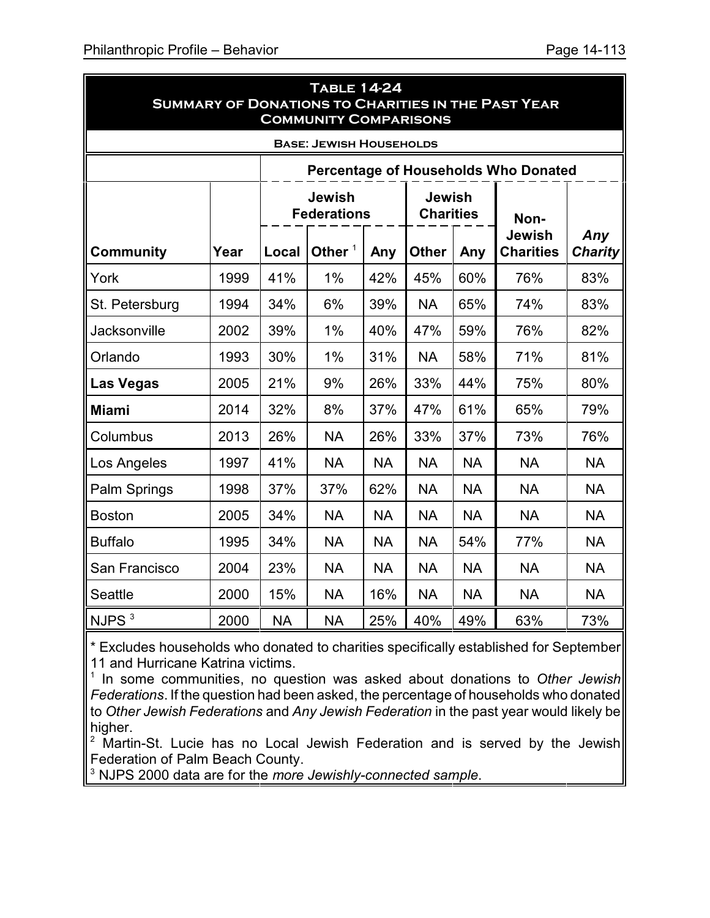|                   |      |           | <b>TABLE 14-24</b><br><b>COMMUNITY COMPARISONS</b> |           |                                   |           | <b>SUMMARY OF DONATIONS TO CHARITIES IN THE PAST YEAR</b> |                       |
|-------------------|------|-----------|----------------------------------------------------|-----------|-----------------------------------|-----------|-----------------------------------------------------------|-----------------------|
|                   |      |           | <b>BASE: JEWISH HOUSEHOLDS</b>                     |           |                                   |           |                                                           |                       |
|                   |      |           |                                                    |           |                                   |           | <b>Percentage of Households Who Donated</b>               |                       |
|                   |      |           | <b>Jewish</b><br><b>Federations</b>                |           | <b>Jewish</b><br><b>Charities</b> |           | Non-                                                      |                       |
| <b>Community</b>  | Year | Local     | Other $1$                                          | Any       | <b>Other</b>                      | Any       | <b>Jewish</b><br><b>Charities</b>                         | Any<br><b>Charity</b> |
| York              | 1999 | 41%       | 1%                                                 | 42%       | 45%                               | 60%       | 76%                                                       | 83%                   |
| St. Petersburg    | 1994 | 34%       | 6%                                                 | 39%       | <b>NA</b>                         | 65%       | 74%                                                       | 83%                   |
| Jacksonville      | 2002 | 39%       | 1%                                                 | 40%       | 47%                               | 59%       | 76%                                                       | 82%                   |
| Orlando           | 1993 | 30%       | 1%                                                 | 31%       | <b>NA</b>                         | 58%       | 71%                                                       | 81%                   |
| <b>Las Vegas</b>  | 2005 | 21%       | 9%                                                 | 26%       | 33%                               | 44%       | 75%                                                       | 80%                   |
| <b>Miami</b>      | 2014 | 32%       | 8%                                                 | 37%       | 47%                               | 61%       | 65%                                                       | 79%                   |
| Columbus          | 2013 | 26%       | <b>NA</b>                                          | 26%       | 33%                               | 37%       | 73%                                                       | 76%                   |
| Los Angeles       | 1997 | 41%       | <b>NA</b>                                          | <b>NA</b> | <b>NA</b>                         | <b>NA</b> | <b>NA</b>                                                 | <b>NA</b>             |
| Palm Springs      | 1998 | 37%       | 37%                                                | 62%       | <b>NA</b>                         | <b>NA</b> | <b>NA</b>                                                 | <b>NA</b>             |
| <b>Boston</b>     | 2005 | 34%       | <b>NA</b>                                          | <b>NA</b> | <b>NA</b>                         | <b>NA</b> | <b>NA</b>                                                 | <b>NA</b>             |
| <b>Buffalo</b>    | 1995 | 34%       | <b>NA</b>                                          | <b>NA</b> | <b>NA</b>                         | 54%       | 77%                                                       | <b>NA</b>             |
| San Francisco     | 2004 | 23%       | <b>NA</b>                                          | <b>NA</b> | <b>NA</b>                         | <b>NA</b> | <b>NA</b>                                                 | <b>NA</b>             |
| <b>Seattle</b>    | 2000 | 15%       | <b>NA</b>                                          | 16%       | <b>NA</b>                         | <b>NA</b> | <b>NA</b>                                                 | <b>NA</b>             |
| NJPS <sup>3</sup> | 2000 | <b>NA</b> | <b>NA</b>                                          | 25%       | 40%                               | 49%       | 63%                                                       | 73%                   |

\* Excludes households who donated to charities specifically established for September 11 and Hurricane Katrina victims.

1 In some communities, no question was asked about donations to *Other Jewish Federations*. If the question had been asked, the percentage of households who donated to *Other Jewish Federations* and *Any Jewish Federation* in the past year would likely be higher.

 $2$  Martin-St. Lucie has no Local Jewish Federation and is served by the Jewish Federation of Palm Beach County.

3 NJPS 2000 data are for the *more Jewishly-connected sample*.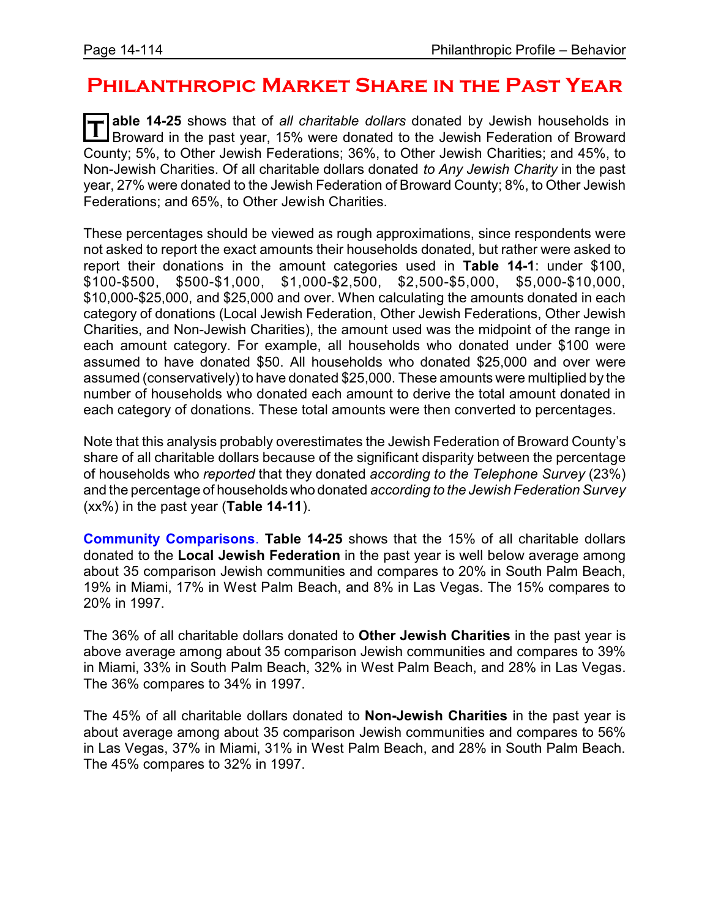# **Philanthropic Market Share in the Past Year**

**T able 14-25** shows that of *all charitable dollars* donated by Jewish households in Broward in the past year, 15% were donated to the Jewish Federation of Broward County; 5%, to Other Jewish Federations; 36%, to Other Jewish Charities; and 45%, to Non-Jewish Charities. Of all charitable dollars donated *to Any Jewish Charity* in the past year, 27% were donated to the Jewish Federation of Broward County; 8%, to Other Jewish Federations; and 65%, to Other Jewish Charities.

These percentages should be viewed as rough approximations, since respondents were not asked to report the exact amounts their households donated, but rather were asked to report their donations in the amount categories used in **Table 14-1**: under \$100, \$100-\$500, \$500-\$1,000, \$1,000-\$2,500, \$2,500-\$5,000, \$5,000-\$10,000, \$10,000-\$25,000, and \$25,000 and over. When calculating the amounts donated in each category of donations (Local Jewish Federation, Other Jewish Federations, Other Jewish Charities, and Non-Jewish Charities), the amount used was the midpoint of the range in each amount category. For example, all households who donated under \$100 were assumed to have donated \$50. All households who donated \$25,000 and over were assumed (conservatively) to have donated \$25,000. These amounts were multiplied by the number of households who donated each amount to derive the total amount donated in each category of donations. These total amounts were then converted to percentages.

Note that this analysis probably overestimates the Jewish Federation of Broward County's share of all charitable dollars because of the significant disparity between the percentage of households who *reported* that they donated *according to the Telephone Survey* (23%) and the percentage of households who donated *according to the Jewish Federation Survey* (xx%) in the past year (**Table 14-11**).

**Community Comparisons**. **Table 14-25** shows that the 15% of all charitable dollars donated to the **Local Jewish Federation** in the past year is well below average among about 35 comparison Jewish communities and compares to 20% in South Palm Beach, 19% in Miami, 17% in West Palm Beach, and 8% in Las Vegas. The 15% compares to 20% in 1997.

The 36% of all charitable dollars donated to **Other Jewish Charities** in the past year is above average among about 35 comparison Jewish communities and compares to 39% in Miami, 33% in South Palm Beach, 32% in West Palm Beach, and 28% in Las Vegas. The 36% compares to 34% in 1997.

The 45% of all charitable dollars donated to **Non-Jewish Charities** in the past year is about average among about 35 comparison Jewish communities and compares to 56% in Las Vegas, 37% in Miami, 31% in West Palm Beach, and 28% in South Palm Beach. The 45% compares to 32% in 1997.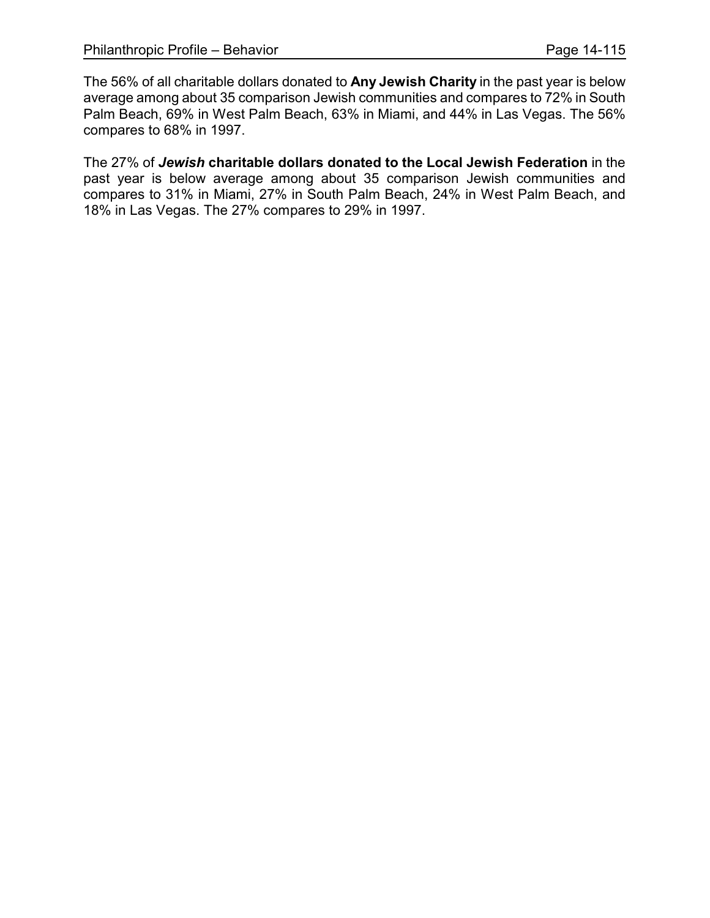The 56% of all charitable dollars donated to **Any Jewish Charity** in the past year is below average among about 35 comparison Jewish communities and compares to 72% in South Palm Beach, 69% in West Palm Beach, 63% in Miami, and 44% in Las Vegas. The 56% compares to 68% in 1997.

The 27% of *Jewish* **charitable dollars donated to the Local Jewish Federation** in the past year is below average among about 35 comparison Jewish communities and compares to 31% in Miami, 27% in South Palm Beach, 24% in West Palm Beach, and 18% in Las Vegas. The 27% compares to 29% in 1997.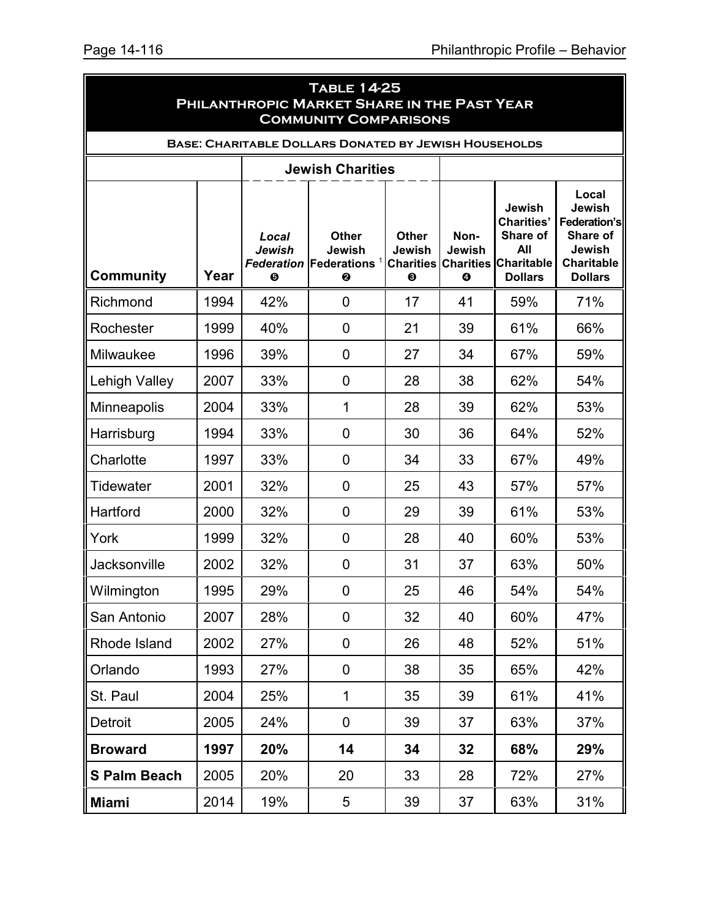|                                                              | <b>TABLE 14-25</b><br>PHILANTHROPIC MARKET SHARE IN THE PAST YEAR<br><b>COMMUNITY COMPARISONS</b> |                             |                                                                |                                                 |                            |                                                                                                 |                                                                                              |  |  |
|--------------------------------------------------------------|---------------------------------------------------------------------------------------------------|-----------------------------|----------------------------------------------------------------|-------------------------------------------------|----------------------------|-------------------------------------------------------------------------------------------------|----------------------------------------------------------------------------------------------|--|--|
| <b>BASE: CHARITABLE DOLLARS DONATED BY JEWISH HOUSEHOLDS</b> |                                                                                                   |                             |                                                                |                                                 |                            |                                                                                                 |                                                                                              |  |  |
|                                                              |                                                                                                   |                             | <b>Jewish Charities</b>                                        |                                                 |                            |                                                                                                 |                                                                                              |  |  |
| <b>Community</b>                                             | Year                                                                                              | Local<br><b>Jewish</b><br>❺ | <b>Other</b><br>Jewish<br><b>Federation Federations</b> 1<br>❷ | <b>Other</b><br>Jewish<br><b>Charities</b><br>❸ | Non-<br><b>Jewish</b><br>❹ | Jewish<br><b>Charities'</b><br>Share of<br>All<br><b>Charities Charitable</b><br><b>Dollars</b> | Local<br>Jewish<br>Federation's<br>Share of<br>Jewish<br><b>Charitable</b><br><b>Dollars</b> |  |  |
| Richmond                                                     | 1994                                                                                              | 42%                         | $\mathbf 0$                                                    | 17                                              | 41                         | 59%                                                                                             | 71%                                                                                          |  |  |
| Rochester                                                    | 1999                                                                                              | 40%                         | $\mathbf 0$                                                    | 21                                              | 39                         | 61%                                                                                             | 66%                                                                                          |  |  |
| Milwaukee                                                    | 1996                                                                                              | 39%                         | $\mathbf 0$                                                    | 27                                              | 34                         | 67%                                                                                             | 59%                                                                                          |  |  |
| Lehigh Valley                                                | 2007                                                                                              | 33%                         | $\mathbf 0$                                                    | 28                                              | 38                         | 62%                                                                                             | 54%                                                                                          |  |  |
| <b>Minneapolis</b>                                           | 2004                                                                                              | 33%                         | 1                                                              | 28                                              | 39                         | 62%                                                                                             | 53%                                                                                          |  |  |
| Harrisburg                                                   | 1994                                                                                              | 33%                         | $\mathbf 0$                                                    | 30                                              | 36                         | 64%                                                                                             | 52%                                                                                          |  |  |
| Charlotte                                                    | 1997                                                                                              | 33%                         | $\mathbf 0$                                                    | 34                                              | 33                         | 67%                                                                                             | 49%                                                                                          |  |  |
| Tidewater                                                    | 2001                                                                                              | 32%                         | 0                                                              | 25                                              | 43                         | 57%                                                                                             | 57%                                                                                          |  |  |
| Hartford                                                     | 2000                                                                                              | 32%                         | $\mathbf 0$                                                    | 29                                              | 39                         | 61%                                                                                             | 53%                                                                                          |  |  |
| York                                                         | 1999                                                                                              | 32%                         | 0                                                              | 28                                              | 40                         | 60%                                                                                             | 53%                                                                                          |  |  |
| Jacksonville                                                 | 2002                                                                                              | 32%                         | $\mathbf 0$                                                    | 31                                              | 37                         | 63%                                                                                             | 50%                                                                                          |  |  |
| Wilmington                                                   | 1995                                                                                              | 29%                         | 0                                                              | 25                                              | 46                         | 54%                                                                                             | 54%                                                                                          |  |  |
| San Antonio                                                  | 2007                                                                                              | 28%                         | $\mathbf 0$                                                    | 32                                              | 40                         | 60%                                                                                             | 47%                                                                                          |  |  |
| Rhode Island                                                 | 2002                                                                                              | 27%                         | $\mathbf 0$                                                    | 26                                              | 48                         | 52%                                                                                             | 51%                                                                                          |  |  |
| Orlando                                                      | 1993                                                                                              | 27%                         | $\mathbf 0$                                                    | 38                                              | 35                         | 65%                                                                                             | 42%                                                                                          |  |  |
| St. Paul                                                     | 2004                                                                                              | 25%                         | 1                                                              | 35                                              | 39                         | 61%                                                                                             | 41%                                                                                          |  |  |
| Detroit                                                      | 2005                                                                                              | 24%                         | $\mathbf 0$                                                    | 39                                              | 37                         | 63%                                                                                             | 37%                                                                                          |  |  |
| <b>Broward</b>                                               | 1997                                                                                              | 20%                         | 14                                                             | 34                                              | 32                         | 68%                                                                                             | 29%                                                                                          |  |  |
| <b>S Palm Beach</b>                                          | 2005                                                                                              | 20%                         | 20                                                             | 33                                              | 28                         | 72%                                                                                             | 27%                                                                                          |  |  |
| <b>Miami</b>                                                 | 2014                                                                                              | 19%                         | 5                                                              | 39                                              | 37                         | 63%                                                                                             | 31%                                                                                          |  |  |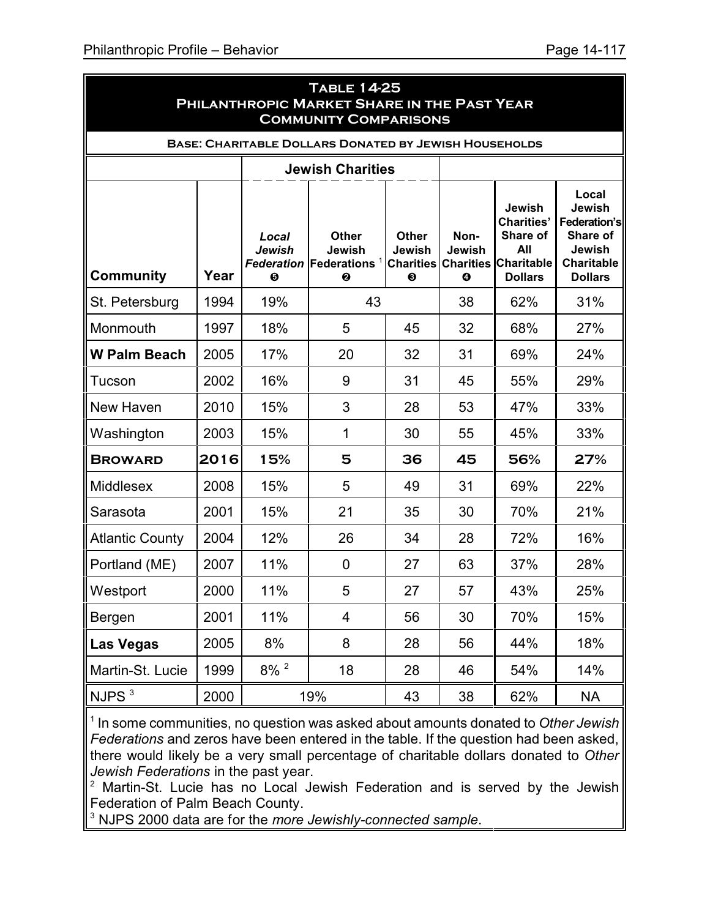|                        |      |                                          | <b>TABLE 14-25</b><br>PHILANTHROPIC MARKET SHARE IN THE PAST YEAR<br><b>COMMUNITY COMPARISONS</b> |                                                 |                                         |                                                                                       |                                                                                              |
|------------------------|------|------------------------------------------|---------------------------------------------------------------------------------------------------|-------------------------------------------------|-----------------------------------------|---------------------------------------------------------------------------------------|----------------------------------------------------------------------------------------------|
|                        |      |                                          | <b>BASE: CHARITABLE DOLLARS DONATED BY JEWISH HOUSEHOLDS</b>                                      |                                                 |                                         |                                                                                       |                                                                                              |
|                        |      |                                          | <b>Jewish Charities</b>                                                                           |                                                 |                                         |                                                                                       |                                                                                              |
| <b>Community</b>       | Year | Local<br>Jewish<br>$\boldsymbol{\Theta}$ | <b>Other</b><br>Jewish<br><b>Federation Federations</b><br>❷                                      | <b>Other</b><br>Jewish<br><b>Charities</b><br>❸ | Non-<br>Jewish<br><b>Charities</b><br>❹ | Jewish<br><b>Charities'</b><br>Share of<br>All<br><b>Charitable</b><br><b>Dollars</b> | Local<br>Jewish<br>Federation's<br>Share of<br>Jewish<br><b>Charitable</b><br><b>Dollars</b> |
| St. Petersburg         | 1994 | 19%                                      | 43                                                                                                |                                                 | 38                                      | 62%                                                                                   | 31%                                                                                          |
| Monmouth               | 1997 | 18%                                      | 5                                                                                                 | 45                                              | 32                                      | 68%                                                                                   | 27%                                                                                          |
| <b>W Palm Beach</b>    | 2005 | 17%                                      | 20                                                                                                | 32                                              | 31                                      | 69%                                                                                   | 24%                                                                                          |
| Tucson                 | 2002 | 16%                                      | 9                                                                                                 | 31                                              | 45                                      | 55%                                                                                   | 29%                                                                                          |
| New Haven              | 2010 | 15%                                      | 3                                                                                                 | 28                                              | 53                                      | 47%                                                                                   | 33%                                                                                          |
| Washington             | 2003 | 15%                                      | 1                                                                                                 | 30                                              | 55                                      | 45%                                                                                   | 33%                                                                                          |
| <b>BROWARD</b>         | 2016 | 15%                                      | 5                                                                                                 | 36                                              | 45                                      | 56%                                                                                   | 27%                                                                                          |
| <b>Middlesex</b>       | 2008 | 15%                                      | 5                                                                                                 | 49                                              | 31                                      | 69%                                                                                   | 22%                                                                                          |
| Sarasota               | 2001 | 15%                                      | 21                                                                                                | 35                                              | 30                                      | 70%                                                                                   | 21%                                                                                          |
| <b>Atlantic County</b> | 2004 | 12%                                      | 26                                                                                                | 34                                              | 28                                      | 72%                                                                                   | 16%                                                                                          |
| Portland (ME)          | 2007 | 11%                                      | 0                                                                                                 | 27                                              | 63                                      | 37%                                                                                   | 28%                                                                                          |
| Westport               | 2000 | 11%                                      | 5                                                                                                 | 27                                              | 57                                      | 43%                                                                                   | 25%                                                                                          |
| Bergen                 | 2001 | 11%                                      | $\overline{4}$                                                                                    | 56                                              | 30                                      | 70%                                                                                   | 15%                                                                                          |
| <b>Las Vegas</b>       | 2005 | 8%                                       | 8                                                                                                 | 28                                              | 56                                      | 44%                                                                                   | 18%                                                                                          |
| Martin-St. Lucie       | 1999 | $8\%$ <sup>2</sup>                       | 18                                                                                                | 28                                              | 46                                      | 54%                                                                                   | 14%                                                                                          |
| NJPS <sup>3</sup>      | 2000 |                                          | 19%                                                                                               | 43                                              | 38                                      | 62%                                                                                   | <b>NA</b>                                                                                    |

1 In some communities, no question was asked about amounts donated to *Other Jewish Federations* and zeros have been entered in the table. If the question had been asked, there would likely be a very small percentage of charitable dollars donated to *Other Jewish Federations* in the past year.

<sup>2</sup> Martin-St. Lucie has no Local Jewish Federation and is served by the Jewish Federation of Palm Beach County.

3 NJPS 2000 data are for the *more Jewishly-connected sample*.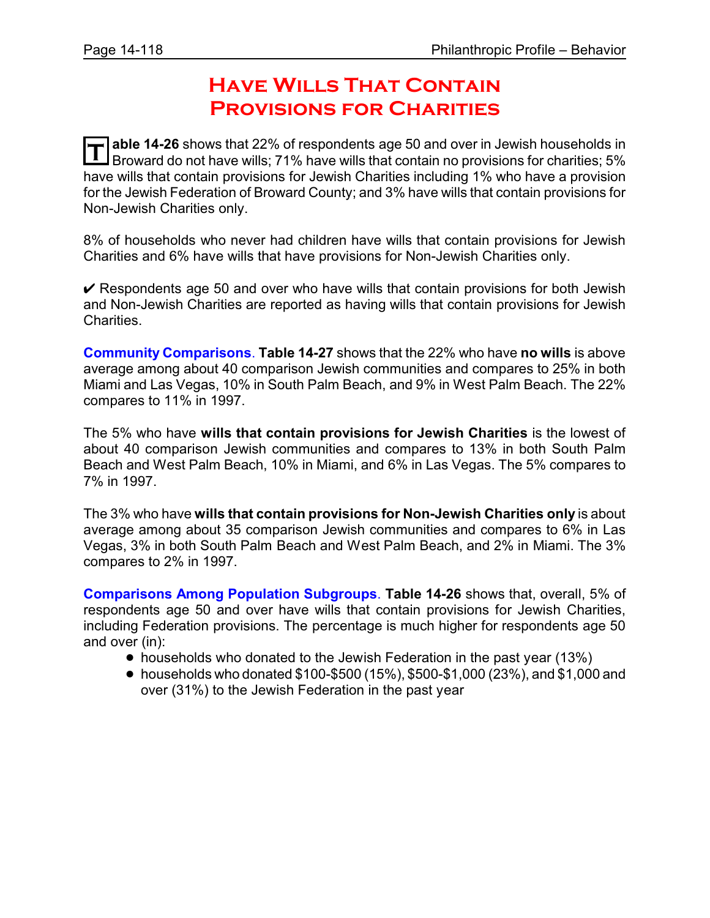# **HAVE WILLS THAT CONTAIN Provisions for Charities**

**T** able 14-26 shows that 22% of respondents age 50 and over in Jewish households in<br>Repayard do not have wills: 71% have wills that contain no provisions for charities: 5% Broward do not have wills; 71% have wills that contain no provisions for charities; 5% have wills that contain provisions for Jewish Charities including 1% who have a provision for the Jewish Federation of Broward County; and 3% have wills that contain provisions for Non-Jewish Charities only.

8% of households who never had children have wills that contain provisions for Jewish Charities and 6% have wills that have provisions for Non-Jewish Charities only.

 $\vee$  Respondents age 50 and over who have wills that contain provisions for both Jewish and Non-Jewish Charities are reported as having wills that contain provisions for Jewish Charities.

**Community Comparisons**. **Table 14-27** shows that the 22% who have **no wills** is above average among about 40 comparison Jewish communities and compares to 25% in both Miami and Las Vegas, 10% in South Palm Beach, and 9% in West Palm Beach. The 22% compares to 11% in 1997.

The 5% who have **wills that contain provisions for Jewish Charities** is the lowest of about 40 comparison Jewish communities and compares to 13% in both South Palm Beach and West Palm Beach, 10% in Miami, and 6% in Las Vegas. The 5% compares to 7% in 1997.

The 3% who have **wills that contain provisions for Non-Jewish Charities only** is about average among about 35 comparison Jewish communities and compares to 6% in Las Vegas, 3% in both South Palm Beach and West Palm Beach, and 2% in Miami. The 3% compares to 2% in 1997.

**Comparisons Among Population Subgroups**. **Table 14-26** shows that, overall, 5% of respondents age 50 and over have wills that contain provisions for Jewish Charities, including Federation provisions. The percentage is much higher for respondents age 50 and over (in):

- households who donated to the Jewish Federation in the past year (13%)
- households who donated  $$100-$500 (15%), $500-$1,000 (23%), and $1,000 and$ over (31%) to the Jewish Federation in the past year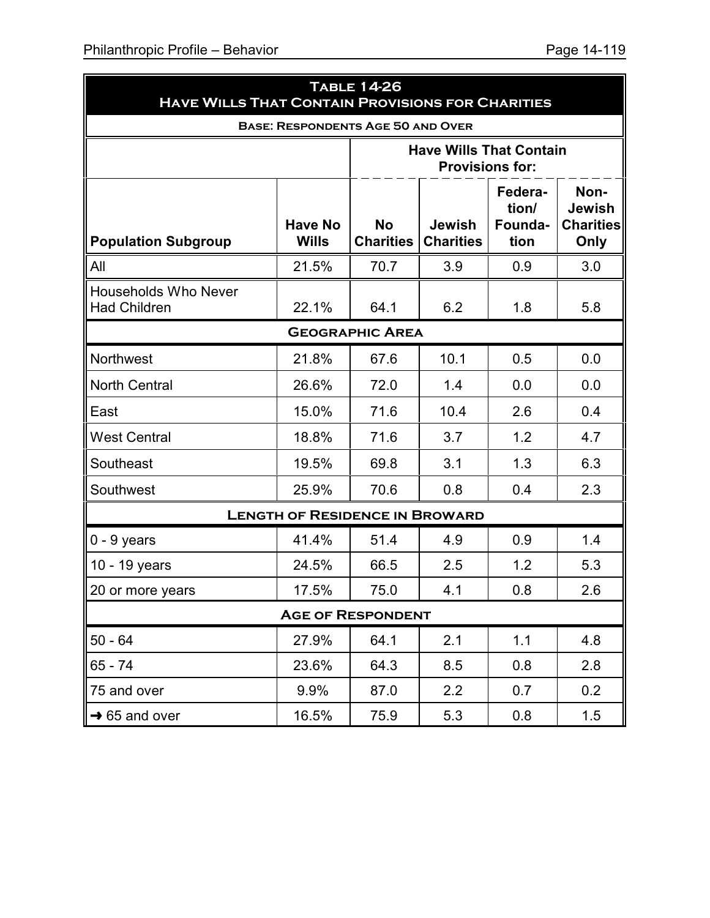| <b>HAVE WILLS THAT CONTAIN PROVISIONS FOR CHARITIES</b> |                                       | <b>TABLE 14-26</b>            |                                   |                                     |                                                   |  |  |  |
|---------------------------------------------------------|---------------------------------------|-------------------------------|-----------------------------------|-------------------------------------|---------------------------------------------------|--|--|--|
| <b>BASE: RESPONDENTS AGE 50 AND OVER</b>                |                                       |                               |                                   |                                     |                                                   |  |  |  |
|                                                         |                                       |                               | <b>Have Wills That Contain</b>    | <b>Provisions for:</b>              |                                                   |  |  |  |
| <b>Population Subgroup</b>                              | <b>Have No</b><br><b>Wills</b>        | <b>No</b><br><b>Charities</b> | <b>Jewish</b><br><b>Charities</b> | Federa-<br>tion/<br>Founda-<br>tion | Non-<br><b>Jewish</b><br><b>Charities</b><br>Only |  |  |  |
| All                                                     | 21.5%                                 | 70.7                          | 3.9                               | 0.9                                 | 3.0                                               |  |  |  |
| <b>Households Who Never</b><br><b>Had Children</b>      | 22.1%                                 | 64.1                          | 6.2                               | 1.8                                 | 5.8                                               |  |  |  |
|                                                         |                                       | <b>GEOGRAPHIC AREA</b>        |                                   |                                     |                                                   |  |  |  |
| <b>Northwest</b>                                        | 21.8%                                 | 67.6                          | 10.1                              | 0.5                                 | 0.0                                               |  |  |  |
| <b>North Central</b>                                    | 26.6%                                 | 72.0                          | 1.4                               | 0.0                                 | 0.0                                               |  |  |  |
| East                                                    | 15.0%                                 | 71.6                          | 10.4                              | 2.6                                 | 0.4                                               |  |  |  |
| <b>West Central</b>                                     | 18.8%                                 | 71.6                          | 3.7                               | 1.2                                 | 4.7                                               |  |  |  |
| Southeast                                               | 19.5%                                 | 69.8                          | 3.1                               | 1.3                                 | 6.3                                               |  |  |  |
| Southwest                                               | 25.9%                                 | 70.6                          | 0.8                               | 0.4                                 | 2.3                                               |  |  |  |
|                                                         | <b>LENGTH OF RESIDENCE IN BROWARD</b> |                               |                                   |                                     |                                                   |  |  |  |
| $0 - 9$ years                                           | 41.4%                                 | 51.4                          | 4.9                               | 0.9                                 | 1.4                                               |  |  |  |
| 10 - 19 years                                           | 24.5%                                 | 66.5                          | 2.5                               | 1.2                                 | 5.3                                               |  |  |  |
| 20 or more years                                        | 17.5%                                 | 75.0                          | 4.1                               | 0.8                                 | 2.6                                               |  |  |  |
| <b>AGE OF RESPONDENT</b>                                |                                       |                               |                                   |                                     |                                                   |  |  |  |
| $50 - 64$                                               | 27.9%                                 | 64.1                          | 2.1                               | 1.1                                 | 4.8                                               |  |  |  |
| $65 - 74$                                               | 23.6%                                 | 64.3                          | 8.5                               | 0.8                                 | 2.8                                               |  |  |  |
| 75 and over                                             | 9.9%                                  | 87.0                          | 2.2                               | 0.7                                 | 0.2                                               |  |  |  |
| $\parallel$ → 65 and over                               | 16.5%                                 | 75.9                          | 5.3                               | 0.8                                 | 1.5                                               |  |  |  |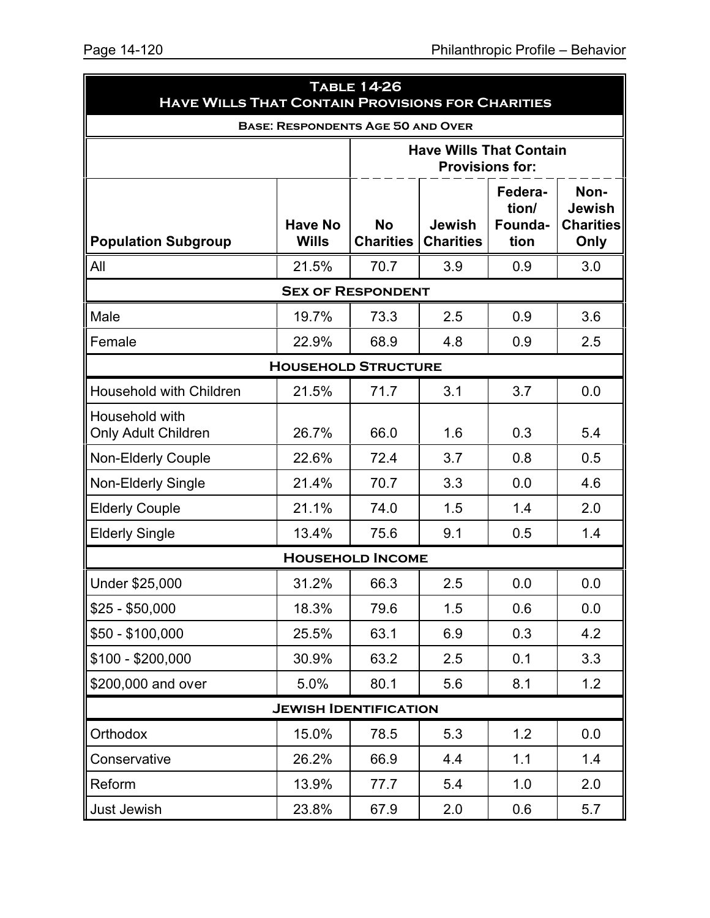| <b>HAVE WILLS THAT CONTAIN PROVISIONS FOR CHARITIES</b> |                                          | <b>TABLE 14-26</b>            |                                   |                                     |                                                   |
|---------------------------------------------------------|------------------------------------------|-------------------------------|-----------------------------------|-------------------------------------|---------------------------------------------------|
|                                                         | <b>BASE: RESPONDENTS AGE 50 AND OVER</b> |                               |                                   |                                     |                                                   |
|                                                         |                                          |                               | <b>Have Wills That Contain</b>    | <b>Provisions for:</b>              |                                                   |
| <b>Population Subgroup</b>                              | <b>Have No</b><br><b>Wills</b>           | <b>No</b><br><b>Charities</b> | <b>Jewish</b><br><b>Charities</b> | Federa-<br>tion/<br>Founda-<br>tion | Non-<br><b>Jewish</b><br><b>Charities</b><br>Only |
| All                                                     | 21.5%                                    | 70.7                          | 3.9                               | 0.9                                 | 3.0                                               |
|                                                         |                                          | <b>SEX OF RESPONDENT</b>      |                                   |                                     |                                                   |
| Male                                                    | 19.7%                                    | 73.3                          | 2.5                               | 0.9                                 | 3.6                                               |
| Female                                                  | 22.9%                                    | 68.9                          | 4.8                               | 0.9                                 | 2.5                                               |
|                                                         | <b>HOUSEHOLD STRUCTURE</b>               |                               |                                   |                                     |                                                   |
| <b>Household with Children</b>                          | 21.5%                                    | 71.7                          | 3.1                               | 3.7                                 | 0.0                                               |
| Household with<br>Only Adult Children                   | 26.7%                                    | 66.0                          | 1.6                               | 0.3                                 | 5.4                                               |
| <b>Non-Elderly Couple</b>                               | 22.6%                                    | 72.4                          | 3.7                               | 0.8                                 | 0.5                                               |
| Non-Elderly Single                                      | 21.4%                                    | 70.7                          | 3.3                               | 0.0                                 | 4.6                                               |
| <b>Elderly Couple</b>                                   | 21.1%                                    | 74.0                          | 1.5                               | 1.4                                 | 2.0                                               |
| <b>Elderly Single</b>                                   | 13.4%                                    | 75.6                          | 9.1                               | 0.5                                 | 1.4                                               |
|                                                         |                                          | <b>HOUSEHOLD INCOME</b>       |                                   |                                     |                                                   |
| Under \$25,000                                          | 31.2%                                    | 66.3                          | 2.5                               | 0.0                                 | 0.0                                               |
| $$25 - $50,000$                                         | 18.3%                                    | 79.6                          | 1.5                               | 0.6                                 | 0.0                                               |
| $$50 - $100,000$                                        | 25.5%                                    | 63.1                          | 6.9                               | 0.3                                 | 4.2                                               |
| $$100 - $200,000$                                       | 30.9%                                    | 63.2                          | 2.5                               | 0.1                                 | 3.3                                               |
| \$200,000 and over                                      | 5.0%                                     | 80.1                          | 5.6                               | 8.1                                 | 1.2                                               |
|                                                         | <b>JEWISH IDENTIFICATION</b>             |                               |                                   |                                     |                                                   |
| Orthodox                                                | 15.0%                                    | 78.5                          | 5.3                               | 1.2                                 | 0.0                                               |
| Conservative                                            | 26.2%                                    | 66.9                          | 4.4                               | 1.1                                 | 1.4                                               |
| Reform                                                  | 13.9%                                    | 77.7                          | 5.4                               | 1.0                                 | 2.0                                               |
| Just Jewish                                             | 23.8%                                    | 67.9                          | 2.0                               | 0.6                                 | 5.7                                               |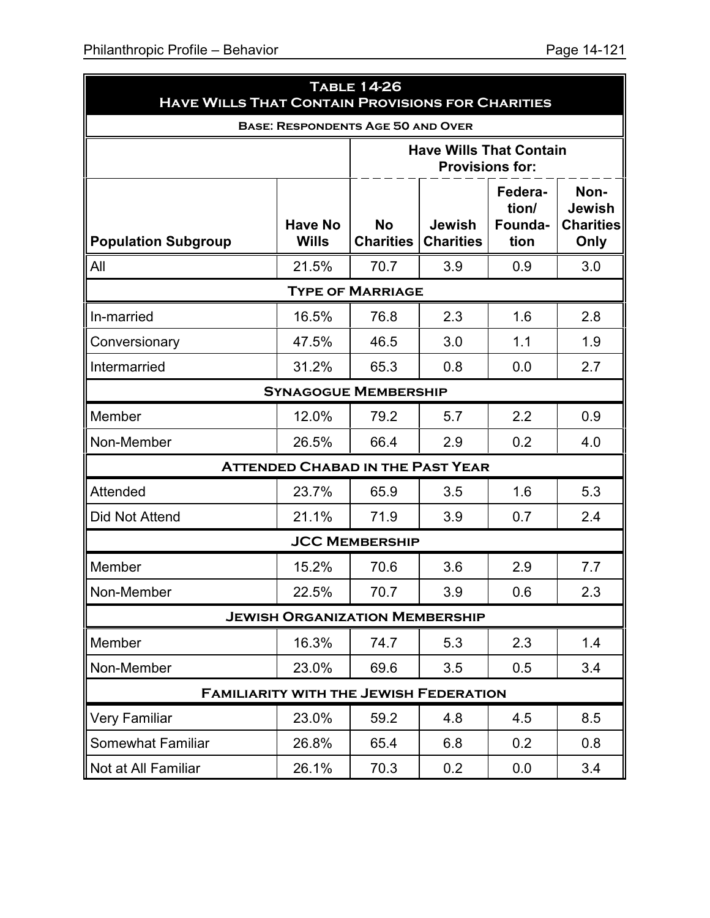| <b>HAVE WILLS THAT CONTAIN PROVISIONS FOR CHARITIES</b> |                                          | <b>TABLE 14-26</b>            |                                   |                                     |                                                   |
|---------------------------------------------------------|------------------------------------------|-------------------------------|-----------------------------------|-------------------------------------|---------------------------------------------------|
|                                                         | <b>BASE: RESPONDENTS AGE 50 AND OVER</b> |                               |                                   |                                     |                                                   |
|                                                         |                                          |                               | <b>Have Wills That Contain</b>    | <b>Provisions for:</b>              |                                                   |
| <b>Population Subgroup</b>                              | <b>Have No</b><br><b>Wills</b>           | <b>No</b><br><b>Charities</b> | <b>Jewish</b><br><b>Charities</b> | Federa-<br>tion/<br>Founda-<br>tion | Non-<br><b>Jewish</b><br><b>Charities</b><br>Only |
| All                                                     | 21.5%                                    | 70.7                          | 3.9                               | 0.9                                 | 3.0                                               |
|                                                         |                                          | <b>TYPE OF MARRIAGE</b>       |                                   |                                     |                                                   |
| In-married                                              | 16.5%                                    | 76.8                          | 2.3                               | 1.6                                 | 2.8                                               |
| Conversionary                                           | 47.5%                                    | 46.5                          | 3.0                               | 1.1                                 | 1.9                                               |
| Intermarried                                            | 31.2%                                    | 65.3                          | 0.8                               | 0.0                                 | 2.7                                               |
|                                                         | <b>SYNAGOGUE MEMBERSHIP</b>              |                               |                                   |                                     |                                                   |
| Member                                                  | 12.0%                                    | 79.2                          | 5.7                               | 2.2                                 | 0.9                                               |
| Non-Member                                              | 26.5%                                    | 66.4                          | 2.9                               | 0.2                                 | 4.0                                               |
|                                                         | <b>ATTENDED CHABAD IN THE PAST YEAR</b>  |                               |                                   |                                     |                                                   |
| Attended                                                | 23.7%                                    | 65.9                          | 3.5                               | 1.6                                 | 5.3                                               |
| Did Not Attend                                          | 21.1%                                    | 71.9                          | 3.9                               | 0.7                                 | 2.4                                               |
|                                                         |                                          | <b>JCC MEMBERSHIP</b>         |                                   |                                     |                                                   |
| Member                                                  | 15.2%                                    | 70.6                          | 3.6                               | 2.9                                 | 7.7                                               |
| Non-Member                                              | 22.5%                                    | 70.7                          | 3.9                               | 0.6                                 | 2.3                                               |
|                                                         | <b>JEWISH ORGANIZATION MEMBERSHIP</b>    |                               |                                   |                                     |                                                   |
| Member                                                  | 16.3%                                    | 74.7                          | 5.3                               | 2.3                                 | 1.4                                               |
| Non-Member                                              | 23.0%                                    | 69.6                          | 3.5                               | 0.5                                 | 3.4                                               |
| <b>FAMILIARITY WITH THE JEWISH FEDERATION</b>           |                                          |                               |                                   |                                     |                                                   |
| <b>Very Familiar</b>                                    | 23.0%                                    | 59.2                          | 4.8                               | 4.5                                 | 8.5                                               |
| <b>Somewhat Familiar</b>                                | 26.8%                                    | 65.4                          | 6.8                               | 0.2                                 | 0.8                                               |
| Not at All Familiar                                     | 26.1%                                    | 70.3                          | 0.2                               | 0.0                                 | 3.4                                               |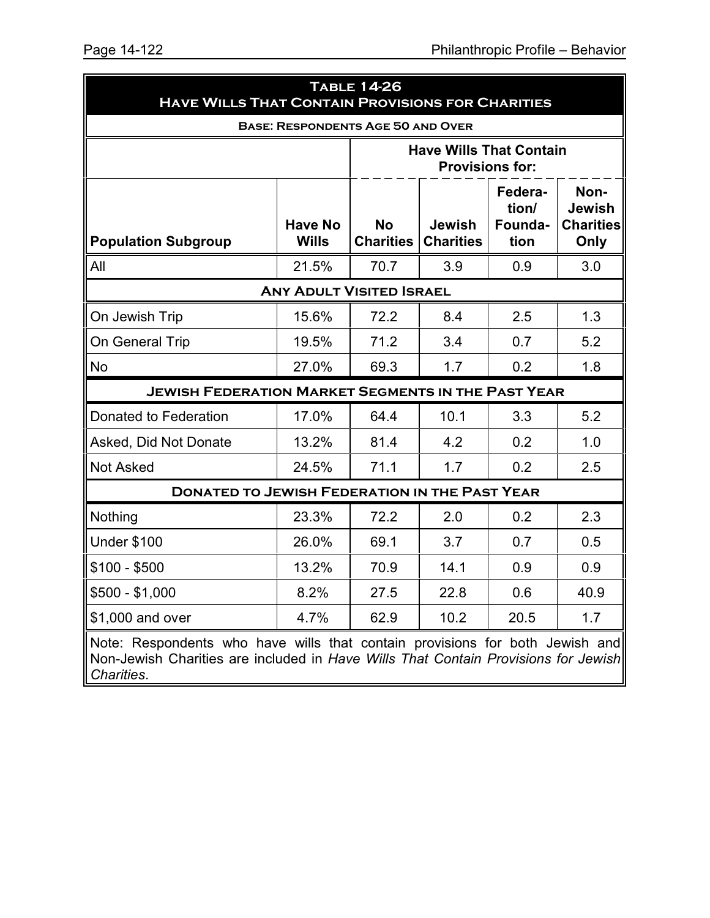| <b>HAVE WILLS THAT CONTAIN PROVISIONS FOR CHARITIES</b>                                                                                                                          |                                 | <b>TABLE 14-26</b>            |                                                          |                                     |                                                   |  |
|----------------------------------------------------------------------------------------------------------------------------------------------------------------------------------|---------------------------------|-------------------------------|----------------------------------------------------------|-------------------------------------|---------------------------------------------------|--|
| <b>BASE: RESPONDENTS AGE 50 AND OVER</b>                                                                                                                                         |                                 |                               |                                                          |                                     |                                                   |  |
|                                                                                                                                                                                  |                                 |                               | <b>Have Wills That Contain</b><br><b>Provisions for:</b> |                                     |                                                   |  |
| <b>Population Subgroup</b>                                                                                                                                                       | <b>Have No</b><br><b>Wills</b>  | <b>No</b><br><b>Charities</b> | <b>Jewish</b><br><b>Charities</b>                        | Federa-<br>tion/<br>Founda-<br>tion | Non-<br><b>Jewish</b><br><b>Charities</b><br>Only |  |
| All                                                                                                                                                                              | 21.5%                           | 70.7                          | 3.9                                                      | 0.9                                 | 3.0                                               |  |
|                                                                                                                                                                                  | <b>ANY ADULT VISITED ISRAEL</b> |                               |                                                          |                                     |                                                   |  |
| On Jewish Trip                                                                                                                                                                   | 15.6%                           | 72.2                          | 8.4                                                      | 2.5                                 | 1.3                                               |  |
| On General Trip                                                                                                                                                                  | 19.5%                           | 71.2                          | 3.4                                                      | 0.7                                 | 5.2                                               |  |
| <b>No</b>                                                                                                                                                                        | 27.0%                           | 69.3                          | 1.7                                                      | 0.2                                 | 1.8                                               |  |
| <b>JEWISH FEDERATION MARKET SEGMENTS IN THE PAST YEAR</b>                                                                                                                        |                                 |                               |                                                          |                                     |                                                   |  |
| Donated to Federation                                                                                                                                                            | 17.0%                           | 64.4                          | 10.1                                                     | 3.3                                 | 5.2                                               |  |
| Asked, Did Not Donate                                                                                                                                                            | 13.2%                           | 81.4                          | 4.2                                                      | 0.2                                 | 1.0                                               |  |
| <b>Not Asked</b>                                                                                                                                                                 | 24.5%                           | 71.1                          | 1.7                                                      | 0.2                                 | 2.5                                               |  |
| <b>DONATED TO JEWISH FEDERATION IN THE PAST YEAR</b>                                                                                                                             |                                 |                               |                                                          |                                     |                                                   |  |
| Nothing                                                                                                                                                                          | 23.3%                           | 72.2                          | 2.0                                                      | 0.2                                 | 2.3                                               |  |
| <b>Under \$100</b>                                                                                                                                                               | 26.0%                           | 69.1                          | 3.7                                                      | 0.7                                 | 0.5                                               |  |
| $$100 - $500$                                                                                                                                                                    | 13.2%                           | 70.9                          | 14.1                                                     | 0.9                                 | 0.9                                               |  |
| \$500 - \$1,000                                                                                                                                                                  | 8.2%                            | 27.5                          | 22.8                                                     | 0.6                                 | 40.9                                              |  |
| \$1,000 and over                                                                                                                                                                 | 4.7%                            | 62.9                          | 10.2                                                     | 20.5                                | 1.7                                               |  |
| Note: Respondents who have wills that contain provisions for both Jewish and<br>Non-Jewish Charities are included in Have Wills That Contain Provisions for Jewish<br>Charities. |                                 |                               |                                                          |                                     |                                                   |  |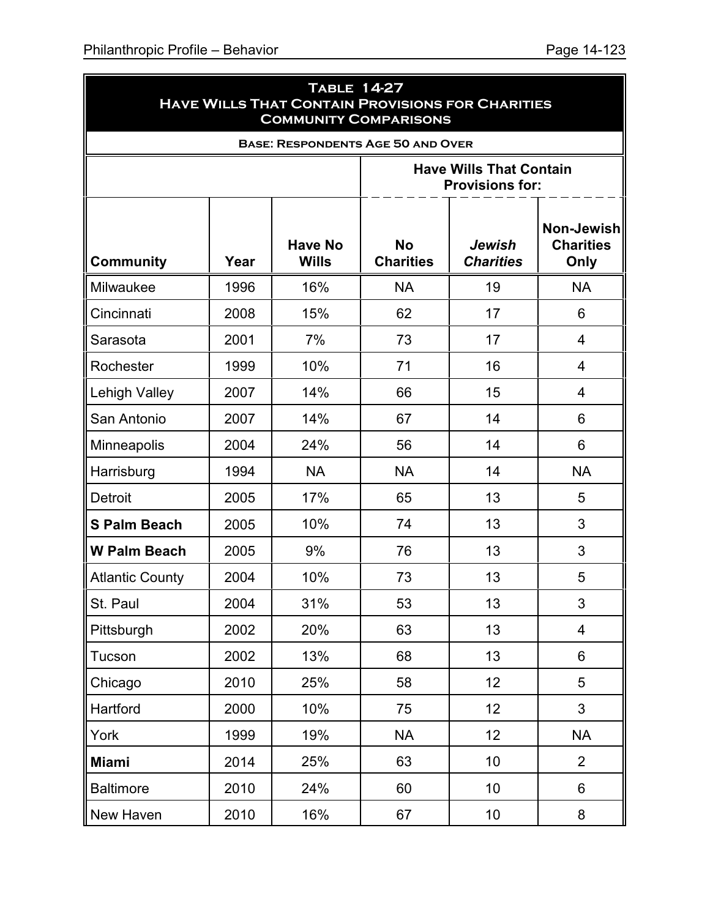ä

|                        | <b>TABLE 14-27</b><br><b>HAVE WILLS THAT CONTAIN PROVISIONS FOR CHARITIES</b><br><b>COMMUNITY COMPARISONS</b> |                                |                                                          |                            |                                        |  |  |  |  |  |
|------------------------|---------------------------------------------------------------------------------------------------------------|--------------------------------|----------------------------------------------------------|----------------------------|----------------------------------------|--|--|--|--|--|
|                        |                                                                                                               |                                | <b>BASE: RESPONDENTS AGE 50 AND OVER</b>                 |                            |                                        |  |  |  |  |  |
|                        |                                                                                                               |                                | <b>Have Wills That Contain</b><br><b>Provisions for:</b> |                            |                                        |  |  |  |  |  |
| <b>Community</b>       | Year                                                                                                          | <b>Have No</b><br><b>Wills</b> | <b>No</b><br><b>Charities</b>                            | Jewish<br><b>Charities</b> | Non-Jewish<br><b>Charities</b><br>Only |  |  |  |  |  |
| Milwaukee              | 1996                                                                                                          | 16%                            | <b>NA</b>                                                | 19                         | <b>NA</b>                              |  |  |  |  |  |
| Cincinnati             | 2008                                                                                                          | 15%                            | 62                                                       | 17                         | 6                                      |  |  |  |  |  |
| Sarasota               | 2001                                                                                                          | 7%                             | 73                                                       | 17                         | 4                                      |  |  |  |  |  |
| Rochester              | 1999                                                                                                          | 10%                            | 71                                                       | 16                         | $\overline{4}$                         |  |  |  |  |  |
| <b>Lehigh Valley</b>   | 2007                                                                                                          | 14%                            | 66                                                       | 15                         | 4                                      |  |  |  |  |  |
| San Antonio            | 2007                                                                                                          | 14%                            | 67                                                       | 14                         | 6                                      |  |  |  |  |  |
| Minneapolis            | 2004                                                                                                          | 24%                            | 56                                                       | 14                         | 6                                      |  |  |  |  |  |
| Harrisburg             | 1994                                                                                                          | <b>NA</b>                      | <b>NA</b>                                                | 14                         | <b>NA</b>                              |  |  |  |  |  |
| <b>Detroit</b>         | 2005                                                                                                          | 17%                            | 65                                                       | 13                         | 5                                      |  |  |  |  |  |
| <b>S Palm Beach</b>    | 2005                                                                                                          | 10%                            | 74                                                       | 13                         | 3                                      |  |  |  |  |  |
| <b>W Palm Beach</b>    | 2005                                                                                                          | 9%                             | 76                                                       | 13                         | 3                                      |  |  |  |  |  |
| <b>Atlantic County</b> | 2004                                                                                                          | 10%                            | 73                                                       | 13                         | 5                                      |  |  |  |  |  |
| St. Paul               | 2004                                                                                                          | 31%                            | 53                                                       | 13                         | 3                                      |  |  |  |  |  |
| Pittsburgh             | 2002                                                                                                          | 20%                            | 63                                                       | 13                         | $\overline{\mathbf{4}}$                |  |  |  |  |  |
| Tucson                 | 2002                                                                                                          | 13%                            | 68                                                       | 13                         | 6                                      |  |  |  |  |  |
| Chicago                | 2010                                                                                                          | 25%                            | 58                                                       | 12                         | 5                                      |  |  |  |  |  |
| Hartford               | 2000                                                                                                          | 10%                            | 75                                                       | 12                         | 3                                      |  |  |  |  |  |
| York                   | 1999                                                                                                          | 19%                            | <b>NA</b>                                                | 12                         | <b>NA</b>                              |  |  |  |  |  |
| <b>Miami</b>           | 2014                                                                                                          | 25%                            | 63                                                       | 10                         | $\overline{2}$                         |  |  |  |  |  |
| <b>Baltimore</b>       | 2010                                                                                                          | 24%                            | 60                                                       | 10                         | 6                                      |  |  |  |  |  |
| New Haven              | 2010                                                                                                          | 16%                            | 67                                                       | 10                         | 8                                      |  |  |  |  |  |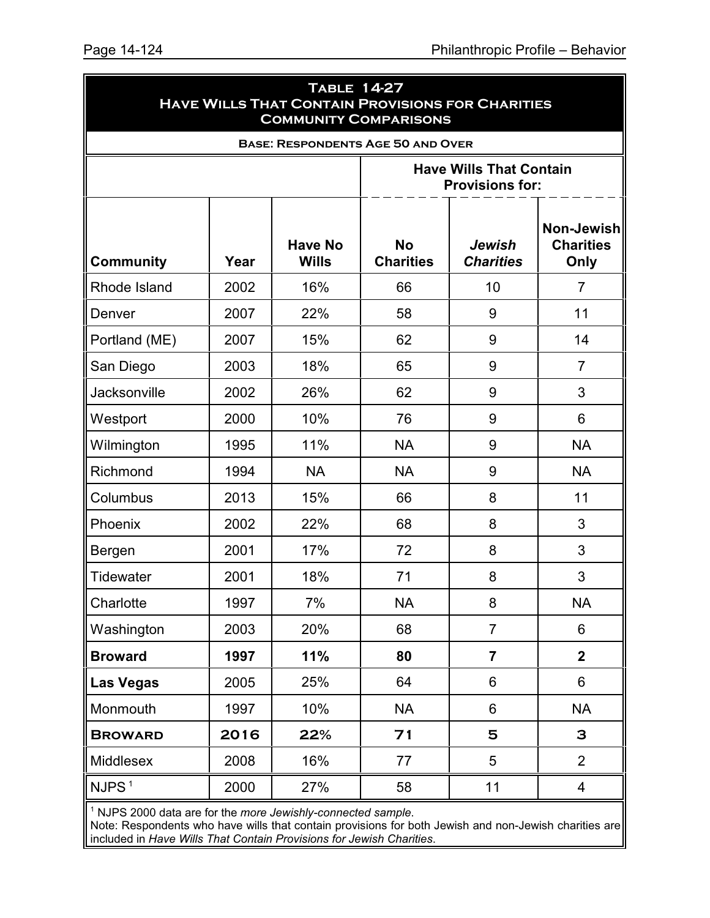| <b>TABLE 14-27</b><br><b>HAVE WILLS THAT CONTAIN PROVISIONS FOR CHARITIES</b><br><b>COMMUNITY COMPARISONS</b> |      |                                |                                                          |                            |                                               |  |  |  |
|---------------------------------------------------------------------------------------------------------------|------|--------------------------------|----------------------------------------------------------|----------------------------|-----------------------------------------------|--|--|--|
|                                                                                                               |      |                                | <b>BASE: RESPONDENTS AGE 50 AND OVER</b>                 |                            |                                               |  |  |  |
|                                                                                                               |      |                                | <b>Have Wills That Contain</b><br><b>Provisions for:</b> |                            |                                               |  |  |  |
| <b>Community</b>                                                                                              | Year | <b>Have No</b><br><b>Wills</b> | <b>No</b><br><b>Charities</b>                            | Jewish<br><b>Charities</b> | <b>Non-Jewish</b><br><b>Charities</b><br>Only |  |  |  |
| Rhode Island                                                                                                  | 2002 | 16%                            | 66                                                       | 10                         | $\overline{7}$                                |  |  |  |
| Denver                                                                                                        | 2007 | 22%                            | 58                                                       | 9                          | 11                                            |  |  |  |
| Portland (ME)                                                                                                 | 2007 | 15%                            | 62                                                       | 9                          | 14                                            |  |  |  |
| San Diego                                                                                                     | 2003 | 18%                            | 65                                                       | 9                          | $\overline{7}$                                |  |  |  |
| <b>Jacksonville</b>                                                                                           | 2002 | 26%                            | 62                                                       | 9                          | 3                                             |  |  |  |
| Westport                                                                                                      | 2000 | 10%                            | 76                                                       | 9                          | 6                                             |  |  |  |
| Wilmington                                                                                                    | 1995 | 11%                            | <b>NA</b>                                                | 9                          | <b>NA</b>                                     |  |  |  |
| Richmond                                                                                                      | 1994 | <b>NA</b>                      | <b>NA</b>                                                | 9                          | <b>NA</b>                                     |  |  |  |
| Columbus                                                                                                      | 2013 | 15%                            | 66                                                       | 8                          | 11                                            |  |  |  |
| Phoenix                                                                                                       | 2002 | 22%                            | 68                                                       | 8                          | 3                                             |  |  |  |
| Bergen                                                                                                        | 2001 | 17%                            | 72                                                       | 8                          | 3                                             |  |  |  |
| <b>Tidewater</b>                                                                                              | 2001 | 18%                            | 71                                                       | 8                          | 3                                             |  |  |  |
| Charlotte                                                                                                     | 1997 | 7%                             | <b>NA</b>                                                | 8                          | NA                                            |  |  |  |
| Washington                                                                                                    | 2003 | 20%                            | 68                                                       | $\overline{7}$             | 6                                             |  |  |  |
| <b>Broward</b>                                                                                                | 1997 | 11%                            | 80                                                       | $\overline{7}$             | $\overline{2}$                                |  |  |  |
| Las Vegas                                                                                                     | 2005 | 25%                            | 64                                                       | 6                          | 6                                             |  |  |  |
| Monmouth                                                                                                      | 1997 | 10%                            | <b>NA</b>                                                | 6                          | <b>NA</b>                                     |  |  |  |
| <b>BROWARD</b>                                                                                                | 2016 | 22%                            | 71                                                       | 5                          | 3                                             |  |  |  |
| Middlesex                                                                                                     | 2008 | 16%                            | 77                                                       | 5                          | $\overline{2}$                                |  |  |  |
| NJPS <sup>1</sup>                                                                                             | 2000 | 27%                            | 58                                                       | 11                         | $\overline{4}$                                |  |  |  |

1 NJPS 2000 data are for the *more Jewishly-connected sample*.

Note: Respondents who have wills that contain provisions for both Jewish and non-Jewish charities are included in *Have Wills That Contain Provisions for Jewish Charities*.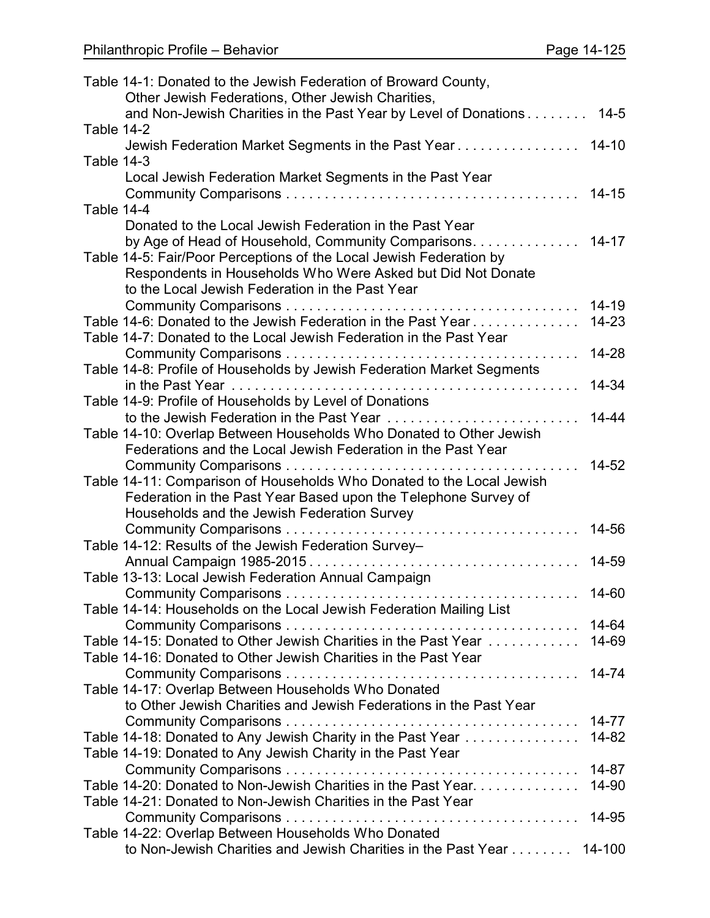|            | Table 14-1: Donated to the Jewish Federation of Broward County,                                                          |           |
|------------|--------------------------------------------------------------------------------------------------------------------------|-----------|
|            | Other Jewish Federations, Other Jewish Charities,                                                                        |           |
| Table 14-2 | and Non-Jewish Charities in the Past Year by Level of Donations                                                          | $14 - 5$  |
|            |                                                                                                                          |           |
| Table 14-3 |                                                                                                                          |           |
|            | Local Jewish Federation Market Segments in the Past Year                                                                 |           |
|            |                                                                                                                          | $14 - 15$ |
| Table 14-4 |                                                                                                                          |           |
|            | Donated to the Local Jewish Federation in the Past Year                                                                  |           |
|            | by Age of Head of Household, Community Comparisons                                                                       | $14 - 17$ |
|            | Table 14-5: Fair/Poor Perceptions of the Local Jewish Federation by                                                      |           |
|            | Respondents in Households Who Were Asked but Did Not Donate                                                              |           |
|            | to the Local Jewish Federation in the Past Year                                                                          |           |
|            |                                                                                                                          | $14 - 19$ |
|            | Table 14-6: Donated to the Jewish Federation in the Past Year                                                            | $14 - 23$ |
|            | Table 14-7: Donated to the Local Jewish Federation in the Past Year                                                      |           |
|            |                                                                                                                          | 14-28     |
|            | Table 14-8: Profile of Households by Jewish Federation Market Segments                                                   |           |
|            |                                                                                                                          | 14-34     |
|            | Table 14-9: Profile of Households by Level of Donations                                                                  |           |
|            | to the Jewish Federation in the Past Year                                                                                | $14 - 44$ |
|            | Table 14-10: Overlap Between Households Who Donated to Other Jewish                                                      |           |
|            | Federations and the Local Jewish Federation in the Past Year                                                             |           |
|            |                                                                                                                          | 14-52     |
|            | Table 14-11: Comparison of Households Who Donated to the Local Jewish                                                    |           |
|            | Federation in the Past Year Based upon the Telephone Survey of                                                           |           |
|            | Households and the Jewish Federation Survey                                                                              |           |
|            |                                                                                                                          | 14-56     |
|            | Table 14-12: Results of the Jewish Federation Survey-                                                                    |           |
|            |                                                                                                                          | 14-59     |
|            | Table 13-13: Local Jewish Federation Annual Campaign                                                                     |           |
|            |                                                                                                                          | 14-60     |
|            |                                                                                                                          |           |
|            | Table 14-14: Households on the Local Jewish Federation Mailing List                                                      | 14-64     |
|            | Table 14-15: Donated to Other Jewish Charities in the Past Year                                                          | 14-69     |
|            | Table 14-16: Donated to Other Jewish Charities in the Past Year                                                          |           |
|            |                                                                                                                          | 14-74     |
|            |                                                                                                                          |           |
|            | Table 14-17: Overlap Between Households Who Donated<br>to Other Jewish Charities and Jewish Federations in the Past Year |           |
|            |                                                                                                                          | $14 - 77$ |
|            |                                                                                                                          |           |
|            | Table 14-18: Donated to Any Jewish Charity in the Past Year                                                              | 14-82     |
|            | Table 14-19: Donated to Any Jewish Charity in the Past Year                                                              | 14-87     |
|            |                                                                                                                          |           |
|            | Table 14-20: Donated to Non-Jewish Charities in the Past Year.                                                           | 14-90     |
|            | Table 14-21: Donated to Non-Jewish Charities in the Past Year                                                            |           |
|            |                                                                                                                          | 14-95     |
|            | Table 14-22: Overlap Between Households Who Donated                                                                      |           |
|            | to Non-Jewish Charities and Jewish Charities in the Past Year                                                            | 14-100    |